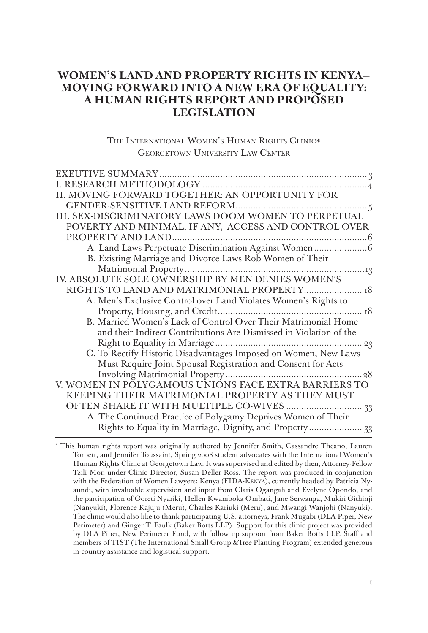# **WOMEN'S LAND AND PROPERTY RIGHTS IN KENYA— MOVING FORWARD INTO A NEW ERA OF EQUALITY: A HUMAN RIGHTS REPORT AND PROPOSED LEGISLATION**

THE INTERNATIONAL WOMEN'S HUMAN RIGHTS CLINIC\* GEORGETOWN UNIVERSITY LAW CENTER

| II. MOVING FORWARD TOGETHER: AN OPPORTUNITY FOR                    |
|--------------------------------------------------------------------|
|                                                                    |
| III. SEX-DISCRIMINATORY LAWS DOOM WOMEN TO PERPETUAL               |
| POVERTY AND MINIMAL, IF ANY, ACCESS AND CONTROL OVER               |
|                                                                    |
|                                                                    |
| B. Existing Marriage and Divorce Laws Rob Women of Their           |
|                                                                    |
| IV. ABSOLUTE SOLE OWNERSHIP BY MEN DENIES WOMEN'S                  |
| RIGHTS TO LAND AND MATRIMONIAL PROPERTY 18                         |
| A. Men's Exclusive Control over Land Violates Women's Rights to    |
|                                                                    |
| B. Married Women's Lack of Control Over Their Matrimonial Home     |
| and their Indirect Contributions Are Dismissed in Violation of the |
|                                                                    |
| C. To Rectify Historic Disadvantages Imposed on Women, New Laws    |
| Must Require Joint Spousal Registration and Consent for Acts       |
|                                                                    |
| V. WOMEN IN POLYGAMOUS UNIONS FACE EXTRA BARRIERS TO               |
| KEEPING THEIR MATRIMONIAL PROPERTY AS THEY MUST                    |
|                                                                    |
| A. The Continued Practice of Polygamy Deprives Women of Their      |
| Rights to Equality in Marriage, Dignity, and Property 33           |

\* This human rights report was originally authored by Jennifer Smith, Cassandre Theano, Lauren Torbett, and Jennifer Toussaint, Spring 2008 student advocates with the International Women's Human Rights Clinic at Georgetown Law. It was supervised and edited by then, Attorney-Fellow Tzili Mor, under Clinic Director, Susan Deller Ross. The report was produced in conjunction with the Federation of Women Lawyers: Kenya (FIDA-Kenya), currently headed by Patricia Nyaundi, with invaluable supervision and input from Claris Ogangah and Evelyne Opondo, and the participation of Goreti Nyariki, Hellen Kwamboka Ombati, Jane Serwanga, Mukiri Githinji (Nanyuki), Florence Kajuju (Meru), Charles Kariuki (Meru), and Mwangi Wanjohi (Nanyuki). The clinic would also like to thank participating U.S. attorneys, Frank Mugabi (DLA Piper, New Perimeter) and Ginger T. Faulk (Baker Botts LLP). Support for this clinic project was provided by DLA Piper, New Perimeter Fund, with follow up support from Baker Botts LLP. Staff and members of TIST (The International Small Group &Tree Planting Program) extended generous in-country assistance and logistical support.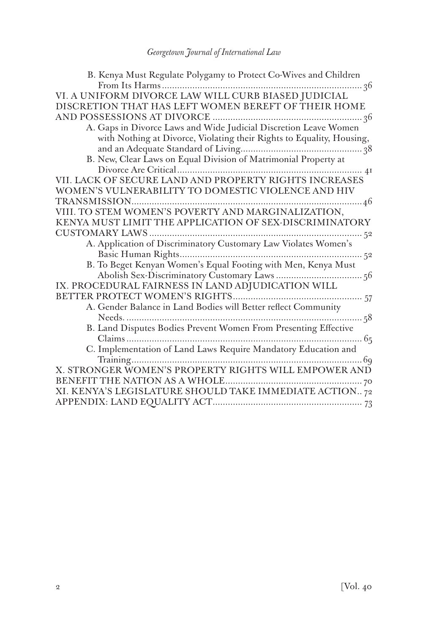| B. Kenya Must Regulate Polygamy to Protect Co-Wives and Children                                                                                                                                                                                                                                                                                                                                                  |
|-------------------------------------------------------------------------------------------------------------------------------------------------------------------------------------------------------------------------------------------------------------------------------------------------------------------------------------------------------------------------------------------------------------------|
|                                                                                                                                                                                                                                                                                                                                                                                                                   |
| VI. A UNIFORM DIVORCE LAW WILL CURB BIASED JUDICIAL                                                                                                                                                                                                                                                                                                                                                               |
| DISCRETION THAT HAS LEFT WOMEN BEREFT OF THEIR HOME                                                                                                                                                                                                                                                                                                                                                               |
|                                                                                                                                                                                                                                                                                                                                                                                                                   |
| A. Gaps in Divorce Laws and Wide Judicial Discretion Leave Women                                                                                                                                                                                                                                                                                                                                                  |
| with Nothing at Divorce, Violating their Rights to Equality, Housing,                                                                                                                                                                                                                                                                                                                                             |
|                                                                                                                                                                                                                                                                                                                                                                                                                   |
|                                                                                                                                                                                                                                                                                                                                                                                                                   |
|                                                                                                                                                                                                                                                                                                                                                                                                                   |
| VII. LACK OF SECURE LAND AND PROPERTY RIGHTS INCREASES                                                                                                                                                                                                                                                                                                                                                            |
| WOMEN'S VULNERABILITY TO DOMESTIC VIOLENCE AND HIV                                                                                                                                                                                                                                                                                                                                                                |
|                                                                                                                                                                                                                                                                                                                                                                                                                   |
| $\label{eq:transmission} \begin{minipage}{0.9\linewidth} \textbf{TRANSMISSION} \textbf{}\textbf{}\textbf{}\textbf{}\textbf{}\textbf{}\textbf{}\textbf{} \textbf{} \textbf{} \textbf{} \textbf{} \textbf{} \textbf{} \textbf{} \textbf{} \textbf{} \textbf{} \textbf{} \textbf{} \textbf{} \textbf{} \textbf{} \textbf{} \textbf{} \textbf{} \textbf{} \textbf{} \textbf{} \textbf{} \textbf{} \textbf{} \textbf{$ |
| KENYA MUST LIMIT THE APPLICATION OF SEX-DISCRIMINATORY                                                                                                                                                                                                                                                                                                                                                            |
|                                                                                                                                                                                                                                                                                                                                                                                                                   |
| A. Application of Discriminatory Customary Law Violates Women's                                                                                                                                                                                                                                                                                                                                                   |
|                                                                                                                                                                                                                                                                                                                                                                                                                   |
| B. To Beget Kenyan Women's Equal Footing with Men, Kenya Must                                                                                                                                                                                                                                                                                                                                                     |
|                                                                                                                                                                                                                                                                                                                                                                                                                   |
| IX. PROCEDURAL FAIRNESS IN LAND ADJUDICATION WILL                                                                                                                                                                                                                                                                                                                                                                 |
|                                                                                                                                                                                                                                                                                                                                                                                                                   |
|                                                                                                                                                                                                                                                                                                                                                                                                                   |
|                                                                                                                                                                                                                                                                                                                                                                                                                   |
| B. Land Disputes Bodies Prevent Women From Presenting Effective                                                                                                                                                                                                                                                                                                                                                   |
|                                                                                                                                                                                                                                                                                                                                                                                                                   |
| C. Implementation of Land Laws Require Mandatory Education and                                                                                                                                                                                                                                                                                                                                                    |
|                                                                                                                                                                                                                                                                                                                                                                                                                   |
| X. STRONGER WOMEN'S PROPERTY RIGHTS WILL EMPOWER AND                                                                                                                                                                                                                                                                                                                                                              |
|                                                                                                                                                                                                                                                                                                                                                                                                                   |
| XI. KENYA'S LEGISLATURE SHOULD TAKE IMMEDIATE ACTION72                                                                                                                                                                                                                                                                                                                                                            |
|                                                                                                                                                                                                                                                                                                                                                                                                                   |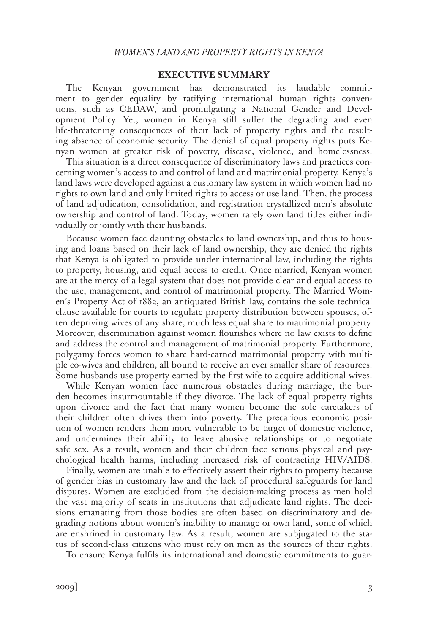### **EXECUTIVE SUMMARY**

The Kenyan government has demonstrated its laudable commitment to gender equality by ratifying international human rights conventions, such as CEDAW, and promulgating a National Gender and Development Policy. Yet, women in Kenya still suffer the degrading and even life-threatening consequences of their lack of property rights and the resulting absence of economic security. The denial of equal property rights puts Kenyan women at greater risk of poverty, disease, violence, and homelessness.

This situation is a direct consequence of discriminatory laws and practices concerning women's access to and control of land and matrimonial property. Kenya's land laws were developed against a customary law system in which women had no rights to own land and only limited rights to access or use land. Then, the process of land adjudication, consolidation, and registration crystallized men's absolute ownership and control of land. Today, women rarely own land titles either individually or jointly with their husbands.

Because women face daunting obstacles to land ownership, and thus to housing and loans based on their lack of land ownership, they are denied the rights that Kenya is obligated to provide under international law, including the rights to property, housing, and equal access to credit. Once married, Kenyan women are at the mercy of a legal system that does not provide clear and equal access to the use, management, and control of matrimonial property. The Married Women's Property Act of 1882, an antiquated British law, contains the sole technical clause available for courts to regulate property distribution between spouses, often depriving wives of any share, much less equal share to matrimonial property. Moreover, discrimination against women flourishes where no law exists to define and address the control and management of matrimonial property. Furthermore, polygamy forces women to share hard-earned matrimonial property with multiple co-wives and children, all bound to receive an ever smaller share of resources. Some husbands use property earned by the first wife to acquire additional wives.

While Kenyan women face numerous obstacles during marriage, the burden becomes insurmountable if they divorce. The lack of equal property rights upon divorce and the fact that many women become the sole caretakers of their children often drives them into poverty. The precarious economic position of women renders them more vulnerable to be target of domestic violence, and undermines their ability to leave abusive relationships or to negotiate safe sex. As a result, women and their children face serious physical and psychological health harms, including increased risk of contracting HIV/AIDS.

Finally, women are unable to effectively assert their rights to property because of gender bias in customary law and the lack of procedural safeguards for land disputes. Women are excluded from the decision-making process as men hold the vast majority of seats in institutions that adjudicate land rights. The decisions emanating from those bodies are often based on discriminatory and degrading notions about women's inability to manage or own land, some of which are enshrined in customary law. As a result, women are subjugated to the status of second-class citizens who must rely on men as the sources of their rights.

To ensure Kenya fulfils its international and domestic commitments to guar-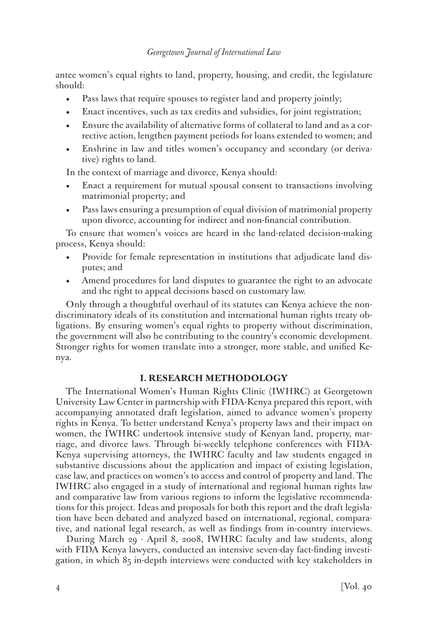antee women's equal rights to land, property, housing, and credit, the legislature should:

- Pass laws that require spouses to register land and property jointly;
- Enact incentives, such as tax credits and subsidies, for joint registration;
- Ensure the availability of alternative forms of collateral to land and as a corrective action, lengthen payment periods for loans extended to women; and
- Enshrine in law and titles women's occupancy and secondary (or derivative) rights to land.

In the context of marriage and divorce, Kenya should:

- Enact a requirement for mutual spousal consent to transactions involving matrimonial property; and
- Pass laws ensuring a presumption of equal division of matrimonial property upon divorce, accounting for indirect and non-financial contribution.

To ensure that women's voices are heard in the land-related decision-making process, Kenya should:

- Provide for female representation in institutions that adjudicate land disputes; and
- Amend procedures for land disputes to guarantee the right to an advocate and the right to appeal decisions based on customary law.

Only through a thoughtful overhaul of its statutes can Kenya achieve the nondiscriminatory ideals of its constitution and international human rights treaty obligations. By ensuring women's equal rights to property without discrimination, the government will also be contributing to the country's economic development. Stronger rights for women translate into a stronger, more stable, and unified Kenya.

# **I. RESEARCH METHODOLOGY**

The International Women's Human Rights Clinic (IWHRC) at Georgetown University Law Center in partnership with FIDA-Kenya prepared this report, with accompanying annotated draft legislation, aimed to advance women's property rights in Kenya. To better understand Kenya's property laws and their impact on women, the IWHRC undertook intensive study of Kenyan land, property, marriage, and divorce laws. Through bi-weekly telephone conferences with FIDA-Kenya supervising attorneys, the IWHRC faculty and law students engaged in substantive discussions about the application and impact of existing legislation, case law, and practices on women's to access and control of property and land. The IWHRC also engaged in a study of international and regional human rights law and comparative law from various regions to inform the legislative recommendations for this project. Ideas and proposals for both this report and the draft legislation have been debated and analyzed based on international, regional, comparative, and national legal research, as well as findings from in-country interviews.

During March 29 - April 8, 2008, IWHRC faculty and law students, along with FIDA Kenya lawyers, conducted an intensive seven-day fact-finding investigation, in which 85 in-depth interviews were conducted with key stakeholders in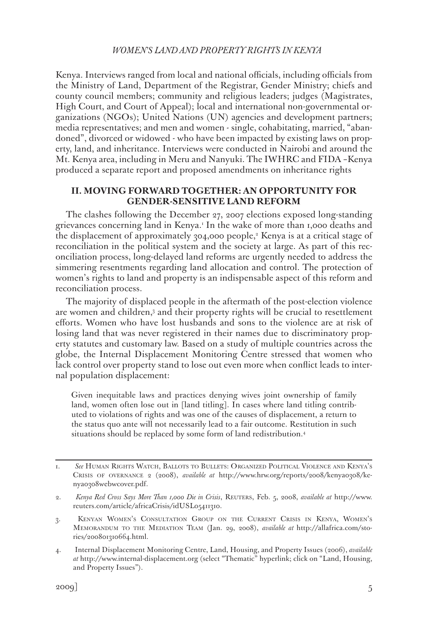Kenya. Interviews ranged from local and national officials, including officials from the Ministry of Land, Department of the Registrar, Gender Ministry; chiefs and county council members; community and religious leaders; judges (Magistrates, High Court, and Court of Appeal); local and international non-governmental organizations (NGOs); United Nations (UN) agencies and development partners; media representatives; and men and women - single, cohabitating, married, "abandoned", divorced or widowed - who have been impacted by existing laws on property, land, and inheritance. Interviews were conducted in Nairobi and around the Mt. Kenya area, including in Meru and Nanyuki. The IWHRC and FIDA –Kenya produced a separate report and proposed amendments on inheritance rights

# **II. MOVING FORWARD TOGETHER: AN OPPORTUNITY FOR GENDER-SENSITIVE LAND REFORM**

The clashes following the December 27, 2007 elections exposed long-standing grievances concerning land in Kenya.<sup>1</sup> In the wake of more than 1,000 deaths and the displacement of approximately 304,000 people,<sup>2</sup> Kenya is at a critical stage of reconciliation in the political system and the society at large. As part of this reconciliation process, long-delayed land reforms are urgently needed to address the simmering resentments regarding land allocation and control. The protection of women's rights to land and property is an indispensable aspect of this reform and reconciliation process.

The majority of displaced people in the aftermath of the post-election violence are women and children,3 and their property rights will be crucial to resettlement efforts. Women who have lost husbands and sons to the violence are at risk of losing land that was never registered in their names due to discriminatory property statutes and customary law. Based on a study of multiple countries across the globe, the Internal Displacement Monitoring Centre stressed that women who lack control over property stand to lose out even more when conflict leads to internal population displacement:

Given inequitable laws and practices denying wives joint ownership of family land, women often lose out in [land titling]. In cases where land titling contributed to violations of rights and was one of the causes of displacement, a return to the status quo ante will not necessarily lead to a fair outcome. Restitution in such situations should be replaced by some form of land redistribution.4

<sup>1.</sup> *See* Human Rights Watch, Ballots to Bullets: Organized Political Violence and Kenya's Crisis of overnance 2 (2008), *available at* http://www.hrw.org/reports/2008/kenya0308/kenya0308webwcover.pdf.

<sup>2.</sup> *Kenya Red Cross Says More Than 1,000 Die in Crisis*, Reuters, Feb. 5, 2008, *available at* http://www. reuters.com/article/africaCrisis/idUSL05411310.

<sup>3.</sup> Kenyan Women's Consultation Group on the Current Crisis in Kenya, Women's Memorandum to the Mediation Team (Jan. 29, 2008), *available at* http://allafrica.com/stories/200801310664.html.

<sup>4.</sup> Internal Displacement Monitoring Centre, Land, Housing, and Property Issues (2006), *available at* http://www.internal-displacement.org (select "Thematic" hyperlink; click on "Land, Housing, and Property Issues").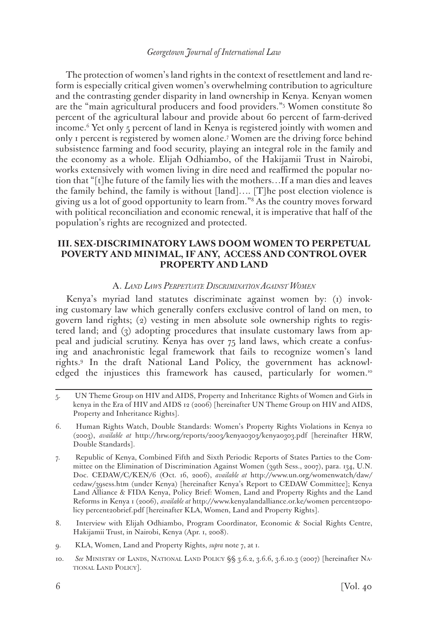The protection of women's land rights in the context of resettlement and land reform is especially critical given women's overwhelming contribution to agriculture and the contrasting gender disparity in land ownership in Kenya. Kenyan women are the "main agricultural producers and food providers."5 Women constitute 80 percent of the agricultural labour and provide about 60 percent of farm-derived income.6 Yet only 5 percent of land in Kenya is registered jointly with women and only 1 percent is registered by women alone.7 Women are the driving force behind subsistence farming and food security, playing an integral role in the family and the economy as a whole. Elijah Odhiambo, of the Hakijamii Trust in Nairobi, works extensively with women living in dire need and reaffirmed the popular notion that "[t]he future of the family lies with the mothers…If a man dies and leaves the family behind, the family is without [land]…. [T]he post election violence is giving us a lot of good opportunity to learn from."8 As the country moves forward with political reconciliation and economic renewal, it is imperative that half of the population's rights are recognized and protected.

# **III. SEX-DISCRIMINATORY LAWS DOOM WOMEN TO PERPETUAL POVERTY AND MINIMAL, IF ANY, ACCESS AND CONTROL OVER PROPERTY AND LAND**

#### A. *Land Laws Perpetuate Discrimination Against Women*

Kenya's myriad land statutes discriminate against women by: (1) invoking customary law which generally confers exclusive control of land on men, to govern land rights; (2) vesting in men absolute sole ownership rights to registered land; and (3) adopting procedures that insulate customary laws from appeal and judicial scrutiny. Kenya has over 75 land laws, which create a confusing and anachronistic legal framework that fails to recognize women's land rights.9 In the draft National Land Policy, the government has acknowledged the injustices this framework has caused, particularly for women.<sup>10</sup>

- 5. UN Theme Group on HIV and AIDS, Property and Inheritance Rights of Women and Girls in kenya in the Era of HIV and AIDS 12 (2006) [hereinafter UN Theme Group on HIV and AIDS, Property and Inheritance Rights].
- 6. Human Rights Watch, Double Standards: Women's Property Rights Violations in Kenya 10 (2003), *available at* http://hrw.org/reports/2003/kenya0303/kenya0303.pdf [hereinafter HRW, Double Standards].
- 7. Republic of Kenya, Combined Fifth and Sixth Periodic Reports of States Parties to the Committee on the Elimination of Discrimination Against Women (39th Sess., 2007), para. 134, U.N. Doc. CEDAW/C/KEN/6 (Oct. 16, 2006), *available at* http://www.un.org/womenwatch/daw/ cedaw/39sess.htm (under Kenya) [hereinafter Kenya's Report to CEDAW Committee]; Kenya Land Alliance & FIDA Kenya, Policy Brief: Women, Land and Property Rights and the Land Reforms in Kenya 1 (2006), *available at* http://www.kenyalandalliance.or.ke/women percent20policy percent20brief.pdf [hereinafter KLA, Women, Land and Property Rights].
- 8. Interview with Elijah Odhiambo, Program Coordinator, Economic & Social Rights Centre, Hakijamii Trust, in Nairobi, Kenya (Apr. 1, 2008).
- 9. KLA, Women, Land and Property Rights, *supra* note 7, at 1.
- 10. *See* Ministry of Lands, National Land Policy §§ 3.6.2, 3.6.6, 3.6.10.3 (2007) [hereinafter National Land Policy].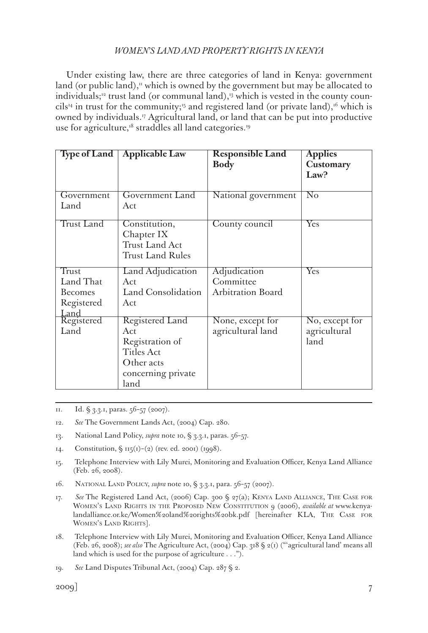Under existing law, there are three categories of land in Kenya: government land (or public land),<sup> $\mu$ </sup> which is owned by the government but may be allocated to individuals;<sup>12</sup> trust land (or communal land),<sup>13</sup> which is vested in the county councils<sup>14</sup> in trust for the community;<sup>15</sup> and registered land (or private land),<sup>16</sup> which is owned by individuals.17 Agricultural land, or land that can be put into productive use for agriculture,<sup>18</sup> straddles all land categories.<sup>19</sup>

| Type of Land       | <b>Applicable Law</b>                                                    | <b>Responsible Land</b><br><b>Body</b> | <b>Applies</b><br>Customary |
|--------------------|--------------------------------------------------------------------------|----------------------------------------|-----------------------------|
|                    |                                                                          |                                        | Law?                        |
| Government<br>Land | Government Land<br>Act                                                   | National government                    | $\overline{\text{No}}$      |
| <b>Trust Land</b>  | Constitution,<br>Chapter IX<br>Trust Land Act<br><b>Trust Land Rules</b> | County council                         | $\overline{\mathrm{Yes}}$   |
| <b>Trust</b>       | Land Adjudication                                                        | Adjudication                           | Yes                         |
| Land That          | Act                                                                      | Committee                              |                             |
| Becomes            | Land Consolidation                                                       | <b>Arbitration Board</b>               |                             |
| Registered<br>Land | Act                                                                      |                                        |                             |
| Registered         | Registered Land                                                          | None, except for                       | No, except for              |
| Land               | Act                                                                      | agricultural land                      | agricultural                |
|                    | Registration of                                                          |                                        | land                        |
|                    | <b>Titles Act</b>                                                        |                                        |                             |
|                    | Other acts                                                               |                                        |                             |
|                    | concerning private                                                       |                                        |                             |
|                    | land                                                                     |                                        |                             |

11. Id. § 3.3.1, paras. 56–57 (2007).

- 12. *See* The Government Lands Act, (2004) Cap. 280.
- 13. National Land Policy, *supra* note 10, § 3.3.1, paras. 56–57.
- 14. Constitution,  $\sin(1) (2)$  (rev. ed. 2001) (1998).
- 15. Telephone Interview with Lily Murei, Monitoring and Evaluation Officer, Kenya Land Alliance (Feb. 26, 2008).
- 16. National Land Policy, *supra* note 10, § 3.3.1, para. 56–57 (2007).
- 17. *See* The Registered Land Act, (2006) Cap. 300 § 27(a); Kenya Land Alliance, The Case for Women's Land Rights in the Proposed New Constitution 9 (2006), *available at* www.kenyalandalliance.or.ke/Women%20land%20rights%20bk.pdf [hereinafter KLA, The Case for WOMEN'S LAND RIGHTS].
- 18. Telephone Interview with Lily Murei, Monitoring and Evaluation Officer, Kenya Land Alliance (Feb. 26, 2008); *see also* The Agriculture Act, (2004) Cap. 318 § 2(1) ("'agricultural land' means all land which is used for the purpose of agriculture . . .").

19. *See* Land Disputes Tribunal Act, (2004) Cap. 287 § 2.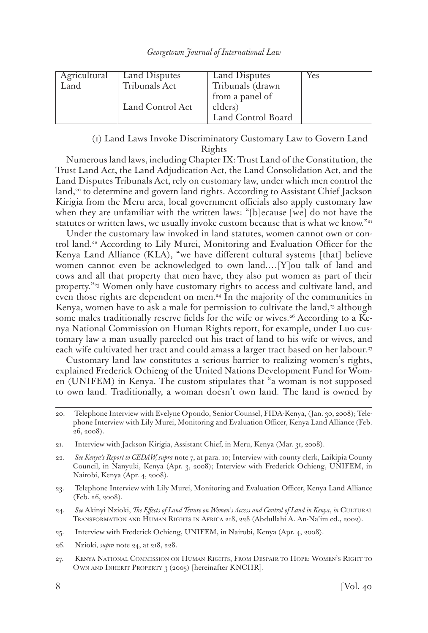| Agricultural<br>Land | Land Disputes<br>Tribunals Act | Land Disputes<br>Tribunals (drawn<br>from a panel of | Yes |
|----------------------|--------------------------------|------------------------------------------------------|-----|
|                      | Land Control Act               | elders)<br>Land Control Board                        |     |

# (1) Land Laws Invoke Discriminatory Customary Law to Govern Land Rights

Numerous land laws, including Chapter IX: Trust Land of the Constitution, the Trust Land Act, the Land Adjudication Act, the Land Consolidation Act, and the Land Disputes Tribunals Act, rely on customary law, under which men control the land,<sup>20</sup> to determine and govern land rights. According to Assistant Chief Jackson Kirigia from the Meru area, local government officials also apply customary law when they are unfamiliar with the written laws: "[b]ecause [we] do not have the statutes or written laws, we usually invoke custom because that is what we know." $21$ 

Under the customary law invoked in land statutes, women cannot own or control land.<sup>22</sup> According to Lily Murei, Monitoring and Evaluation Officer for the Kenya Land Alliance (KLA), "we have different cultural systems [that] believe women cannot even be acknowledged to own land.…[Y]ou talk of land and cows and all that property that men have, they also put women as part of their property."23 Women only have customary rights to access and cultivate land, and even those rights are dependent on men.24 In the majority of the communities in Kenya, women have to ask a male for permission to cultivate the land,<sup> $35$ </sup> although some males traditionally reserve fields for the wife or wives.<sup>26</sup> According to a Kenya National Commission on Human Rights report, for example, under Luo customary law a man usually parceled out his tract of land to his wife or wives, and each wife cultivated her tract and could amass a larger tract based on her labour.<sup>37</sup>

Customary land law constitutes a serious barrier to realizing women's rights, explained Frederick Ochieng of the United Nations Development Fund for Women (UNIFEM) in Kenya. The custom stipulates that "a woman is not supposed to own land. Traditionally, a woman doesn't own land. The land is owned by

- 23. Telephone Interview with Lily Murei, Monitoring and Evaluation Officer, Kenya Land Alliance (Feb. 26, 2008).
- 24. *See* Akinyi Nzioki, *The Effects of Land Tenure on Women's Access and Control of Land in Kenya*, *in* Cultural Transformation and Human Rights in Africa 218, 228 (Abdullahi A. An-Na'im ed., 2002).
- 25. Interview with Frederick Ochieng, UNIFEM, in Nairobi, Kenya (Apr. 4, 2008).
- 26. Nzioki, *supra* note 24, at 218, 228.
- 27. Kenya National Commission on Human Rights, From Despair to Hope: Women's Right to Own and Inherit Property 3 (2005) [hereinafter KNCHR].

<sup>20.</sup> Telephone Interview with Evelyne Opondo, Senior Counsel, FIDA-Kenya, (Jan. 30, 2008); Telephone Interview with Lily Murei, Monitoring and Evaluation Officer, Kenya Land Alliance (Feb. 26, 2008).

<sup>21.</sup> Interview with Jackson Kirigia, Assistant Chief, in Meru, Kenya (Mar. 31, 2008).

<sup>22.</sup> *See Kenya's Report to CEDAW, supra* note 7, at para. 10; Interview with county clerk, Laikipia County Council, in Nanyuki, Kenya (Apr. 3, 2008); Interview with Frederick Ochieng, UNIFEM, in Nairobi, Kenya (Apr. 4, 2008).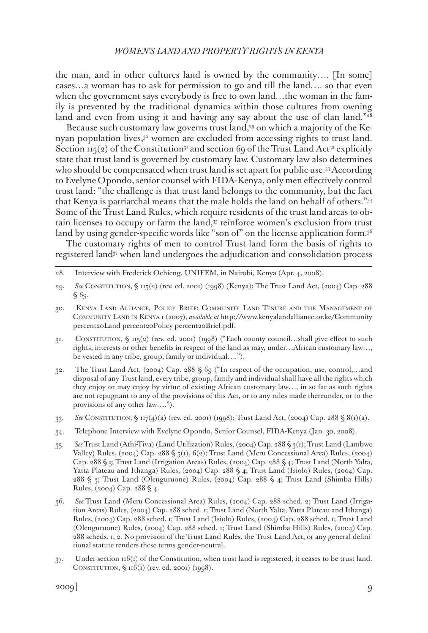the man, and in other cultures land is owned by the community…. [In some] cases…a woman has to ask for permission to go and till the land…. so that even when the government says everybody is free to own land…the woman in the family is prevented by the traditional dynamics within those cultures from owning land and even from using it and having any say about the use of clan land."<sup>28</sup>

Because such customary law governs trust land,<sup>29</sup> on which a majority of the Kenyan population lives,<sup>30</sup> women are excluded from accessing rights to trust land. Section  $115(2)$  of the Constitution<sup>31</sup> and section 69 of the Trust Land Act<sup>32</sup> explicitly state that trust land is governed by customary law. Customary law also determines who should be compensated when trust land is set apart for public use.<sup>33</sup> According to Evelyne Opondo, senior counsel with FIDA-Kenya, only men effectively control trust land: "the challenge is that trust land belongs to the community, but the fact that Kenya is patriarchal means that the male holds the land on behalf of others."34 Some of the Trust Land Rules, which require residents of the trust land areas to obtain licenses to occupy or farm the land,35 reinforce women's exclusion from trust land by using gender-specific words like "son of" on the license application form.<sup>36</sup>

The customary rights of men to control Trust land form the basis of rights to registered land<sup>37</sup> when land undergoes the adjudication and consolidation process

- 28. Interview with Frederick Ochieng, UNIFEM, in Nairobi, Kenya (Apr. 4, 2008).
- 29. *See* Constitution, § 115(2) (rev. ed. 2001) (1998) (Kenya); The Trust Land Act, (2004) Cap. 288 § 69.
- 30. Kenya Land Alliance, Policy Brief: Community Land Tenure and the Management of Community Land in Kenya 1 (2007), *available at* http://www.kenyalandalliance.or.ke/Community percent20Land percent20Policy percent20Brief.pdf.
- 31. Constitution, § 115(2) (rev. ed. 2001) (1998) ("Each county council…shall give effect to such rights, interests or other benefits in respect of the land as may, under…African customary law…, be vested in any tribe, group, family or individual….").
- 32. The Trust Land Act, (2004) Cap. 288 § 69 ("In respect of the occupation, use, control,…and disposal of any Trust land, every tribe, group, family and individual shall have all the rights which they enjoy or may enjoy by virtue of existing African customary law…, in so far as such rights are not repugnant to any of the provisions of this Act, or to any rules made thereunder, or to the provisions of any other law….").
- 33. *See* Constitution, § 117(4)(a) (rev. ed. 2001) (1998); Trust Land Act, (2004) Cap. 288 § 8(1)(a).
- 34. Telephone Interview with Evelyne Opondo, Senior Counsel, FIDA-Kenya (Jan. 30, 2008).
- 35. *See* Trust Land (Athi-Tiva) (Land Utilization) Rules, (2004) Cap. 288 § 3(1); Trust Land (Lambwe Valley) Rules, (2004) Cap. 288 § 5(1), 6(2); Trust Land (Meru Concessional Area) Rules, (2004) Cap. 288 § 3; Trust Land (Irrigation Areas) Rules, (2004) Cap. 288 § 4; Trust Land (North Yalta, Yatta Plateau and Ithanga) Rules, (2004) Cap. 288 § 4; Trust Land (Isiolo) Rules, (2004) Cap. 288 § 3; Trust Land (Olenguruone) Rules, (2004) Cap. 288 § 4; Trust Land (Shimba Hills) Rules, (2004) Cap. 288 § 4.
- 36. *See* Trust Land (Meru Concessional Area) Rules, (2004) Cap. 288 sched. 2; Trust Land (Irrigation Areas) Rules, (2004) Cap. 288 sched. 1; Trust Land (North Yalta, Yatta Plateau and Ithanga) Rules, (2004) Cap. 288 sched. 1; Trust Land (Isiolo) Rules, (2004) Cap. 288 sched. 1; Trust Land (Olenguruone) Rules, (2004) Cap. 288 sched. 1; Trust Land (Shimba Hills) Rules, (2004) Cap. 288 scheds. 1, 2. No provision of the Trust Land Rules, the Trust Land Act, or any general definitional statute renders these terms gender-neutral.
- $37.$  Under section  $116(t)$  of the Constitution, when trust land is registered, it ceases to be trust land. CONSTITUTION,  $\S$  116(1) (rev. ed. 2001) (1998).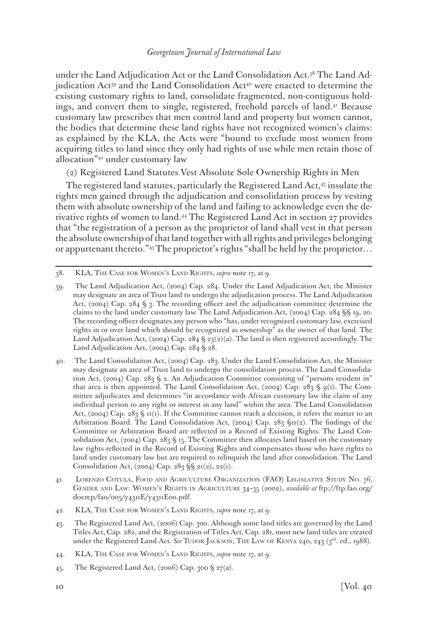under the Land Adjudication Act or the Land Consolidation Act.38 The Land Adjudication  $Act^{39}$  and the Land Consolidation  $Act^{40}$  were enacted to determine the existing customary rights to land, consolidate fragmented, non-contiguous holdings, and convert them to single, registered, freehold parcels of land.<sup>41</sup> Because customary law prescribes that men control land and property but women cannot, the bodies that determine these land rights have not recognized women's claims: as explained by the KLA, the Acts were "bound to exclude most women from acquiring titles to land since they only had rights of use while men retain those of allocation"42 under customary law

(2) Registered Land Statutes Vest Absolute Sole Ownership Rights in Men

The registered land statutes, particularly the Registered Land Act,<sup>43</sup> insulate the rights men gained through the adjudication and consolidation process by vesting them with absolute ownership of the land and failing to acknowledge even the derivative rights of women to land.44 The Registered Land Act in section 27 provides that "the registration of a person as the proprietor of land shall vest in that person the absolute ownership of that land together with all rights and privileges belonging or appurtenant thereto."45 The proprietor's rights "shall be held by the proprietor…

- 41. Lorenzo Cotula, Food and Agriculture Organization (FAO) Legislative Study No. 76, Gender and Law: Women's Rights in Agriculture 34–35 (2002), *available at* ftp://ftp.fao.org/ docrep/fao/005/y4311E/y4311E00.pdf.
- 42. KLA, The Case for Women's Land Rights, *supra* note 17, at 9.
- 43. The Registered Land Act, (2006) Cap. 300. Although some land titles are governed by the Land Titles Act, Cap. 282, and the Registration of Titles Act, Cap. 281, most new land titles are created under the Registered Land Act. *See* Tudor Jackson, The Law of KENYA 240, 243 (3<sup>rd</sup>. ed., 1988).
- 44. KLA, The Case for Women's Land Rights, *supra* note 17, at 9.
- 45. The Registered Land Act, (2006) Cap. 300 § 27(a).

<sup>38.</sup> KLA, The Case for Women's Land Rights, *supra* note 17, at 9.

<sup>39.</sup> The Land Adjudication Act, (2004) Cap. 284. Under the Land Adjudication Act, the Minister may designate an area of Trust land to undergo the adjudication process. The Land Adjudication Act, (2004) Cap. 284 § 3. The recording officer and the adjudication committee determine the claims to the land under customary law. The Land Adjudication Act, (2004) Cap. 284 §§ 19, 20. The recording officer designates any person who "has, under recognized customary law, exercised rights in or over land which should be recognized as ownership" as the owner of that land. The Land Adjudication Act, (2004) Cap.  $284 \text{ }\frac{}{5}$   $23(2)(a)$ . The land is then registered accordingly. The Land Adjudication Act, (2004) Cap. 284 § 28.

<sup>40.</sup> The Land Consolidation Act, (2004) Cap. 283. Under the Land Consolidation Act, the Minister may designate an area of Trust land to undergo the consolidation process. The Land Consolidation Act, (2004) Cap. 283 § 2. An Adjudication Committee consisting of "persons resident in" that area is then appointed. The Land Consolidation Act, (2004) Cap. 283 § 9(1). The Committee adjudicates and determines "in accordance with African customary law the claim of any individual person to any right or interest in any land" within the area. The Land Consolidation Act, (2004) Cap. 283  $\frac{1}{5}$  II(1). If the Committee cannot reach a decision, it refers the matter to an Arbitration Board. The Land Consolidation Act, (2004) Cap. 283  $\text{S}_{11}(2)$ . The findings of the Committee or Arbitration Board are reflected in a Record of Existing Rights. The Land Consolidation Act, (2004) Cap. 283  $\S$  15. The Committee then allocates land based on the customary law rights reflected in the Record of Existing Rights and compensates those who have rights to land under customary law but are required to relinquish the land after consolidation. The Land Consolidation Act, (2004) Cap. 283 §§ 21(2), 22(1).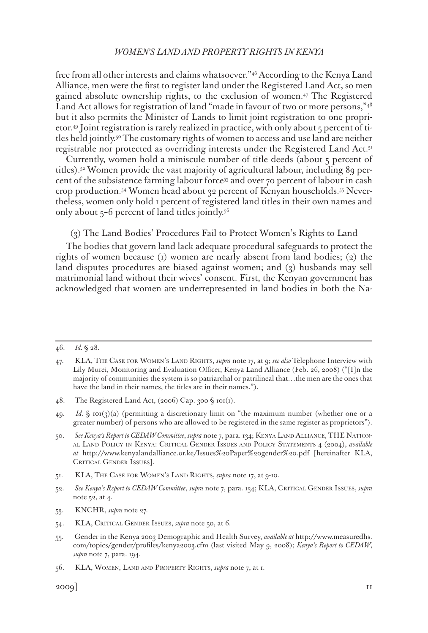free from all other interests and claims whatsoever."46 According to the Kenya Land Alliance, men were the first to register land under the Registered Land Act, so men gained absolute ownership rights, to the exclusion of women.47 The Registered Land Act allows for registration of land "made in favour of two or more persons,"48 but it also permits the Minister of Lands to limit joint registration to one proprietor.49 Joint registration is rarely realized in practice, with only about 5 percent of titles held jointly.50 The customary rights of women to access and use land are neither registrable nor protected as overriding interests under the Registered Land Act.51

Currently, women hold a miniscule number of title deeds (about 5 percent of titles).52 Women provide the vast majority of agricultural labour, including 89 percent of the subsistence farming labour force<sup>53</sup> and over 70 percent of labour in cash crop production.54 Women head about 32 percent of Kenyan households.55 Nevertheless, women only hold 1 percent of registered land titles in their own names and only about  $5-6$  percent of land titles jointly.<sup>56</sup>

(3) The Land Bodies' Procedures Fail to Protect Women's Rights to Land

The bodies that govern land lack adequate procedural safeguards to protect the rights of women because (1) women are nearly absent from land bodies; (2) the land disputes procedures are biased against women; and (3) husbands may sell matrimonial land without their wives' consent. First, the Kenyan government has acknowledged that women are underrepresented in land bodies in both the Na-

<sup>46.</sup> *Id.* § 28.

<sup>47.</sup> KLA, The Case for Women's Land Rights, *supra* note 17, at 9; *see also* Telephone Interview with Lily Murei, Monitoring and Evaluation Officer, Kenya Land Alliance (Feb. 26, 2008) ("[I]n the majority of communities the system is so patriarchal or patrilineal that…the men are the ones that have the land in their names, the titles are in their names.").

<sup>48.</sup> The Registered Land Act, (2006) Cap. 300 § 101(1).

<sup>49.</sup> *Id.* § 101(3)(a) (permitting a discretionary limit on "the maximum number (whether one or a greater number) of persons who are allowed to be registered in the same register as proprietors").

<sup>50.</sup> *See Kenya's Report to CEDAW Committee*, *supra* note 7, para. 134; Kenya Land Alliance, THE National Land Policy in Kenya: Critical Gender Issues and Policy Statements 4 (2004), *available at* http://www.kenyalandalliance.or.ke/Issues%20Paper%20gender%20.pdf [hereinafter KLA, CRITICAL GENDER ISSUES].

<sup>51.</sup> KLA, The Case for Women's Land Rights, *supra* note 17, at 9-10.

<sup>52.</sup> *See Kenya's Report to CEDAW Committee*, *supra* note 7, para. 134; KLA, Critical Gender Issues, *supra* note 52, at 4.

<sup>53.</sup> KNCHR, *supra* note 27.

<sup>54.</sup> KLA, Critical Gender Issues, *supra* note 50, at 6.

<sup>55.</sup> Gender in the Kenya 2003 Demographic and Health Survey, *available at* http://www.measuredhs. com/topics/gender/profiles/kenya2003.cfm (last visited May 9, 2008); *Kenya's Report to CEDAW*, *supra* note 7, para. 194.

<sup>56.</sup> KLA, Women, Land and Property Rights, *supra* note 7, at 1.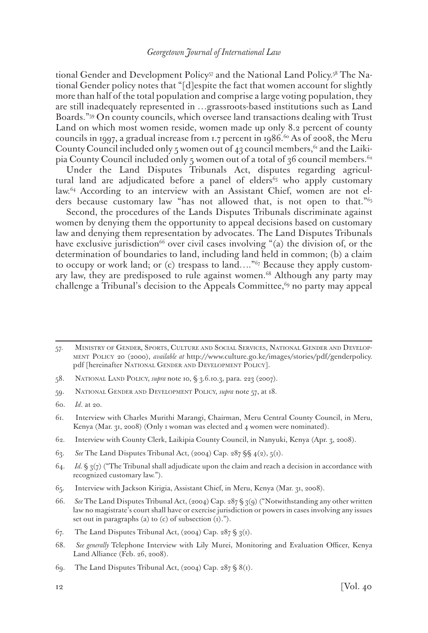tional Gender and Development Policy<sup>57</sup> and the National Land Policy.<sup>58</sup> The National Gender policy notes that "[d]espite the fact that women account for slightly more than half of the total population and comprise a large voting population, they are still inadequately represented in …grassroots-based institutions such as Land Boards."59 On county councils, which oversee land transactions dealing with Trust Land on which most women reside, women made up only 8.2 percent of county councils in 1997, a gradual increase from 1.7 percent in 1986.<sup>60</sup> As of 2008, the Meru County Council included only 5 women out of 43 council members,  $61$  and the Laikipia County Council included only 5 women out of a total of 36 council members.<sup>62</sup>

Under the Land Disputes Tribunals Act, disputes regarding agricultural land are adjudicated before a panel of elders<sup>63</sup> who apply customary law.64 According to an interview with an Assistant Chief, women are not elders because customary law "has not allowed that, is not open to that."<sup>65</sup>

Second, the procedures of the Lands Disputes Tribunals discriminate against women by denying them the opportunity to appeal decisions based on customary law and denying them representation by advocates. The Land Disputes Tribunals have exclusive jurisdiction<sup>66</sup> over civil cases involving "(a) the division of, or the determination of boundaries to land, including land held in common; (b) a claim to occupy or work land; or (c) trespass to land…."67 Because they apply customary law, they are predisposed to rule against women.<sup>68</sup> Although any party may challenge a Tribunal's decision to the Appeals Committee, $69$  no party may appeal

- 58. National Land Policy, *supra* note 10, § 3.6.10.3, para. 223 (2007).
- 59. National Gender and Development Policy, *supra* note 57, at 18.
- 60. *Id*. at 20.

- 62. Interview with County Clerk, Laikipia County Council, in Nanyuki, Kenya (Apr. 3, 2008).
- 63. *See* The Land Disputes Tribunal Act, (2004) Cap. 287 §§ 4(2), 5(1).
- 64. *Id.* § 3(7) ("The Tribunal shall adjudicate upon the claim and reach a decision in accordance with recognized customary law.").
- 65. Interview with Jackson Kirigia, Assistant Chief, in Meru, Kenya (Mar. 31, 2008).
- 66. *See* The Land Disputes Tribunal Act, (2004) Cap. 287 § 3(9) ("Notwithstanding any other written law no magistrate's court shall have or exercise jurisdiction or powers in cases involving any issues set out in paragraphs (a) to  $(c)$  of subsection  $(i)$ .").
- 67. The Land Disputes Tribunal Act,  $(2004)$  Cap.  $287 \frac{6}{3}$  3(1).
- 68. *See generally* Telephone Interview with Lily Murei, Monitoring and Evaluation Officer, Kenya Land Alliance (Feb. 26, 2008).
- 69. The Land Disputes Tribunal Act, (2004) Cap.  $287 \text{ }\$\$(1)$ .

<sup>57.</sup> Ministry of Gender, Sports, Culture and Social Services, National Gender and Development Policy 20 (2000), *available at* http://www.culture.go.ke/images/stories/pdf/genderpolicy. pdf [hereinafter NATIONAL GENDER AND DEVELOPMENT POLICY].

<sup>61.</sup> Interview with Charles Murithi Marangi, Chairman, Meru Central County Council, in Meru, Kenya (Mar. 31, 2008) (Only 1 woman was elected and 4 women were nominated).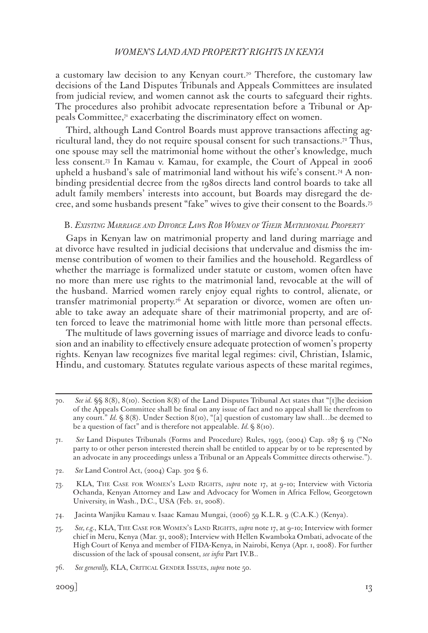a customary law decision to any Kenyan court.<sup>70</sup> Therefore, the customary law decisions of the Land Disputes Tribunals and Appeals Committees are insulated from judicial review, and women cannot ask the courts to safeguard their rights. The procedures also prohibit advocate representation before a Tribunal or Appeals Committee, $\tau$  exacerbating the discriminatory effect on women.

Third, although Land Control Boards must approve transactions affecting agricultural land, they do not require spousal consent for such transactions.72 Thus, one spouse may sell the matrimonial home without the other's knowledge, much less consent.73 In Kamau v. Kamau, for example, the Court of Appeal in 2006 upheld a husband's sale of matrimonial land without his wife's consent.74 A nonbinding presidential decree from the 1980s directs land control boards to take all adult family members' interests into account, but Boards may disregard the decree, and some husbands present "fake" wives to give their consent to the Boards.75

### B. *Existing Marriage and Divorce Laws Rob Women of Their Matrimonial Property*

Gaps in Kenyan law on matrimonial property and land during marriage and at divorce have resulted in judicial decisions that undervalue and dismiss the immense contribution of women to their families and the household. Regardless of whether the marriage is formalized under statute or custom, women often have no more than mere use rights to the matrimonial land, revocable at the will of the husband. Married women rarely enjoy equal rights to control, alienate, or transfer matrimonial property.76 At separation or divorce, women are often unable to take away an adequate share of their matrimonial property, and are often forced to leave the matrimonial home with little more than personal effects.

The multitude of laws governing issues of marriage and divorce leads to confusion and an inability to effectively ensure adequate protection of women's property rights. Kenyan law recognizes five marital legal regimes: civil, Christian, Islamic, Hindu, and customary. Statutes regulate various aspects of these marital regimes,

<sup>70.</sup> *See id.* §§ 8(8), 8(10). Section 8(8) of the Land Disputes Tribunal Act states that "[t]he decision of the Appeals Committee shall be final on any issue of fact and no appeal shall lie therefrom to any court." *Id.* § 8(8). Under Section 8(10), "[a] question of customary law shall...be deemed to be a question of fact" and is therefore not appealable. *Id.* § 8(10).

<sup>71.</sup> *See* Land Disputes Tribunals (Forms and Procedure) Rules, 1993, (2004) Cap. 287 § 19 ("No party to or other person interested therein shall be entitled to appear by or to be represented by an advocate in any proceedings unless a Tribunal or an Appeals Committee directs otherwise.").

<sup>72.</sup> *See* Land Control Act, (2004) Cap. 302 § 6.

<sup>73.</sup> KLA, The Case for Women's Land Rights, *supra* note 17, at 9–10; Interview with Victoria Ochanda, Kenyan Attorney and Law and Advocacy for Women in Africa Fellow, Georgetown University, in Wash., D.C., USA (Feb. 21, 2008).

<sup>74.</sup> Jacinta Wanjiku Kamau v. Isaac Kamau Mungai, (2006) 59 K.L.R. 9 (C.A.K.) (Kenya).

<sup>75.</sup> *See, e.g.*, KLA, The Case for Women's Land Rights, *supra* note 17, at 9–10; Interview with former chief in Meru, Kenya (Mar. 31, 2008); Interview with Hellen Kwamboka Ombati, advocate of the High Court of Kenya and member of FIDA-Kenya, in Nairobi, Kenya (Apr. 1, 2008). For further discussion of the lack of spousal consent, *see infra* Part IV.B..

<sup>76.</sup> *See generally,* KLA, Critical Gender Issues, *supra* note 50.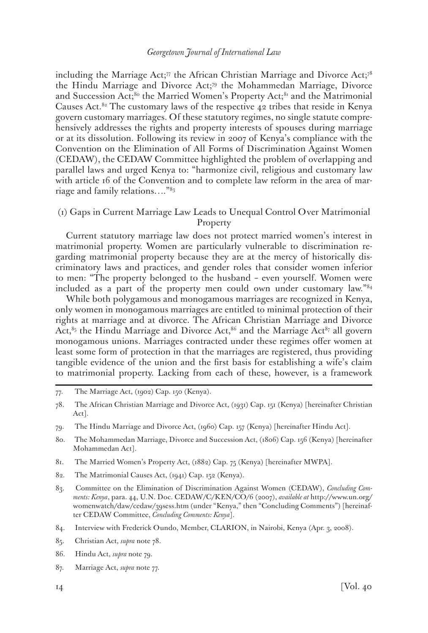including the Marriage Act;<sup>77</sup> the African Christian Marriage and Divorce Act;<sup>78</sup> the Hindu Marriage and Divorce Act;79 the Mohammedan Marriage, Divorce and Succession Act;<sup>80</sup> the Married Women's Property Act;<sup>81</sup> and the Matrimonial Causes Act.<sup>82</sup> The customary laws of the respective 42 tribes that reside in Kenya govern customary marriages. Of these statutory regimes, no single statute comprehensively addresses the rights and property interests of spouses during marriage or at its dissolution. Following its review in 2007 of Kenya's compliance with the Convention on the Elimination of All Forms of Discrimination Against Women (CEDAW), the CEDAW Committee highlighted the problem of overlapping and parallel laws and urged Kenya to: "harmonize civil, religious and customary law with article 16 of the Convention and to complete law reform in the area of marriage and family relations…."83

# (1) Gaps in Current Marriage Law Leads to Unequal Control Over Matrimonial Property

Current statutory marriage law does not protect married women's interest in matrimonial property. Women are particularly vulnerable to discrimination regarding matrimonial property because they are at the mercy of historically discriminatory laws and practices, and gender roles that consider women inferior to men: "The property belonged to the husband – even yourself. Women were included as a part of the property men could own under customary law."84

While both polygamous and monogamous marriages are recognized in Kenya, only women in monogamous marriages are entitled to minimal protection of their rights at marriage and at divorce. The African Christian Marriage and Divorce Act, $85$  the Hindu Marriage and Divorce Act, $86$  and the Marriage Act $87$  all govern monogamous unions. Marriages contracted under these regimes offer women at least some form of protection in that the marriages are registered, thus providing tangible evidence of the union and the first basis for establishing a wife's claim to matrimonial property. Lacking from each of these, however, is a framework

- 80. The Mohammedan Marriage, Divorce and Succession Act, (1806) Cap. 156 (Kenya) [hereinafter Mohammedan Act].
- 81. The Married Women's Property Act, (1882) Cap. 75 (Kenya) [hereinafter MWPA].
- 82. The Matrimonial Causes Act, (1941) Cap. 152 (Kenya).
- 83. Committee on the Elimination of Discrimination Against Women (CEDAW), *Concluding Comments: Kenya*, para. 44, U.N. Doc. CEDAW/C/KEN/CO/6 (2007), *available at* http://www.un.org/ womenwatch/daw/cedaw/39sess.htm (under "Kenya," then "Concluding Comments") [hereinafter CEDAW Committee, *Concluding Comments: Kenya*].
- 84. Interview with Frederick Oundo, Member, CLARION, in Nairobi, Kenya (Apr. 3, 2008).
- 85. Christian Act, *supra* note 78.
- 86. Hindu Act, *supra* note 79.
- 87. Marriage Act, *supra* note 77.

<sup>77.</sup> The Marriage Act, (1902) Cap. 150 (Kenya).

<sup>78.</sup> The African Christian Marriage and Divorce Act, (1931) Cap. 151 (Kenya) [hereinafter Christian Act].

<sup>79.</sup> The Hindu Marriage and Divorce Act, (1960) Cap. 157 (Kenya) [hereinafter Hindu Act].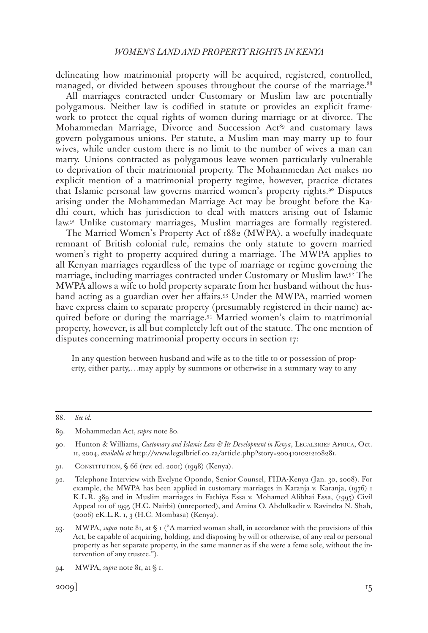delineating how matrimonial property will be acquired, registered, controlled, managed, or divided between spouses throughout the course of the marriage.<sup>88</sup>

All marriages contracted under Customary or Muslim law are potentially polygamous. Neither law is codified in statute or provides an explicit framework to protect the equal rights of women during marriage or at divorce. The Mohammedan Marriage, Divorce and Succession Act<sup>89</sup> and customary laws govern polygamous unions. Per statute, a Muslim man may marry up to four wives, while under custom there is no limit to the number of wives a man can marry. Unions contracted as polygamous leave women particularly vulnerable to deprivation of their matrimonial property. The Mohammedan Act makes no explicit mention of a matrimonial property regime, however, practice dictates that Islamic personal law governs married women's property rights.90 Disputes arising under the Mohammedan Marriage Act may be brought before the Kadhi court, which has jurisdiction to deal with matters arising out of Islamic law.91 Unlike customary marriages, Muslim marriages are formally registered.

The Married Women's Property Act of 1882 (MWPA), a woefully inadequate remnant of British colonial rule, remains the only statute to govern married women's right to property acquired during a marriage. The MWPA applies to all Kenyan marriages regardless of the type of marriage or regime governing the marriage, including marriages contracted under Customary or Muslim law.92 The MWPA allows a wife to hold property separate from her husband without the husband acting as a guardian over her affairs.93 Under the MWPA, married women have express claim to separate property (presumably registered in their name) acquired before or during the marriage.94 Married women's claim to matrimonial property, however, is all but completely left out of the statute. The one mention of disputes concerning matrimonial property occurs in section 17:

In any question between husband and wife as to the title to or possession of property, either party,…may apply by summons or otherwise in a summary way to any

<sup>88.</sup> *See id.*

<sup>89.</sup> Mohammedan Act, *supra* note 80.

<sup>90.</sup> Hunton & Williams, *Customary and Islamic Law & Its Development in Kenya*, LEGALBRIEF AFRICA, Oct. 11, 2004, *available at* http://www.legalbrief.co.za/article.php?story=20041010212108281.

<sup>91.</sup> Constitution, § 66 (rev. ed. 2001) (1998) (Kenya).

<sup>92.</sup> Telephone Interview with Evelyne Opondo, Senior Counsel, FIDA-Kenya (Jan. 30, 2008). For example, the MWPA has been applied in customary marriages in Karanja v. Karanja, (1976) 1 K.L.R. 389 and in Muslim marriages in Fathiya Essa v. Mohamed Alibhai Essa, (1995) Civil Appeal 101 of 1995 (H.C. Nairbi) (unreported), and Amina O. Abdulkadir v. Ravindra N. Shah, (2006) eK.L.R. 1, 3 (H.C. Mombasa) (Kenya).

<sup>93.</sup> MWPA, *supra* note 81, at § 1 ("A married woman shall, in accordance with the provisions of this Act, be capable of acquiring, holding, and disposing by will or otherwise, of any real or personal property as her separate property, in the same manner as if she were a feme sole, without the intervention of any trustee.").

<sup>94.</sup> MWPA, *supra* note 81, at § 1.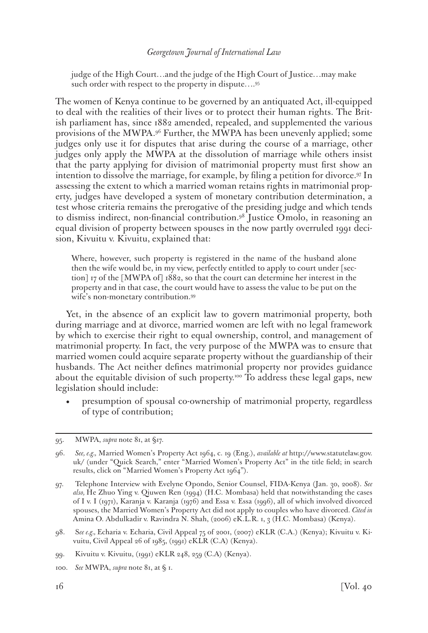judge of the High Court…and the judge of the High Court of Justice…may make such order with respect to the property in dispute....<sup>95</sup>

The women of Kenya continue to be governed by an antiquated Act, ill-equipped to deal with the realities of their lives or to protect their human rights. The British parliament has, since 1882 amended, repealed, and supplemented the various provisions of the MWPA.96 Further, the MWPA has been unevenly applied; some judges only use it for disputes that arise during the course of a marriage, other judges only apply the MWPA at the dissolution of marriage while others insist that the party applying for division of matrimonial property must first show an intention to dissolve the marriage, for example, by filing a petition for divorce.97 In assessing the extent to which a married woman retains rights in matrimonial property, judges have developed a system of monetary contribution determination, a test whose criteria remains the prerogative of the presiding judge and which tends to dismiss indirect, non-financial contribution.98 Justice Omolo, in reasoning an equal division of property between spouses in the now partly overruled 1991 decision, Kivuitu v. Kivuitu, explained that:

Where, however, such property is registered in the name of the husband alone then the wife would be, in my view, perfectly entitled to apply to court under [section] 17 of the [MWPA of] 1882, so that the court can determine her interest in the property and in that case, the court would have to assess the value to be put on the wife's non-monetary contribution.99

Yet, in the absence of an explicit law to govern matrimonial property, both during marriage and at divorce, married women are left with no legal framework by which to exercise their right to equal ownership, control, and management of matrimonial property. In fact, the very purpose of the MWPA was to ensure that married women could acquire separate property without the guardianship of their husbands. The Act neither defines matrimonial property nor provides guidance about the equitable division of such property.<sup>100</sup> To address these legal gaps, new legislation should include:

• presumption of spousal co-ownership of matrimonial property, regardless of type of contribution;

<sup>95.</sup> MWPA, *supra* note 81, at §17.

<sup>96.</sup> *See, e.g.,* Married Women's Property Act 1964, c. 19 (Eng.), *available at* http://www.statutelaw.gov. uk/ (under "Quick Search," enter "Married Women's Property Act" in the title field; in search results, click on "Married Women's Property Act 1964").

<sup>97.</sup> Telephone Interview with Evelyne Opondo, Senior Counsel, FIDA-Kenya (Jan. 30, 2008). *See also,* He Zhuo Ying v. Qiuwen Ren (1994) (H.C. Mombasa) held that notwithstanding the cases of I v. I (1971), Karanja v. Karanja (1976) and Essa v. Essa (1996), all of which involved divorced spouses, the Married Women's Property Act did not apply to couples who have divorced. *Cited in* Amina O. Abdulkadir v. Ravindra N. Shah, (2006) eK.L.R. 1, 3 (H.C. Mombasa) (Kenya).

<sup>98.</sup> S*ee e.g.,* Echaria v. Echaria, Civil Appeal 75 of 2001, (2007) eKLR (C.A.) (Kenya); Kivuitu v. Kivuitu, Civil Appeal 26 of 1985, (1991) eKLR (C.A) (Kenya).

<sup>99.</sup> Kivuitu v. Kivuitu, (1991) eKLR 248, 259 (C.A) (Kenya).

<sup>100.</sup> *See* MWPA, *supra* note 81, at § 1.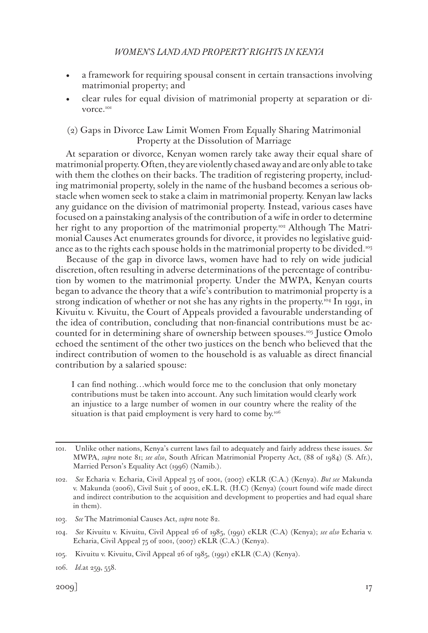- a framework for requiring spousal consent in certain transactions involving matrimonial property; and
- clear rules for equal division of matrimonial property at separation or divorce.<sup>101</sup>

# (2) Gaps in Divorce Law Limit Women From Equally Sharing Matrimonial Property at the Dissolution of Marriage

At separation or divorce, Kenyan women rarely take away their equal share of matrimonial property. Often, they are violently chased away and are only able to take with them the clothes on their backs. The tradition of registering property, including matrimonial property, solely in the name of the husband becomes a serious obstacle when women seek to stake a claim in matrimonial property. Kenyan law lacks any guidance on the division of matrimonial property. Instead, various cases have focused on a painstaking analysis of the contribution of a wife in order to determine her right to any proportion of the matrimonial property.<sup>102</sup> Although The Matrimonial Causes Act enumerates grounds for divorce, it provides no legislative guidance as to the rights each spouse holds in the matrimonial property to be divided.<sup>103</sup>

Because of the gap in divorce laws, women have had to rely on wide judicial discretion, often resulting in adverse determinations of the percentage of contribution by women to the matrimonial property. Under the MWPA, Kenyan courts began to advance the theory that a wife's contribution to matrimonial property is a strong indication of whether or not she has any rights in the property.<sup>104</sup> In 1991, in Kivuitu v. Kivuitu, the Court of Appeals provided a favourable understanding of the idea of contribution, concluding that non-financial contributions must be accounted for in determining share of ownership between spouses.105 Justice Omolo echoed the sentiment of the other two justices on the bench who believed that the indirect contribution of women to the household is as valuable as direct financial contribution by a salaried spouse:

I can find nothing…which would force me to the conclusion that only monetary contributions must be taken into account. Any such limitation would clearly work an injustice to a large number of women in our country where the reality of the situation is that paid employment is very hard to come by.<sup>106</sup>

103. *See* The Matrimonial Causes Act, *supra* note 82.

<sup>101.</sup> Unlike other nations, Kenya's current laws fail to adequately and fairly address these issues. *See*  MWPA, *supra* note 81; *see also*, South African Matrimonial Property Act, (88 of 1984) (S. Afr.), Married Person's Equality Act (1996) (Namib.).

<sup>102.</sup> *See* Echaria v. Echaria, Civil Appeal 75 of 2001, (2007) eKLR (C.A.) (Kenya). *But see* Makunda v. Makunda (2006), Civil Suit 5 of 2002, eK.L.R. (H.C) (Kenya) (court found wife made direct and indirect contribution to the acquisition and development to properties and had equal share in them).

<sup>104.</sup> *See* Kivuitu v. Kivuitu, Civil Appeal 26 of 1985, (1991) eKLR (C.A) (Kenya); *see also* Echaria v. Echaria, Civil Appeal 75 of 2001, (2007) eKLR (C.A.) (Kenya).

<sup>105.</sup> Kivuitu v. Kivuitu, Civil Appeal 26 of 1985, (1991) eKLR (C.A) (Kenya).

<sup>106.</sup> *Id.*at 259, 558.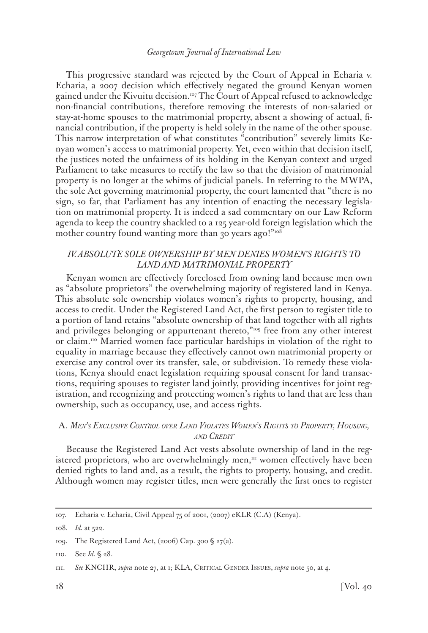This progressive standard was rejected by the Court of Appeal in Echaria v. Echaria, a 2007 decision which effectively negated the ground Kenyan women gained under the Kivuitu decision.<sup>107</sup> The Court of Appeal refused to acknowledge non-financial contributions, therefore removing the interests of non-salaried or stay-at-home spouses to the matrimonial property, absent a showing of actual, financial contribution, if the property is held solely in the name of the other spouse. This narrow interpretation of what constitutes "contribution" severely limits Kenyan women's access to matrimonial property. Yet, even within that decision itself, the justices noted the unfairness of its holding in the Kenyan context and urged Parliament to take measures to rectify the law so that the division of matrimonial property is no longer at the whims of judicial panels. In referring to the MWPA, the sole Act governing matrimonial property, the court lamented that "there is no sign, so far, that Parliament has any intention of enacting the necessary legislation on matrimonial property. It is indeed a sad commentary on our Law Reform agenda to keep the country shackled to a 125 year-old foreign legislation which the mother country found wanting more than 30 years ago!"<sup>108</sup>

# *IV. ABSOLUTE SOLE OWNERSHIP BY MEN DENIES WOMEN'S RIGHTS TO LAND AND MATRIMONIAL PROPERTY*

Kenyan women are effectively foreclosed from owning land because men own as "absolute proprietors" the overwhelming majority of registered land in Kenya. This absolute sole ownership violates women's rights to property, housing, and access to credit. Under the Registered Land Act, the first person to register title to a portion of land retains "absolute ownership of that land together with all rights and privileges belonging or appurtenant thereto,"<sup>109</sup> free from any other interest or claim.110 Married women face particular hardships in violation of the right to equality in marriage because they effectively cannot own matrimonial property or exercise any control over its transfer, sale, or subdivision. To remedy these violations, Kenya should enact legislation requiring spousal consent for land transactions, requiring spouses to register land jointly, providing incentives for joint registration, and recognizing and protecting women's rights to land that are less than ownership, such as occupancy, use, and access rights.

# A. *Men's Exclusive Control over Land Violates Women's Rights to Property, Housing, and Credit*

Because the Registered Land Act vests absolute ownership of land in the registered proprietors, who are overwhelmingly men,<sup>111</sup> women effectively have been denied rights to land and, as a result, the rights to property, housing, and credit. Although women may register titles, men were generally the first ones to register

<sup>107.</sup> Echaria v. Echaria, Civil Appeal 75 of 2001, (2007) eKLR (C.A) (Kenya).

<sup>108.</sup> *Id.* at 522.

<sup>109.</sup> The Registered Land Act, (2006) Cap. 300 § 27(a).

<sup>110.</sup> See *Id.* § 28.

<sup>111.</sup> *See* KNCHR, *supra* note 27, at 1; KLA, Critical Gender Issues, *supra* note 50, at 4.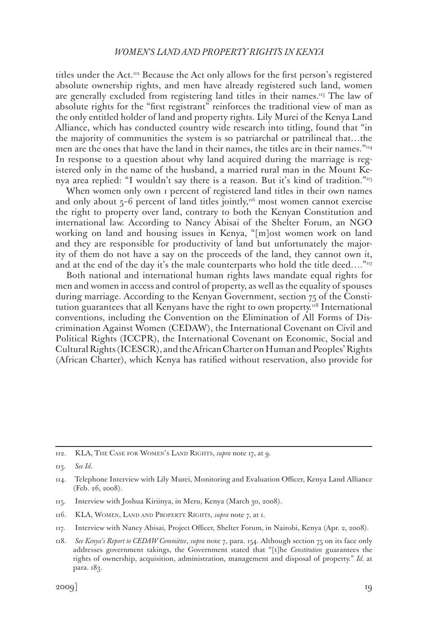titles under the Act.112 Because the Act only allows for the first person's registered absolute ownership rights, and men have already registered such land, women are generally excluded from registering land titles in their names.<sup>113</sup> The law of absolute rights for the "first registrant" reinforces the traditional view of man as the only entitled holder of land and property rights. Lily Murei of the Kenya Land Alliance, which has conducted country wide research into titling, found that "in the majority of communities the system is so patriarchal or patrilineal that…the men are the ones that have the land in their names, the titles are in their names. $\mathrm{m}_{4}$ In response to a question about why land acquired during the marriage is registered only in the name of the husband, a married rural man in the Mount Kenya area replied: "I wouldn't say there is a reason. But it's kind of tradition."<sup>115</sup>

When women only own I percent of registered land titles in their own names and only about  $5-6$  percent of land titles jointly,<sup>116</sup> most women cannot exercise the right to property over land, contrary to both the Kenyan Constitution and international law. According to Nancy Abisai of the Shelter Forum, an NGO working on land and housing issues in Kenya, "[m]ost women work on land and they are responsible for productivity of land but unfortunately the majority of them do not have a say on the proceeds of the land, they cannot own it, and at the end of the day it's the male counterparts who hold the title deed...."<sup>117</sup>

Both national and international human rights laws mandate equal rights for men and women in access and control of property, as well as the equality of spouses during marriage. According to the Kenyan Government, section 75 of the Constitution guarantees that all Kenyans have the right to own property.<sup>118</sup> International conventions, including the Convention on the Elimination of All Forms of Discrimination Against Women (CEDAW), the International Covenant on Civil and Political Rights (ICCPR), the International Covenant on Economic, Social and Cultural Rights (ICESCR), and the African Charter on Human and Peoples' Rights (African Charter), which Kenya has ratified without reservation, also provide for

<sup>112.</sup> KLA, The Case for Women's Land Rights, *supra* note 17, at 9.

<sup>113.</sup> *See Id.*

<sup>114.</sup> Telephone Interview with Lily Murei, Monitoring and Evaluation Officer, Kenya Land Alliance (Feb. 26, 2008).

<sup>115.</sup> Interview with Joshua Kiriinya, in Meru, Kenya (March 30, 2008).

<sup>116.</sup> KLA, Women, Land and Property Rights, *supra* note 7, at 1.

<sup>117.</sup> Interview with Nancy Abisai, Project Officer, Shelter Forum, in Nairobi, Kenya (Apr. 2, 2008).

<sup>118.</sup> *See Kenya's Report to CEDAW Committee*, *supra* note 7, para. 154. Although section 75 on its face only addresses government takings, the Government stated that "[t]he *Constitution* guarantees the rights of ownership, acquisition, administration, management and disposal of property." *Id.* at para. 183.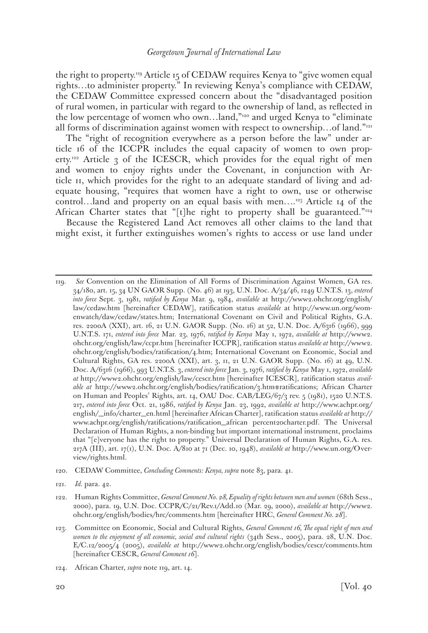the right to property.119 Article 15 of CEDAW requires Kenya to "give women equal rights…to administer property." In reviewing Kenya's compliance with CEDAW, the CEDAW Committee expressed concern about the "disadvantaged position of rural women, in particular with regard to the ownership of land, as reflected in the low percentage of women who own…land,"120 and urged Kenya to "eliminate all forms of discrimination against women with respect to ownership…of land."121

The "right of recognition everywhere as a person before the law" under article 16 of the ICCPR includes the equal capacity of women to own property.<sup>122</sup> Article 3 of the ICESCR, which provides for the equal right of men and women to enjoy rights under the Covenant, in conjunction with Article 11, which provides for the right to an adequate standard of living and adequate housing, "requires that women have a right to own, use or otherwise control…land and property on an equal basis with men... $^{12}$  Article 14 of the African Charter states that "[t]he right to property shall be guaranteed."<sup>124</sup>

Because the Registered Land Act removes all other claims to the land that might exist, it further extinguishes women's rights to access or use land under

121. *Id.* para. 42.

<sup>119.</sup> *See* Convention on the Elimination of All Forms of Discrimination Against Women, GA res. 34/180, art. 15, 34 UN GAOR Supp. (No. 46) at 193, U.N. Doc. A/34/46, 1249 U.N.T.S. 13, *entered into force* Sept. 3, 1981, *ratified by Kenya* Mar. 9, 1984, *available* at http://www2.ohchr.org/english/ law/cedaw.htm [hereinafter CEDAW], ratification status *available* at http://www.un.org/womenwatch/daw/cedaw/states.htm; International Covenant on Civil and Political Rights, G.A. res. 2200A (XXI), art. 16, 21 U.N. GAOR Supp. (No. 16) at 52, U.N. Doc. A/6316 (1966), 999 U.N.T.S. 171, *entered into force* Mar. 23, 1976, *ratified by Kenya* May 1, 1972, *available at* http://www2. ohchr.org/english/law/ccpr.htm [hereinafter ICCPR], ratification status *available at* http://www2. ohchr.org/english/bodies/ratification/4.htm; International Covenant on Economic, Social and Cultural Rights, GA res. 2200A (XXI), art. 3, 11, 21 U.N. GAOR Supp. (No. 16) at 49, U.N. Doc. A/6316 (1966), 993 U.N.T.S. 3, *entered into force* Jan. 3, 1976, *ratified by Kenya* May 1, 1972, *available at* http://www2.ohchr.org/english/law/cescr.htm [hereinafter ICESCR], ratification status *available at* http://www2.ohchr.org/english/bodies/ratification/3.htm#ratifications; African Charter on Human and Peoples' Rights, art. 14, OAU Doc. CAB/LEG/67/3 rev. 5 (1981), 1520 U.N.T.S. 217, *entered into force* Oct. 21, 1986, *ratified by Kenya* Jan. 23, 1992, *available at* http://www.achpr.org/ english/\_info/charter\_en.html [hereinafter African Charter], ratification status *available at* http:// www.achpr.org/english/ratifications/ratification\_african percent20charter.pdf. The Universal Declaration of Human Rights, a non-binding but important international instrument, proclaims that "[e]veryone has the right to property." Universal Declaration of Human Rights, G.A. res. 217A (III), art. 17(1), U.N. Doc. A/810 at 71 (Dec. 10, 1948), *available at* http://www.un.org/Overview/rights.html.

<sup>120.</sup> CEDAW Committee, *Concluding Comments: Kenya, supra* note 83, para. 41.

<sup>122.</sup> Human Rights Committee, *General Comment No. 28, Equality of rights between men and women* (68th Sess., 2000), para. 19, U.N. Doc. CCPR/C/21/Rev.1/Add.10 (Mar. 29, 2000), *available at* http://www2. ohchr.org/english/bodies/hrc/comments.htm [hereinafter HRC, *General Comment No. 28*].

<sup>123.</sup> Committee on Economic, Social and Cultural Rights, *General Comment 16, The equal right of men and women to the enjoyment of all economic, social and cultural rights* (34th Sess., 2005), para. 28, U.N. Doc. E/C.12/2005/4 (2005), *available at* http://www2.ohchr.org/english/bodies/cescr/comments.htm [hereinafter CESCR, *General Comment 16*].

<sup>124.</sup> African Charter, *supra* note 119, art. 14.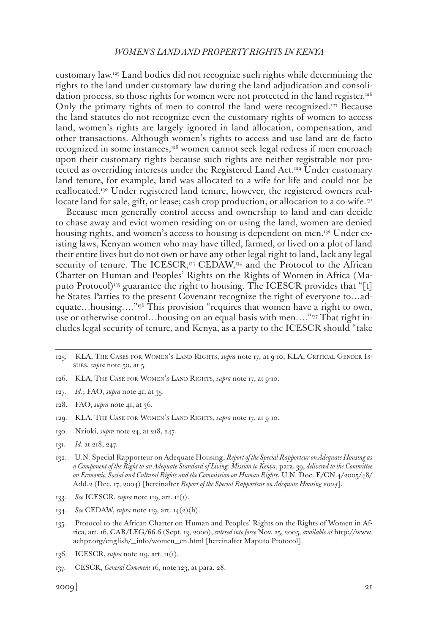customary law.125 Land bodies did not recognize such rights while determining the rights to the land under customary law during the land adjudication and consolidation process, so those rights for women were not protected in the land register.<sup>126</sup> Only the primary rights of men to control the land were recognized.127 Because the land statutes do not recognize even the customary rights of women to access land, women's rights are largely ignored in land allocation, compensation, and other transactions. Although women's rights to access and use land are de facto recognized in some instances,<sup>128</sup> women cannot seek legal redress if men encroach upon their customary rights because such rights are neither registrable nor protected as overriding interests under the Registered Land Act.<sup>129</sup> Under customary land tenure, for example, land was allocated to a wife for life and could not be reallocated.130 Under registered land tenure, however, the registered owners reallocate land for sale, gift, or lease; cash crop production; or allocation to a co-wife.<sup>131</sup>

Because men generally control access and ownership to land and can decide to chase away and evict women residing on or using the land, women are denied housing rights, and women's access to housing is dependent on men.132 Under existing laws, Kenyan women who may have tilled, farmed, or lived on a plot of land their entire lives but do not own or have any other legal right to land, lack any legal security of tenure. The ICESCR,<sup>133</sup> CEDAW,<sup>134</sup> and the Protocol to the African Charter on Human and Peoples' Rights on the Rights of Women in Africa (Maputo Protocol)<sup>135</sup> guarantee the right to housing. The ICESCR provides that "[t] he States Parties to the present Covenant recognize the right of everyone to…adequate…housing…."<sup>136</sup> This provision "requires that women have a right to own, use or otherwise control...housing on an equal basis with men...."<sup>137</sup> That right includes legal security of tenure, and Kenya, as a party to the ICESCR should "take

- 128. FAO, *supra* note 41, at 36.
- 129. KLA, The Case for Women's Land Rights, *supra* note 17, at 9-10.
- 130. Nzioki, *supra* note 24, at 218, 247.
- 131. *Id.* at 218, 247.
- 132. U.N. Special Rapporteur on Adequate Housing, *Report of the Special Rapporteur on Adequate Housing as a Component of the Right to an Adequate Standard of Living: Mission to Kenya*, para*.* 39, *delivered to the Committee on Economic, Social and Cultural Rights and the Commission on Human Rights*, U.N. Doc. E/CN.4/2005/48/ Add.2 (Dec. 17, 2004) [hereinafter *Report of the Special Rapporteur on Adequate Housing 2004*].
- 133. *See* ICESCR, *supra* note 119, art. 11(1).
- 134. *See* CEDAW, *supra* note 119, art. 14(2)(h).
- 135. Protocol to the African Charter on Human and Peoples' Rights on the Rights of Women in Africa, art. 16, CAB/LEG/66.6 (Sept. 13, 2000), *entered into force* Nov. 25, 2005, *available at* http://www. achpr.org/english/\_info/women\_en.html [hereinafter Maputo Protocol].
- 136. ICESCR, *supra* note 119, art. 11(1).
- 137. CESCR, *General Comment* 16, note 123, at para. 28.

<sup>125.</sup> KLA, The Cases for Women's Land Rights, *supra* note 17, at 9-10; KLA, Critical Gender Issues, *supra* note 50, at 5.

<sup>126.</sup> KLA, The Case for Women's Land Rights, *supra* note 17, at 9-10.

<sup>127.</sup> *Id*.; FAO, *supra* note 41, at 35.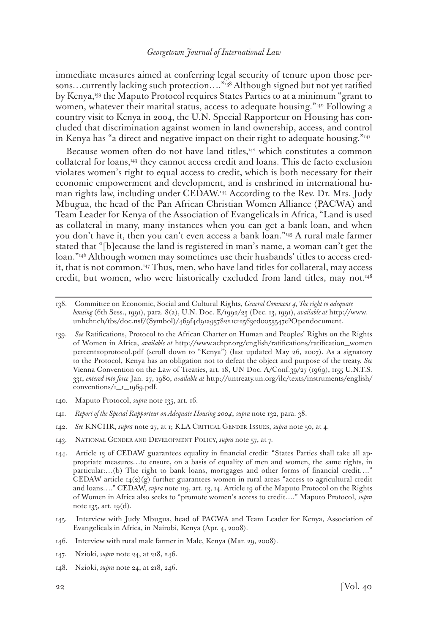immediate measures aimed at conferring legal security of tenure upon those persons...currently lacking such protection...."<sup>138</sup> Although signed but not yet ratified by Kenya,<sup>139</sup> the Maputo Protocol requires States Parties to at a minimum "grant to women, whatever their marital status, access to adequate housing."<sup>140</sup> Following a country visit to Kenya in 2004, the U.N. Special Rapporteur on Housing has concluded that discrimination against women in land ownership, access, and control in Kenya has "a direct and negative impact on their right to adequate housing."<sup>141</sup>

Because women often do not have land titles,<sup>142</sup> which constitutes a common collateral for loans,143 they cannot access credit and loans. This de facto exclusion violates women's right to equal access to credit, which is both necessary for their economic empowerment and development, and is enshrined in international human rights law, including under CEDAW.144 According to the Rev. Dr. Mrs. Judy Mbugua, the head of the Pan African Christian Women Alliance (PACWA) and Team Leader for Kenya of the Association of Evangelicals in Africa, "Land is used as collateral in many, many instances when you can get a bank loan, and when you don't have it, then you can't even access a bank loan."145 A rural male farmer stated that "[b]ecause the land is registered in man's name, a woman can't get the loan."146 Although women may sometimes use their husbands' titles to access credit, that is not common.147 Thus, men, who have land titles for collateral, may access credit, but women, who were historically excluded from land titles, may not.148

- 140. Maputo Protocol, *supra* note 135, art. 16.
- 141. *Report of the Special Rapporteur on Adequate Housing 2004*, *supra* note 132, para. 38.
- 142. *See* KNCHR, *supra* note 27, at 1; KLA Critical Gender Issues, *supra* note 50, at 4.
- 143. National Gender and Development Policy, *supra* note 57, at 7.
- 144. Article 13 of CEDAW guarantees equality in financial credit: "States Parties shall take all appropriate measures…to ensure, on a basis of equality of men and women, the same rights, in particular:…(b) The right to bank loans, mortgages and other forms of financial credit…." CEDAW article  $14(2)(g)$  further guarantees women in rural areas "access to agricultural credit and loans…." CEDAW, *supra* note 119, art. 13, 14. Article 19 of the Maputo Protocol on the Rights of Women in Africa also seeks to "promote women's access to credit…." Maputo Protocol, *supra* note 135, art. 19(d).
- 145. Interview with Judy Mbugua, head of PACWA and Team Leader for Kenya, Association of Evangelicals in Africa, in Nairobi, Kenya (Apr. 4, 2008).
- 146. Interview with rural male farmer in Male, Kenya (Mar. 29, 2008).
- 147. Nzioki, *supra* note 24, at 218, 246.
- 148. Nzioki, *supra* note 24, at 218, 246.

<sup>138.</sup> Committee on Economic, Social and Cultural Rights, *General Comment 4, The right to adequate housing* (6th Sess., 1991), para. 8(a), U.N. Doc. E/1992/23 (Dec. 13, 1991), *available at* http://www. unhchr.ch/tbs/doc.nsf/(Symbol)/469f4d91a9378221c12563ed0053547e?Opendocument.

<sup>139.</sup> *See* Ratifications, Protocol to the African Charter on Human and Peoples' Rights on the Rights of Women in Africa, *available at* http://www.achpr.org/english/ratifications/ratification\_women percent20protocol.pdf (scroll down to "Kenya") (last updated May 26, 2007). As a signatory to the Protocol, Kenya has an obligation not to defeat the object and purpose of the treaty. *See* Vienna Convention on the Law of Treaties, art. 18, UN Doc. A/Conf.39/27 (1969), 1155 U.N.T.S. 331, *entered into force* Jan. 27, 1980, *available at* http://untreaty.un.org/ilc/texts/instruments/english/ conventions/1\_1\_1969.pdf.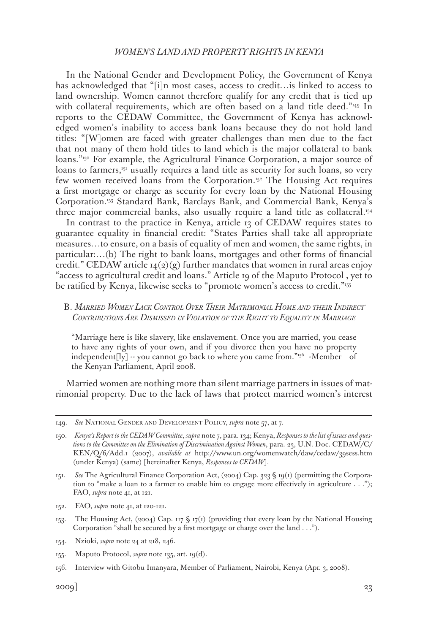In the National Gender and Development Policy, the Government of Kenya has acknowledged that "[i]n most cases, access to credit…is linked to access to land ownership. Women cannot therefore qualify for any credit that is tied up with collateral requirements, which are often based on a land title deed."<sup>149</sup> In reports to the CEDAW Committee, the Government of Kenya has acknowledged women's inability to access bank loans because they do not hold land titles: "[W]omen are faced with greater challenges than men due to the fact that not many of them hold titles to land which is the major collateral to bank loans."150 For example, the Agricultural Finance Corporation, a major source of loans to farmers,<sup>151</sup> usually requires a land title as security for such loans, so very few women received loans from the Corporation.152 The Housing Act requires a first mortgage or charge as security for every loan by the National Housing Corporation.153 Standard Bank, Barclays Bank, and Commercial Bank, Kenya's three major commercial banks, also usually require a land title as collateral.154

In contrast to the practice in Kenya, article 13 of CEDAW requires states to guarantee equality in financial credit: "States Parties shall take all appropriate measures…to ensure, on a basis of equality of men and women, the same rights, in particular:…(b) The right to bank loans, mortgages and other forms of financial credit." CEDAW article  $14(2)(g)$  further mandates that women in rural areas enjoy "access to agricultural credit and loans." Article 19 of the Maputo Protocol , yet to be ratified by Kenya, likewise seeks to "promote women's access to credit."<sup>155</sup>

# B. *Married Women Lack Control Over Their Matrimonial Home and their Indirect Contributions Are Dismissed in Violation of the Right to Equality in Marriage*

"Marriage here is like slavery, like enslavement. Once you are married, you cease to have any rights of your own, and if you divorce then you have no property independent[ly]  $-$  you cannot go back to where you came from." $156$  -Member of the Kenyan Parliament, April 2008.

Married women are nothing more than silent marriage partners in issues of matrimonial property. Due to the lack of laws that protect married women's interest

- 153. The Housing Act, (2004) Cap. 117 § 17(1) (providing that every loan by the National Housing Corporation "shall be secured by a first mortgage or charge over the land . . .").
- 154. Nzioki, *supra* note 24 at 218, 246.
- 155. Maputo Protocol, *supra* note 135, art. 19(d).
- 156. Interview with Gitobu Imanyara, Member of Parliament, Nairobi, Kenya (Apr. 3, 2008).

<sup>149.</sup> *See* National Gender and Development Policy, *supra* note 57, at 7.

<sup>150.</sup> *Kenya's Report to the CEDAW Committee*, *supra* note 7, para. 134; Kenya, *Responses to the list of issues and questions to the Committee on the Elimination of Discrimination Against Women*, para. 23, U.N. Doc. CEDAW/C/ KEN/Q/6/Add.1 (2007), *available at* http://www.un.org/womenwatch/daw/cedaw/39sess.htm (under Kenya) (same) [hereinafter Kenya, *Responses to CEDAW*].

<sup>151.</sup> *See* The Agricultural Finance Corporation Act, (2004) Cap. 323 § 19(1) (permitting the Corporation to "make a loan to a farmer to enable him to engage more effectively in agriculture . . ."); FAO, *supra* note 41, at 121.

<sup>152.</sup> FAO, *supra* note 41, at 120-121.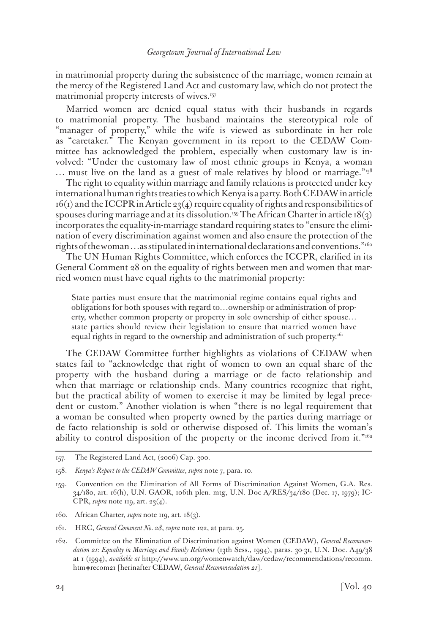in matrimonial property during the subsistence of the marriage, women remain at the mercy of the Registered Land Act and customary law, which do not protect the matrimonial property interests of wives.<sup>157</sup>

Married women are denied equal status with their husbands in regards to matrimonial property. The husband maintains the stereotypical role of "manager of property," while the wife is viewed as subordinate in her role as "caretaker." The Kenyan government in its report to the CEDAW Committee has acknowledged the problem, especially when customary law is involved: "Under the customary law of most ethnic groups in Kenya, a woman … must live on the land as a guest of male relatives by blood or marriage."158

The right to equality within marriage and family relations is protected under key international human rights treaties to which Kenya is a party. Both CEDAW in article  $16(i)$  and the ICCPR in Article 23(4) require equality of rights and responsibilities of spouses during marriage and at its dissolution.<sup>159</sup> The African Charter in article 18(3) incorporates the equality-in-marriage standard requiring states to "ensure the elimination of every discrimination against women and also ensure the protection of the rights of the woman ... as stipulated in international declarations and conventions."<sup>160</sup>

The UN Human Rights Committee, which enforces the ICCPR, clarified in its General Comment 28 on the equality of rights between men and women that married women must have equal rights to the matrimonial property:

State parties must ensure that the matrimonial regime contains equal rights and obligations for both spouses with regard to…ownership or administration of property, whether common property or property in sole ownership of either spouse… state parties should review their legislation to ensure that married women have equal rights in regard to the ownership and administration of such property.<sup>161</sup>

The CEDAW Committee further highlights as violations of CEDAW when states fail to "acknowledge that right of women to own an equal share of the property with the husband during a marriage or de facto relationship and when that marriage or relationship ends. Many countries recognize that right, but the practical ability of women to exercise it may be limited by legal precedent or custom." Another violation is when "there is no legal requirement that a woman be consulted when property owned by the parties during marriage or de facto relationship is sold or otherwise disposed of. This limits the woman's ability to control disposition of the property or the income derived from it."<sup>162</sup>

160. African Charter, *supra* note 119, art. 18(3).

<sup>157.</sup> The Registered Land Act, (2006) Cap. 300.

<sup>158.</sup> *Kenya's Report to the CEDAW Committee*, *supra* note 7, para. 10.

<sup>159.</sup> Convention on the Elimination of All Forms of Discrimination Against Women, G.A. Res. 34/180, art. 16(h), U.N. GAOR, 106th plen. mtg, U.N. Doc A/RES/34/180 (Dec. 17, 1979); IC-CPR, *supra* note 119, art. 23(4).

<sup>161.</sup> HRC, *General Comment No. 28*, *supra* note 122, at para. 25.

<sup>162.</sup> Committee on the Elimination of Discrimination against Women (CEDAW), *General Recommendation 21: Equality in Marriage and Family Relations* (13th Sess., 1994), paras. 30-31, U.N. Doc. A49/38 at 1 (1994), *available at* http://www.un.org/womenwatch/daw/cedaw/recommendations/recomm. htm#recom21 [herinafter CEDAW, *General Recommendation 21*].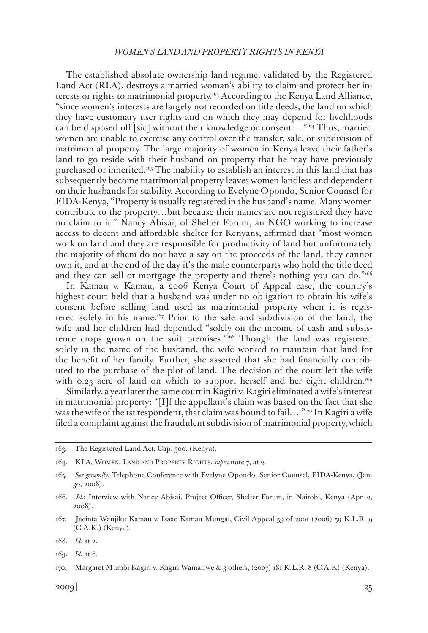The established absolute ownership land regime, validated by the Registered Land Act (RLA), destroys a married woman's ability to claim and protect her interests or rights to matrimonial property.163 According to the Kenya Land Alliance, "since women's interests are largely not recorded on title deeds, the land on which they have customary user rights and on which they may depend for livelihoods can be disposed off [sic] without their knowledge or consent...."<sup>164</sup> Thus, married women are unable to exercise any control over the transfer, sale, or subdivision of matrimonial property. The large majority of women in Kenya leave their father's land to go reside with their husband on property that he may have previously purchased or inherited.<sup>165</sup> The inability to establish an interest in this land that has subsequently become matrimonial property leaves women landless and dependent on their husbands for stability. According to Evelyne Opondo, Senior Counsel for FIDA-Kenya, "Property is usually registered in the husband's name. Many women contribute to the property…but because their names are not registered they have no claim to it." Nancy Abisai, of Shelter Forum, an NGO working to increase access to decent and affordable shelter for Kenyans, affirmed that "most women work on land and they are responsible for productivity of land but unfortunately the majority of them do not have a say on the proceeds of the land, they cannot own it, and at the end of the day it's the male counterparts who hold the title deed and they can sell or mortgage the property and there's nothing you can do."166

In Kamau v. Kamau, a 2006 Kenya Court of Appeal case, the country's highest court held that a husband was under no obligation to obtain his wife's consent before selling land used as matrimonial property when it is registered solely in his name.<sup>167</sup> Prior to the sale and subdivision of the land, the wife and her children had depended "solely on the income of cash and subsistence crops grown on the suit premises."168 Though the land was registered solely in the name of the husband, the wife worked to maintain that land for the benefit of her family. Further, she asserted that she had financially contributed to the purchase of the plot of land. The decision of the court left the wife with 0.25 acre of land on which to support herself and her eight children.<sup>169</sup>

Similarly, a year later the same court in Kagiri v. Kagiri eliminated a wife's interest in matrimonial property: "[I]f the appellant's claim was based on the fact that she was the wife of the 1st respondent, that claim was bound to fail...." $\eta$ <sup>T</sup> In Kagiri a wife filed a complaint against the fraudulent subdivision of matrimonial property, which

<sup>163.</sup> The Registered Land Act, Cap. 300. (Kenya).

<sup>164.</sup> KLA, Women, Land and Property Rights, *supra* note 7, at 2.

<sup>165.</sup> *See generally*, Telephone Conference with Evelyne Opondo, Senior Counsel, FIDA-Kenya, (Jan. 30, 2008).

<sup>166.</sup> *Id.*; Interview with Nancy Abisai, Project Officer, Shelter Forum, in Nairobi, Kenya (Apr. 2, 2008).

<sup>167.</sup> Jacinta Wanjiku Kamau v. Isaac Kamau Mungai, Civil Appeal 59 of 2001 (2006) 59 K.L.R. 9 (C.A.K.) (Kenya).

<sup>168.</sup> *Id.* at 2.

<sup>169.</sup> *Id.* at 6.

<sup>170.</sup> Margaret Mumbi Kagiri v. Kagiri Wamairwe & 3 others, (2007) 181 K.L.R. 8 (C.A.K) (Kenya).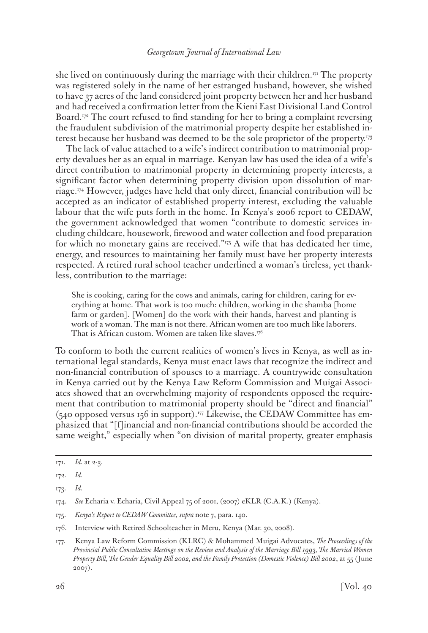she lived on continuously during the marriage with their children.<sup>171</sup> The property was registered solely in the name of her estranged husband, however, she wished to have 37 acres of the land considered joint property between her and her husband and had received a confirmation letter from the Kieni East Divisional Land Control Board.172 The court refused to find standing for her to bring a complaint reversing the fraudulent subdivision of the matrimonial property despite her established interest because her husband was deemed to be the sole proprietor of the property.173

The lack of value attached to a wife's indirect contribution to matrimonial property devalues her as an equal in marriage. Kenyan law has used the idea of a wife's direct contribution to matrimonial property in determining property interests, a significant factor when determining property division upon dissolution of marriage.174 However, judges have held that only direct, financial contribution will be accepted as an indicator of established property interest, excluding the valuable labour that the wife puts forth in the home. In Kenya's 2006 report to CEDAW, the government acknowledged that women "contribute to domestic services including childcare, housework, firewood and water collection and food preparation for which no monetary gains are received."175 A wife that has dedicated her time, energy, and resources to maintaining her family must have her property interests respected. A retired rural school teacher underlined a woman's tireless, yet thankless, contribution to the marriage:

She is cooking, caring for the cows and animals, caring for children, caring for everything at home. That work is too much: children, working in the shamba [home farm or garden]. [Women] do the work with their hands, harvest and planting is work of a woman. The man is not there. African women are too much like laborers. That is African custom. Women are taken like slaves.<sup>176</sup>

To conform to both the current realities of women's lives in Kenya, as well as international legal standards, Kenya must enact laws that recognize the indirect and non-financial contribution of spouses to a marriage. A countrywide consultation in Kenya carried out by the Kenya Law Reform Commission and Muigai Associates showed that an overwhelming majority of respondents opposed the requirement that contribution to matrimonial property should be "direct and financial"  $(540$  opposed versus 156 in support).<sup>177</sup> Likewise, the CEDAW Committee has emphasized that "[f]inancial and non-financial contributions should be accorded the same weight," especially when "on division of marital property, greater emphasis

<sup>171.</sup> *Id.* at 2-3.

<sup>172.</sup> *Id.*

<sup>173.</sup> *Id.*

<sup>174.</sup> *See* Echaria v. Echaria, Civil Appeal 75 of 2001, (2007) eKLR (C.A.K.) (Kenya).

<sup>175.</sup> *Kenya's Report to CEDAW Committee*, *supra* note 7, para. 140.

<sup>176.</sup> Interview with Retired Schoolteacher in Meru, Kenya (Mar. 30, 2008).

<sup>177.</sup> Kenya Law Reform Commission (KLRC) & Mohammed Muigai Advocates, *The Proceedings of the Provincial Public Consultative Meetings on the Review and Analysis of the Marriage Bill 1993, The Married Women Property Bill, The Gender Equality Bill 2002, and the Family Protection (Domestic Violence) Bill 2002*, at 55 (June 2007).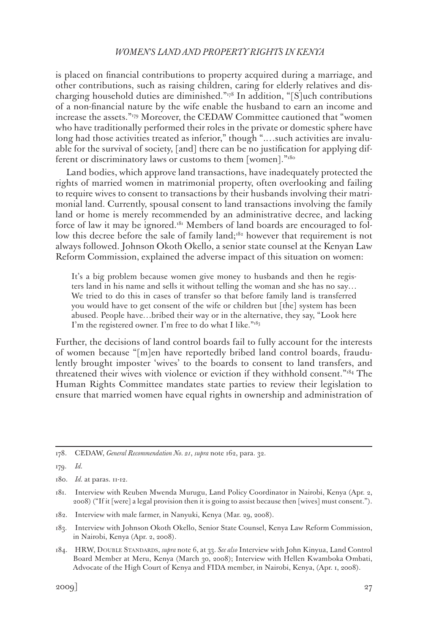is placed on financial contributions to property acquired during a marriage, and other contributions, such as raising children, caring for elderly relatives and discharging household duties are diminished."178 In addition, "[S]uch contributions of a non-financial nature by the wife enable the husband to earn an income and increase the assets."179 Moreover, the CEDAW Committee cautioned that "women who have traditionally performed their roles in the private or domestic sphere have long had those activities treated as inferior," though ".…such activities are invaluable for the survival of society, [and] there can be no justification for applying different or discriminatory laws or customs to them [women]."<sup>180</sup>

Land bodies, which approve land transactions, have inadequately protected the rights of married women in matrimonial property, often overlooking and failing to require wives to consent to transactions by their husbands involving their matrimonial land. Currently, spousal consent to land transactions involving the family land or home is merely recommended by an administrative decree, and lacking force of law it may be ignored.<sup>181</sup> Members of land boards are encouraged to follow this decree before the sale of family land;<sup>182</sup> however that requirement is not always followed. Johnson Okoth Okello, a senior state counsel at the Kenyan Law Reform Commission, explained the adverse impact of this situation on women:

It's a big problem because women give money to husbands and then he registers land in his name and sells it without telling the woman and she has no say… We tried to do this in cases of transfer so that before family land is transferred you would have to get consent of the wife or children but [the] system has been abused. People have…bribed their way or in the alternative, they say, "Look here I'm the registered owner. I'm free to do what I like."<sup>183</sup>

Further, the decisions of land control boards fail to fully account for the interests of women because "[m]en have reportedly bribed land control boards, fraudulently brought imposter 'wives' to the boards to consent to land transfers, and threatened their wives with violence or eviction if they withhold consent."184 The Human Rights Committee mandates state parties to review their legislation to ensure that married women have equal rights in ownership and administration of

- 182. Interview with male farmer, in Nanyuki, Kenya (Mar. 29, 2008).
- 183. Interview with Johnson Okoth Okello, Senior State Counsel, Kenya Law Reform Commission, in Nairobi, Kenya (Apr. 2, 2008).
- 184. HRW, Double Standards, *supra* note 6, at 33. *See also* Interview with John Kinyua, Land Control Board Member at Meru, Kenya (March 30, 2008); Interview with Hellen Kwamboka Ombati, Advocate of the High Court of Kenya and FIDA member, in Nairobi, Kenya, (Apr. 1, 2008).

<sup>178.</sup> CEDAW, *General Recommendation No. 21*, *supra* note 162, para. 32.

<sup>179.</sup> *Id.*

<sup>180.</sup> *Id.* at paras. 11-12.

<sup>181.</sup> Interview with Reuben Mwenda Murugu, Land Policy Coordinator in Nairobi, Kenya (Apr. 2, 2008) ("If it [were] a legal provision then it is going to assist because then [wives] must consent.").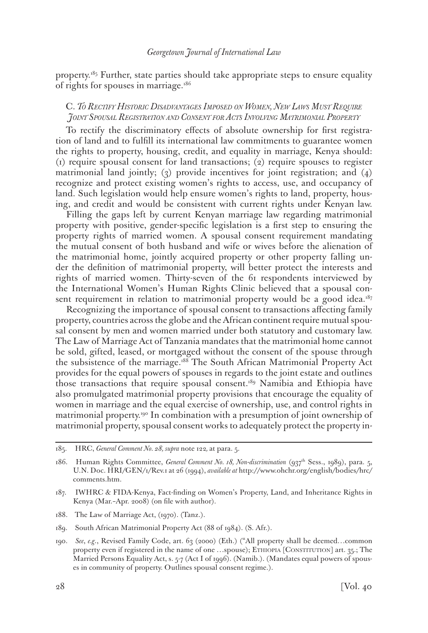property.185 Further, state parties should take appropriate steps to ensure equality of rights for spouses in marriage.<sup>186</sup>

### C. *To Rectify Historic Disadvantages Imposed on Women, New Laws Must Require Joint Spousal Registration and Consent for Acts Involving Matrimonial Property*

To rectify the discriminatory effects of absolute ownership for first registration of land and to fulfill its international law commitments to guarantee women the rights to property, housing, credit, and equality in marriage, Kenya should: (1) require spousal consent for land transactions; (2) require spouses to register matrimonial land jointly; (3) provide incentives for joint registration; and (4) recognize and protect existing women's rights to access, use, and occupancy of land. Such legislation would help ensure women's rights to land, property, housing, and credit and would be consistent with current rights under Kenyan law.

Filling the gaps left by current Kenyan marriage law regarding matrimonial property with positive, gender-specific legislation is a first step to ensuring the property rights of married women. A spousal consent requirement mandating the mutual consent of both husband and wife or wives before the alienation of the matrimonial home, jointly acquired property or other property falling under the definition of matrimonial property, will better protect the interests and rights of married women. Thirty-seven of the 61 respondents interviewed by the International Women's Human Rights Clinic believed that a spousal consent requirement in relation to matrimonial property would be a good idea.<sup>187</sup>

Recognizing the importance of spousal consent to transactions affecting family property, countries across the globe and the African continent require mutual spousal consent by men and women married under both statutory and customary law. The Law of Marriage Act of Tanzania mandates that the matrimonial home cannot be sold, gifted, leased, or mortgaged without the consent of the spouse through the subsistence of the marriage.<sup>188</sup> The South African Matrimonial Property Act provides for the equal powers of spouses in regards to the joint estate and outlines those transactions that require spousal consent.<sup>189</sup> Namibia and Ethiopia have also promulgated matrimonial property provisions that encourage the equality of women in marriage and the equal exercise of ownership, use, and control rights in matrimonial property.190 In combination with a presumption of joint ownership of matrimonial property, spousal consent works to adequately protect the property in-

- 188. The Law of Marriage Act, (1970). (Tanz.).
- 189. South African Matrimonial Property Act (88 of 1984). (S. Afr.).

<sup>185.</sup> HRC, *General Comment No. 28, supra* note 122*,* at para. 5.

<sup>186.</sup> Human Rights Committee, *General Comment No. 18, Non-discrimination* (937th Sess., 1989), para. 5, U.N. Doc. HRI/GEN/1/Rev.1 at 26 (1994), *available at* http://www.ohchr.org/english/bodies/hrc/ comments.htm.

<sup>187.</sup> IWHRC & FIDA-Kenya, Fact-finding on Women's Property, Land, and Inheritance Rights in Kenya (Mar.–Apr. 2008) (on file with author).

<sup>190.</sup> *See*, *e.g*., Revised Family Code, art. 63 (2000) (Eth.) ("All property shall be deemed…common property even if registered in the name of one ...spouse); ETHIOPIA [CONSTITUTION] art. 35.; The Married Persons Equality Act, s. 5-7 (Act I of 1996). (Namib.). (Mandates equal powers of spouses in community of property. Outlines spousal consent regime.).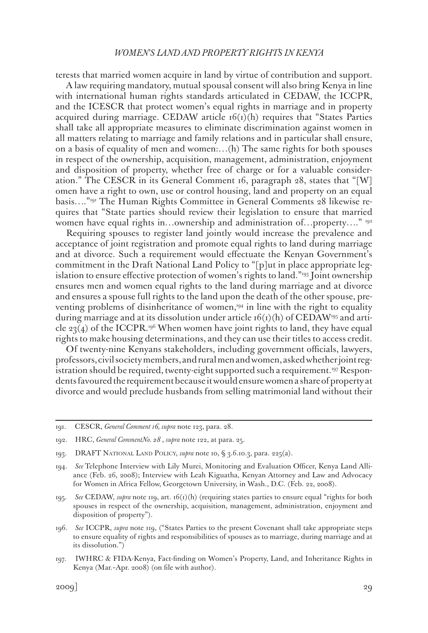terests that married women acquire in land by virtue of contribution and support.

A law requiring mandatory, mutual spousal consent will also bring Kenya in line with international human rights standards articulated in CEDAW, the ICCPR, and the ICESCR that protect women's equal rights in marriage and in property acquired during marriage. CEDAW article  $16(1)(h)$  requires that "States Parties" shall take all appropriate measures to eliminate discrimination against women in all matters relating to marriage and family relations and in particular shall ensure, on a basis of equality of men and women:…(h) The same rights for both spouses in respect of the ownership, acquisition, management, administration, enjoyment and disposition of property, whether free of charge or for a valuable consideration." The CESCR in its General Comment 16, paragraph 28, states that "[W] omen have a right to own, use or control housing, land and property on an equal basis…."191 The Human Rights Committee in General Comments 28 likewise requires that "State parties should review their legislation to ensure that married women have equal rights in…ownership and administration of…property…." 192

Requiring spouses to register land jointly would increase the prevalence and acceptance of joint registration and promote equal rights to land during marriage and at divorce. Such a requirement would effectuate the Kenyan Government's commitment in the Draft National Land Policy to "[p]ut in place appropriate legislation to ensure effective protection of women's rights to land."193 Joint ownership ensures men and women equal rights to the land during marriage and at divorce and ensures a spouse full rights to the land upon the death of the other spouse, preventing problems of disinheritance of women,<sup>194</sup> in line with the right to equality during marriage and at its dissolution under article  $f(x)(h)$  of CEDAW<sup>195</sup> and article 23(4) of the ICCPR.<sup>196</sup> When women have joint rights to land, they have equal rights to make housing determinations, and they can use their titles to access credit.

Of twenty-nine Kenyans stakeholders, including government officials, lawyers, professors, civil society members, and rural men and women, asked whether joint registration should be required, twenty-eight supported such a requirement.197 Respondents favoured the requirement because it would ensure women a share of property at divorce and would preclude husbands from selling matrimonial land without their

<sup>191.</sup> CESCR, *General Comment 16, supra* note 123, para. 28.

<sup>192.</sup> HRC, *General CommentNo. 28* , *supra* note 122, at para. 25.

<sup>193.</sup> DRAFT National Land Policy, *supra* note 10, § 3.6.10.3, para. 225(a).

<sup>194.</sup> *See* Telephone Interview with Lily Murei, Monitoring and Evaluation Officer, Kenya Land Alliance (Feb. 26, 2008); Interview with Leah Kiguatha, Kenyan Attorney and Law and Advocacy for Women in Africa Fellow, Georgetown University, in Wash., D.C. (Feb. 22, 2008).

<sup>195.</sup> *See* CEDAW, *supra* note 119, art. 16(1)(h) (requiring states parties to ensure equal "rights for both spouses in respect of the ownership, acquisition, management, administration, enjoyment and disposition of property").

<sup>196.</sup> *See* ICCPR, *supra* note 119, ("States Parties to the present Covenant shall take appropriate steps to ensure equality of rights and responsibilities of spouses as to marriage, during marriage and at its dissolution.")

<sup>197.</sup> IWHRC & FIDA-Kenya, Fact-finding on Women's Property, Land, and Inheritance Rights in Kenya (Mar.–Apr. 2008) (on file with author).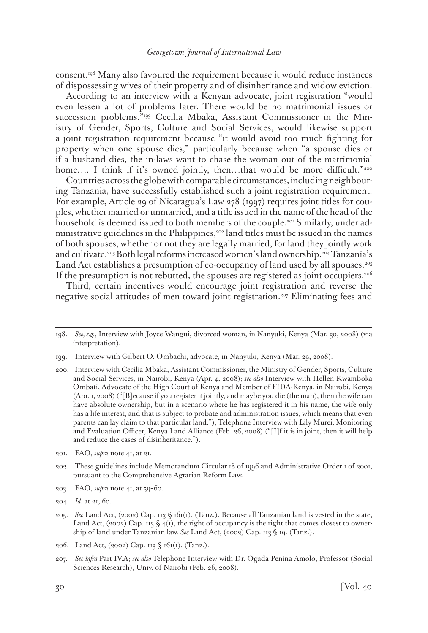consent.198 Many also favoured the requirement because it would reduce instances of dispossessing wives of their property and of disinheritance and widow eviction.

According to an interview with a Kenyan advocate, joint registration "would even lessen a lot of problems later. There would be no matrimonial issues or succession problems."199 Cecilia Mbaka, Assistant Commissioner in the Ministry of Gender, Sports, Culture and Social Services, would likewise support a joint registration requirement because "it would avoid too much fighting for property when one spouse dies," particularly because when "a spouse dies or if a husband dies, the in-laws want to chase the woman out of the matrimonial home.... I think if it's owned jointly, then...that would be more difficult."200

Countries across the globe with comparable circumstances, including neighbouring Tanzania, have successfully established such a joint registration requirement. For example, Article 29 of Nicaragua's Law 278 (1997) requires joint titles for couples, whether married or unmarried, and a title issued in the name of the head of the household is deemed issued to both members of the couple.201 Similarly, under administrative guidelines in the Philippines,<sup>202</sup> land titles must be issued in the names of both spouses, whether or not they are legally married, for land they jointly work and cultivate.203 Both legal reforms increased women's land ownership.204 Tanzania's Land Act establishes a presumption of co-occupancy of land used by all spouses.<sup>205</sup> If the presumption is not rebutted, the spouses are registered as joint occupiers.206

Third, certain incentives would encourage joint registration and reverse the negative social attitudes of men toward joint registration.<sup>207</sup> Eliminating fees and

- 203. FAO, *supra* note 41, at 59–60.
- 204. *Id.* at 21, 60.

206. Land Act, (2002) Cap. 113 § 161(1). (Tanz.).

<sup>198.</sup> *See, e.g.*, Interview with Joyce Wangui, divorced woman, in Nanyuki, Kenya (Mar. 30, 2008) (via interpretation).

<sup>199.</sup> Interview with Gilbert O. Ombachi, advocate, in Nanyuki, Kenya (Mar. 29, 2008).

<sup>200.</sup> Interview with Cecilia Mbaka, Assistant Commissioner, the Ministry of Gender, Sports, Culture and Social Services, in Nairobi, Kenya (Apr. 4, 2008); *see also* Interview with Hellen Kwamboka Ombati, Advocate of the High Court of Kenya and Member of FIDA-Kenya, in Nairobi, Kenya (Apr. 1, 2008) ("[B]ecause if you register it jointly, and maybe you die (the man), then the wife can have absolute ownership, but in a scenario where he has registered it in his name, the wife only has a life interest, and that is subject to probate and administration issues, which means that even parents can lay claim to that particular land."); Telephone Interview with Lily Murei, Monitoring and Evaluation Officer, Kenya Land Alliance (Feb. 26, 2008) ("[I]f it is in joint, then it will help and reduce the cases of disinheritance.").

<sup>201.</sup> FAO, *supra* note 41, at 21.

<sup>202.</sup> These guidelines include Memorandum Circular 18 of 1996 and Administrative Order 1 of 2001, pursuant to the Comprehensive Agrarian Reform Law.

<sup>205.</sup> *See* Land Act, (2002) Cap. 113 § 161(1). (Tanz.). Because all Tanzanian land is vested in the state, Land Act, (2002) Cap. 113 §  $\frac{1}{4}$ (1), the right of occupancy is the right that comes closest to ownership of land under Tanzanian law. *See* Land Act, (2002) Cap. 113 § 19. (Tanz.).

<sup>207.</sup> *See infra* Part IV.A; *see also* Telephone Interview with Dr. Ogada Penina Amolo, Professor (Social Sciences Research), Univ. of Nairobi (Feb. 26, 2008).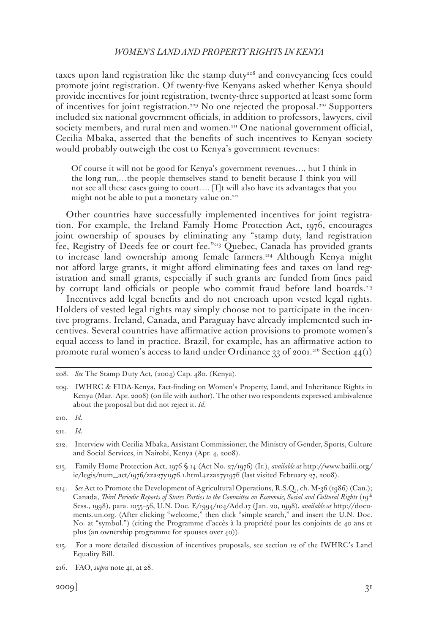taxes upon land registration like the stamp duty<sup>208</sup> and conveyancing fees could promote joint registration. Of twenty-five Kenyans asked whether Kenya should provide incentives for joint registration, twenty-three supported at least some form of incentives for joint registration.<sup>209</sup> No one rejected the proposal.<sup>210</sup> Supporters included six national government officials, in addition to professors, lawyers, civil society members, and rural men and women.<sup>211</sup> One national government official, Cecilia Mbaka, asserted that the benefits of such incentives to Kenyan society would probably outweigh the cost to Kenya's government revenues:

Of course it will not be good for Kenya's government revenues…, but I think in the long run,…the people themselves stand to benefit because I think you will not see all these cases going to court…. [I]t will also have its advantages that you might not be able to put a monetary value on.<sup>212</sup>

Other countries have successfully implemented incentives for joint registration. For example, the Ireland Family Home Protection Act, 1976, encourages joint ownership of spouses by eliminating any "stamp duty, land registration fee, Registry of Deeds fee or court fee."213 Quebec, Canada has provided grants to increase land ownership among female farmers.<sup>214</sup> Although Kenya might not afford large grants, it might afford eliminating fees and taxes on land registration and small grants, especially if such grants are funded from fines paid by corrupt land officials or people who commit fraud before land boards.<sup>215</sup>

Incentives add legal benefits and do not encroach upon vested legal rights. Holders of vested legal rights may simply choose not to participate in the incentive programs. Ireland, Canada, and Paraguay have already implemented such incentives. Several countries have affirmative action provisions to promote women's equal access to land in practice. Brazil, for example, has an affirmative action to promote rural women's access to land under Ordinance 33 of 2001.<sup>216</sup> Section 44(1)

<sup>208.</sup> *See* The Stamp Duty Act, (2004) Cap. 480. (Kenya).

<sup>209.</sup> IWHRC & FIDA-Kenya, Fact-finding on Women's Property, Land, and Inheritance Rights in Kenya (Mar.–Apr. 2008) (on file with author). The other two respondents expressed ambivalence about the proposal but did not reject it. *Id.*

<sup>210.</sup> *Id.*

<sup>211.</sup> *Id.*

<sup>212.</sup> Interview with Cecilia Mbaka, Assistant Commissioner, the Ministry of Gender, Sports, Culture and Social Services, in Nairobi, Kenya (Apr. 4, 2008).

<sup>213.</sup> Family Home Protection Act, 1976 § 14 (Act No. 27/1976) (Ir.), *available at* http://www.bailii.org/ ie/legis/num\_act/1976/zza27y1976.1.html#zza27y1976 (last visited February 27, 2008).

<sup>214.</sup> *See* Act to Promote the Development of Agricultural Operations, R.S.Q., ch. M-36 (1986) (Can.); Canada, *Third Periodic Reports of States Parties to the Committee on Economic, Social and Cultural Rights* (19<sup>th</sup> Sess., 1998), para. 1055–56, U.N. Doc. E/1994/104/Add.17 (Jan. 20, 1998), *available at* http://documents.un.org. (After clicking "welcome," then click "simple search," and insert the U.N. Doc. No. at "symbol.") (citing the Programme d'accès à la propriété pour les conjoints de 40 ans et plus (an ownership programme for spouses over 40)).

<sup>215.</sup> For a more detailed discussion of incentives proposals, see section 12 of the IWHRC's Land Equality Bill.

<sup>216.</sup> FAO, *supra* note 41, at 28.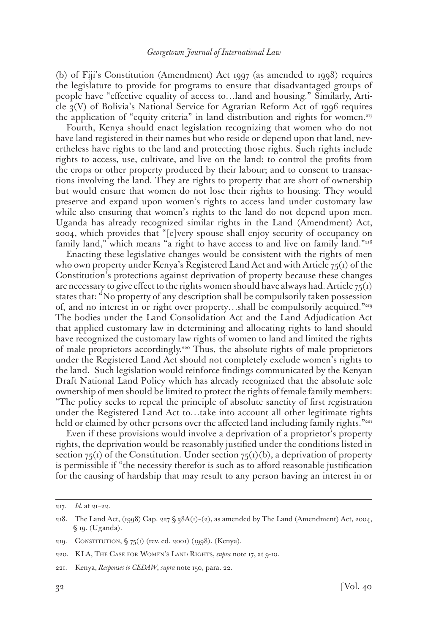(b) of Fiji's Constitution (Amendment) Act 1997 (as amended to 1998) requires the legislature to provide for programs to ensure that disadvantaged groups of people have "effective equality of access to…land and housing." Similarly, Article 3(V) of Bolivia's National Service for Agrarian Reform Act of 1996 requires the application of "equity criteria" in land distribution and rights for women.217

Fourth, Kenya should enact legislation recognizing that women who do not have land registered in their names but who reside or depend upon that land, nevertheless have rights to the land and protecting those rights. Such rights include rights to access, use, cultivate, and live on the land; to control the profits from the crops or other property produced by their labour; and to consent to transactions involving the land. They are rights to property that are short of ownership but would ensure that women do not lose their rights to housing. They would preserve and expand upon women's rights to access land under customary law while also ensuring that women's rights to the land do not depend upon men. Uganda has already recognized similar rights in the Land (Amendment) Act, 2004, which provides that "[e]very spouse shall enjoy security of occupancy on family land," which means "a right to have access to and live on family land."<sup>218</sup>

Enacting these legislative changes would be consistent with the rights of men who own property under Kenya's Registered Land Act and with Article  $75(i)$  of the Constitution's protections against deprivation of property because these changes are necessary to give effect to the rights women should have always had. Article  $75(1)$ states that: "No property of any description shall be compulsorily taken possession of, and no interest in or right over property…shall be compulsorily acquired."219 The bodies under the Land Consolidation Act and the Land Adjudication Act that applied customary law in determining and allocating rights to land should have recognized the customary law rights of women to land and limited the rights of male proprietors accordingly.220 Thus, the absolute rights of male proprietors under the Registered Land Act should not completely exclude women's rights to the land. Such legislation would reinforce findings communicated by the Kenyan Draft National Land Policy which has already recognized that the absolute sole ownership of men should be limited to protect the rights of female family members: "The policy seeks to repeal the principle of absolute sanctity of first registration under the Registered Land Act to…take into account all other legitimate rights held or claimed by other persons over the affected land including family rights."<sup>221</sup>

Even if these provisions would involve a deprivation of a proprietor's property rights, the deprivation would be reasonably justified under the conditions listed in section  $75(i)$  of the Constitution. Under section  $75(i)$ (b), a deprivation of property is permissible if "the necessity therefor is such as to afford reasonable justification for the causing of hardship that may result to any person having an interest in or

<sup>217.</sup> *Id.* at 21–22.

<sup>218.</sup> The Land Act, (1998) Cap. 227 § 38A(1)–(2), as amended by The Land (Amendment) Act, 2004, § 19. (Uganda).

<sup>219.</sup> CONSTITUTION, § 75(1) (rev. ed. 2001) (1998). (Kenya).

<sup>220.</sup> KLA, The Case for Women's Land Rights, *supra* note 17, at 9-10.

<sup>221.</sup> Kenya, *Responses to CEDAW*, *supra* note 150, para. 22.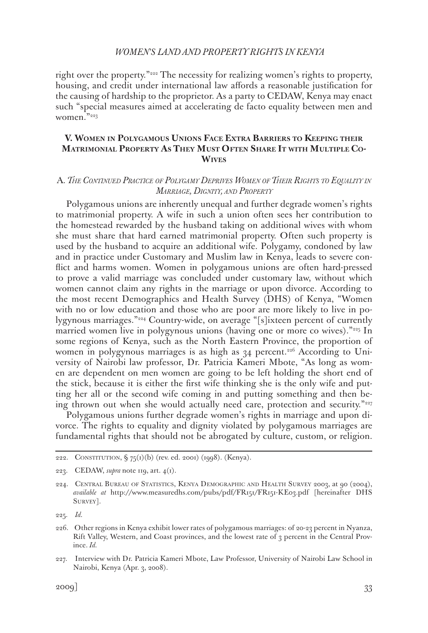right over the property."<sup>222</sup> The necessity for realizing women's rights to property, housing, and credit under international law affords a reasonable justification for the causing of hardship to the proprietor. As a party to CEDAW, Kenya may enact such "special measures aimed at accelerating de facto equality between men and women."223

# **V. Women in Polygamous Unions Face Extra Barriers to Keeping their Matrimonial Property As They Must Often Share It with Multiple Co-Wives**

### A*. The Continued Practice of Polygamy Deprives Women of Their Rights to Equality in Marriage, Dignity, and Property*

Polygamous unions are inherently unequal and further degrade women's rights to matrimonial property. A wife in such a union often sees her contribution to the homestead rewarded by the husband taking on additional wives with whom she must share that hard earned matrimonial property. Often such property is used by the husband to acquire an additional wife. Polygamy, condoned by law and in practice under Customary and Muslim law in Kenya, leads to severe conflict and harms women. Women in polygamous unions are often hard-pressed to prove a valid marriage was concluded under customary law, without which women cannot claim any rights in the marriage or upon divorce. According to the most recent Demographics and Health Survey (DHS) of Kenya, "Women with no or low education and those who are poor are more likely to live in polygynous marriages."224 Country-wide, on average "[s]ixteen percent of currently married women live in polygynous unions (having one or more co wives)."<sup>225</sup> In some regions of Kenya, such as the North Eastern Province, the proportion of women in polygynous marriages is as high as  $34$  percent.<sup>226</sup> According to University of Nairobi law professor, Dr. Patricia Kameri Mbote, "As long as women are dependent on men women are going to be left holding the short end of the stick, because it is either the first wife thinking she is the only wife and putting her all or the second wife coming in and putting something and then being thrown out when she would actually need care, protection and security."227

Polygamous unions further degrade women's rights in marriage and upon divorce. The rights to equality and dignity violated by polygamous marriages are fundamental rights that should not be abrogated by culture, custom, or religion.

222. CONSTITUTION,  $\frac{6}{75}$ (1)(b) (rev. ed. 2001) (1998). (Kenya).

<sup>223.</sup> CEDAW, *supra* note 119, art. 4(1).

<sup>224.</sup> CENTRAL BUREAU OF STATISTICS, KENYA DEMOGRAPHIC AND HEALTH SURVEY 2003, at 90 (2004), *available at* http://www.measuredhs.com/pubs/pdf/FR151/FR151-KE03.pdf [hereinafter DHS SURVEY].

<sup>225.</sup> *Id.*

<sup>226.</sup> Other regions in Kenya exhibit lower rates of polygamous marriages: of 20-23 percent in Nyanza, Rift Valley, Western, and Coast provinces, and the lowest rate of 3 percent in the Central Province. *Id.*

<sup>227.</sup> Interview with Dr. Patricia Kameri Mbote, Law Professor, University of Nairobi Law School in Nairobi, Kenya (Apr. 3, 2008).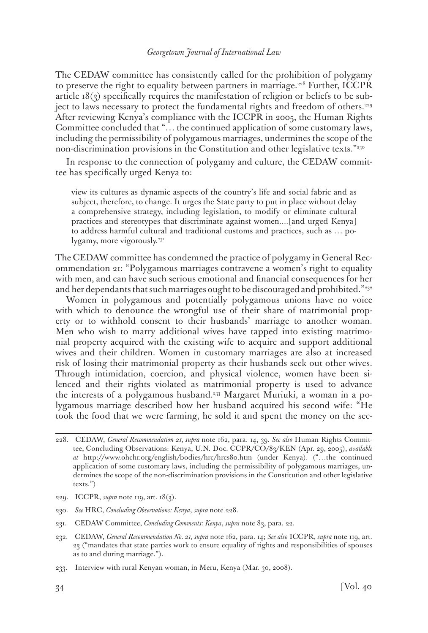The CEDAW committee has consistently called for the prohibition of polygamy to preserve the right to equality between partners in marriage.<sup>228</sup> Further, ICCPR article  $18(3)$  specifically requires the manifestation of religion or beliefs to be subject to laws necessary to protect the fundamental rights and freedom of others.229 After reviewing Kenya's compliance with the ICCPR in 2005, the Human Rights Committee concluded that "… the continued application of some customary laws, including the permissibility of polygamous marriages, undermines the scope of the non-discrimination provisions in the Constitution and other legislative texts."<sup>230</sup>

In response to the connection of polygamy and culture, the CEDAW committee has specifically urged Kenya to:

view its cultures as dynamic aspects of the country's life and social fabric and as subject, therefore, to change. It urges the State party to put in place without delay a comprehensive strategy, including legislation, to modify or eliminate cultural practices and stereotypes that discriminate against women....[and urged Kenya] to address harmful cultural and traditional customs and practices, such as … polygamy, more vigorously.<sup>231</sup>

The CEDAW committee has condemned the practice of polygamy in General Recommendation 21: "Polygamous marriages contravene a women's right to equality with men, and can have such serious emotional and financial consequences for her and her dependants that such marriages ought to be discouraged and prohibited."<sup>232</sup>

Women in polygamous and potentially polygamous unions have no voice with which to denounce the wrongful use of their share of matrimonial property or to withhold consent to their husbands' marriage to another woman. Men who wish to marry additional wives have tapped into existing matrimonial property acquired with the existing wife to acquire and support additional wives and their children. Women in customary marriages are also at increased risk of losing their matrimonial property as their husbands seek out other wives. Through intimidation, coercion, and physical violence, women have been silenced and their rights violated as matrimonial property is used to advance the interests of a polygamous husband.233 Margaret Muriuki, a woman in a polygamous marriage described how her husband acquired his second wife: "He took the food that we were farming, he sold it and spent the money on the sec-

- 229. ICCPR, *supra* note 119, art. 18(3).
- 230. *See* HRC, *Concluding Observations: Kenya*, *supra* note 228.
- 231. CEDAW Committee, *Concluding Comments: Kenya*, *supra* note 83, para. 22.
- 232. CEDAW, *General Recommendation No. 21, supra* note 162, para. 14; *See also* ICCPR, *supra* note 119, art. 23 ("mandates that state parties work to ensure equality of rights and responsibilities of spouses as to and during marriage.").
- 233. Interview with rural Kenyan woman, in Meru, Kenya (Mar. 30, 2008).

<sup>228.</sup> CEDAW, *General Recommendation 21, supra* note 162, para. 14, 39. *See also* Human Rights Committee, Concluding Observations: Kenya, U.N. Doc. CCPR/CO/83/KEN (Apr. 29, 2005), *available at* http://www.ohchr.org/english/bodies/hrc/hrcs80.htm (under Kenya). ("…the continued application of some customary laws, including the permissibility of polygamous marriages, undermines the scope of the non-discrimination provisions in the Constitution and other legislative texts.")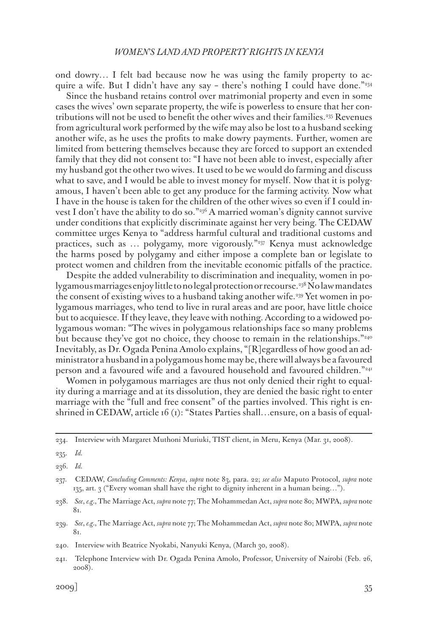ond dowry… I felt bad because now he was using the family property to acquire a wife. But I didn't have any say – there's nothing I could have done." $234$ 

Since the husband retains control over matrimonial property and even in some cases the wives' own separate property, the wife is powerless to ensure that her contributions will not be used to benefit the other wives and their families.<sup>235</sup> Revenues from agricultural work performed by the wife may also be lost to a husband seeking another wife, as he uses the profits to make dowry payments. Further, women are limited from bettering themselves because they are forced to support an extended family that they did not consent to: "I have not been able to invest, especially after my husband got the other two wives. It used to be we would do farming and discuss what to save, and I would be able to invest money for myself. Now that it is polygamous, I haven't been able to get any produce for the farming activity. Now what I have in the house is taken for the children of the other wives so even if I could invest I don't have the ability to do so." $236$  A married woman's dignity cannot survive under conditions that explicitly discriminate against her very being. The CEDAW committee urges Kenya to "address harmful cultural and traditional customs and practices, such as ... polygamy, more vigorously."<sup>237</sup> Kenya must acknowledge the harms posed by polygamy and either impose a complete ban or legislate to protect women and children from the inevitable economic pitfalls of the practice.

Despite the added vulnerability to discrimination and inequality, women in polygamous marriages enjoy little to no legal protection or recourse.<sup>338</sup> No law mandates the consent of existing wives to a husband taking another wife.239 Yet women in polygamous marriages, who tend to live in rural areas and are poor, have little choice but to acquiesce. If they leave, they leave with nothing. According to a widowed polygamous woman: "The wives in polygamous relationships face so many problems but because they've got no choice, they choose to remain in the relationships."<sup>240</sup> Inevitably, as Dr. Ogada Penina Amolo explains, "[R]egardless of how good an administrator a husband in a polygamous home may be, there will always be a favoured person and a favoured wife and a favoured household and favoured children."241

Women in polygamous marriages are thus not only denied their right to equality during a marriage and at its dissolution, they are denied the basic right to enter marriage with the "full and free consent" of the parties involved. This right is enshrined in CEDAW, article 16 (1): "States Parties shall…ensure, on a basis of equal-

239. *See*, *e.g.*, The Marriage Act, *supra* note 77; The Mohammedan Act, *supra* note 80; MWPA, *supra* note 81.

240. Interview with Beatrice Nyokabi, Nanyuki Kenya, (March 30, 2008).

241. Telephone Interview with Dr. Ogada Penina Amolo, Professor, University of Nairobi (Feb. 26, 2008).

<sup>234.</sup> Interview with Margaret Muthoni Muriuki, TIST client, in Meru, Kenya (Mar. 31, 2008).

<sup>235.</sup> *Id.*

<sup>236.</sup> *Id.*

<sup>237.</sup> CEDAW, *Concluding Comments: Kenya*, *supra* note 83, para. 22; *see also* Maputo Protocol, *supra* note 135, art. 3 ("Every woman shall have the right to dignity inherent in a human being…").

<sup>238.</sup> *See*, *e.g.*, The Marriage Act, *supra* note 77; The Mohammedan Act, *supra* note 80; MWPA, *supra* note 81.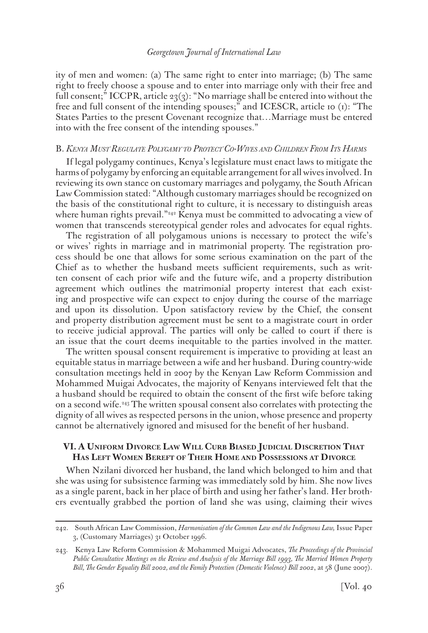ity of men and women: (a) The same right to enter into marriage; (b) The same right to freely choose a spouse and to enter into marriage only with their free and full consent;" ICCPR, article  $23(3)$ : "No marriage shall be entered into without the free and full consent of the intending spouses;" and ICESCR, article 10 (1): "The States Parties to the present Covenant recognize that…Marriage must be entered into with the free consent of the intending spouses."

### B. *Kenya Must Regulate Polygamy to Protect Co-Wives and Children From Its Harms*

If legal polygamy continues, Kenya's legislature must enact laws to mitigate the harms of polygamy by enforcing an equitable arrangement for all wives involved. In reviewing its own stance on customary marriages and polygamy, the South African Law Commission stated: "Although customary marriages should be recognized on the basis of the constitutional right to culture, it is necessary to distinguish areas where human rights prevail."<sup>242</sup> Kenya must be committed to advocating a view of women that transcends stereotypical gender roles and advocates for equal rights.

The registration of all polygamous unions is necessary to protect the wife's or wives' rights in marriage and in matrimonial property. The registration process should be one that allows for some serious examination on the part of the Chief as to whether the husband meets sufficient requirements, such as written consent of each prior wife and the future wife, and a property distribution agreement which outlines the matrimonial property interest that each existing and prospective wife can expect to enjoy during the course of the marriage and upon its dissolution. Upon satisfactory review by the Chief, the consent and property distribution agreement must be sent to a magistrate court in order to receive judicial approval. The parties will only be called to court if there is an issue that the court deems inequitable to the parties involved in the matter.

The written spousal consent requirement is imperative to providing at least an equitable status in marriage between a wife and her husband. During country-wide consultation meetings held in 2007 by the Kenyan Law Reform Commission and Mohammed Muigai Advocates, the majority of Kenyans interviewed felt that the a husband should be required to obtain the consent of the first wife before taking on a second wife.243 The written spousal consent also correlates with protecting the dignity of all wives as respected persons in the union, whose presence and property cannot be alternatively ignored and misused for the benefit of her husband.

# **VI. A Uniform Divorce Law Will Curb Biased Judicial Discretion That Has Left Women Bereft of Their Home and Possessions at Divorce**

When Nzilani divorced her husband, the land which belonged to him and that she was using for subsistence farming was immediately sold by him. She now lives as a single parent, back in her place of birth and using her father's land. Her brothers eventually grabbed the portion of land she was using, claiming their wives

<sup>242.</sup> South African Law Commission, *Harmonisation of the Common Law and the Indigenous Law,* Issue Paper 3, (Customary Marriages) 31 October 1996.

<sup>243.</sup> Kenya Law Reform Commission & Mohammed Muigai Advocates, *The Proceedings of the Provincial Public Consultative Meetings on the Review and Analysis of the Marriage Bill 1993, The Married Women Property Bill, The Gender Equality Bill 2002, and the Family Protection (Domestic Violence) Bill 2002*, at 58 (June 2007).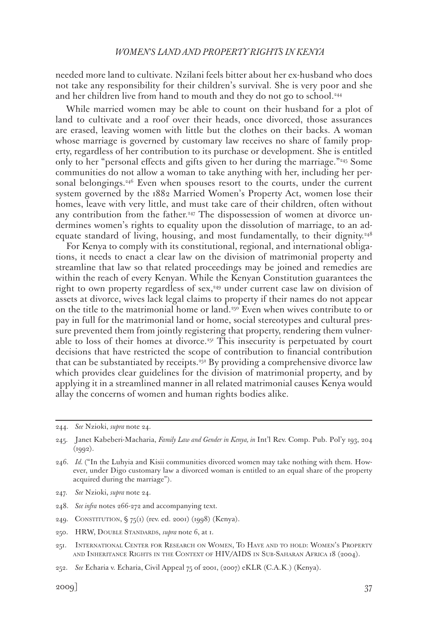needed more land to cultivate. Nzilani feels bitter about her ex-husband who does not take any responsibility for their children's survival. She is very poor and she and her children live from hand to mouth and they do not go to school.<sup>244</sup>

While married women may be able to count on their husband for a plot of land to cultivate and a roof over their heads, once divorced, those assurances are erased, leaving women with little but the clothes on their backs. A woman whose marriage is governed by customary law receives no share of family property, regardless of her contribution to its purchase or development. She is entitled only to her "personal effects and gifts given to her during the marriage."245 Some communities do not allow a woman to take anything with her, including her personal belongings.<sup>246</sup> Even when spouses resort to the courts, under the current system governed by the 1882 Married Women's Property Act, women lose their homes, leave with very little, and must take care of their children, often without any contribution from the father.<sup>247</sup> The dispossession of women at divorce undermines women's rights to equality upon the dissolution of marriage, to an adequate standard of living, housing, and most fundamentally, to their dignity.<sup>248</sup>

For Kenya to comply with its constitutional, regional, and international obligations, it needs to enact a clear law on the division of matrimonial property and streamline that law so that related proceedings may be joined and remedies are within the reach of every Kenyan. While the Kenyan Constitution guarantees the right to own property regardless of sex,<sup>249</sup> under current case law on division of assets at divorce, wives lack legal claims to property if their names do not appear on the title to the matrimonial home or land.<sup>250</sup> Even when wives contribute to or pay in full for the matrimonial land or home, social stereotypes and cultural pressure prevented them from jointly registering that property, rendering them vulnerable to loss of their homes at divorce.<sup> $251$ </sup> This insecurity is perpetuated by court decisions that have restricted the scope of contribution to financial contribution that can be substantiated by receipts.252 By providing a comprehensive divorce law which provides clear guidelines for the division of matrimonial property, and by applying it in a streamlined manner in all related matrimonial causes Kenya would allay the concerns of women and human rights bodies alike.

244. *See* Nzioki, *supra* note 24.

- 247. *See* Nzioki, *supra* note 24.
- 248. *See infra* notes 266-272 and accompanying text.
- 249. CONSTITUTION,  $\frac{6}{5}$  75(1) (rev. ed. 2001) (1998) (Kenya).
- 250. HRW, Double Standards, *supra* note 6, at 1.
- 251. International Center for Research on Women, To Have and to hold: Women's Property and Inheritance Rights in the Context of HIV/AIDS in Sub-Saharan Africa 18 (2004).
- 252. *See* Echaria v. Echaria, Civil Appeal 75 of 2001, (2007) eKLR (C.A.K.) (Kenya).

<sup>245.</sup> Janet Kabeberi-Macharia, *Family Law and Gender in Kenya, in* Int'l Rev. Comp. Pub. Pol'y 193, 204  $(1992).$ 

<sup>246.</sup> *Id.* ("In the Luhyia and Kisii communities divorced women may take nothing with them. However, under Digo customary law a divorced woman is entitled to an equal share of the property acquired during the marriage").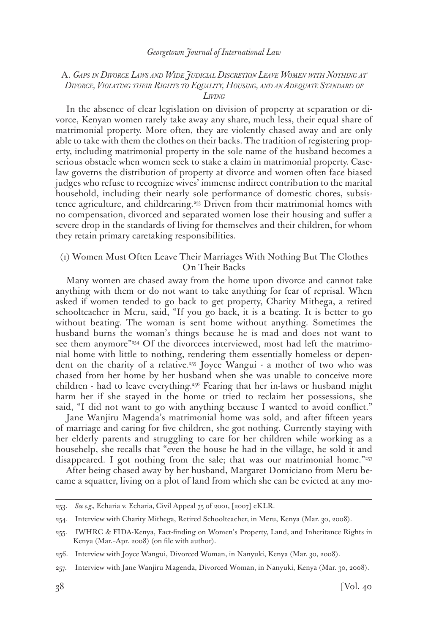### A. *Gaps in Divorce Laws and Wide Judicial Discretion Leave Women with Nothing at Divorce, Violating their Rights to Equality, Housing, and an Adequate Standard of Living*

In the absence of clear legislation on division of property at separation or divorce, Kenyan women rarely take away any share, much less, their equal share of matrimonial property. More often, they are violently chased away and are only able to take with them the clothes on their backs. The tradition of registering property, including matrimonial property in the sole name of the husband becomes a serious obstacle when women seek to stake a claim in matrimonial property. Caselaw governs the distribution of property at divorce and women often face biased judges who refuse to recognize wives' immense indirect contribution to the marital household, including their nearly sole performance of domestic chores, subsistence agriculture, and childrearing.253 Driven from their matrimonial homes with no compensation, divorced and separated women lose their housing and suffer a severe drop in the standards of living for themselves and their children, for whom they retain primary caretaking responsibilities.

## (1) Women Must Often Leave Their Marriages With Nothing But The Clothes On Their Backs

Many women are chased away from the home upon divorce and cannot take anything with them or do not want to take anything for fear of reprisal. When asked if women tended to go back to get property, Charity Mithega, a retired schoolteacher in Meru, said, "If you go back, it is a beating. It is better to go without beating. The woman is sent home without anything. Sometimes the husband burns the woman's things because he is mad and does not want to see them anymore"<sup>254</sup> Of the divorcees interviewed, most had left the matrimonial home with little to nothing, rendering them essentially homeless or dependent on the charity of a relative.255 Joyce Wangui - a mother of two who was chased from her home by her husband when she was unable to conceive more children - had to leave everything.256 Fearing that her in-laws or husband might harm her if she stayed in the home or tried to reclaim her possessions, she said, "I did not want to go with anything because I wanted to avoid conflict."

Jane Wanjiru Magenda's matrimonial home was sold, and after fifteen years of marriage and caring for five children, she got nothing. Currently staying with her elderly parents and struggling to care for her children while working as a househelp, she recalls that "even the house he had in the village, he sold it and disappeared. I got nothing from the sale; that was our matrimonial home."<sup>257</sup>

After being chased away by her husband, Margaret Domiciano from Meru became a squatter, living on a plot of land from which she can be evicted at any mo-

<sup>253.</sup> *See e.g.,* Echaria v. Echaria, Civil Appeal 75 of 2001, [2007] eKLR.

<sup>254.</sup> Interview with Charity Mithega, Retired Schoolteacher, in Meru, Kenya (Mar. 30, 2008).

<sup>255.</sup> IWHRC & FIDA-Kenya, Fact-finding on Women's Property, Land, and Inheritance Rights in Kenya (Mar.–Apr. 2008) (on file with author).

<sup>256.</sup> Interview with Joyce Wangui, Divorced Woman, in Nanyuki, Kenya (Mar. 30, 2008).

<sup>257.</sup> Interview with Jane Wanjiru Magenda, Divorced Woman, in Nanyuki, Kenya (Mar. 30, 2008).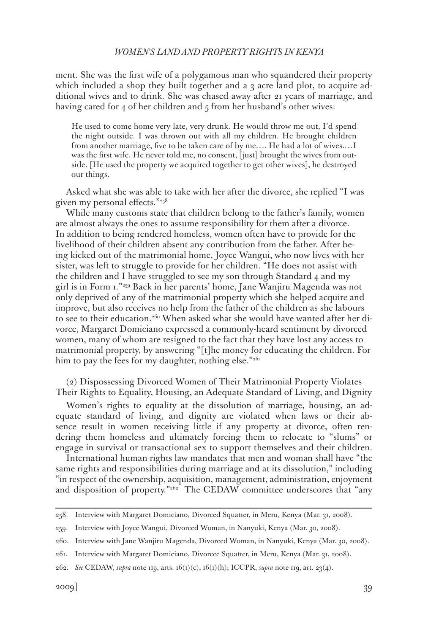ment. She was the first wife of a polygamous man who squandered their property which included a shop they built together and a  $_3$  acre land plot, to acquire additional wives and to drink. She was chased away after 21 years of marriage, and having cared for 4 of her children and  $\frac{1}{2}$  from her husband's other wives:

He used to come home very late, very drunk. He would throw me out, I'd spend the night outside. I was thrown out with all my children. He brought children from another marriage, five to be taken care of by me…. He had a lot of wives.…I was the first wife. He never told me, no consent, [just] brought the wives from outside. [He used the property we acquired together to get other wives], he destroyed our things.

Asked what she was able to take with her after the divorce, she replied "I was given my personal effects."258

While many customs state that children belong to the father's family, women are almost always the ones to assume responsibility for them after a divorce. In addition to being rendered homeless, women often have to provide for the livelihood of their children absent any contribution from the father. After being kicked out of the matrimonial home, Joyce Wangui, who now lives with her sister, was left to struggle to provide for her children. "He does not assist with the children and I have struggled to see my son through Standard 4 and my girl is in Form 1."259 Back in her parents' home, Jane Wanjiru Magenda was not only deprived of any of the matrimonial property which she helped acquire and improve, but also receives no help from the father of the children as she labours to see to their education.<sup>260</sup> When asked what she would have wanted after her divorce, Margaret Domiciano expressed a commonly-heard sentiment by divorced women, many of whom are resigned to the fact that they have lost any access to matrimonial property, by answering "[t]he money for educating the children. For him to pay the fees for my daughter, nothing else." $2^{61}$ 

(2) Dispossessing Divorced Women of Their Matrimonial Property Violates Their Rights to Equality, Housing, an Adequate Standard of Living, and Dignity

Women's rights to equality at the dissolution of marriage, housing, an adequate standard of living, and dignity are violated when laws or their absence result in women receiving little if any property at divorce, often rendering them homeless and ultimately forcing them to relocate to "slums" or engage in survival or transactional sex to support themselves and their children.

International human rights law mandates that men and woman shall have "the same rights and responsibilities during marriage and at its dissolution," including "in respect of the ownership, acquisition, management, administration, enjoyment and disposition of property."<sup>262</sup> The CEDAW committee underscores that "any

<sup>258.</sup> Interview with Margaret Domiciano, Divorced Squatter, in Meru, Kenya (Mar. 31, 2008).

<sup>259.</sup> Interview with Joyce Wangui, Divorced Woman, in Nanyuki, Kenya (Mar. 30, 2008).

<sup>260.</sup> Interview with Jane Wanjiru Magenda, Divorced Woman, in Nanyuki, Kenya (Mar. 30, 2008).

<sup>261.</sup> Interview with Margaret Domiciano, Divorcee Squatter, in Meru, Kenya (Mar. 31, 2008).

<sup>262.</sup> *See* CEDAW, *supra* note 119, arts. 16(1)(c), 16(1)(h); ICCPR, *supra* note 119, art. 23(4).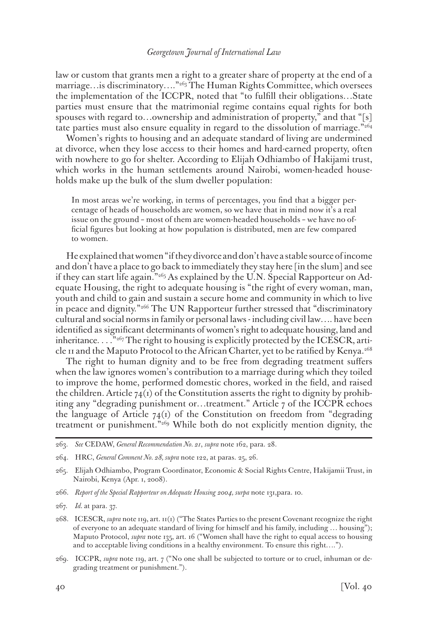law or custom that grants men a right to a greater share of property at the end of a marriage... is discriminatory...."<sup>263</sup> The Human Rights Committee, which oversees the implementation of the ICCPR, noted that "to fulfill their obligations…State parties must ensure that the matrimonial regime contains equal rights for both spouses with regard to...ownership and administration of property," and that "[s] tate parties must also ensure equality in regard to the dissolution of marriage."264

Women's rights to housing and an adequate standard of living are undermined at divorce, when they lose access to their homes and hard-earned property, often with nowhere to go for shelter. According to Elijah Odhiambo of Hakijami trust, which works in the human settlements around Nairobi, women-headed households make up the bulk of the slum dweller population:

In most areas we're working, in terms of percentages, you find that a bigger percentage of heads of households are women, so we have that in mind now it's a real issue on the ground – most of them are women-headed households – we have no official figures but looking at how population is distributed, men are few compared to women.

He explained that women "if they divorce and don't have a stable source of income and don't have a place to go back to immediately they stay here [in the slum] and see if they can start life again."265 As explained by the U.N. Special Rapporteur on Adequate Housing, the right to adequate housing is "the right of every woman, man, youth and child to gain and sustain a secure home and community in which to live in peace and dignity."<sup>266</sup> The UN Rapporteur further stressed that "discriminatory cultural and social norms in family or personal laws - including civil law…. have been identified as significant determinants of women's right to adequate housing, land and inheritance.  $\ldots$ <sup>267</sup> The right to housing is explicitly protected by the ICESCR, article 11 and the Maputo Protocol to the African Charter, yet to be ratified by Kenya.268

The right to human dignity and to be free from degrading treatment suffers when the law ignores women's contribution to a marriage during which they toiled to improve the home, performed domestic chores, worked in the field, and raised the children. Article  $74<sup>(1)</sup>$  of the Constitution asserts the right to dignity by prohibiting any "degrading punishment or…treatment." Article 7 of the ICCPR echoes the language of Article  $74(1)$  of the Constitution on freedom from "degrading" treatment or punishment."269 While both do not explicitly mention dignity, the

- 266. *Report of the Special Rapporteur on Adequate Housing 2004, surpa* note 131,para. 10.
- 267. *Id.* at para. 37.
- 268. ICESCR, *supra* note 119, art. 11(1) ("The States Parties to the present Covenant recognize the right of everyone to an adequate standard of living for himself and his family, including … housing"); Maputo Protocol, *supra* note 135, art. 16 ("Women shall have the right to equal access to housing and to acceptable living conditions in a healthy environment. To ensure this right….").
- 269. ICCPR, *supra* note 119, art. 7 ("No one shall be subjected to torture or to cruel, inhuman or degrading treatment or punishment.").

<sup>263.</sup> *See* CEDAW, *General Recommendation No. 21*, *supra* note 162, para. 28.

<sup>264.</sup> HRC, *General Comment No. 28, supra* note 122, at paras. 25, 26.

<sup>265.</sup> Elijah Odhiambo, Program Coordinator, Economic & Social Rights Centre, Hakijamii Trust, in Nairobi, Kenya (Apr. 1, 2008).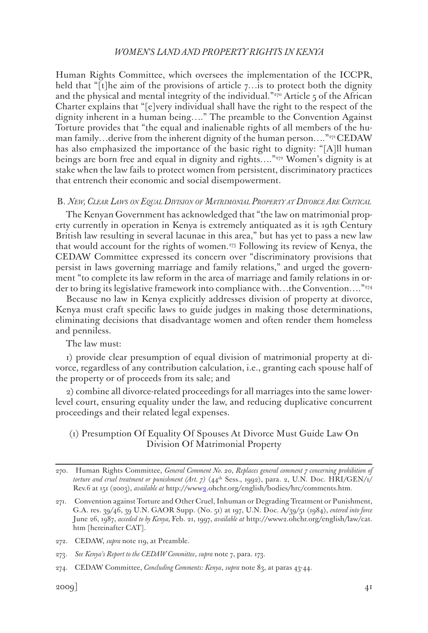Human Rights Committee, which oversees the implementation of the ICCPR, held that "[t]he aim of the provisions of article 7... is to protect both the dignity and the physical and mental integrity of the individual."<sup>270</sup> Article 5 of the African Charter explains that "[e]very individual shall have the right to the respect of the dignity inherent in a human being…." The preamble to the Convention Against Torture provides that "the equal and inalienable rights of all members of the human family…derive from the inherent dignity of the human person…."271 CEDAW has also emphasized the importance of the basic right to dignity: "[A]ll human beings are born free and equal in dignity and rights...."<sup>272</sup> Women's dignity is at stake when the law fails to protect women from persistent, discriminatory practices that entrench their economic and social disempowerment.

#### B. *New, Clear Laws on Equal Division of Matrimonial Property at Divorce Are Critical*

The Kenyan Government has acknowledged that "the law on matrimonial property currently in operation in Kenya is extremely antiquated as it is 19th Century British law resulting in several lacunae in this area," but has yet to pass a new law that would account for the rights of women.273 Following its review of Kenya, the CEDAW Committee expressed its concern over "discriminatory provisions that persist in laws governing marriage and family relations," and urged the government "to complete its law reform in the area of marriage and family relations in order to bring its legislative framework into compliance with…the Convention…."274

Because no law in Kenya explicitly addresses division of property at divorce, Kenya must craft specific laws to guide judges in making those determinations, eliminating decisions that disadvantage women and often render them homeless and penniless.

The law must:

1) provide clear presumption of equal division of matrimonial property at divorce, regardless of any contribution calculation, i.e., granting each spouse half of the property or of proceeds from its sale; and

2) combine all divorce-related proceedings for all marriages into the same lowerlevel court, ensuring equality under the law, and reducing duplicative concurrent proceedings and their related legal expenses.

# (1) Presumption Of Equality Of Spouses At Divorce Must Guide Law On Division Of Matrimonial Property

273. *See Kenya's Report to the CEDAW Committee*, *supra* note 7, para. 173.

<sup>270.</sup> Human Rights Committee, *General Comment No. 20*, *Replaces general comment 7 concerning prohibition of*  torture and cruel treatment or punishment (Art. 7) (44<sup>th</sup> Sess., 1992), para. 2, U.N. Doc. HRI/GEN/1/ Rev.6 at 151 (2003), *available at* http://www2.ohchr.org/english/bodies/hrc/comments.htm.

<sup>271.</sup> Convention against Torture and Other Cruel, Inhuman or Degrading Treatment or Punishment, G.A. res. 39/46, 39 U.N. GAOR Supp. (No. 51) at 197, U.N. Doc. A/39/51 (1984), *entered into force* June 26, 1987, *acceded to by Kenya,* Feb. 21, 1997, *available at* http://www2.ohchr.org/english/law/cat. htm [hereinafter CAT].

<sup>272.</sup> CEDAW, *supra* note 119, at Preamble.

<sup>274.</sup> CEDAW Committee, *Concluding Comments: Kenya*, *supra* note 83, at paras 43-44.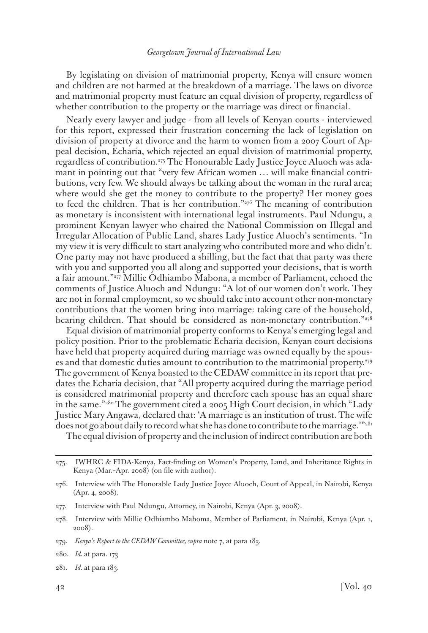By legislating on division of matrimonial property, Kenya will ensure women and children are not harmed at the breakdown of a marriage. The laws on divorce and matrimonial property must feature an equal division of property, regardless of whether contribution to the property or the marriage was direct or financial.

Nearly every lawyer and judge - from all levels of Kenyan courts - interviewed for this report, expressed their frustration concerning the lack of legislation on division of property at divorce and the harm to women from a 2007 Court of Appeal decision, Echaria, which rejected an equal division of matrimonial property, regardless of contribution.275 The Honourable Lady Justice Joyce Aluoch was adamant in pointing out that "very few African women … will make financial contributions, very few. We should always be talking about the woman in the rural area; where would she get the money to contribute to the property? Her money goes to feed the children. That is her contribution." $276$  The meaning of contribution as monetary is inconsistent with international legal instruments. Paul Ndungu, a prominent Kenyan lawyer who chaired the National Commission on Illegal and Irregular Allocation of Public Land, shares Lady Justice Aluoch's sentiments. "In my view it is very difficult to start analyzing who contributed more and who didn't. One party may not have produced a shilling, but the fact that that party was there with you and supported you all along and supported your decisions, that is worth a fair amount."277 Millie Odhiambo Mabona, a member of Parliament, echoed the comments of Justice Aluoch and Ndungu: "A lot of our women don't work. They are not in formal employment, so we should take into account other non-monetary contributions that the women bring into marriage: taking care of the household, bearing children. That should be considered as non-monetary contribution."278

Equal division of matrimonial property conforms to Kenya's emerging legal and policy position. Prior to the problematic Echaria decision, Kenyan court decisions have held that property acquired during marriage was owned equally by the spouses and that domestic duties amount to contribution to the matrimonial property.279 The government of Kenya boasted to the CEDAW committee in its report that predates the Echaria decision, that "All property acquired during the marriage period is considered matrimonial property and therefore each spouse has an equal share in the same."280 The government cited a 2005 High Court decision, in which "Lady Justice Mary Angawa, declared that: 'A marriage is an institution of trust. The wife does not go about daily to record what she has done to contribute to the marriage."<sup>281</sup>

The equal division of property and the inclusion of indirect contribution are both

<sup>275.</sup> IWHRC & FIDA-Kenya, Fact-finding on Women's Property, Land, and Inheritance Rights in Kenya (Mar.–Apr. 2008) (on file with author).

<sup>276.</sup> Interview with The Honorable Lady Justice Joyce Aluoch, Court of Appeal, in Nairobi, Kenya (Apr. 4, 2008).

<sup>277.</sup> Interview with Paul Ndungu, Attorney, in Nairobi, Kenya (Apr. 3, 2008).

<sup>278.</sup> Interview with Millie Odhiambo Maboma, Member of Parliament, in Nairobi, Kenya (Apr. 1, 2008).

<sup>279.</sup> *Kenya's Report to the CEDAW Committee, supra* note 7, at para 183.

<sup>280.</sup> *Id.* at para. 173

<sup>281.</sup> *Id.* at para 183.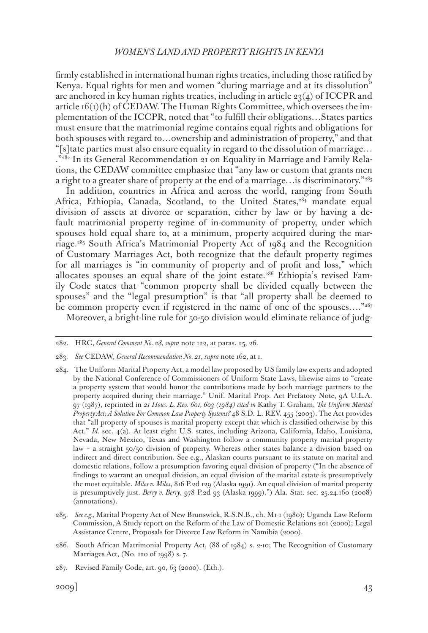firmly established in international human rights treaties, including those ratified by Kenya. Equal rights for men and women "during marriage and at its dissolution" are anchored in key human rights treaties, including in article  $23(4)$  of ICCPR and article  $f(x)$ (h) of CEDAW. The Human Rights Committee, which oversees the implementation of the ICCPR, noted that "to fulfill their obligations…States parties must ensure that the matrimonial regime contains equal rights and obligations for both spouses with regard to…ownership and administration of property," and that "[s]tate parties must also ensure equality in regard to the dissolution of marriage… ."282 In its General Recommendation 21 on Equality in Marriage and Family Relations, the CEDAW committee emphasize that "any law or custom that grants men a right to a greater share of property at the end of a marriage... is discriminatory."<sup>283</sup>

In addition, countries in Africa and across the world, ranging from South Africa, Ethiopia, Canada, Scotland, to the United States,<sup>284</sup> mandate equal division of assets at divorce or separation, either by law or by having a default matrimonial property regime of in-community of property, under which spouses hold equal share to, at a minimum, property acquired during the marriage.285 South Africa's Matrimonial Property Act of 1984 and the Recognition of Customary Marriages Act, both recognize that the default property regimes for all marriages is "in community of property and of profit and loss," which allocates spouses an equal share of the joint estate.286 Ethiopia's revised Family Code states that "common property shall be divided equally between the spouses" and the "legal presumption" is that "all property shall be deemed to be common property even if registered in the name of one of the spouses…."287 Moreover, a bright-line rule for 50-50 division would eliminate reliance of judg-

<sup>282.</sup> HRC, *General Comment No. 28, supra* note 122, at paras. 25, 26.

<sup>283.</sup> *See* CEDAW, *General Recommendation No. 21*, *supra* note 162, at 1.

<sup>284.</sup> The Uniform Marital Property Act, a model law proposed by US family law experts and adopted by the National Conference of Commissioners of Uniform State Laws, likewise aims to "create a property system that would honor the contributions made by both marriage partners to the property acquired during their marriage." Unif. Marital Prop. Act Prefatory Note, 9A U.L.A. 97 (1987), reprinted in *21 Hous. L. Rev. 601, 603 (1984) cited in* Kathy T. Graham, *The Uniform Marital Property Act: A Solution For Common Law Property Systems?* 48 S.D. L. REV. 455 (2003). The Act provides that "all property of spouses is marital property except that which is classified otherwise by this Act." *Id.* sec. 4(a). At least eight U.S. states, including Arizona, California, Idaho, Louisiana, Nevada, New Mexico, Texas and Washington follow a community property marital property law – a straight 50/50 division of property. Whereas other states balance a division based on indirect and direct contribution. See e.g., Alaskan courts pursuant to its statute on marital and domestic relations, follow a presumption favoring equal division of property ("In the absence of findings to warrant an unequal division, an equal division of the marital estate is presumptively the most equitable. *Miles v. Miles*, 816 P.2d 129 (Alaska 1991). An equal division of marital property is presumptively just. *Berry v. Berry*, 978 P.2d 93 (Alaska 1999).") Ala. Stat. sec. 25.24.160 (2008) (annotations).

<sup>285.</sup> *See e.g.,* Marital Property Act of New Brunswick, R.S.N.B., ch. M1-1 (1980); Uganda Law Reform Commission, A Study report on the Reform of the Law of Domestic Relations 201 (2000); Legal Assistance Centre, Proposals for Divorce Law Reform in Namibia (2000).

<sup>286.</sup> South African Matrimonial Property Act, (88 of 1984) s. 2-10; The Recognition of Customary Marriages Act, (No. 120 of 1998) s. 7.

<sup>287.</sup> Revised Family Code, art. 90, 63 (2000). (Eth.).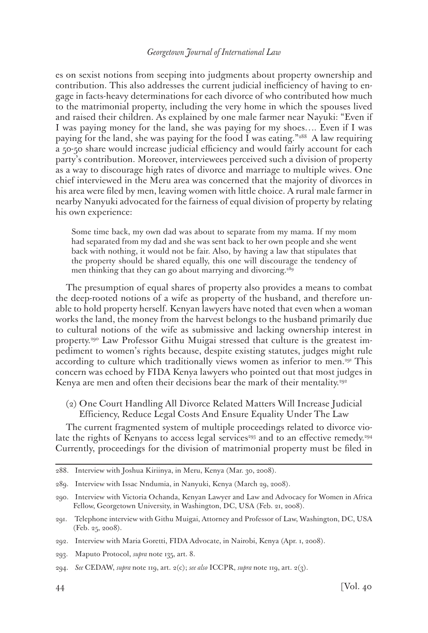es on sexist notions from seeping into judgments about property ownership and contribution. This also addresses the current judicial inefficiency of having to engage in facts-heavy determinations for each divorce of who contributed how much to the matrimonial property, including the very home in which the spouses lived and raised their children. As explained by one male farmer near Nayuki: "Even if I was paying money for the land, she was paying for my shoes…. Even if I was paying for the land, she was paying for the food I was eating."<sup>288</sup> A law requiring a 50-50 share would increase judicial efficiency and would fairly account for each party's contribution. Moreover, interviewees perceived such a division of property as a way to discourage high rates of divorce and marriage to multiple wives. One chief interviewed in the Meru area was concerned that the majority of divorces in his area were filed by men, leaving women with little choice. A rural male farmer in nearby Nanyuki advocated for the fairness of equal division of property by relating his own experience:

Some time back, my own dad was about to separate from my mama. If my mom had separated from my dad and she was sent back to her own people and she went back with nothing, it would not be fair. Also, by having a law that stipulates that the property should be shared equally, this one will discourage the tendency of men thinking that they can go about marrying and divorcing.<sup>289</sup>

The presumption of equal shares of property also provides a means to combat the deep-rooted notions of a wife as property of the husband, and therefore unable to hold property herself. Kenyan lawyers have noted that even when a woman works the land, the money from the harvest belongs to the husband primarily due to cultural notions of the wife as submissive and lacking ownership interest in property.290 Law Professor Githu Muigai stressed that culture is the greatest impediment to women's rights because, despite existing statutes, judges might rule according to culture which traditionally views women as inferior to men.<sup>291</sup> This concern was echoed by FIDA Kenya lawyers who pointed out that most judges in Kenya are men and often their decisions bear the mark of their mentality.<sup>292</sup>

(2) One Court Handling All Divorce Related Matters Will Increase Judicial Efficiency, Reduce Legal Costs And Ensure Equality Under The Law

The current fragmented system of multiple proceedings related to divorce violate the rights of Kenyans to access legal services<sup>293</sup> and to an effective remedy.<sup>294</sup> Currently, proceedings for the division of matrimonial property must be filed in

<sup>288.</sup> Interview with Joshua Kiriinya, in Meru, Kenya (Mar. 30, 2008).

<sup>289.</sup> Interview with Issac Nndumia, in Nanyuki, Kenya (March 29, 2008).

<sup>290.</sup> Interview with Victoria Ochanda, Kenyan Lawyer and Law and Advocacy for Women in Africa Fellow, Georgetown University, in Washington, DC, USA (Feb. 21, 2008).

<sup>291.</sup> Telephone interview with Githu Muigai, Attorney and Professor of Law, Washington, DC, USA (Feb. 25, 2008).

<sup>292.</sup> Interview with Maria Goretti, FIDA Advocate, in Nairobi, Kenya (Apr. 1, 2008).

<sup>293.</sup> Maputo Protocol, *supra* note 135, art. 8.

<sup>294.</sup> *See* CEDAW, *supra* note 119, art. 2(c); *see also* ICCPR, *supra* note 119, art. 2(3).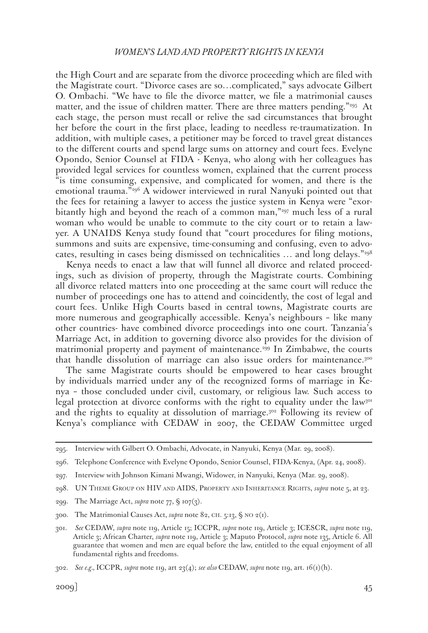the High Court and are separate from the divorce proceeding which are filed with the Magistrate court. "Divorce cases are so…complicated," says advocate Gilbert O. Ombachi. "We have to file the divorce matter, we file a matrimonial causes matter, and the issue of children matter. There are three matters pending."<sup>295</sup> At each stage, the person must recall or relive the sad circumstances that brought her before the court in the first place, leading to needless re-traumatization. In addition, with multiple cases, a petitioner may be forced to travel great distances to the different courts and spend large sums on attorney and court fees. Evelyne Opondo, Senior Counsel at FIDA - Kenya, who along with her colleagues has provided legal services for countless women, explained that the current process "is time consuming, expensive, and complicated for women, and there is the emotional trauma."296 A widower interviewed in rural Nanyuki pointed out that the fees for retaining a lawyer to access the justice system in Kenya were "exorbitantly high and beyond the reach of a common man,"297 much less of a rural woman who would be unable to commute to the city court or to retain a lawyer. A UNAIDS Kenya study found that "court procedures for filing motions, summons and suits are expensive, time-consuming and confusing, even to advocates, resulting in cases being dismissed on technicalities … and long delays."298

Kenya needs to enact a law that will funnel all divorce and related proceedings, such as division of property, through the Magistrate courts. Combining all divorce related matters into one proceeding at the same court will reduce the number of proceedings one has to attend and coincidently, the cost of legal and court fees. Unlike High Courts based in central towns, Magistrate courts are more numerous and geographically accessible. Kenya's neighbours – like many other countries- have combined divorce proceedings into one court. Tanzania's Marriage Act, in addition to governing divorce also provides for the division of matrimonial property and payment of maintenance.299 In Zimbabwe, the courts that handle dissolution of marriage can also issue orders for maintenance.300

The same Magistrate courts should be empowered to hear cases brought by individuals married under any of the recognized forms of marriage in Kenya – those concluded under civil, customary, or religious law. Such access to legal protection at divorce conforms with the right to equality under the law<sup>301</sup> and the rights to equality at dissolution of marriage.302 Following its review of Kenya's compliance with CEDAW in 2007, the CEDAW Committee urged

<sup>295.</sup> Interview with Gilbert O. Ombachi, Advocate, in Nanyuki, Kenya (Mar. 29, 2008).

<sup>296.</sup> Telephone Conference with Evelyne Opondo, Senior Counsel, FIDA-Kenya, (Apr. 24, 2008).

<sup>297.</sup> Interview with Johnson Kimani Mwangi, Widower, in Nanyuki, Kenya (Mar. 29, 2008).

<sup>298.</sup> UN Theme Group on HIV and AIDS, Property and Inheritance Rights, *supra* note 5, at 23.

<sup>299.</sup> The Marriage Act, *supra* note 77, § 107(3).

<sup>300.</sup> The Matrimonial Causes Act, *supra* note 82, ch. 5:13, § no 2(1).

<sup>301.</sup> *See* CEDAW, *supra* note 119, Article 15; ICCPR, *supra* note 119, Article 3; ICESCR, *supra* note 119, Article 3; African Charter, *supra* note 119, Article 3; Maputo Protocol, *supra* note 135, Article 6. All guarantee that women and men are equal before the law, entitled to the equal enjoyment of all fundamental rights and freedoms.

<sup>302.</sup> *See e.g.,* ICCPR, *supra* note 119, art 23(4); *see also* CEDAW, *supra* note 119, art. 16(1)(h).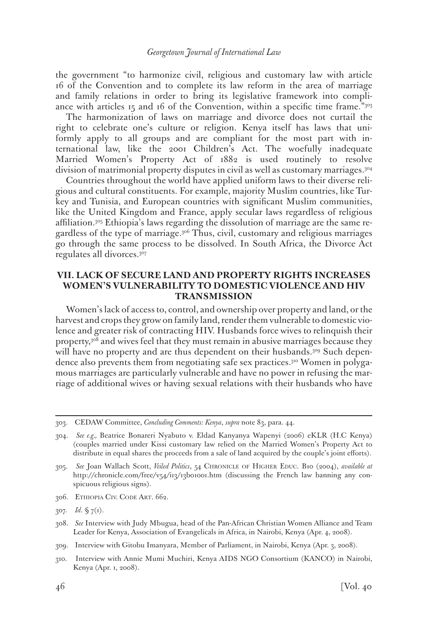the government "to harmonize civil, religious and customary law with article 16 of the Convention and to complete its law reform in the area of marriage and family relations in order to bring its legislative framework into compliance with articles  $15$  and 16 of the Convention, within a specific time frame." $303$ 

The harmonization of laws on marriage and divorce does not curtail the right to celebrate one's culture or religion. Kenya itself has laws that uniformly apply to all groups and are compliant for the most part with international law, like the 2001 Children's Act. The woefully inadequate Married Women's Property Act of 1882 is used routinely to resolve division of matrimonial property disputes in civil as well as customary marriages.304

Countries throughout the world have applied uniform laws to their diverse religious and cultural constituents. For example, majority Muslim countries, like Turkey and Tunisia, and European countries with significant Muslim communities, like the United Kingdom and France, apply secular laws regardless of religious affiliation.305 Ethiopia's laws regarding the dissolution of marriage are the same regardless of the type of marriage.306 Thus, civil, customary and religious marriages go through the same process to be dissolved. In South Africa, the Divorce Act regulates all divorces.307

## **VII. LACK OF SECURE LAND AND PROPERTY RIGHTS INCREASES WOMEN'S VULNERABILITY TO DOMESTIC VIOLENCE AND HIV TRANSMISSION**

Women's lack of access to, control, and ownership over property and land, or the harvest and crops they grow on family land, render them vulnerable to domestic violence and greater risk of contracting HIV. Husbands force wives to relinquish their property,308 and wives feel that they must remain in abusive marriages because they will have no property and are thus dependent on their husbands.<sup>309</sup> Such dependence also prevents them from negotiating safe sex practices.310 Women in polygamous marriages are particularly vulnerable and have no power in refusing the marriage of additional wives or having sexual relations with their husbands who have

306. Ethiopia Civ. Code Art. 662.

307. *Id*. § 7(1).

<sup>303.</sup> CEDAW Committee, *Concluding Comments: Kenya*, *supra* note 83, para. 44.

<sup>304.</sup> *See e.g.,* Beatrice Bonareri Nyabuto v. Eldad Kanyanya Wapenyi (2006) eKLR (H.C Kenya) (couples married under Kissi customary law relied on the Married Women's Property Act to distribute in equal shares the proceeds from a sale of land acquired by the couple's joint efforts).

<sup>305.</sup> *See* Joan Wallach Scott, *Veiled Politics*, 54 Chronicle of Higher Educ. B10 (2004), *available at* http://chronicle.com/free/v54/i13/13b01001.htm (discussing the French law banning any conspicuous religious signs).

<sup>308.</sup> *See* Interview with Judy Mbugua, head of the Pan-African Christian Women Alliance and Team Leader for Kenya, Association of Evangelicals in Africa, in Nairobi, Kenya (Apr. 4, 2008).

<sup>309.</sup> Interview with Gitobu Imanyara, Member of Parliament, in Nairobi, Kenya (Apr. 3, 2008).

<sup>310.</sup> Interview with Annie Mumi Muchiri, Kenya AIDS NGO Consortium (KANCO) in Nairobi, Kenya (Apr. 1, 2008).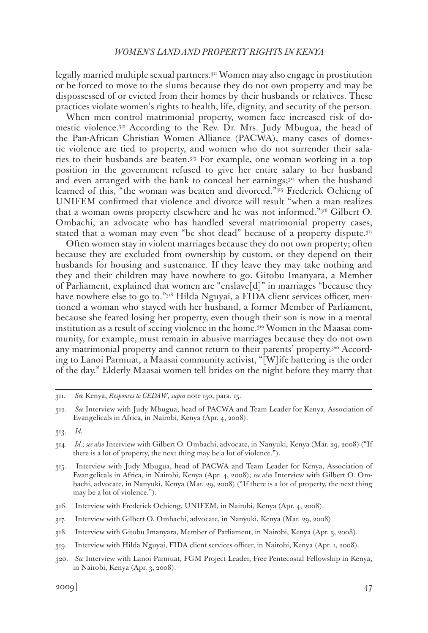legally married multiple sexual partners.311 Women may also engage in prostitution or be forced to move to the slums because they do not own property and may be dispossessed of or evicted from their homes by their husbands or relatives. These practices violate women's rights to health, life, dignity, and security of the person.

When men control matrimonial property, women face increased risk of domestic violence.312 According to the Rev. Dr. Mrs. Judy Mbugua, the head of the Pan-African Christian Women Alliance (PACWA), many cases of domestic violence are tied to property, and women who do not surrender their salaries to their husbands are beaten.313 For example, one woman working in a top position in the government refused to give her entire salary to her husband and even arranged with the bank to conceal her earnings; $3^{14}$  when the husband learned of this, "the woman was beaten and divorced."315 Frederick Ochieng of UNIFEM confirmed that violence and divorce will result "when a man realizes that a woman owns property elsewhere and he was not informed."316 Gilbert O. Ombachi, an advocate who has handled several matrimonial property cases, stated that a woman may even "be shot dead" because of a property dispute.317

Often women stay in violent marriages because they do not own property; often because they are excluded from ownership by custom, or they depend on their husbands for housing and sustenance. If they leave they may take nothing and they and their children may have nowhere to go. Gitobu Imanyara, a Member of Parliament, explained that women are "enslave[d]" in marriages "because they have nowhere else to go to."318 Hilda Nguyai, a FIDA client services officer, mentioned a woman who stayed with her husband, a former Member of Parliament, because she feared losing her property, even though their son is now in a mental institution as a result of seeing violence in the home.319 Women in the Maasai community, for example, must remain in abusive marriages because they do not own any matrimonial property and cannot return to their parents' property.<sup>320</sup> According to Lanoi Parmuat, a Maasai community activist, "[W]ife battering is the order of the day." Elderly Maasai women tell brides on the night before they marry that

<sup>311.</sup> *See* Kenya, *Responses to CEDAW*, *supra* note 150, para. 15.

<sup>312.</sup> *See* Interview with Judy Mbugua, head of PACWA and Team Leader for Kenya, Association of Evangelicals in Africa, in Nairobi, Kenya (Apr. 4, 2008).

<sup>313.</sup> *Id.*

<sup>314.</sup> *Id.*; *see also* Interview with Gilbert O. Ombachi, advocate, in Nanyuki, Kenya (Mar. 29, 2008) ("If there is a lot of property, the next thing may be a lot of violence.").

<sup>315.</sup> Interview with Judy Mbugua, head of PACWA and Team Leader for Kenya, Association of Evangelicals in Africa, in Nairobi, Kenya (Apr. 4, 2008); *see also* Interview with Gilbert O. Ombachi, advocate, in Nanyuki, Kenya (Mar. 29, 2008) ("If there is a lot of property, the next thing may be a lot of violence.").

<sup>316.</sup> Interview with Frederick Ochieng, UNIFEM, in Nairobi, Kenya (Apr. 4, 2008).

<sup>317.</sup> Interview with Gilbert O. Ombachi, advocate, in Nanyuki, Kenya (Mar. 29, 2008)

<sup>318.</sup> Interview with Gitobu Imanyara, Member of Parliament, in Nairobi, Kenya (Apr. 3, 2008).

<sup>319.</sup> Interview with Hilda Nguyai, FIDA client services officer, in Nairobi, Kenya (Apr. 1, 2008).

<sup>320.</sup> *See* Interview with Lanoi Parmuat, FGM Project Leader, Free Pentecostal Fellowship in Kenya, in Nairobi, Kenya (Apr. 3, 2008).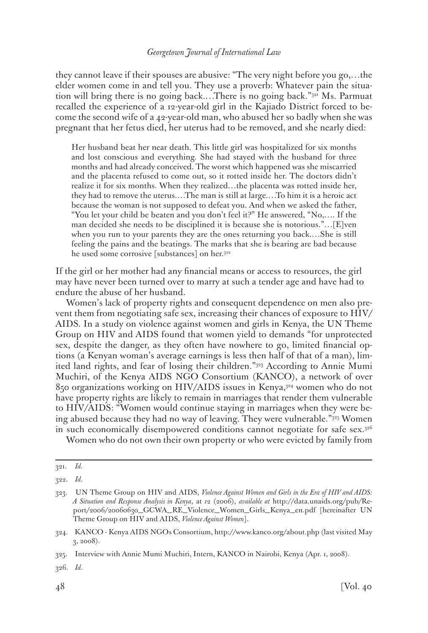they cannot leave if their spouses are abusive: "The very night before you go,…the elder women come in and tell you. They use a proverb: Whatever pain the situation will bring there is no going back.…There is no going back."321 Ms. Parmuat recalled the experience of a 12-year-old girl in the Kajiado District forced to become the second wife of a 42-year-old man, who abused her so badly when she was pregnant that her fetus died, her uterus had to be removed, and she nearly died:

Her husband beat her near death. This little girl was hospitalized for six months and lost conscious and everything. She had stayed with the husband for three months and had already conceived. The worst which happened was she miscarried and the placenta refused to come out, so it rotted inside her. The doctors didn't realize it for six months. When they realized…the placenta was rotted inside her, they had to remove the uterus.…The man is still at large.…To him it is a heroic act because the woman is not supposed to defeat you. And when we asked the father, "You let your child be beaten and you don't feel it?" He answered, "No,…. If the man decided she needs to be disciplined it is because she is notorious."…[E]ven when you run to your parents they are the ones returning you back.…She is still feeling the pains and the beatings. The marks that she is bearing are bad because he used some corrosive [substances] on her.<sup>322</sup>

If the girl or her mother had any financial means or access to resources, the girl may have never been turned over to marry at such a tender age and have had to endure the abuse of her husband.

Women's lack of property rights and consequent dependence on men also prevent them from negotiating safe sex, increasing their chances of exposure to HIV/ AIDS. In a study on violence against women and girls in Kenya, the UN Theme Group on HIV and AIDS found that women yield to demands "for unprotected sex, despite the danger, as they often have nowhere to go, limited financial options (a Kenyan woman's average earnings is less then half of that of a man), limited land rights, and fear of losing their children."323 According to Annie Mumi Muchiri, of the Kenya AIDS NGO Consortium (KANCO), a network of over 850 organizations working on HIV/AIDS issues in Kenya,324 women who do not have property rights are likely to remain in marriages that render them vulnerable to HIV/AIDS: "Women would continue staying in marriages when they were being abused because they had no way of leaving. They were vulnerable."<sup>335</sup> Women in such economically disempowered conditions cannot negotiate for safe sex.<sup>326</sup>

Women who do not own their own property or who were evicted by family from

<sup>321.</sup> *Id.*

<sup>322.</sup> *Id.*

<sup>323.</sup> UN Theme Group on HIV and AIDS, *Violence Against Women and Girls in the Era of HIV and AIDS: A Situation and Response Analysis in Kenya*, at *1*2 (2006), *available at* http://data.unaids.org/pub/Report/2006/20060630\_GCWA\_RE\_Violence\_Women\_Girls\_Kenya\_en.pdf [hereinafter UN Theme Group on HIV and AIDS, *Violence Against Women*].

<sup>324.</sup> KANCO - Kenya AIDS NGOs Consortium, http://www.kanco.org/about.php (last visited May 3, 2008).

<sup>325.</sup> Interview with Annie Mumi Muchiri, Intern, KANCO in Nairobi, Kenya (Apr. 1, 2008).

<sup>326.</sup> *Id.*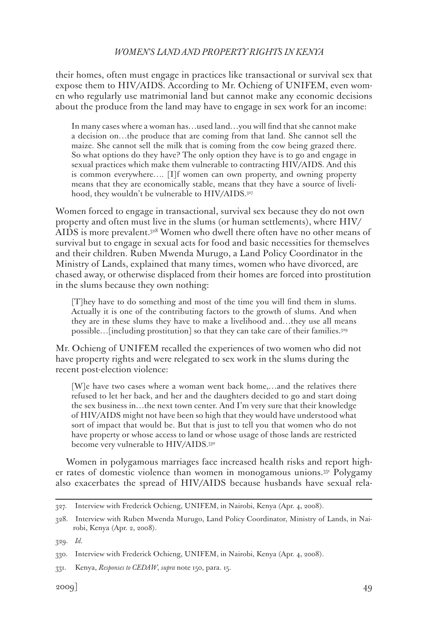their homes, often must engage in practices like transactional or survival sex that expose them to HIV/AIDS. According to Mr. Ochieng of UNIFEM, even women who regularly use matrimonial land but cannot make any economic decisions about the produce from the land may have to engage in sex work for an income:

In many cases where a woman has…used land…you will find that she cannot make a decision on…the produce that are coming from that land. She cannot sell the maize. She cannot sell the milk that is coming from the cow being grazed there. So what options do they have? The only option they have is to go and engage in sexual practices which make them vulnerable to contracting HIV/AIDS. And this is common everywhere…. [I]f women can own property, and owning property means that they are economically stable, means that they have a source of livelihood, they wouldn't be vulnerable to HIV/AIDS.327

Women forced to engage in transactional, survival sex because they do not own property and often must live in the slums (or human settlements), where HIV/ AIDS is more prevalent.328 Women who dwell there often have no other means of survival but to engage in sexual acts for food and basic necessities for themselves and their children. Ruben Mwenda Murugo, a Land Policy Coordinator in the Ministry of Lands, explained that many times, women who have divorced, are chased away, or otherwise displaced from their homes are forced into prostitution in the slums because they own nothing:

[T]hey have to do something and most of the time you will find them in slums. Actually it is one of the contributing factors to the growth of slums. And when they are in these slums they have to make a livelihood and…they use all means possible…[including prostitution] so that they can take care of their families.329

Mr. Ochieng of UNIFEM recalled the experiences of two women who did not have property rights and were relegated to sex work in the slums during the recent post-election violence:

[W]e have two cases where a woman went back home,…and the relatives there refused to let her back, and her and the daughters decided to go and start doing the sex business in…the next town center. And I'm very sure that their knowledge of HIV/AIDS might not have been so high that they would have understood what sort of impact that would be. But that is just to tell you that women who do not have property or whose access to land or whose usage of those lands are restricted become very vulnerable to HIV/AIDS.<sup>330</sup>

Women in polygamous marriages face increased health risks and report higher rates of domestic violence than women in monogamous unions.331 Polygamy also exacerbates the spread of HIV/AIDS because husbands have sexual rela-

329. *Id.*

<sup>327.</sup> Interview with Frederick Ochieng, UNIFEM, in Nairobi, Kenya (Apr. 4, 2008).

<sup>328.</sup> Interview with Ruben Mwenda Murugo, Land Policy Coordinator, Ministry of Lands, in Nairobi, Kenya (Apr. 2, 2008).

<sup>330.</sup> Interview with Frederick Ochieng, UNIFEM, in Nairobi, Kenya (Apr. 4, 2008).

<sup>331.</sup> Kenya, *Responses to CEDAW*, *supra* note 150, para. 15.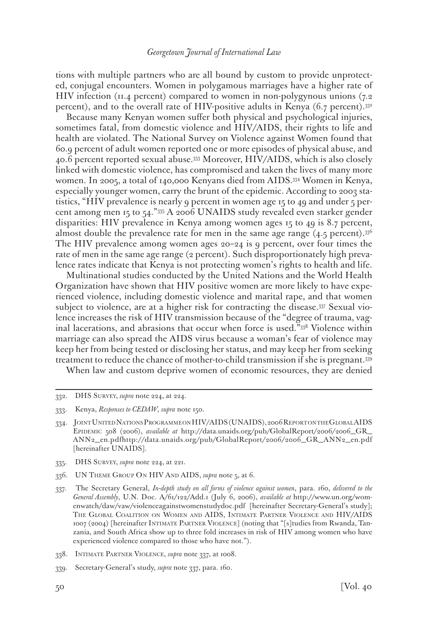tions with multiple partners who are all bound by custom to provide unprotected, conjugal encounters. Women in polygamous marriages have a higher rate of HIV infection (11.4 percent) compared to women in non-polygynous unions (7.2 percent), and to the overall rate of HIV-positive adults in Kenya (6.7 percent).332

Because many Kenyan women suffer both physical and psychological injuries, sometimes fatal, from domestic violence and HIV/AIDS, their rights to life and health are violated. The National Survey on Violence against Women found that 60.9 percent of adult women reported one or more episodes of physical abuse, and 40.6 percent reported sexual abuse.333 Moreover, HIV/AIDS, which is also closely linked with domestic violence, has compromised and taken the lives of many more women. In 2005, a total of 140,000 Kenyans died from AIDS.334 Women in Kenya, especially younger women, carry the brunt of the epidemic. According to 2003 statistics, "HIV prevalence is nearly 9 percent in women age 15 to 49 and under 5 percent among men 15 to 54."335 A 2006 UNAIDS study revealed even starker gender disparities: HIV prevalence in Kenya among women ages 15 to 49 is 8.7 percent, almost double the prevalence rate for men in the same age range  $(4.5 \text{ percent})^{.336}$ The HIV prevalence among women ages 20–24 is 9 percent, over four times the rate of men in the same age range (2 percent). Such disproportionately high prevalence rates indicate that Kenya is not protecting women's rights to health and life.

Multinational studies conducted by the United Nations and the World Health Organization have shown that HIV positive women are more likely to have experienced violence, including domestic violence and marital rape, and that women subject to violence, are at a higher risk for contracting the disease.337 Sexual violence increases the risk of HIV transmission because of the "degree of trauma, vaginal lacerations, and abrasions that occur when force is used."338 Violence within marriage can also spread the AIDS virus because a woman's fear of violence may keep her from being tested or disclosing her status, and may keep her from seeking treatment to reduce the chance of mother-to-child transmission if she is pregnant.339

When law and custom deprive women of economic resources, they are denied

335. DHS Survey, *supra* note 224, at 221.

338. Intimate Partner Violence, *supra* note 337, at 1008.

<sup>332.</sup> DHS Survey, *supra* note 224, at 224.

<sup>333.</sup> Kenya, *Responses to CEDAW*, *supra* note 150.

<sup>334.</sup> JointUnitedNations ProgrammeonHIV/AIDS (UNAIDS), 2006 ReportontheGlobal AIDS Epidemic 508 (2006), *available at* http://data.unaids.org/pub/GlobalReport/2006/2006\_GR\_ ANN2\_en.pdfhttp://data.unaids.org/pub/GlobalReport/2006/2006\_GR\_ANN2\_en.pdf [hereinafter UNAIDS].

<sup>336.</sup> UN Theme Group On HIV And AIDS, *supra* note 5, at 6.

<sup>337.</sup> The Secretary General, *In-depth study on all forms of violence against women*, para. 160, *delivered to the General Assembly*, U.N. Doc. A/61/122/Add.1 (July 6, 2006), *available at* http://www.un.org/womenwatch/daw/vaw/violenceagainstwomenstudydoc.pdf [hereinafter Secretary-General's study]; The Global Coalition on Women and AIDS, Intimate Partner Violence and HIV/AIDS 1007 (2004) [hereinafter Intimate Partner Violence] (noting that "[s]tudies from Rwanda, Tanzania, and South Africa show up to three fold increases in risk of HIV among women who have experienced violence compared to those who have not.").

<sup>339.</sup> Secretary-General's study, *supra* note 337, para. 160.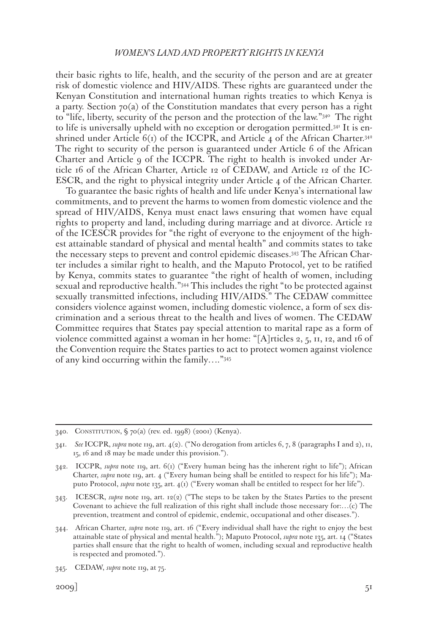their basic rights to life, health, and the security of the person and are at greater risk of domestic violence and HIV/AIDS. These rights are guaranteed under the Kenyan Constitution and international human rights treaties to which Kenya is a party. Section  $70(a)$  of the Constitution mandates that every person has a right to "life, liberty, security of the person and the protection of the law."340 The right to life is universally upheld with no exception or derogation permitted.341 It is enshrined under Article  $6(i)$  of the ICCPR, and Article 4 of the African Charter.<sup>342</sup> The right to security of the person is guaranteed under Article 6 of the African Charter and Article 9 of the ICCPR. The right to health is invoked under Article 16 of the African Charter, Article 12 of CEDAW, and Article 12 of the IC-ESCR, and the right to physical integrity under Article 4 of the African Charter.

To guarantee the basic rights of health and life under Kenya's international law commitments, and to prevent the harms to women from domestic violence and the spread of HIV/AIDS, Kenya must enact laws ensuring that women have equal rights to property and land, including during marriage and at divorce. Article 12 of the ICESCR provides for "the right of everyone to the enjoyment of the highest attainable standard of physical and mental health" and commits states to take the necessary steps to prevent and control epidemic diseases.343 The African Charter includes a similar right to health, and the Maputo Protocol, yet to be ratified by Kenya, commits states to guarantee "the right of health of women, including sexual and reproductive health."344 This includes the right "to be protected against sexually transmitted infections, including HIV/AIDS." The CEDAW committee considers violence against women, including domestic violence, a form of sex discrimination and a serious threat to the health and lives of women. The CEDAW Committee requires that States pay special attention to marital rape as a form of violence committed against a woman in her home: "[A]rticles 2, 5,  $\pi$ ,  $\pi$ ,  $\pi$ , and  $\pi$  of the Convention require the States parties to act to protect women against violence of any kind occurring within the family…."345

<sup>340.</sup> Constitution, § 70(a) (rev. ed. 1998) (2001) (Kenya).

<sup>341.</sup> *See* ICCPR, *supra* note 119, art. 4(2). ("No derogation from articles 6, 7, 8 (paragraphs I and 2), 11, 15, 16 and 18 may be made under this provision.").

<sup>342.</sup> ICCPR, *supra* note 119, art. 6(1) ("Every human being has the inherent right to life"); African Charter, *supra* note 119, art. 4 ("Every human being shall be entitled to respect for his life"); Maputo Protocol, *supra* note 135, art. 4(1) ("Every woman shall be entitled to respect for her life").

<sup>343.</sup> ICESCR, *supra* note 119, art. 12(2) ("The steps to be taken by the States Parties to the present Covenant to achieve the full realization of this right shall include those necessary for:…(c) The prevention, treatment and control of epidemic, endemic, occupational and other diseases.").

<sup>344.</sup> African Charter, *supra* note 119, art. 16 ("Every individual shall have the right to enjoy the best attainable state of physical and mental health."); Maputo Protocol, *supra* note 135, art. 14 ("States parties shall ensure that the right to health of women, including sexual and reproductive health is respected and promoted.").

<sup>345.</sup> CEDAW, *supra* note 119, at 75.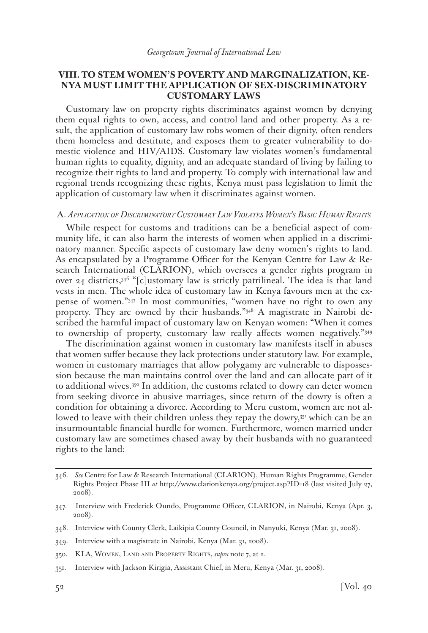## **VIII. TO STEM WOMEN'S POVERTY AND MARGINALIZATION, KE-NYA MUST LIMIT THE APPLICATION OF SEX-DISCRIMINATORY CUSTOMARY LAWS**

Customary law on property rights discriminates against women by denying them equal rights to own, access, and control land and other property. As a result, the application of customary law robs women of their dignity, often renders them homeless and destitute, and exposes them to greater vulnerability to domestic violence and HIV/AIDS. Customary law violates women's fundamental human rights to equality, dignity, and an adequate standard of living by failing to recognize their rights to land and property. To comply with international law and regional trends recognizing these rights, Kenya must pass legislation to limit the application of customary law when it discriminates against women.

#### A. *Application of Discriminatory Customary Law Violates Women's Basic Human Rights*

While respect for customs and traditions can be a beneficial aspect of community life, it can also harm the interests of women when applied in a discriminatory manner. Specific aspects of customary law deny women's rights to land. As encapsulated by a Programme Officer for the Kenyan Centre for Law & Research International (CLARION), which oversees a gender rights program in over 24 districts, $346$  "[c]ustomary law is strictly patrilineal. The idea is that land vests in men. The whole idea of customary law in Kenya favours men at the expense of women."347 In most communities, "women have no right to own any property. They are owned by their husbands."348 A magistrate in Nairobi described the harmful impact of customary law on Kenyan women: "When it comes to ownership of property, customary law really affects women negatively."349

The discrimination against women in customary law manifests itself in abuses that women suffer because they lack protections under statutory law. For example, women in customary marriages that allow polygamy are vulnerable to dispossession because the man maintains control over the land and can allocate part of it to additional wives.<sup>350</sup> In addition, the customs related to dowry can deter women from seeking divorce in abusive marriages, since return of the dowry is often a condition for obtaining a divorce. According to Meru custom, women are not allowed to leave with their children unless they repay the dowry,<sup>351</sup> which can be an insurmountable financial hurdle for women. Furthermore, women married under customary law are sometimes chased away by their husbands with no guaranteed rights to the land:

<sup>346.</sup> *See* Centre for Law & Research International (CLARION), Human Rights Programme, Gender Rights Project Phase III *at* http://www.clarionkenya.org/project.asp?ID=18 (last visited July 27, 2008).

<sup>347.</sup> Interview with Frederick Oundo, Programme Officer, CLARION, in Nairobi, Kenya (Apr. 3, 2008).

<sup>348.</sup> Interview with County Clerk, Laikipia County Council, in Nanyuki, Kenya (Mar. 31, 2008).

<sup>349.</sup> Interview with a magistrate in Nairobi, Kenya (Mar. 31, 2008).

<sup>350.</sup> KLA, Women, Land and Property Rights, *supra* note 7, at 2.

<sup>351.</sup> Interview with Jackson Kirigia, Assistant Chief, in Meru, Kenya (Mar. 31, 2008).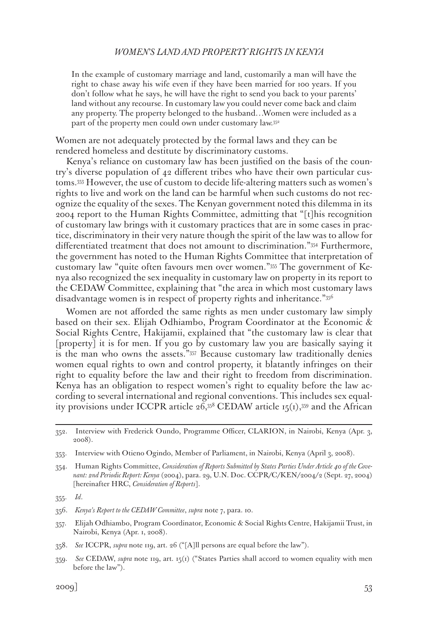In the example of customary marriage and land, customarily a man will have the right to chase away his wife even if they have been married for 100 years. If you don't follow what he says, he will have the right to send you back to your parents' land without any recourse. In customary law you could never come back and claim any property. The property belonged to the husband…Women were included as a part of the property men could own under customary law.352

Women are not adequately protected by the formal laws and they can be rendered homeless and destitute by discriminatory customs.

Kenya's reliance on customary law has been justified on the basis of the country's diverse population of 42 different tribes who have their own particular customs.353 However, the use of custom to decide life-altering matters such as women's rights to live and work on the land can be harmful when such customs do not recognize the equality of the sexes. The Kenyan government noted this dilemma in its 2004 report to the Human Rights Committee, admitting that "[t]his recognition of customary law brings with it customary practices that are in some cases in practice, discriminatory in their very nature though the spirit of the law was to allow for differentiated treatment that does not amount to discrimination."354 Furthermore, the government has noted to the Human Rights Committee that interpretation of customary law "quite often favours men over women."355 The government of Kenya also recognized the sex inequality in customary law on property in its report to the CEDAW Committee, explaining that "the area in which most customary laws disadvantage women is in respect of property rights and inheritance."356

Women are not afforded the same rights as men under customary law simply based on their sex. Elijah Odhiambo, Program Coordinator at the Economic & Social Rights Centre, Hakijamii, explained that "the customary law is clear that [property] it is for men. If you go by customary law you are basically saying it is the man who owns the assets."357 Because customary law traditionally denies women equal rights to own and control property, it blatantly infringes on their right to equality before the law and their right to freedom from discrimination. Kenya has an obligation to respect women's right to equality before the law according to several international and regional conventions. This includes sex equality provisions under ICCPR article  $26,358$  CEDAW article 15(1), 359 and the African

<sup>352.</sup> Interview with Frederick Oundo, Programme Officer, CLARION, in Nairobi, Kenya (Apr. 3, 2008).

<sup>353.</sup> Interview with Otieno Ogindo, Member of Parliament, in Nairobi, Kenya (April 3, 2008).

<sup>354.</sup> Human Rights Committee, *Consideration of Reports Submitted by States Parties Under Article 40 of the Covenant: 2nd Periodic Report: Kenya* (2004), para. 29, U.N. Doc. CCPR/C/KEN/2004/2 (Sept. 27, 2004) [hereinafter HRC, *Consideration of Reports*].

<sup>355.</sup> *Id*.

<sup>356.</sup> *Kenya's Report to the CEDAW Committee*, *supra* note 7, para. 10.

<sup>357.</sup> Elijah Odhiambo, Program Coordinator, Economic & Social Rights Centre, Hakijamii Trust, in Nairobi, Kenya (Apr. 1, 2008).

<sup>358.</sup> *See* ICCPR, *supra* note 119, art. 26 ("[A]ll persons are equal before the law").

<sup>359.</sup> *See* CEDAW, *supra* note 119, art. 15(1) ("States Parties shall accord to women equality with men before the law").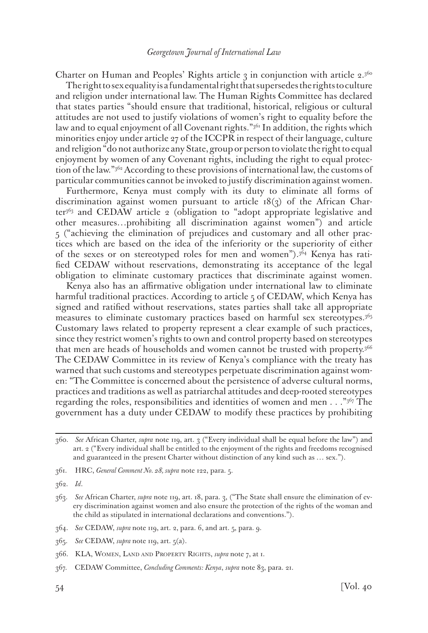Charter on Human and Peoples' Rights article  $\alpha$  in conjunction with article 2.360

The right to sex equality is a fundamental right that supersedes the rights to culture and religion under international law. The Human Rights Committee has declared that states parties "should ensure that traditional, historical, religious or cultural attitudes are not used to justify violations of women's right to equality before the law and to equal enjoyment of all Covenant rights."<sup>361</sup> In addition, the rights which minorities enjoy under article 27 of the ICCPR in respect of their language, culture and religion "do not authorize any State, group or person to violate the right to equal enjoyment by women of any Covenant rights, including the right to equal protection of the law."362 According to these provisions of international law, the customs of particular communities cannot be invoked to justify discrimination against women.

Furthermore, Kenya must comply with its duty to eliminate all forms of discrimination against women pursuant to article  $18(3)$  of the African Charter<sup>363</sup> and CEDAW article 2 (obligation to "adopt appropriate legislative and other measures…prohibiting all discrimination against women") and article 5 ("achieving the elimination of prejudices and customary and all other practices which are based on the idea of the inferiority or the superiority of either of the sexes or on stereotyped roles for men and women").364 Kenya has ratified CEDAW without reservations, demonstrating its acceptance of the legal obligation to eliminate customary practices that discriminate against women.

Kenya also has an affirmative obligation under international law to eliminate harmful traditional practices. According to article 5 of CEDAW, which Kenya has signed and ratified without reservations, states parties shall take all appropriate measures to eliminate customary practices based on harmful sex stereotypes.365 Customary laws related to property represent a clear example of such practices, since they restrict women's rights to own and control property based on stereotypes that men are heads of households and women cannot be trusted with property.<sup>366</sup> The CEDAW Committee in its review of Kenya's compliance with the treaty has warned that such customs and stereotypes perpetuate discrimination against women: "The Committee is concerned about the persistence of adverse cultural norms, practices and traditions as well as patriarchal attitudes and deep-rooted stereotypes regarding the roles, responsibilities and identities of women and men . . ."367 The government has a duty under CEDAW to modify these practices by prohibiting

<sup>360.</sup> *See* African Charter, *supra* note 119, art. 3 ("Every individual shall be equal before the law") and art. 2 ("Every individual shall be entitled to the enjoyment of the rights and freedoms recognised and guaranteed in the present Charter without distinction of any kind such as … sex.").

<sup>361.</sup> HRC, *General Comment No. 28, supra* note 122, para. 5.

<sup>362.</sup> *Id*.

<sup>363.</sup> *See* African Charter, *supra* note 119, art. 18, para. 3, ("The State shall ensure the elimination of every discrimination against women and also ensure the protection of the rights of the woman and the child as stipulated in international declarations and conventions.").

<sup>364.</sup> *See* CEDAW, *supra* note 119, art. 2, para. 6, and art. 5, para. 9.

<sup>365.</sup> *See* CEDAW, *supra* note 119, art. 5(a).

<sup>366.</sup> KLA, Women, Land and Property Rights, *supra* note 7, at 1.

<sup>367.</sup> CEDAW Committee, *Concluding Comments: Kenya*, *supra* note 83, para. 21.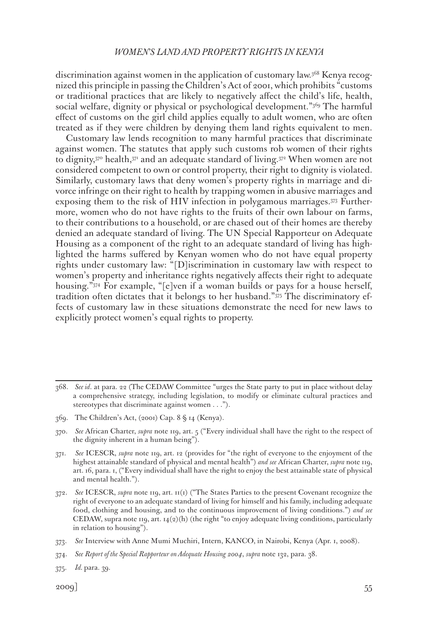discrimination against women in the application of customary law.368 Kenya recognized this principle in passing the Children's Act of 2001, which prohibits "customs or traditional practices that are likely to negatively affect the child's life, health, social welfare, dignity or physical or psychological development."369 The harmful effect of customs on the girl child applies equally to adult women, who are often treated as if they were children by denying them land rights equivalent to men.

Customary law lends recognition to many harmful practices that discriminate against women. The statutes that apply such customs rob women of their rights to dignity, $370$  health, $371$  and an adequate standard of living.  $372$  When women are not considered competent to own or control property, their right to dignity is violated. Similarly, customary laws that deny women's property rights in marriage and divorce infringe on their right to health by trapping women in abusive marriages and exposing them to the risk of HIV infection in polygamous marriages.373 Furthermore, women who do not have rights to the fruits of their own labour on farms, to their contributions to a household, or are chased out of their homes are thereby denied an adequate standard of living. The UN Special Rapporteur on Adequate Housing as a component of the right to an adequate standard of living has highlighted the harms suffered by Kenyan women who do not have equal property rights under customary law: "[D]iscrimination in customary law with respect to women's property and inheritance rights negatively affects their right to adequate housing."374 For example, "[e]ven if a woman builds or pays for a house herself, tradition often dictates that it belongs to her husband."375 The discriminatory effects of customary law in these situations demonstrate the need for new laws to explicitly protect women's equal rights to property.

<sup>368.</sup> *See id*. at para. 22 (The CEDAW Committee "urges the State party to put in place without delay a comprehensive strategy, including legislation, to modify or eliminate cultural practices and stereotypes that discriminate against women . . .").

<sup>369.</sup> The Children's Act, (2001) Cap. 8 § 14 (Kenya).

<sup>370.</sup> *See* African Charter, *supra* note 119, art. 5 ("Every individual shall have the right to the respect of the dignity inherent in a human being").

<sup>371.</sup> *See* ICESCR, *supra* note 119, art. 12 (provides for "the right of everyone to the enjoyment of the highest attainable standard of physical and mental health") *and see* African Charter, *supra* note 119, art. 16, para. 1, ("Every individual shall have the right to enjoy the best attainable state of physical and mental health.").

<sup>372.</sup> *See* ICESCR, *supra* note 119, art. 11(1) ("The States Parties to the present Covenant recognize the right of everyone to an adequate standard of living for himself and his family, including adequate food, clothing and housing, and to the continuous improvement of living conditions.") *and see* CEDAW, supra note 119, art.  $14(2)(h)$  (the right "to enjoy adequate living conditions, particularly in relation to housing").

<sup>373.</sup> *See* Interview with Anne Mumi Muchiri, Intern, KANCO, in Nairobi, Kenya (Apr. 1, 2008).

<sup>374.</sup> *See Report of the Special Rapporteur on Adequate Housing 2004*, *supra* note 132, para. 38.

<sup>375.</sup> *Id.* para. 39.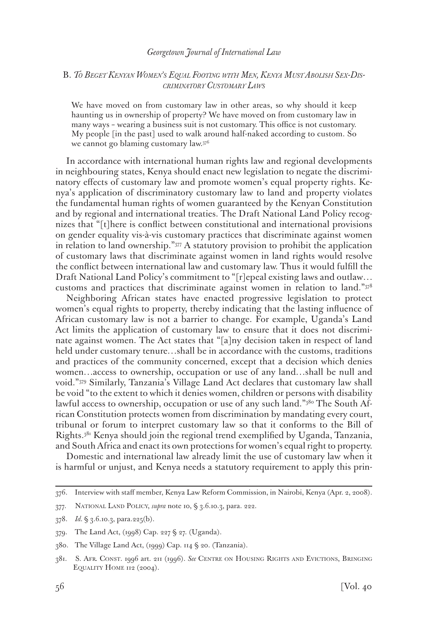### B. *To Beget Kenyan Women's Equal Footing with Men, Kenya Must Abolish Sex-Discriminatory Customary Laws*

We have moved on from customary law in other areas, so why should it keep haunting us in ownership of property? We have moved on from customary law in many ways – wearing a business suit is not customary. This office is not customary. My people [in the past] used to walk around half-naked according to custom. So we cannot go blaming customary law.<sup>376</sup>

In accordance with international human rights law and regional developments in neighbouring states, Kenya should enact new legislation to negate the discriminatory effects of customary law and promote women's equal property rights. Kenya's application of discriminatory customary law to land and property violates the fundamental human rights of women guaranteed by the Kenyan Constitution and by regional and international treaties. The Draft National Land Policy recognizes that "[t]here is conflict between constitutional and international provisions on gender equality vis-à-vis customary practices that discriminate against women in relation to land ownership."377 A statutory provision to prohibit the application of customary laws that discriminate against women in land rights would resolve the conflict between international law and customary law. Thus it would fulfill the Draft National Land Policy's commitment to "[r]epeal existing laws and outlaw… customs and practices that discriminate against women in relation to land."378

Neighboring African states have enacted progressive legislation to protect women's equal rights to property, thereby indicating that the lasting influence of African customary law is not a barrier to change. For example, Uganda's Land Act limits the application of customary law to ensure that it does not discriminate against women. The Act states that "[a]ny decision taken in respect of land held under customary tenure…shall be in accordance with the customs, traditions and practices of the community concerned, except that a decision which denies women…access to ownership, occupation or use of any land…shall be null and void."379 Similarly, Tanzania's Village Land Act declares that customary law shall be void "to the extent to which it denies women, children or persons with disability lawful access to ownership, occupation or use of any such land."<sup>380</sup> The South African Constitution protects women from discrimination by mandating every court, tribunal or forum to interpret customary law so that it conforms to the Bill of Rights.381 Kenya should join the regional trend exemplified by Uganda, Tanzania, and South Africa and enact its own protections for women's equal right to property.

Domestic and international law already limit the use of customary law when it is harmful or unjust, and Kenya needs a statutory requirement to apply this prin-

<sup>376.</sup> Interview with staff member, Kenya Law Reform Commission, in Nairobi, Kenya (Apr. 2, 2008).

<sup>377.</sup> National Land Policy, *supra* note 10, § 3.6.10.3, para. 222.

<sup>378.</sup> *Id.* § 3.6.10.3, para.225(b).

<sup>379.</sup> The Land Act, (1998) Cap. 227 § 27. (Uganda).

<sup>380.</sup> The Village Land Act, (1999) Cap. 114 § 20. (Tanzania).

<sup>381.</sup> S. Afr. Const. 1996 art. 211 (1996). *See* Centre on Housing Rights and Evictions, Bringing EQUALITY HOME 112 (2004).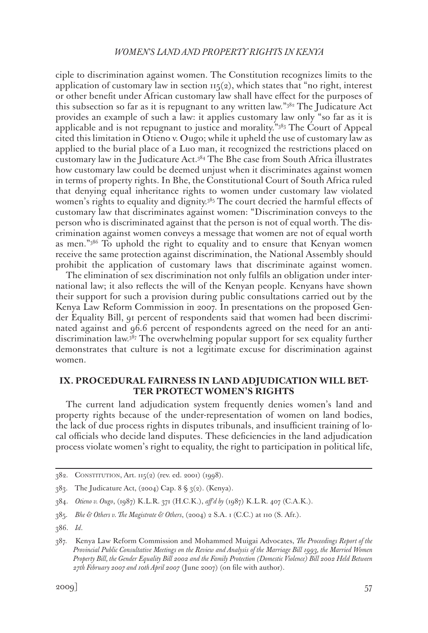ciple to discrimination against women. The Constitution recognizes limits to the application of customary law in section  $\text{II}_5(2)$ , which states that "no right, interest or other benefit under African customary law shall have effect for the purposes of this subsection so far as it is repugnant to any written law."382 The Judicature Act provides an example of such a law: it applies customary law only "so far as it is applicable and is not repugnant to justice and morality."383 The Court of Appeal cited this limitation in Otieno v. Ougo; while it upheld the use of customary law as applied to the burial place of a Luo man, it recognized the restrictions placed on customary law in the Judicature Act.384 The Bhe case from South Africa illustrates how customary law could be deemed unjust when it discriminates against women in terms of property rights. In Bhe, the Constitutional Court of South Africa ruled that denying equal inheritance rights to women under customary law violated women's rights to equality and dignity.<sup>385</sup> The court decried the harmful effects of customary law that discriminates against women: "Discrimination conveys to the person who is discriminated against that the person is not of equal worth. The discrimination against women conveys a message that women are not of equal worth as men."386 To uphold the right to equality and to ensure that Kenyan women receive the same protection against discrimination, the National Assembly should prohibit the application of customary laws that discriminate against women.

The elimination of sex discrimination not only fulfils an obligation under international law; it also reflects the will of the Kenyan people. Kenyans have shown their support for such a provision during public consultations carried out by the Kenya Law Reform Commission in 2007. In presentations on the proposed Gender Equality Bill, 91 percent of respondents said that women had been discriminated against and 96.6 percent of respondents agreed on the need for an antidiscrimination law.387 The overwhelming popular support for sex equality further demonstrates that culture is not a legitimate excuse for discrimination against women.

### **IX. PROCEDURAL FAIRNESS IN LAND ADJUDICATION WILL BET-TER PROTECT WOMEN'S RIGHTS**

The current land adjudication system frequently denies women's land and property rights because of the under-representation of women on land bodies, the lack of due process rights in disputes tribunals, and insufficient training of local officials who decide land disputes. These deficiencies in the land adjudication process violate women's right to equality, the right to participation in political life,

<sup>382.</sup> Constitution, Art. 115(2) (rev. ed. 2001) (1998).

 $383.$  The Judicature Act, (2004) Cap.  $8 \S 3(2)$ . (Kenya).

<sup>384.</sup> *Otieno v. Ougo*, (1987) K.L.R. 371 (H.C.K.), *aff'd by* (1987) K.L.R. 407 (C.A.K.).

<sup>385.</sup> *Bhe & Others v. The Magistrate & Others*, (2004) 2 S.A. 1 (C.C.) at 110 (S. Afr.).

<sup>386.</sup> *Id*.

<sup>387.</sup> Kenya Law Reform Commission and Mohammed Muigai Advocates, *The Proceedings Report of the Provincial Public Consultative Meetings on the Review and Analysis of the Marriage Bill 1993, the Married Women Property Bill, the Gender Equality Bill 2002 and the Family Protection (Domestic Violence) Bill 2002 Held Between 27th February 2007 and 10th April 2007* (June 2007) (on file with author).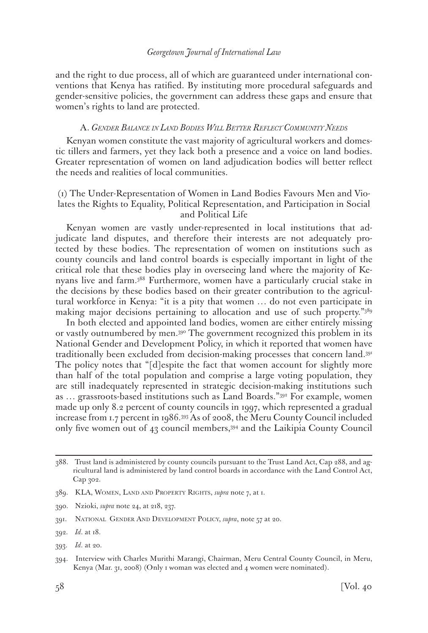and the right to due process, all of which are guaranteed under international conventions that Kenya has ratified. By instituting more procedural safeguards and gender-sensitive policies, the government can address these gaps and ensure that women's rights to land are protected.

### A. *Gender Balance in Land Bodies Will Better Reflect Community Needs*

Kenyan women constitute the vast majority of agricultural workers and domestic tillers and farmers, yet they lack both a presence and a voice on land bodies. Greater representation of women on land adjudication bodies will better reflect the needs and realities of local communities.

## (1) The Under-Representation of Women in Land Bodies Favours Men and Violates the Rights to Equality, Political Representation, and Participation in Social and Political Life

Kenyan women are vastly under-represented in local institutions that adjudicate land disputes, and therefore their interests are not adequately protected by these bodies. The representation of women on institutions such as county councils and land control boards is especially important in light of the critical role that these bodies play in overseeing land where the majority of Kenyans live and farm.388 Furthermore, women have a particularly crucial stake in the decisions by these bodies based on their greater contribution to the agricultural workforce in Kenya: "it is a pity that women … do not even participate in making major decisions pertaining to allocation and use of such property."389

In both elected and appointed land bodies, women are either entirely missing or vastly outnumbered by men.390 The government recognized this problem in its National Gender and Development Policy, in which it reported that women have traditionally been excluded from decision-making processes that concern land.391 The policy notes that "[d]espite the fact that women account for slightly more than half of the total population and comprise a large voting population, they are still inadequately represented in strategic decision-making institutions such as … grassroots-based institutions such as Land Boards."392 For example, women made up only 8.2 percent of county councils in 1997, which represented a gradual increase from 1.7 percent in 1986.393 As of 2008, the Meru County Council included only five women out of 43 council members,394 and the Laikipia County Council

<sup>388.</sup> Trust land is administered by county councils pursuant to the Trust Land Act, Cap 288, and agricultural land is administered by land control boards in accordance with the Land Control Act, Cap 302.

<sup>389.</sup> KLA, Women, Land and Property Rights, *supra* note 7, at 1.

<sup>390.</sup> Nzioki, *supra* note 24, at 218, 237.

<sup>391.</sup> National Gender And Development Policy, *supra*, note 57 at 20.

<sup>392.</sup> *Id*. at 18.

<sup>393.</sup> *Id*. at 20.

<sup>394.</sup> Interview with Charles Murithi Marangi, Chairman, Meru Central County Council, in Meru, Kenya (Mar. 31, 2008) (Only 1 woman was elected and 4 women were nominated).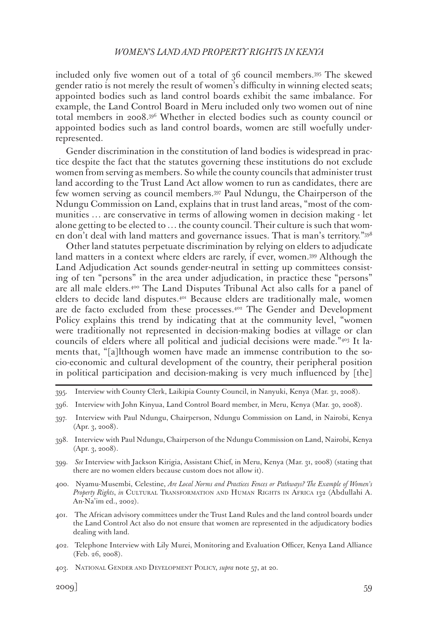included only five women out of a total of 36 council members.395 The skewed gender ratio is not merely the result of women's difficulty in winning elected seats; appointed bodies such as land control boards exhibit the same imbalance. For example, the Land Control Board in Meru included only two women out of nine total members in 2008.396 Whether in elected bodies such as county council or appointed bodies such as land control boards, women are still woefully underrepresented.

Gender discrimination in the constitution of land bodies is widespread in practice despite the fact that the statutes governing these institutions do not exclude women from serving as members. So while the county councils that administer trust land according to the Trust Land Act allow women to run as candidates, there are few women serving as council members.397 Paul Ndungu, the Chairperson of the Ndungu Commission on Land, explains that in trust land areas, "most of the communities … are conservative in terms of allowing women in decision making - let alone getting to be elected to … the county council. Their culture is such that women don't deal with land matters and governance issues. That is man's territory."398

Other land statutes perpetuate discrimination by relying on elders to adjudicate land matters in a context where elders are rarely, if ever, women.399 Although the Land Adjudication Act sounds gender-neutral in setting up committees consisting of ten "persons" in the area under adjudication, in practice these "persons" are all male elders.400 The Land Disputes Tribunal Act also calls for a panel of elders to decide land disputes.401 Because elders are traditionally male, women are de facto excluded from these processes.402 The Gender and Development Policy explains this trend by indicating that at the community level, "women were traditionally not represented in decision-making bodies at village or clan councils of elders where all political and judicial decisions were made."403 It laments that, "[a]lthough women have made an immense contribution to the socio-economic and cultural development of the country, their peripheral position in political participation and decision-making is very much influenced by [the]

- 401. The African advisory committees under the Trust Land Rules and the land control boards under the Land Control Act also do not ensure that women are represented in the adjudicatory bodies dealing with land.
- 402. Telephone Interview with Lily Murei, Monitoring and Evaluation Officer, Kenya Land Alliance (Feb. 26, 2008).

<sup>395.</sup> Interview with County Clerk, Laikipia County Council, in Nanyuki, Kenya (Mar. 31, 2008).

<sup>396.</sup> Interview with John Kinyua, Land Control Board member, in Meru, Kenya (Mar. 30, 2008).

<sup>397.</sup> Interview with Paul Ndungu, Chairperson, Ndungu Commission on Land, in Nairobi, Kenya (Apr. 3, 2008).

<sup>398.</sup> Interview with Paul Ndungu, Chairperson of the Ndungu Commission on Land, Nairobi, Kenya (Apr. 3, 2008).

<sup>399.</sup> *See* Interview with Jackson Kirigia, Assistant Chief, in Meru, Kenya (Mar. 31, 2008) (stating that there are no women elders because custom does not allow it).

<sup>400.</sup> Nyamu-Musembi, Celestine, *Are Local Norms and Practices Fences or Pathways? The Example of Women's Property Rights*, *in* Cultural Transformation and Human Rights in Africa 132 (Abdullahi A. An-Na'im ed., 2002).

<sup>403.</sup> National Gender and Development Policy, *supra* note 57, at 20.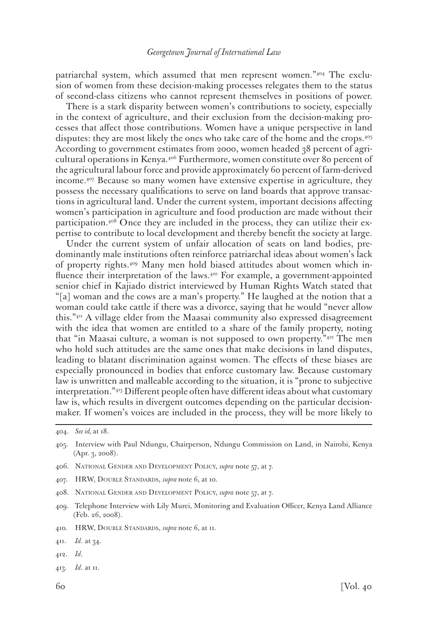patriarchal system, which assumed that men represent women."404 The exclusion of women from these decision-making processes relegates them to the status of second-class citizens who cannot represent themselves in positions of power.

There is a stark disparity between women's contributions to society, especially in the context of agriculture, and their exclusion from the decision-making processes that affect those contributions. Women have a unique perspective in land disputes: they are most likely the ones who take care of the home and the crops.405 According to government estimates from 2000, women headed 38 percent of agricultural operations in Kenya.406 Furthermore, women constitute over 80 percent of the agricultural labour force and provide approximately 60 percent of farm-derived income.407 Because so many women have extensive expertise in agriculture, they possess the necessary qualifications to serve on land boards that approve transactions in agricultural land. Under the current system, important decisions affecting women's participation in agriculture and food production are made without their participation.408 Once they are included in the process, they can utilize their expertise to contribute to local development and thereby benefit the society at large.

Under the current system of unfair allocation of seats on land bodies, predominantly male institutions often reinforce patriarchal ideas about women's lack of property rights.409 Many men hold biased attitudes about women which influence their interpretation of the laws.<sup>410</sup> For example, a government-appointed senior chief in Kajiado district interviewed by Human Rights Watch stated that "[a] woman and the cows are a man's property." He laughed at the notion that a woman could take cattle if there was a divorce, saying that he would "never allow this."411 A village elder from the Maasai community also expressed disagreement with the idea that women are entitled to a share of the family property, noting that "in Maasai culture, a woman is not supposed to own property."412 The men who hold such attitudes are the same ones that make decisions in land disputes, leading to blatant discrimination against women. The effects of these biases are especially pronounced in bodies that enforce customary law. Because customary law is unwritten and malleable according to the situation, it is "prone to subjective interpretation."413 Different people often have different ideas about what customary law is, which results in divergent outcomes depending on the particular decisionmaker. If women's voices are included in the process, they will be more likely to

- 406. National Gender and Development Policy, *supra* note 57, at 7.
- 407. HRW, Double Standards, *supra* note 6, at 10.
- 408. National Gender and Development Policy, *supra* note 57, at 7.
- 409. Telephone Interview with Lily Murei, Monitoring and Evaluation Officer, Kenya Land Alliance (Feb. 26, 2008).
- 410. HRW, Double Standards, *supra* note 6, at 11.

- 412. *Id*.
- 413. *Id*. at 11.

<sup>404.</sup> *See id,* at 18.

<sup>405.</sup> Interview with Paul Ndungu, Chairperson, Ndungu Commission on Land, in Nairobi, Kenya (Apr. 3, 2008).

<sup>411.</sup> *Id*. at 34.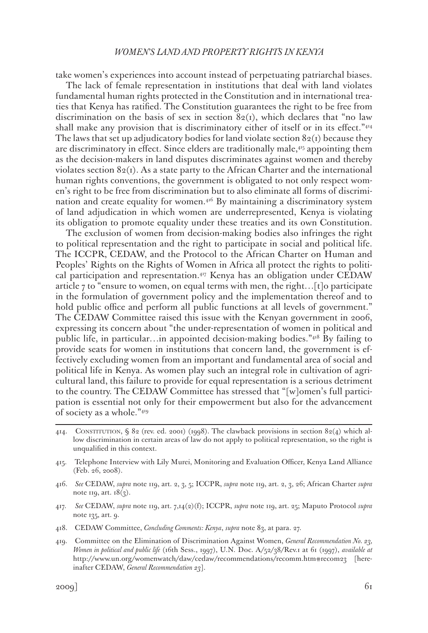take women's experiences into account instead of perpetuating patriarchal biases.

The lack of female representation in institutions that deal with land violates fundamental human rights protected in the Constitution and in international treaties that Kenya has ratified. The Constitution guarantees the right to be free from discrimination on the basis of sex in section  $82<sub>(1)</sub>$ , which declares that "no law shall make any provision that is discriminatory either of itself or in its effect."<sup>414</sup> The laws that set up adjudicatory bodies for land violate section  $82(i)$  because they are discriminatory in effect. Since elders are traditionally male,415 appointing them as the decision-makers in land disputes discriminates against women and thereby violates section  $82(i)$ . As a state party to the African Charter and the international human rights conventions, the government is obligated to not only respect women's right to be free from discrimination but to also eliminate all forms of discrimination and create equality for women. $4^{16}$  By maintaining a discriminatory system of land adjudication in which women are underrepresented, Kenya is violating its obligation to promote equality under these treaties and its own Constitution.

The exclusion of women from decision-making bodies also infringes the right to political representation and the right to participate in social and political life. The ICCPR, CEDAW, and the Protocol to the African Charter on Human and Peoples' Rights on the Rights of Women in Africa all protect the rights to political participation and representation.<sup>417</sup> Kenya has an obligation under CEDAW article 7 to "ensure to women, on equal terms with men, the right…[t]o participate in the formulation of government policy and the implementation thereof and to hold public office and perform all public functions at all levels of government." The CEDAW Committee raised this issue with the Kenyan government in 2006, expressing its concern about "the under-representation of women in political and public life, in particular…in appointed decision-making bodies. $\mathrm{a}_{418}$  By failing to provide seats for women in institutions that concern land, the government is effectively excluding women from an important and fundamental area of social and political life in Kenya. As women play such an integral role in cultivation of agricultural land, this failure to provide for equal representation is a serious detriment to the country. The CEDAW Committee has stressed that "[w]omen's full participation is essential not only for their empowerment but also for the advancement of society as a whole."419

- 414. CONSTITUTION, § 82 (rev. ed. 2001) (1998). The clawback provisions in section 82(4) which allow discrimination in certain areas of law do not apply to political representation, so the right is unqualified in this context.
- 415. Telephone Interview with Lily Murei, Monitoring and Evaluation Officer, Kenya Land Alliance (Feb. 26, 2008).
- 416. *See* CEDAW, *supra* note 119, art. 2, 3, 5; ICCPR, *supra* note 119, art. 2, 3, 26; African Charter *supra* note 119, art.  $18(3)$ .
- 417. *See* CEDAW, *supra* note 119, art. 7,14(2)(f); ICCPR, *supra* note 119, art. 25; Maputo Protocol *supra* note 135, art. 9.
- 418. CEDAW Committee, *Concluding Comments: Kenya*, *supra* note 83, at para. 27.
- 419. Committee on the Elimination of Discrimination Against Women, *General Recommendation No. 23, Women in political and public life* (16th Sess., 1997), U.N. Doc. A/52/38/Rev.1 at 61 (1997), *available at* http://www.un.org/womenwatch/daw/cedaw/recommendations/recomm.htm#recom23 [hereinafter CEDAW, *General Recommendation 23*].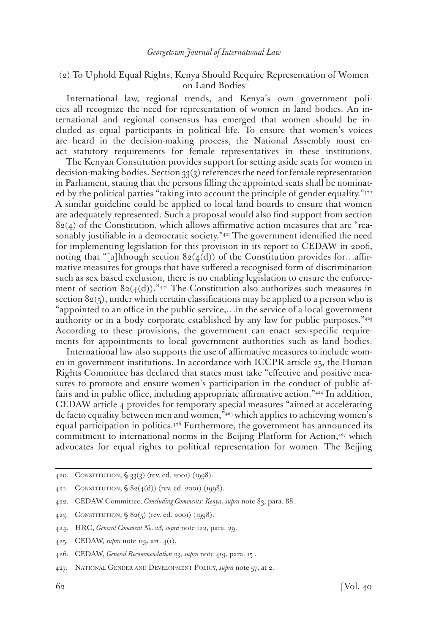## (2) To Uphold Equal Rights, Kenya Should Require Representation of Women on Land Bodies

International law, regional trends, and Kenya's own government policies all recognize the need for representation of women in land bodies. An international and regional consensus has emerged that women should be included as equal participants in political life. To ensure that women's voices are heard in the decision-making process, the National Assembly must enact statutory requirements for female representatives in these institutions.

The Kenyan Constitution provides support for setting aside seats for women in decision-making bodies. Section  $33(3)$  references the need for female representation in Parliament, stating that the persons filling the appointed seats shall be nominated by the political parties "taking into account the principle of gender equality."<sup>420</sup> A similar guideline could be applied to local land boards to ensure that women are adequately represented. Such a proposal would also find support from section  $82(4)$  of the Constitution, which allows affirmative action measures that are "reasonably justifiable in a democratic society."<sup>421</sup> The government identified the need for implementing legislation for this provision in its report to CEDAW in 2006, noting that "[a]lthough section  $82(4(d))$  of the Constitution provides for...affirmative measures for groups that have suffered a recognised form of discrimination such as sex based exclusion, there is no enabling legislation to ensure the enforcement of section  $82(4(d))$ ."<sup>422</sup> The Constitution also authorizes such measures in section  $82(5)$ , under which certain classifications may be applied to a person who is "appointed to an office in the public service,…in the service of a local government authority or in a body corporate established by any law for public purposes."423 According to these provisions, the government can enact sex-specific requirements for appointments to local government authorities such as land bodies.

International law also supports the use of affirmative measures to include women in government institutions. In accordance with ICCPR article 25, the Human Rights Committee has declared that states must take "effective and positive measures to promote and ensure women's participation in the conduct of public affairs and in public office, including appropriate affirmative action."424 In addition, CEDAW article 4 provides for temporary special measures "aimed at accelerating de facto equality between men and women,"425 which applies to achieving women's equal participation in politics.426 Furthermore, the government has announced its commitment to international norms in the Beijing Platform for Action,<sup>427</sup> which advocates for equal rights to political representation for women. The Beijing

425. CEDAW, *supra* note 119, art. 4(1).

<sup>420.</sup> Constitution, § 33(3) (rev. ed. 2001) (1998).

<sup>421.</sup> CONSTITUTION,  $\S 82(4(d))$  (rev. ed. 2001) (1998).

<sup>422.</sup> CEDAW Committee, *Concluding Comments: Kenya*, *supra* note 83, para. 88.

<sup>423.</sup> Constitution, § 82(5) (rev. ed. 2001) (1998).

<sup>424.</sup> HRC, *General Comment No. 28, supra* note 122, para. 29.

<sup>426.</sup> CEDAW, *General Recommendation 23*, *supra* note 419, para. 15 .

<sup>427.</sup> National Gender and Development Policy, *supra* note 57, at 2.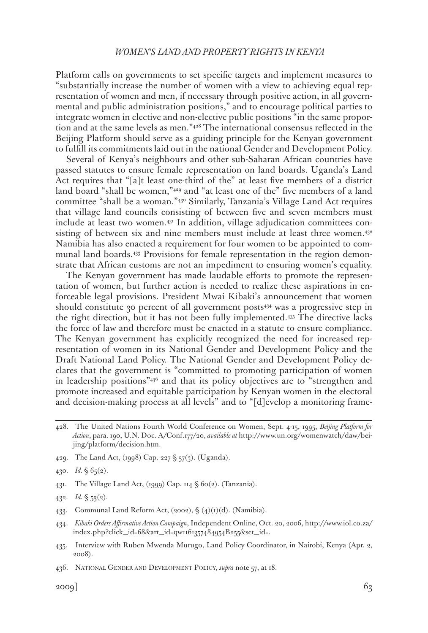Platform calls on governments to set specific targets and implement measures to "substantially increase the number of women with a view to achieving equal representation of women and men, if necessary through positive action, in all governmental and public administration positions," and to encourage political parties to integrate women in elective and non-elective public positions "in the same proportion and at the same levels as men."428 The international consensus reflected in the Beijing Platform should serve as a guiding principle for the Kenyan government to fulfill its commitments laid out in the national Gender and Development Policy.

Several of Kenya's neighbours and other sub-Saharan African countries have passed statutes to ensure female representation on land boards. Uganda's Land Act requires that "[a]t least one-third of the" at least five members of a district land board "shall be women,"429 and "at least one of the" five members of a land committee "shall be a woman."430 Similarly, Tanzania's Village Land Act requires that village land councils consisting of between five and seven members must include at least two women.431 In addition, village adjudication committees consisting of between six and nine members must include at least three women.<sup>432</sup> Namibia has also enacted a requirement for four women to be appointed to communal land boards.433 Provisions for female representation in the region demonstrate that African customs are not an impediment to ensuring women's equality.

The Kenyan government has made laudable efforts to promote the representation of women, but further action is needed to realize these aspirations in enforceable legal provisions. President Mwai Kibaki's announcement that women should constitute 30 percent of all government posts<sup>434</sup> was a progressive step in the right direction, but it has not been fully implemented.435 The directive lacks the force of law and therefore must be enacted in a statute to ensure compliance. The Kenyan government has explicitly recognized the need for increased representation of women in its National Gender and Development Policy and the Draft National Land Policy. The National Gender and Development Policy declares that the government is "committed to promoting participation of women in leadership positions"436 and that its policy objectives are to "strengthen and promote increased and equitable participation by Kenyan women in the electoral and decision-making process at all levels" and to "[d]evelop a monitoring frame-

- 429. The Land Act, (1998) Cap. 227 § 57(3). (Uganda).
- 430. *Id.* § 65(2).
- 431. The Village Land Act, (1999) Cap. 114 § 60(2). (Tanzania).
- 432. *Id.* § 53(2).
- 433. Communal Land Reform Act,  $(2002)$ ,  $\oint (4)(1)(d)$ . (Namibia).
- 434. *Kibaki Orders Affirmative Action Campaign*, Independent Online, Oct. 20, 2006, http://www.iol.co.za/ index.php?click\_id=68&art\_id=qw1161357484954B255&set\_id=.
- 435. Interview with Ruben Mwenda Murugo, Land Policy Coordinator, in Nairobi, Kenya (Apr. 2, 2008).

<sup>428.</sup> The United Nations Fourth World Conference on Women, Sept. 4-15, 1995, *Beijing Platform for Action*, para. 190, U.N. Doc. A/Conf.177/20, *available at* http://www.un.org/womenwatch/daw/beijing/platform/decision.htm.

<sup>436.</sup> National Gender and Development Policy, *supra* note 57, at 18.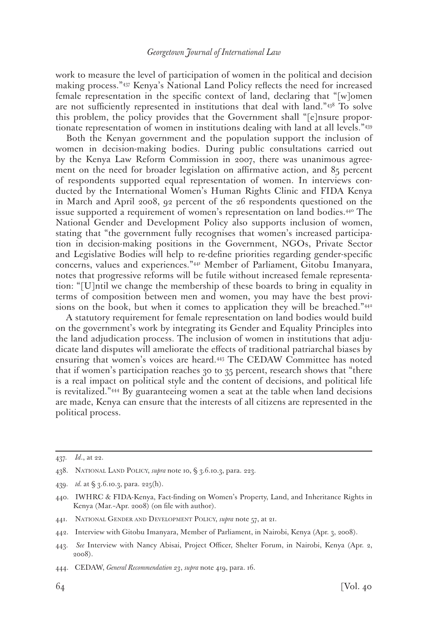work to measure the level of participation of women in the political and decision making process."437 Kenya's National Land Policy reflects the need for increased female representation in the specific context of land, declaring that "[w]omen are not sufficiently represented in institutions that deal with land."438 To solve this problem, the policy provides that the Government shall "[e]nsure proportionate representation of women in institutions dealing with land at all levels."439

Both the Kenyan government and the population support the inclusion of women in decision-making bodies. During public consultations carried out by the Kenya Law Reform Commission in 2007, there was unanimous agreement on the need for broader legislation on affirmative action, and 85 percent of respondents supported equal representation of women. In interviews conducted by the International Women's Human Rights Clinic and FIDA Kenya in March and April 2008, 92 percent of the 26 respondents questioned on the issue supported a requirement of women's representation on land bodies.440 The National Gender and Development Policy also supports inclusion of women, stating that "the government fully recognises that women's increased participation in decision-making positions in the Government, NGOs, Private Sector and Legislative Bodies will help to re-define priorities regarding gender-specific concerns, values and experiences."441 Member of Parliament, Gitobu Imanyara, notes that progressive reforms will be futile without increased female representation: "[U]ntil we change the membership of these boards to bring in equality in terms of composition between men and women, you may have the best provisions on the book, but when it comes to application they will be breached."<sup>442</sup>

A statutory requirement for female representation on land bodies would build on the government's work by integrating its Gender and Equality Principles into the land adjudication process. The inclusion of women in institutions that adjudicate land disputes will ameliorate the effects of traditional patriarchal biases by ensuring that women's voices are heard.443 The CEDAW Committee has noted that if women's participation reaches 30 to 35 percent, research shows that "there is a real impact on political style and the content of decisions, and political life is revitalized."444 By guaranteeing women a seat at the table when land decisions are made, Kenya can ensure that the interests of all citizens are represented in the political process.

<sup>437.</sup> *Id*., at 22.

<sup>438.</sup> National Land Policy, *supra* note 10, § 3.6.10.3, para. 223.

<sup>439.</sup> *id.* at § 3.6.10.3, para. 225(h).

<sup>440.</sup> IWHRC & FIDA-Kenya, Fact-finding on Women's Property, Land, and Inheritance Rights in Kenya (Mar.–Apr. 2008) (on file with author).

<sup>441.</sup> National Gender and Development Policy, *supra* note 57, at 21.

<sup>442.</sup> Interview with Gitobu Imanyara, Member of Parliament, in Nairobi, Kenya (Apr. 3, 2008).

<sup>443.</sup> *See* Interview with Nancy Abisai, Project Officer, Shelter Forum, in Nairobi, Kenya (Apr. 2, 2008).

<sup>444.</sup> CEDAW, *General Recommendation 23*, *supra* note 419, para. 16.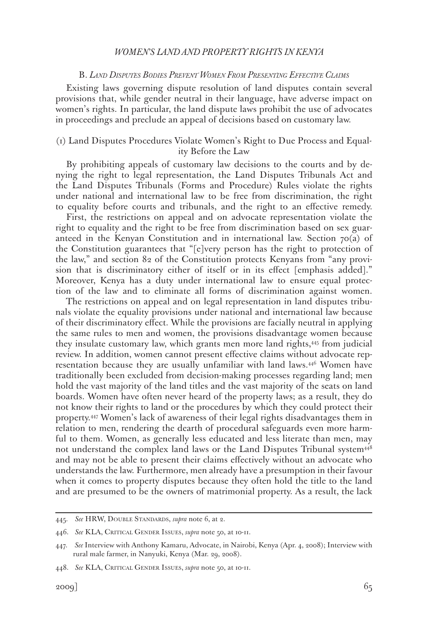#### B. *Land Disputes Bodies Prevent Women From Presenting Effective Claims*

Existing laws governing dispute resolution of land disputes contain several provisions that, while gender neutral in their language, have adverse impact on women's rights. In particular, the land dispute laws prohibit the use of advocates in proceedings and preclude an appeal of decisions based on customary law.

## (1) Land Disputes Procedures Violate Women's Right to Due Process and Equality Before the Law

By prohibiting appeals of customary law decisions to the courts and by denying the right to legal representation, the Land Disputes Tribunals Act and the Land Disputes Tribunals (Forms and Procedure) Rules violate the rights under national and international law to be free from discrimination, the right to equality before courts and tribunals, and the right to an effective remedy.

First, the restrictions on appeal and on advocate representation violate the right to equality and the right to be free from discrimination based on sex guaranteed in the Kenyan Constitution and in international law. Section  $70(a)$  of the Constitution guarantees that "[e]very person has the right to protection of the law," and section 82 of the Constitution protects Kenyans from "any provision that is discriminatory either of itself or in its effect [emphasis added]." Moreover, Kenya has a duty under international law to ensure equal protection of the law and to eliminate all forms of discrimination against women.

The restrictions on appeal and on legal representation in land disputes tribunals violate the equality provisions under national and international law because of their discriminatory effect. While the provisions are facially neutral in applying the same rules to men and women, the provisions disadvantage women because they insulate customary law, which grants men more land rights,445 from judicial review. In addition, women cannot present effective claims without advocate representation because they are usually unfamiliar with land laws.446 Women have traditionally been excluded from decision-making processes regarding land; men hold the vast majority of the land titles and the vast majority of the seats on land boards. Women have often never heard of the property laws; as a result, they do not know their rights to land or the procedures by which they could protect their property.447 Women's lack of awareness of their legal rights disadvantages them in relation to men, rendering the dearth of procedural safeguards even more harmful to them. Women, as generally less educated and less literate than men, may not understand the complex land laws or the Land Disputes Tribunal system<sup>448</sup> and may not be able to present their claims effectively without an advocate who understands the law. Furthermore, men already have a presumption in their favour when it comes to property disputes because they often hold the title to the land and are presumed to be the owners of matrimonial property. As a result, the lack

<sup>445.</sup> *See* HRW, Double Standards, *supra* note 6, at 2.

<sup>446.</sup> *See* KLA, Critical Gender Issues, *supra* note 50, at 10-11.

<sup>447.</sup> *See* Interview with Anthony Kamaru, Advocate, in Nairobi, Kenya (Apr. 4, 2008); Interview with rural male farmer, in Nanyuki, Kenya (Mar. 29, 2008).

<sup>448.</sup> *See* KLA, Critical Gender Issues, *supra* note 50, at 10-11.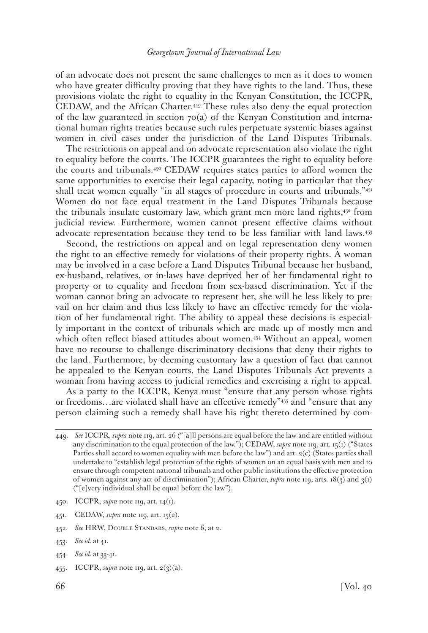of an advocate does not present the same challenges to men as it does to women who have greater difficulty proving that they have rights to the land. Thus, these provisions violate the right to equality in the Kenyan Constitution, the ICCPR, CEDAW, and the African Charter.449 These rules also deny the equal protection of the law guaranteed in section  $70(a)$  of the Kenyan Constitution and international human rights treaties because such rules perpetuate systemic biases against women in civil cases under the jurisdiction of the Land Disputes Tribunals.

The restrictions on appeal and on advocate representation also violate the right to equality before the courts. The ICCPR guarantees the right to equality before the courts and tribunals. $45^{\circ}$  CEDAW requires states parties to afford women the same opportunities to exercise their legal capacity, noting in particular that they shall treat women equally "in all stages of procedure in courts and tribunals."451 Women do not face equal treatment in the Land Disputes Tribunals because the tribunals insulate customary law, which grant men more land rights,452 from judicial review. Furthermore, women cannot present effective claims without advocate representation because they tend to be less familiar with land laws.453

Second, the restrictions on appeal and on legal representation deny women the right to an effective remedy for violations of their property rights. A woman may be involved in a case before a Land Disputes Tribunal because her husband, ex-husband, relatives, or in-laws have deprived her of her fundamental right to property or to equality and freedom from sex-based discrimination. Yet if the woman cannot bring an advocate to represent her, she will be less likely to prevail on her claim and thus less likely to have an effective remedy for the violation of her fundamental right. The ability to appeal these decisions is especially important in the context of tribunals which are made up of mostly men and which often reflect biased attitudes about women.<sup>454</sup> Without an appeal, women have no recourse to challenge discriminatory decisions that deny their rights to the land. Furthermore, by deeming customary law a question of fact that cannot be appealed to the Kenyan courts, the Land Disputes Tribunals Act prevents a woman from having access to judicial remedies and exercising a right to appeal.

As a party to the ICCPR, Kenya must "ensure that any person whose rights or freedoms…are violated shall have an effective remedy"455 and "ensure that any person claiming such a remedy shall have his right thereto determined by com-

- 450. ICCPR, *supra* note 119, art. 14(1).
- 451. CEDAW, *supra* note 119, art. 15(2).
- 452. *See* HRW, Double Standars, *supra* note 6, at 2.
- 453. *See id.* at 41.
- 454. *See id.* at 33-41.
- 455. ICCPR, *supra* note 119, art. 2(3)(a).

<sup>449.</sup> *See* ICCPR, *supra* note 119, art. 26 ("[a]ll persons are equal before the law and are entitled without any discrimination to the equal protection of the law."); CEDAW, *supra* note 119, art. 15(1) ("States Parties shall accord to women equality with men before the law") and art.  $2(c)$  (States parties shall undertake to "establish legal protection of the rights of women on an equal basis with men and to ensure through competent national tribunals and other public institutions the effective protection of women against any act of discrimination"); African Charter, *supra* note 119, arts. 18(3) and 3(1) ("[e]very individual shall be equal before the law").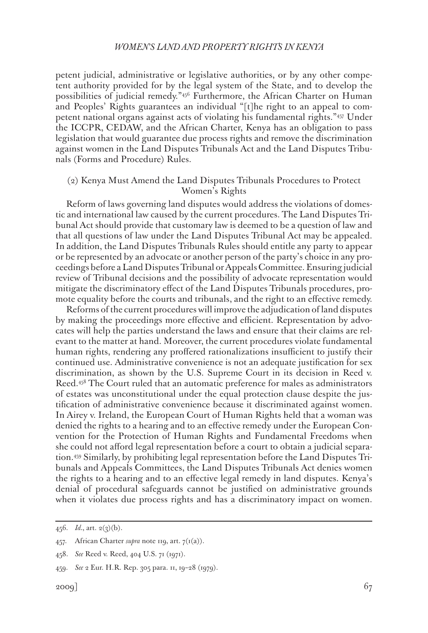petent judicial, administrative or legislative authorities, or by any other competent authority provided for by the legal system of the State, and to develop the possibilities of judicial remedy."456 Furthermore, the African Charter on Human and Peoples' Rights guarantees an individual "[t]he right to an appeal to competent national organs against acts of violating his fundamental rights."457 Under the ICCPR, CEDAW, and the African Charter, Kenya has an obligation to pass legislation that would guarantee due process rights and remove the discrimination against women in the Land Disputes Tribunals Act and the Land Disputes Tribunals (Forms and Procedure) Rules.

### (2) Kenya Must Amend the Land Disputes Tribunals Procedures to Protect Women's Rights

Reform of laws governing land disputes would address the violations of domestic and international law caused by the current procedures. The Land Disputes Tribunal Act should provide that customary law is deemed to be a question of law and that all questions of law under the Land Disputes Tribunal Act may be appealed. In addition, the Land Disputes Tribunals Rules should entitle any party to appear or be represented by an advocate or another person of the party's choice in any proceedings before a Land Disputes Tribunal or Appeals Committee. Ensuring judicial review of Tribunal decisions and the possibility of advocate representation would mitigate the discriminatory effect of the Land Disputes Tribunals procedures, promote equality before the courts and tribunals, and the right to an effective remedy.

Reforms of the current procedures will improve the adjudication of land disputes by making the proceedings more effective and efficient. Representation by advocates will help the parties understand the laws and ensure that their claims are relevant to the matter at hand. Moreover, the current procedures violate fundamental human rights, rendering any proffered rationalizations insufficient to justify their continued use. Administrative convenience is not an adequate justification for sex discrimination, as shown by the U.S. Supreme Court in its decision in Reed v. Reed.458 The Court ruled that an automatic preference for males as administrators of estates was unconstitutional under the equal protection clause despite the justification of administrative convenience because it discriminated against women. In Airey v. Ireland, the European Court of Human Rights held that a woman was denied the rights to a hearing and to an effective remedy under the European Convention for the Protection of Human Rights and Fundamental Freedoms when she could not afford legal representation before a court to obtain a judicial separation.459 Similarly, by prohibiting legal representation before the Land Disputes Tribunals and Appeals Committees, the Land Disputes Tribunals Act denies women the rights to a hearing and to an effective legal remedy in land disputes. Kenya's denial of procedural safeguards cannot be justified on administrative grounds when it violates due process rights and has a discriminatory impact on women.

<sup>456.</sup> *Id.*, art. 2(3)(b).

<sup>457.</sup> African Charter *supra* note 119, art. 7(1(a)).

<sup>458.</sup> *See* Reed v. Reed, 404 U.S. 71 (1971).

<sup>459.</sup> *See* 2 Eur. H.R. Rep. 305 para. 11, 19–28 (1979).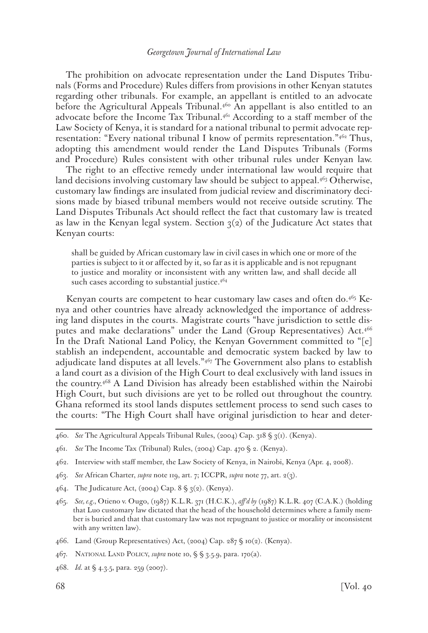The prohibition on advocate representation under the Land Disputes Tribunals (Forms and Procedure) Rules differs from provisions in other Kenyan statutes regarding other tribunals. For example, an appellant is entitled to an advocate before the Agricultural Appeals Tribunal. $4^{60}$  An appellant is also entitled to an advocate before the Income Tax Tribunal.<sup>461</sup> According to a staff member of the Law Society of Kenya, it is standard for a national tribunal to permit advocate representation: "Every national tribunal I know of permits representation."<sup>462</sup> Thus, adopting this amendment would render the Land Disputes Tribunals (Forms and Procedure) Rules consistent with other tribunal rules under Kenyan law.

The right to an effective remedy under international law would require that land decisions involving customary law should be subject to appeal.<sup>463</sup> Otherwise, customary law findings are insulated from judicial review and discriminatory decisions made by biased tribunal members would not receive outside scrutiny. The Land Disputes Tribunals Act should reflect the fact that customary law is treated as law in the Kenyan legal system. Section  $q_2$  of the Judicature Act states that Kenyan courts:

shall be guided by African customary law in civil cases in which one or more of the parties is subject to it or affected by it, so far as it is applicable and is not repugnant to justice and morality or inconsistent with any written law, and shall decide all such cases according to substantial justice.<sup>464</sup>

Kenyan courts are competent to hear customary law cases and often do.465 Kenya and other countries have already acknowledged the importance of addressing land disputes in the courts. Magistrate courts "have jurisdiction to settle disputes and make declarations" under the Land (Group Representatives) Act.466 In the Draft National Land Policy, the Kenyan Government committed to "[e] stablish an independent, accountable and democratic system backed by law to adjudicate land disputes at all levels."467 The Government also plans to establish a land court as a division of the High Court to deal exclusively with land issues in the country.468 A Land Division has already been established within the Nairobi High Court, but such divisions are yet to be rolled out throughout the country. Ghana reformed its stool lands disputes settlement process to send such cases to the courts: "The High Court shall have original jurisdiction to hear and deter-

468. *Id.* at § 4.3.5, para. 259 (2007).

<sup>460.</sup> *See* The Agricultural Appeals Tribunal Rules, (2004) Cap. 318 § 3(1). (Kenya).

<sup>461.</sup> *See* The Income Tax (Tribunal) Rules, (2004) Cap. 470 § 2. (Kenya).

<sup>462.</sup> Interview with staff member, the Law Society of Kenya, in Nairobi, Kenya (Apr. 4, 2008).

<sup>463.</sup> *See* African Charter, *supra* note 119, art. 7; ICCPR, *supra* note 77, art. 2(3).

<sup>464.</sup> The Judicature Act, (2004) Cap.  $8 \S 3(2)$ . (Kenya).

<sup>465.</sup> *See, e.g.*, Otieno v. Ougo, (1987) K.L.R. 371 (H.C.K.), *aff'd by* (1987) K.L.R. 407 (C.A.K.) (holding that Luo customary law dictated that the head of the household determines where a family member is buried and that that customary law was not repugnant to justice or morality or inconsistent with any written law).

<sup>466.</sup> Land (Group Representatives) Act, (2004) Cap. 287 § 10(2). (Kenya).

<sup>467.</sup> National Land Policy, *supra* note 10, § § 3.5.9, para. 170(a).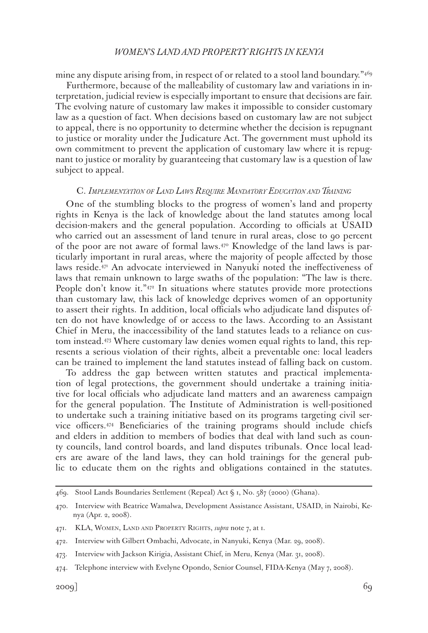mine any dispute arising from, in respect of or related to a stool land boundary.<sup>"469</sup>

Furthermore, because of the malleability of customary law and variations in interpretation, judicial review is especially important to ensure that decisions are fair. The evolving nature of customary law makes it impossible to consider customary law as a question of fact. When decisions based on customary law are not subject to appeal, there is no opportunity to determine whether the decision is repugnant to justice or morality under the Judicature Act. The government must uphold its own commitment to prevent the application of customary law where it is repugnant to justice or morality by guaranteeing that customary law is a question of law subject to appeal.

#### C. *Implementation of Land Laws Require Mandatory Education and Training*

One of the stumbling blocks to the progress of women's land and property rights in Kenya is the lack of knowledge about the land statutes among local decision-makers and the general population. According to officials at USAID who carried out an assessment of land tenure in rural areas, close to 90 percent of the poor are not aware of formal laws. $47^{\circ}$  Knowledge of the land laws is particularly important in rural areas, where the majority of people affected by those laws reside.471 An advocate interviewed in Nanyuki noted the ineffectiveness of laws that remain unknown to large swaths of the population: "The law is there. People don't know it." $472$  In situations where statutes provide more protections than customary law, this lack of knowledge deprives women of an opportunity to assert their rights. In addition, local officials who adjudicate land disputes often do not have knowledge of or access to the laws. According to an Assistant Chief in Meru, the inaccessibility of the land statutes leads to a reliance on custom instead.473 Where customary law denies women equal rights to land, this represents a serious violation of their rights, albeit a preventable one: local leaders can be trained to implement the land statutes instead of falling back on custom.

To address the gap between written statutes and practical implementation of legal protections, the government should undertake a training initiative for local officials who adjudicate land matters and an awareness campaign for the general population. The Institute of Administration is well-positioned to undertake such a training initiative based on its programs targeting civil service officers.474 Beneficiaries of the training programs should include chiefs and elders in addition to members of bodies that deal with land such as county councils, land control boards, and land disputes tribunals. Once local leaders are aware of the land laws, they can hold trainings for the general public to educate them on the rights and obligations contained in the statutes.

<sup>469.</sup> Stool Lands Boundaries Settlement (Repeal) Act § 1, No. 587 (2000) (Ghana).

<sup>470.</sup> Interview with Beatrice Wamalwa, Development Assistance Assistant, USAID, in Nairobi, Kenya (Apr. 2, 2008).

<sup>471.</sup> KLA, Women, Land and Property Rights, *supra* note 7, at 1.

<sup>472.</sup> Interview with Gilbert Ombachi, Advocate, in Nanyuki, Kenya (Mar. 29, 2008).

<sup>473.</sup> Interview with Jackson Kirigia, Assistant Chief, in Meru, Kenya (Mar. 31, 2008).

<sup>474.</sup> Telephone interview with Evelyne Opondo, Senior Counsel, FIDA-Kenya (May 7, 2008).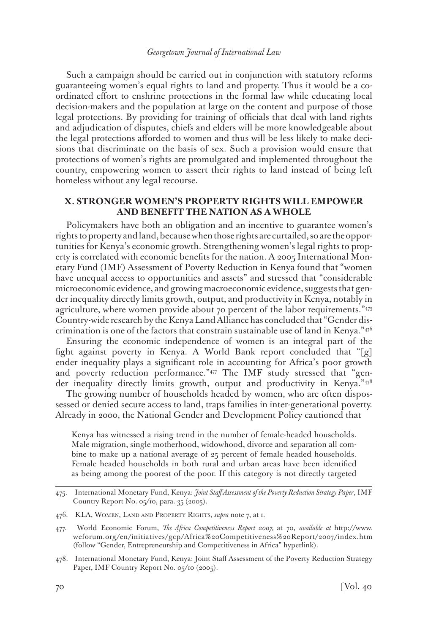Such a campaign should be carried out in conjunction with statutory reforms guaranteeing women's equal rights to land and property. Thus it would be a coordinated effort to enshrine protections in the formal law while educating local decision-makers and the population at large on the content and purpose of those legal protections. By providing for training of officials that deal with land rights and adjudication of disputes, chiefs and elders will be more knowledgeable about the legal protections afforded to women and thus will be less likely to make decisions that discriminate on the basis of sex. Such a provision would ensure that protections of women's rights are promulgated and implemented throughout the country, empowering women to assert their rights to land instead of being left homeless without any legal recourse.

# **X. STRONGER WOMEN'S PROPERTY RIGHTS WILL EMPOWER AND BENEFIT THE NATION AS A WHOLE**

Policymakers have both an obligation and an incentive to guarantee women's rights to property and land, because when those rights are curtailed, so are the opportunities for Kenya's economic growth. Strengthening women's legal rights to property is correlated with economic benefits for the nation. A 2005 International Monetary Fund (IMF) Assessment of Poverty Reduction in Kenya found that "women have unequal access to opportunities and assets" and stressed that "considerable microeconomic evidence, and growing macroeconomic evidence, suggests that gender inequality directly limits growth, output, and productivity in Kenya, notably in agriculture, where women provide about 70 percent of the labor requirements."475 Country-wide research by the Kenya Land Alliance has concluded that "Gender discrimination is one of the factors that constrain sustainable use of land in Kenya." $47^6$ 

Ensuring the economic independence of women is an integral part of the fight against poverty in Kenya. A World Bank report concluded that " $[g]$ " ender inequality plays a significant role in accounting for Africa's poor growth and poverty reduction performance."477 The IMF study stressed that "gender inequality directly limits growth, output and productivity in Kenya."478

The growing number of households headed by women, who are often dispossessed or denied secure access to land, traps families in inter-generational poverty. Already in 2000, the National Gender and Development Policy cautioned that

Kenya has witnessed a rising trend in the number of female-headed households. Male migration, single motherhood, widowhood, divorce and separation all combine to make up a national average of 25 percent of female headed households. Female headed households in both rural and urban areas have been identified as being among the poorest of the poor. If this category is not directly targeted

<sup>475.</sup> International Monetary Fund, Kenya: *Joint Staff Assessment of the Poverty Reduction Strategy Paper*, IMF Country Report No. 05/10, para. 35 (2005).

<sup>476.</sup> KLA, Women, Land and Property Rights, *supra* note 7, at 1.

<sup>477.</sup> World Economic Forum, *The Africa Competitiveness Report 2007,* at 70, *available at* http://www. weforum.org/en/initiatives/gcp/Africa%20Competitiveness%20Report/2007/index.htm (follow "Gender, Entrepreneurship and Competitiveness in Africa" hyperlink).

<sup>478.</sup> International Monetary Fund, Kenya: Joint Staff Assessment of the Poverty Reduction Strategy Paper, IMF Country Report No. 05/10 (2005).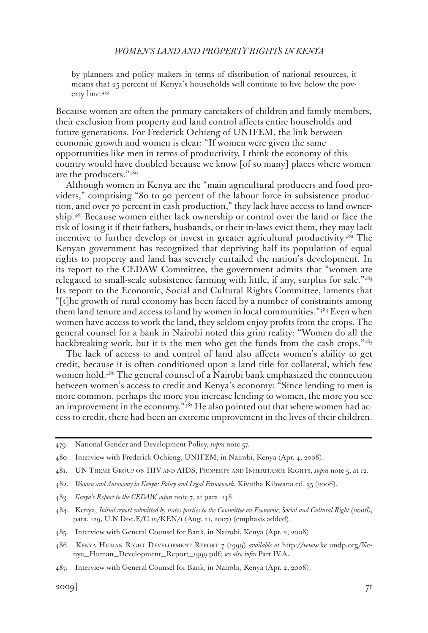by planners and policy makers in terms of distribution of national resources, it means that 25 percent of Kenya's households will continue to live below the poverty line.479

Because women are often the primary caretakers of children and family members, their exclusion from property and land control affects entire households and future generations. For Frederick Ochieng of UNIFEM, the link between economic growth and women is clear: "If women were given the same opportunities like men in terms of productivity, I think the economy of this country would have doubled because we know [of so many] places where women are the producers."480

Although women in Kenya are the "main agricultural producers and food providers," comprising "80 to 90 percent of the labour force in subsistence production, and over 70 percent in cash production," they lack have access to land ownership.481 Because women either lack ownership or control over the land or face the risk of losing it if their fathers, husbands, or their in-laws evict them, they may lack incentive to further develop or invest in greater agricultural productivity.<sup>482</sup> The Kenyan government has recognized that depriving half its population of equal rights to property and land has severely curtailed the nation's development. In its report to the CEDAW Committee, the government admits that "women are relegated to small-scale subsistence farming with little, if any, surplus for sale."483 Its report to the Economic, Social and Cultural Rights Committee, laments that "[t]he growth of rural economy has been faced by a number of constraints among them land tenure and access to land by women in local communities."484 Even when women have access to work the land, they seldom enjoy profits from the crops. The general counsel for a bank in Nairobi noted this grim reality: "Women do all the backbreaking work, but it is the men who get the funds from the cash crops."485

The lack of access to and control of land also affects women's ability to get credit, because it is often conditioned upon a land title for collateral, which few women hold.486 The general counsel of a Nairobi bank emphasized the connection between women's access to credit and Kenya's economy: "Since lending to men is more common, perhaps the more you increase lending to women, the more you see an improvement in the economy.<sup>"487</sup> He also pointed out that where women had access to credit, there had been an extreme improvement in the lives of their children.

- 482. *Women and Autonomy in Kenya: Policy and Legal Framework*, Kivutha Kibwana ed. 35 (2006).
- 483. *Kenya's Report to the CEDAW, supra* note 7, at para. 148.
- 484. Kenya, *Initial report submitted by states parties to the Committee on Economic, Social and Cultural Right (2006),*  para. 129, U.N.Doc.E/C.12/KEN/1 (Aug. 21, 2007) (emphasis added).
- 485. Interview with General Counsel for Bank, in Nairobi, Kenya (Apr. 2, 2008).
- 486. Kenya Human Right Development Report 7 (1999) *available at* http://www.ke.undp.org/Kenya\_Human\_Development\_Report\_1999.pdf; *see also infra* Part IV.A.
- 487. Interview with General Counsel for Bank, in Nairobi, Kenya (Apr. 2, 2008).

<sup>479.</sup> National Gender and Development Policy, *supra* note 57.

<sup>480.</sup> Interview with Frederick Ochieng, UNIFEM, in Nairobi, Kenya (Apr. 4, 2008).

<sup>481.</sup> UN Theme Group on HIV and AIDS, Property and Inheritance Rights, *supra* note 5, at 12.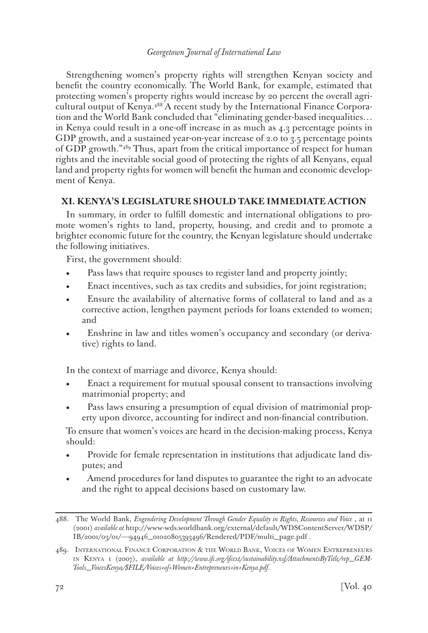Strengthening women's property rights will strengthen Kenyan society and benefit the country economically. The World Bank, for example, estimated that protecting women's property rights would increase by 20 percent the overall agricultural output of Kenya.488 A recent study by the International Finance Corporation and the World Bank concluded that "eliminating gender-based inequalities… in Kenya could result in a one-off increase in as much as 4.3 percentage points in GDP growth, and a sustained year-on-year increase of 2.0 to 3.5 percentage points of GDP growth."489 Thus, apart from the critical importance of respect for human rights and the inevitable social good of protecting the rights of all Kenyans, equal land and property rights for women will benefit the human and economic development of Kenya.

# **XI. KENYA'S LEGISLATURE SHOULD TAKE IMMEDIATE ACTION**

In summary, in order to fulfill domestic and international obligations to promote women's rights to land, property, housing, and credit and to promote a brighter economic future for the country, the Kenyan legislature should undertake the following initiatives.

First, the government should:

- Pass laws that require spouses to register land and property jointly;
- Enact incentives, such as tax credits and subsidies, for joint registration;
- Ensure the availability of alternative forms of collateral to land and as a corrective action, lengthen payment periods for loans extended to women; and
- Enshrine in law and titles women's occupancy and secondary (or derivative) rights to land.

In the context of marriage and divorce, Kenya should:

- Enact a requirement for mutual spousal consent to transactions involving matrimonial property; and
- Pass laws ensuring a presumption of equal division of matrimonial property upon divorce, accounting for indirect and non-financial contribution.

To ensure that women's voices are heard in the decision-making process, Kenya should:

- Provide for female representation in institutions that adjudicate land disputes; and
- Amend procedures for land disputes to guarantee the right to an advocate and the right to appeal decisions based on customary law.

<sup>488.</sup> The World Bank, *Engendering Development Through Gender Equality in Rights, Resources and Voice* , at 11 (2001) *available at* http://www-wds.worldbank.org/external/default/WDSContentServer/WDSP/ IB/2001/03/01/----94946\_01020805393496/Rendered/PDF/multi\_page.pdf .

<sup>489.</sup> International Finance Corporation & the World Bank, Voices of Women Entrepreneurs in Kenya 1 (2007), *available at http://www.ifc.org/ifcext/sustainability.nsf/AttachmentsByTitle/rep\_GEM-Tools\_VoicesKenya/\$FILE/Voices+of+Women+Entrepreneurs+in+Kenya.pdf*.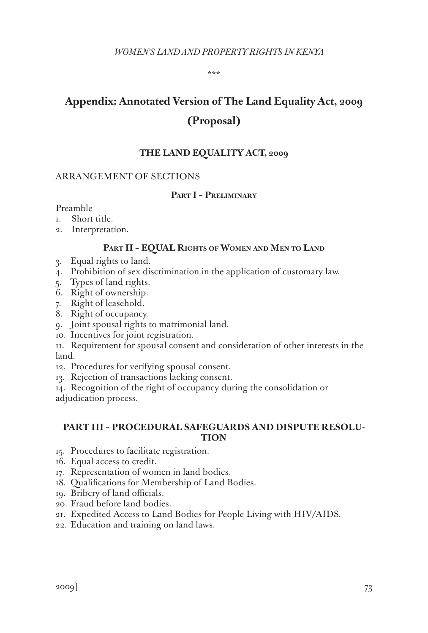\*\*\*

# **Appendix: Annotated Version of The Land Equality Act, 2009 (Proposal)**

## **THE LAND EQUALITY ACT, 2009**

#### ARRANGEMENT OF SECTIONS

## **Part I – Preliminary**

Preamble

- 1. Short title.
- 2. Interpretation.

#### **Part II – EQUAL Rights of Women and Men to Land**

- 3. Equal rights to land.
- 4. Prohibition of sex discrimination in the application of customary law.
- 5. Types of land rights.
- 6. Right of ownership.
- 7. Right of leasehold.
- 8. Right of occupancy.
- 9. Joint spousal rights to matrimonial land.
- 10. Incentives for joint registration.
- 11. Requirement for spousal consent and consideration of other interests in the land.
- 12. Procedures for verifying spousal consent.
- 13. Rejection of transactions lacking consent.

14. Recognition of the right of occupancy during the consolidation or adjudication process.

#### **PART III – PROCEDURAL SAFEGUARDS AND DISPUTE RESOLU-TION**

- 15. Procedures to facilitate registration.
- 16. Equal access to credit.
- 17. Representation of women in land bodies.
- 18. Qualifications for Membership of Land Bodies.
- 19. Bribery of land officials.
- 20. Fraud before land bodies.
- 21. Expedited Access to Land Bodies for People Living with HIV/AIDS.
- 22. Education and training on land laws.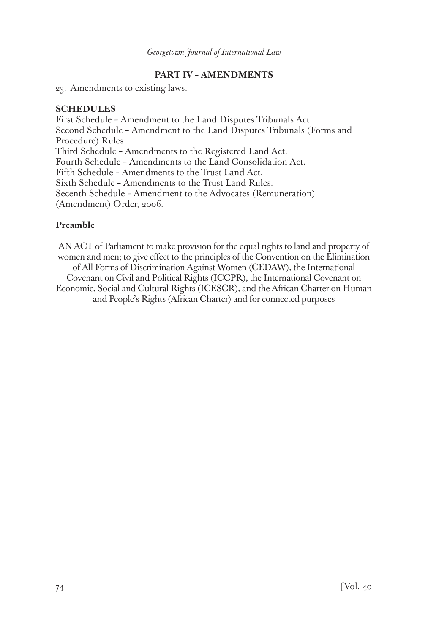# **PART IV – AMENDMENTS**

23. Amendments to existing laws.

# **SCHEDULES**

First Schedule – Amendment to the Land Disputes Tribunals Act. Second Schedule – Amendment to the Land Disputes Tribunals (Forms and Procedure) Rules. Third Schedule – Amendments to the Registered Land Act. Fourth Schedule – Amendments to the Land Consolidation Act. Fifth Schedule – Amendments to the Trust Land Act. Sixth Schedule – Amendments to the Trust Land Rules. Secenth Schedule – Amendment to the Advocates (Remuneration) (Amendment) Order, 2006.

# **Preamble**

AN ACT of Parliament to make provision for the equal rights to land and property of women and men; to give effect to the principles of the Convention on the Elimination of All Forms of Discrimination Against Women (CEDAW), the International Covenant on Civil and Political Rights (ICCPR), the International Covenant on Economic, Social and Cultural Rights (ICESCR), and the African Charter on Human and People's Rights (African Charter) and for connected purposes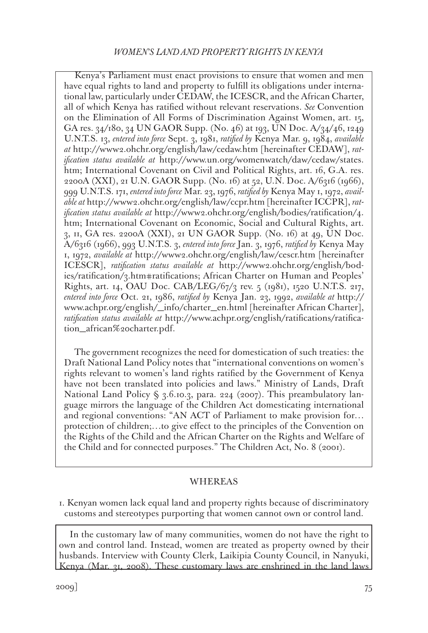Kenya's Parliament must enact provisions to ensure that women and men have equal rights to land and property to fulfill its obligations under international law, particularly under CEDAW, the ICESCR, and the African Charter, all of which Kenya has ratified without relevant reservations. *See* Convention on the Elimination of All Forms of Discrimination Against Women, art. 15, GA res. 34/180, 34 UN GAOR Supp. (No. 46) at 193, UN Doc. A/34/46, 1249 U.N.T.S. 13, *entered into force* Sept. 3, 1981, *ratified by* Kenya Mar. 9, 1984, *available at* http://www2.ohchr.org/english/law/cedaw.htm [hereinafter CEDAW], *ratification status available at* http://www.un.org/womenwatch/daw/cedaw/states. htm; International Covenant on Civil and Political Rights, art. 16, G.A. res. 2200A (XXI), 21 U.N. GAOR Supp. (No. 16) at 52, U.N. Doc. A/6316 (1966), 999 U.N.T.S. 171, *entered into force* Mar. 23, 1976, *ratified by* Kenya May 1, 1972, *available at* http://www2.ohchr.org/english/law/ccpr.htm [hereinafter ICCPR], *ratification status available at* http://www2.ohchr.org/english/bodies/ratification/4. htm; International Covenant on Economic, Social and Cultural Rights, art. 3, 11, GA res. 2200A (XXI), 21 UN GAOR Supp. (No. 16) at 49, UN Doc. A/6316 (1966), 993 U.N.T.S. 3, *entered into force* Jan. 3, 1976, *ratified by* Kenya May 1, 1972, *available at* http://www2.ohchr.org/english/law/cescr.htm [hereinafter ICESCR], *ratification status available at* http://www2.ohchr.org/english/bodies/ratification/3.htm#ratifications; African Charter on Human and Peoples' Rights, art. 14, OAU Doc. CAB/LEG/67/3 rev. 5 (1981), 1520 U.N.T.S. 217, *entered into force* Oct. 21, 1986, *ratified by* Kenya Jan. 23, 1992, *available at* http:// www.achpr.org/english/\_info/charter\_en.html [hereinafter African Charter], *ratification status available at* http://www.achpr.org/english/ratifications/ratification\_african%20charter.pdf.

The government recognizes the need for domestication of such treaties: the Draft National Land Policy notes that "international conventions on women's rights relevant to women's land rights ratified by the Government of Kenya have not been translated into policies and laws." Ministry of Lands, Draft National Land Policy § 3.6.10.3, para. 224 (2007). This preambulatory language mirrors the language of the Children Act domesticating international and regional conventions: "AN ACT of Parliament to make provision for… protection of children;…to give effect to the principles of the Convention on the Rights of the Child and the African Charter on the Rights and Welfare of the Child and for connected purposes." The Children Act, No. 8 (2001).

## WHEREAS

1. Kenyan women lack equal land and property rights because of discriminatory customs and stereotypes purporting that women cannot own or control land.

In the customary law of many communities, women do not have the right to own and control land. Instead, women are treated as property owned by their husbands. Interview with County Clerk, Laikipia County Council, in Nanyuki, Kenya (Mar. 31, 2008). These customary laws are enshrined in the land laws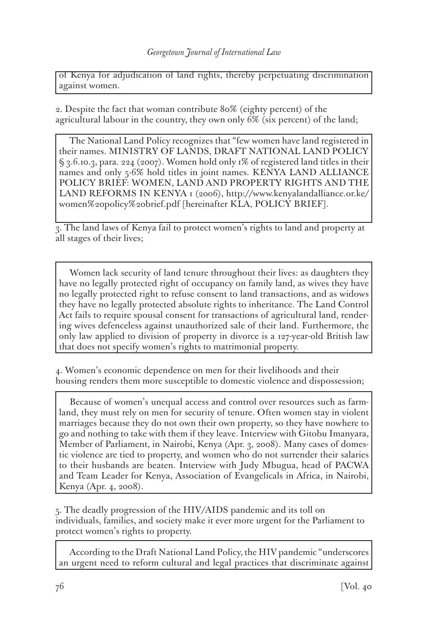of Kenya for adjudication of land rights, thereby perpetuating discrimination against women.

2. Despite the fact that woman contribute 80% (eighty percent) of the agricultural labour in the country, they own only 6% (six percent) of the land;

The National Land Policy recognizes that "few women have land registered in their names. MINISTRY OF LANDS, DRAFT NATIONAL LAND POLICY § 3.6.10.3, para. 224 (2007). Women hold only 1% of registered land titles in their names and only 5-6% hold titles in joint names. KENYA LAND ALLIANCE POLICY BRIEF: WOMEN, LAND AND PROPERTY RIGHTS AND THE LAND REFORMS IN KENYA 1 (2006), http://www.kenyalandalliance.or.ke/ women%20policy%20brief.pdf [hereinafter KLA, POLICY BRIEF].

3. The land laws of Kenya fail to protect women's rights to land and property at all stages of their lives;

Women lack security of land tenure throughout their lives: as daughters they have no legally protected right of occupancy on family land, as wives they have no legally protected right to refuse consent to land transactions, and as widows they have no legally protected absolute rights to inheritance. The Land Control Act fails to require spousal consent for transactions of agricultural land, rendering wives defenceless against unauthorized sale of their land. Furthermore, the only law applied to division of property in divorce is a 127-year-old British law that does not specify women's rights to matrimonial property.

4. Women's economic dependence on men for their livelihoods and their housing renders them more susceptible to domestic violence and dispossession;

Because of women's unequal access and control over resources such as farmland, they must rely on men for security of tenure. Often women stay in violent marriages because they do not own their own property, so they have nowhere to go and nothing to take with them if they leave. Interview with Gitobu Imanyara, Member of Parliament, in Nairobi, Kenya (Apr. 3, 2008). Many cases of domestic violence are tied to property, and women who do not surrender their salaries to their husbands are beaten. Interview with Judy Mbugua, head of PACWA and Team Leader for Kenya, Association of Evangelicals in Africa, in Nairobi, Kenya (Apr. 4, 2008).

5. The deadly progression of the HIV/AIDS pandemic and its toll on individuals, families, and society make it ever more urgent for the Parliament to protect women's rights to property.

According to the Draft National Land Policy, the HIV pandemic "underscores an urgent need to reform cultural and legal practices that discriminate against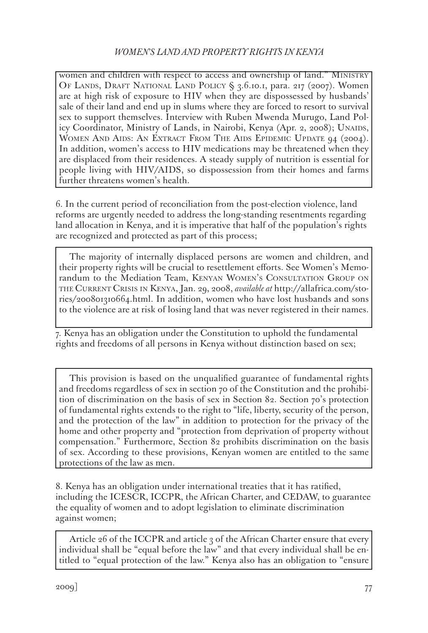women and children with respect to access and ownership of land." MINISTRY OF LANDS, DRAFT NATIONAL LAND POLICY  $\frac{6}{3}$ , 3.6.10.1, para. 217 (2007). Women are at high risk of exposure to HIV when they are dispossessed by husbands' sale of their land and end up in slums where they are forced to resort to survival sex to support themselves. Interview with Ruben Mwenda Murugo, Land Policy Coordinator, Ministry of Lands, in Nairobi, Kenya (Apr. 2, 2008); UNAIDS, WOMEN AND AIDS: AN EXTRACT FROM THE AIDS EPIDEMIC UPDATE 94 (2004). In addition, women's access to HIV medications may be threatened when they are displaced from their residences. A steady supply of nutrition is essential for people living with HIV/AIDS, so dispossession from their homes and farms further threatens women's health.

6. In the current period of reconciliation from the post-election violence, land reforms are urgently needed to address the long-standing resentments regarding land allocation in Kenya, and it is imperative that half of the population's rights are recognized and protected as part of this process;

The majority of internally displaced persons are women and children, and their property rights will be crucial to resettlement efforts. See Women's Memorandum to the Mediation Team, Kenyan Women's Consultation Group on the Current Crisis in Kenya, Jan. 29, 2008, *available at* http://allafrica.com/stories/200801310664.html. In addition, women who have lost husbands and sons to the violence are at risk of losing land that was never registered in their names.

7. Kenya has an obligation under the Constitution to uphold the fundamental rights and freedoms of all persons in Kenya without distinction based on sex;

This provision is based on the unqualified guarantee of fundamental rights and freedoms regardless of sex in section 70 of the Constitution and the prohibition of discrimination on the basis of sex in Section 82. Section 70's protection of fundamental rights extends to the right to "life, liberty, security of the person, and the protection of the law" in addition to protection for the privacy of the home and other property and "protection from deprivation of property without compensation." Furthermore, Section 82 prohibits discrimination on the basis of sex. According to these provisions, Kenyan women are entitled to the same protections of the law as men.

8. Kenya has an obligation under international treaties that it has ratified, including the ICESCR, ICCPR, the African Charter, and CEDAW, to guarantee the equality of women and to adopt legislation to eliminate discrimination against women;

Article 26 of the ICCPR and article 3 of the African Charter ensure that every individual shall be "equal before the law" and that every individual shall be entitled to "equal protection of the law." Kenya also has an obligation to "ensure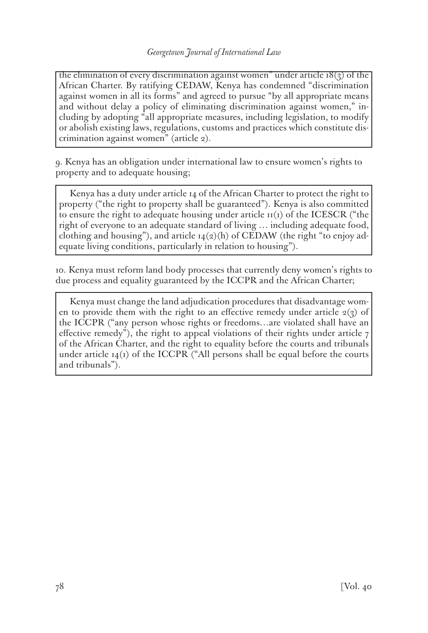the elimination of every discrimination against women" under article  $18(3)$  of the African Charter. By ratifying CEDAW, Kenya has condemned "discrimination against women in all its forms" and agreed to pursue "by all appropriate means and without delay a policy of eliminating discrimination against women," including by adopting "all appropriate measures, including legislation, to modify or abolish existing laws, regulations, customs and practices which constitute discrimination against women" (article 2).

9. Kenya has an obligation under international law to ensure women's rights to property and to adequate housing;

Kenya has a duty under article 14 of the African Charter to protect the right to property ("the right to property shall be guaranteed"). Kenya is also committed to ensure the right to adequate housing under article  $I(I)$  of the ICESCR ("the right of everyone to an adequate standard of living … including adequate food, clothing and housing"), and article  $14(2)(h)$  of CEDAW (the right "to enjoy adequate living conditions, particularly in relation to housing").

10. Kenya must reform land body processes that currently deny women's rights to due process and equality guaranteed by the ICCPR and the African Charter;

Kenya must change the land adjudication procedures that disadvantage women to provide them with the right to an effective remedy under article  $2(3)$  of the ICCPR ("any person whose rights or freedoms…are violated shall have an effective remedy"), the right to appeal violations of their rights under article  $7$ of the African Charter, and the right to equality before the courts and tribunals under article  $14(1)$  of the ICCPR ("All persons shall be equal before the courts and tribunals").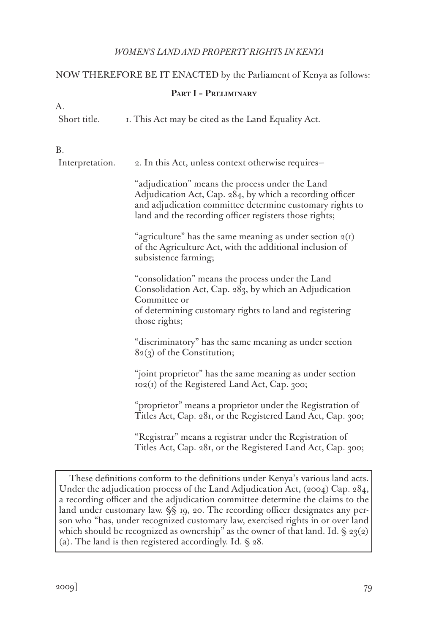# NOW THEREFORE BE IT ENACTED by the Parliament of Kenya as follows:

# **Part I – Preliminary**

| А.              |                                                                                                                                                                                                                                   |  |  |
|-----------------|-----------------------------------------------------------------------------------------------------------------------------------------------------------------------------------------------------------------------------------|--|--|
| Short title.    | I. This Act may be cited as the Land Equality Act.                                                                                                                                                                                |  |  |
| <b>B.</b>       |                                                                                                                                                                                                                                   |  |  |
| Interpretation. | 2. In this Act, unless context otherwise requires-                                                                                                                                                                                |  |  |
|                 | "adjudication" means the process under the Land<br>Adjudication Act, Cap. 284, by which a recording officer<br>and adjudication committee determine customary rights to<br>land and the recording officer registers those rights; |  |  |
|                 | "agriculture" has the same meaning as under section $2(I)$<br>of the Agriculture Act, with the additional inclusion of<br>subsistence farming;                                                                                    |  |  |
|                 | "consolidation" means the process under the Land<br>Consolidation Act, Cap. 283, by which an Adjudication<br>Committee or<br>of determining customary rights to land and registering<br>those rights;                             |  |  |
|                 | "discriminatory" has the same meaning as under section<br>$82(3)$ of the Constitution;                                                                                                                                            |  |  |
|                 | "joint proprietor" has the same meaning as under section<br>102(1) of the Registered Land Act, Cap. 300;                                                                                                                          |  |  |
|                 | "proprietor" means a proprietor under the Registration of<br>Titles Act, Cap. 281, or the Registered Land Act, Cap. 300;                                                                                                          |  |  |
|                 | "Registrar" means a registrar under the Registration of<br>Titles Act, Cap. 281, or the Registered Land Act, Cap. 300;                                                                                                            |  |  |

These definitions conform to the definitions under Kenya's various land acts. Under the adjudication process of the Land Adjudication Act, (2004) Cap. 284, a recording officer and the adjudication committee determine the claims to the land under customary law. §§ 19, 20. The recording officer designates any person who "has, under recognized customary law, exercised rights in or over land which should be recognized as ownership" as the owner of that land. Id.  $\S$  23(2) (a). The land is then registered accordingly. Id. § 28.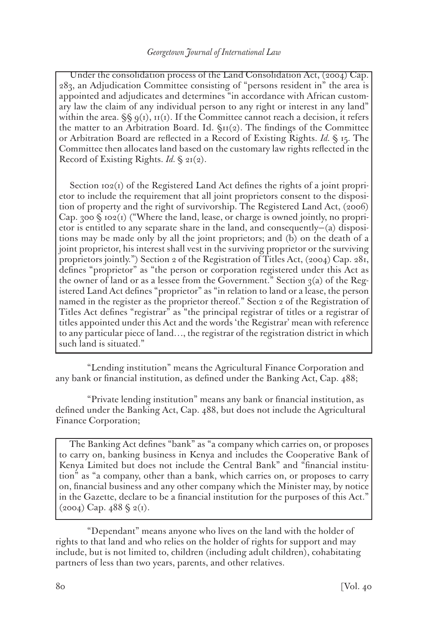Under the consolidation process of the Land Consolidation Act, (2004) Cap. 283, an Adjudication Committee consisting of "persons resident in" the area is appointed and adjudicates and determines "in accordance with African customary law the claim of any individual person to any right or interest in any land" within the area.  $\S \S$   $q(t)$ ,  $r(t)$ . If the Committee cannot reach a decision, it refers the matter to an Arbitration Board. Id.  $\zeta_{II}(2)$ . The findings of the Committee or Arbitration Board are reflected in a Record of Existing Rights. *Id.* § 15. The Committee then allocates land based on the customary law rights reflected in the Record of Existing Rights. *Id.* § 21(2).

Section  $102(i)$  of the Registered Land Act defines the rights of a joint proprietor to include the requirement that all joint proprietors consent to the disposition of property and the right of survivorship. The Registered Land Act, (2006) Cap. 300  $\Im$  102(1) ("Where the land, lease, or charge is owned jointly, no proprietor is entitled to any separate share in the land, and consequently—(a) dispositions may be made only by all the joint proprietors; and (b) on the death of a joint proprietor, his interest shall vest in the surviving proprietor or the surviving proprietors jointly.") Section 2 of the Registration of Titles Act, (2004) Cap. 281, defines "proprietor" as "the person or corporation registered under this Act as the owner of land or as a lessee from the Government." Section  $3(a)$  of the Registered Land Act defines "proprietor" as "in relation to land or a lease, the person named in the register as the proprietor thereof." Section 2 of the Registration of Titles Act defines "registrar" as "the principal registrar of titles or a registrar of titles appointed under this Act and the words 'the Registrar' mean with reference to any particular piece of land…, the registrar of the registration district in which such land is situated."

"Lending institution" means the Agricultural Finance Corporation and any bank or financial institution, as defined under the Banking Act, Cap. 488;

"Private lending institution" means any bank or financial institution, as defined under the Banking Act, Cap. 488, but does not include the Agricultural Finance Corporation;

The Banking Act defines "bank" as "a company which carries on, or proposes to carry on, banking business in Kenya and includes the Cooperative Bank of Kenya Limited but does not include the Central Bank" and "financial institution" as "a company, other than a bank, which carries on, or proposes to carry on, financial business and any other company which the Minister may, by notice in the Gazette, declare to be a financial institution for the purposes of this Act."  $(2004)$  Cap.  $488 \text{ }\frac{\text{}}{2}$  (1).

"Dependant" means anyone who lives on the land with the holder of rights to that land and who relies on the holder of rights for support and may include, but is not limited to, children (including adult children), cohabitating partners of less than two years, parents, and other relatives.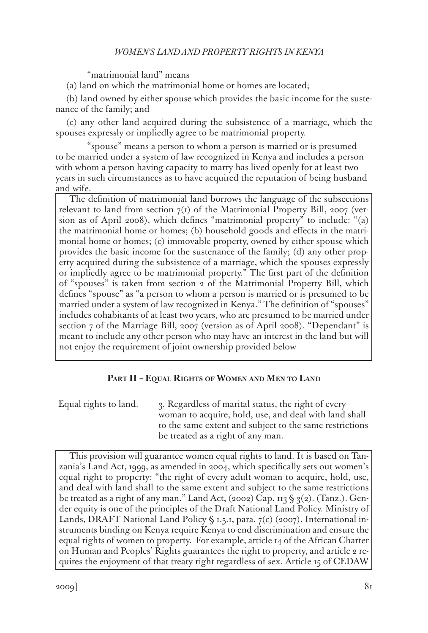"matrimonial land" means

(a) land on which the matrimonial home or homes are located;

(b) land owned by either spouse which provides the basic income for the sustenance of the family; and

(c) any other land acquired during the subsistence of a marriage, which the spouses expressly or impliedly agree to be matrimonial property.

"spouse" means a person to whom a person is married or is presumed to be married under a system of law recognized in Kenya and includes a person with whom a person having capacity to marry has lived openly for at least two years in such circumstances as to have acquired the reputation of being husband and wife.

The definition of matrimonial land borrows the language of the subsections relevant to land from section  $7<sub>(1)</sub>$  of the Matrimonial Property Bill, 2007 (version as of April 2008), which defines "matrimonial property" to include: "(a) the matrimonial home or homes; (b) household goods and effects in the matrimonial home or homes; (c) immovable property, owned by either spouse which provides the basic income for the sustenance of the family; (d) any other property acquired during the subsistence of a marriage, which the spouses expressly or impliedly agree to be matrimonial property." The first part of the definition of "spouses" is taken from section 2 of the Matrimonial Property Bill, which defines "spouse" as "a person to whom a person is married or is presumed to be married under a system of law recognized in Kenya." The definition of "spouses" includes cohabitants of at least two years, who are presumed to be married under section 7 of the Marriage Bill, 2007 (version as of April 2008). "Dependant" is meant to include any other person who may have an interest in the land but will not enjoy the requirement of joint ownership provided below

## **Part II – Equal Rights of Women and Men to Land**

Equal rights to land.  $\alpha$  3. Regardless of marital status, the right of every woman to acquire, hold, use, and deal with land shall to the same extent and subject to the same restrictions be treated as a right of any man.

This provision will guarantee women equal rights to land. It is based on Tanzania's Land Act, 1999, as amended in 2004, which specifically sets out women's equal right to property: "the right of every adult woman to acquire, hold, use, and deal with land shall to the same extent and subject to the same restrictions be treated as a right of any man." Land Act,  $(2002)$  Cap. 113 § 3(2). (Tanz.). Gender equity is one of the principles of the Draft National Land Policy. Ministry of Lands, DRAFT National Land Policy  $\S$  1.5.1, para.  $7(c)$  (2007). International instruments binding on Kenya require Kenya to end discrimination and ensure the equal rights of women to property. For example, article 14 of the African Charter on Human and Peoples' Rights guarantees the right to property, and article 2 requires the enjoyment of that treaty right regardless of sex. Article 15 of CEDAW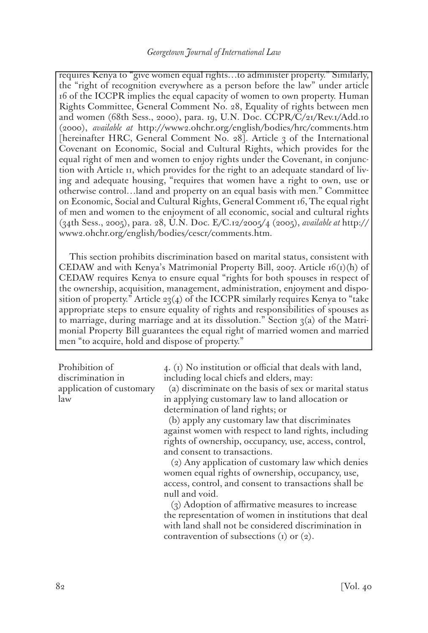requires Kenya to "give women equal rights…to administer property." Similarly, the "right of recognition everywhere as a person before the law" under article 16 of the ICCPR implies the equal capacity of women to own property. Human Rights Committee, General Comment No. 28, Equality of rights between men and women (68th Sess., 2000), para. 19, U.N. Doc. CCPR/C/21/Rev.1/Add.10 (2000), *available at* http://www2.ohchr.org/english/bodies/hrc/comments.htm [hereinafter HRC, General Comment No. 28]. Article 3 of the International Covenant on Economic, Social and Cultural Rights, which provides for the equal right of men and women to enjoy rights under the Covenant, in conjunction with Article 11, which provides for the right to an adequate standard of living and adequate housing, "requires that women have a right to own, use or otherwise control…land and property on an equal basis with men." Committee on Economic, Social and Cultural Rights, General Comment 16, The equal right of men and women to the enjoyment of all economic, social and cultural rights (34th Sess., 2005), para. 28, U.N. Doc. E/C.12/2005/4 (2005), *available at* http:// www2.ohchr.org/english/bodies/cescr/comments.htm.

This section prohibits discrimination based on marital status, consistent with CEDAW and with Kenya's Matrimonial Property Bill, 2007. Article  $16(i)(h)$  of CEDAW requires Kenya to ensure equal "rights for both spouses in respect of the ownership, acquisition, management, administration, enjoyment and disposition of property." Article  $23(4)$  of the ICCPR similarly requires Kenya to "take appropriate steps to ensure equality of rights and responsibilities of spouses as to marriage, during marriage and at its dissolution." Section  $3(a)$  of the Matrimonial Property Bill guarantees the equal right of married women and married men "to acquire, hold and dispose of property."

Prohibition of discrimination in application of customary law

4. (1) No institution or official that deals with land, including local chiefs and elders, may:

 (a) discriminate on the basis of sex or marital status in applying customary law to land allocation or determination of land rights; or

 (b) apply any customary law that discriminates against women with respect to land rights, including rights of ownership, occupancy, use, access, control, and consent to transactions.

 (2) Any application of customary law which denies women equal rights of ownership, occupancy, use, access, control, and consent to transactions shall be null and void.

 (3) Adoption of affirmative measures to increase the representation of women in institutions that deal with land shall not be considered discrimination in contravention of subsections (1) or (2).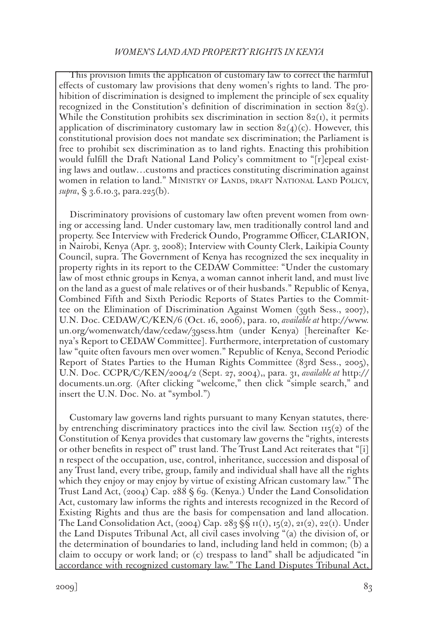This provision limits the application of customary law to correct the harmful effects of customary law provisions that deny women's rights to land. The prohibition of discrimination is designed to implement the principle of sex equality recognized in the Constitution's definition of discrimination in section  $82(3)$ . While the Constitution prohibits sex discrimination in section  $82<sub>(1)</sub>$ , it permits application of discriminatory customary law in section  $82(4)(c)$ . However, this constitutional provision does not mandate sex discrimination; the Parliament is free to prohibit sex discrimination as to land rights. Enacting this prohibition would fulfill the Draft National Land Policy's commitment to "[r]epeal existing laws and outlaw…customs and practices constituting discrimination against women in relation to land." MINISTRY OF LANDS, DRAFT NATIONAL LAND POLICY, *supra*, § 3.6.10.3, para.225(b).

Discriminatory provisions of customary law often prevent women from owning or accessing land. Under customary law, men traditionally control land and property. See Interview with Frederick Oundo, Programme Officer, CLARION, in Nairobi, Kenya (Apr. 3, 2008); Interview with County Clerk, Laikipia County Council, supra. The Government of Kenya has recognized the sex inequality in property rights in its report to the CEDAW Committee: "Under the customary law of most ethnic groups in Kenya, a woman cannot inherit land, and must live on the land as a guest of male relatives or of their husbands." Republic of Kenya, Combined Fifth and Sixth Periodic Reports of States Parties to the Committee on the Elimination of Discrimination Against Women (39th Sess., 2007), U.N. Doc. CEDAW/C/KEN/6 (Oct. 16, 2006), para. 10, *available at* http://www. un.org/womenwatch/daw/cedaw/39sess.htm (under Kenya) [hereinafter Kenya's Report to CEDAW Committee]. Furthermore, interpretation of customary law "quite often favours men over women." Republic of Kenya, Second Periodic Report of States Parties to the Human Rights Committee (83rd Sess., 2005), U.N. Doc. CCPR/C/KEN/2004/2 (Sept. 27, 2004),, para. 31, *available at* http:// documents.un.org. (After clicking "welcome," then click "simple search," and insert the U.N. Doc. No. at "symbol.")

Customary law governs land rights pursuant to many Kenyan statutes, thereby entrenching discriminatory practices into the civil law. Section  $\text{II}_5(\text{2})$  of the Constitution of Kenya provides that customary law governs the "rights, interests or other benefits in respect of" trust land. The Trust Land Act reiterates that "[i] n respect of the occupation, use, control, inheritance, succession and disposal of any Trust land, every tribe, group, family and individual shall have all the rights which they enjoy or may enjoy by virtue of existing African customary law." The Trust Land Act, (2004) Cap. 288 § 69. (Kenya.) Under the Land Consolidation Act, customary law informs the rights and interests recognized in the Record of Existing Rights and thus are the basis for compensation and land allocation. The Land Consolidation Act, (2004) Cap. 283  $\$  S \pi(r), \pi(2), \pi(2), \pi(2), \pi(1). Under the Land Disputes Tribunal Act, all civil cases involving "(a) the division of, or the determination of boundaries to land, including land held in common; (b) a claim to occupy or work land; or (c) trespass to land" shall be adjudicated "in accordance with recognized customary law." The Land Disputes Tribunal Act,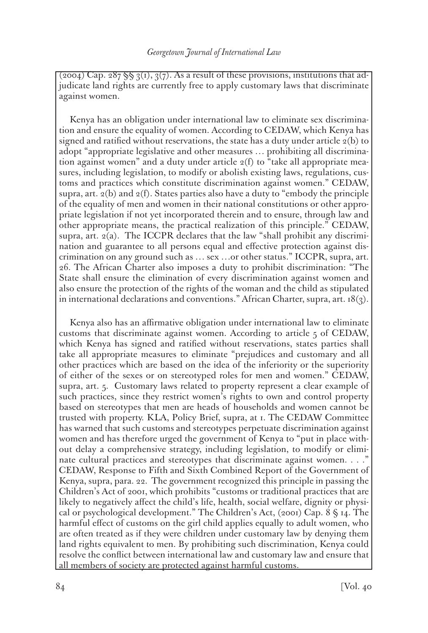$(2004)$  Cap.  $287 \text{ }\frac{6}{5} \text{ }\frac{3}{1}, \frac{3}{7}$ . As a result of these provisions, institutions that adjudicate land rights are currently free to apply customary laws that discriminate against women.

Kenya has an obligation under international law to eliminate sex discrimination and ensure the equality of women. According to CEDAW, which Kenya has signed and ratified without reservations, the state has a duty under article  $2(b)$  to adopt "appropriate legislative and other measures … prohibiting all discrimination against women" and a duty under article  $2(f)$  to "take all appropriate measures, including legislation, to modify or abolish existing laws, regulations, customs and practices which constitute discrimination against women." CEDAW, supra, art.  $2(b)$  and  $2(f)$ . States parties also have a duty to "embody the principle" of the equality of men and women in their national constitutions or other appropriate legislation if not yet incorporated therein and to ensure, through law and other appropriate means, the practical realization of this principle." CEDAW, supra, art. 2(a). The ICCPR declares that the law "shall prohibit any discrimination and guarantee to all persons equal and effective protection against discrimination on any ground such as … sex …or other status." ICCPR, supra, art. 26. The African Charter also imposes a duty to prohibit discrimination: "The State shall ensure the elimination of every discrimination against women and also ensure the protection of the rights of the woman and the child as stipulated in international declarations and conventions." African Charter, supra, art.  $18(3)$ .

Kenya also has an affirmative obligation under international law to eliminate customs that discriminate against women. According to article 5 of CEDAW, which Kenya has signed and ratified without reservations, states parties shall take all appropriate measures to eliminate "prejudices and customary and all other practices which are based on the idea of the inferiority or the superiority of either of the sexes or on stereotyped roles for men and women." CEDAW, supra, art. 5. Customary laws related to property represent a clear example of such practices, since they restrict women's rights to own and control property based on stereotypes that men are heads of households and women cannot be trusted with property. KLA, Policy Brief, supra, at 1. The CEDAW Committee has warned that such customs and stereotypes perpetuate discrimination against women and has therefore urged the government of Kenya to "put in place without delay a comprehensive strategy, including legislation, to modify or eliminate cultural practices and stereotypes that discriminate against women. . . ." CEDAW, Response to Fifth and Sixth Combined Report of the Government of Kenya, supra, para. 22. The government recognized this principle in passing the Children's Act of 2001, which prohibits "customs or traditional practices that are likely to negatively affect the child's life, health, social welfare, dignity or physical or psychological development." The Children's Act, (2001) Cap. 8 § 14. The harmful effect of customs on the girl child applies equally to adult women, who are often treated as if they were children under customary law by denying them land rights equivalent to men. By prohibiting such discrimination, Kenya could resolve the conflict between international law and customary law and ensure that all members of society are protected against harmful customs.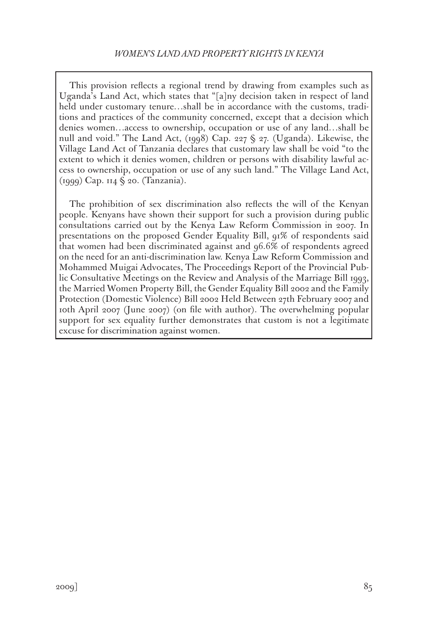This provision reflects a regional trend by drawing from examples such as Uganda's Land Act, which states that "[a]ny decision taken in respect of land held under customary tenure…shall be in accordance with the customs, traditions and practices of the community concerned, except that a decision which denies women…access to ownership, occupation or use of any land…shall be null and void." The Land Act, (1998) Cap. 227 § 27. (Uganda). Likewise, the Village Land Act of Tanzania declares that customary law shall be void "to the extent to which it denies women, children or persons with disability lawful access to ownership, occupation or use of any such land." The Village Land Act, (1999) Cap. 114 § 20. (Tanzania).

The prohibition of sex discrimination also reflects the will of the Kenyan people. Kenyans have shown their support for such a provision during public consultations carried out by the Kenya Law Reform Commission in 2007. In presentations on the proposed Gender Equality Bill, 91% of respondents said that women had been discriminated against and 96.6% of respondents agreed on the need for an anti-discrimination law. Kenya Law Reform Commission and Mohammed Muigai Advocates, The Proceedings Report of the Provincial Public Consultative Meetings on the Review and Analysis of the Marriage Bill 1993, the Married Women Property Bill, the Gender Equality Bill 2002 and the Family Protection (Domestic Violence) Bill 2002 Held Between 27th February 2007 and 10th April 2007 (June 2007) (on file with author). The overwhelming popular support for sex equality further demonstrates that custom is not a legitimate excuse for discrimination against women.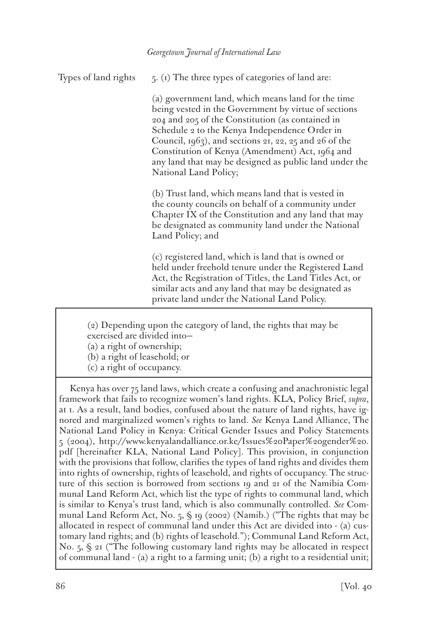Types of land rights  $5. (1)$  The three types of categories of land are:

(a) government land, which means land for the time being vested in the Government by virtue of sections 204 and 205 of the Constitution (as contained in Schedule 2 to the Kenya Independence Order in Council, 1963), and sections 21, 22, 25 and 26 of the Constitution of Kenya (Amendment) Act, 1964 and any land that may be designed as public land under the National Land Policy;

(b) Trust land, which means land that is vested in the county councils on behalf of a community under Chapter IX of the Constitution and any land that may be designated as community land under the National Land Policy; and

(c) registered land, which is land that is owned or held under freehold tenure under the Registered Land Act, the Registration of Titles, the Land Titles Act, or similar acts and any land that may be designated as private land under the National Land Policy.

(2) Depending upon the category of land, the rights that may be exercised are divided into—

(a) a right of ownership;

(b) a right of leasehold; or

(c) a right of occupancy.

Kenya has over 75 land laws, which create a confusing and anachronistic legal framework that fails to recognize women's land rights. KLA, Policy Brief, *supra*, at 1. As a result, land bodies, confused about the nature of land rights, have ignored and marginalized women's rights to land. *See* Kenya Land Alliance, The National Land Policy in Kenya: Critical Gender Issues and Policy Statements 5 (2004), http://www.kenyalandalliance.or.ke/Issues%20Paper%20gender%20. pdf [hereinafter KLA, National Land Policy]. This provision, in conjunction with the provisions that follow, clarifies the types of land rights and divides them into rights of ownership, rights of leasehold, and rights of occupancy. The structure of this section is borrowed from sections 19 and 21 of the Namibia Communal Land Reform Act, which list the type of rights to communal land, which is similar to Kenya's trust land, which is also communally controlled. *See* Communal Land Reform Act, No. 5, § 19 (2002) (Namib.) ("The rights that may be allocated in respect of communal land under this Act are divided into - (a) customary land rights; and (b) rights of leasehold."); Communal Land Reform Act, No. 5, § 21 ("The following customary land rights may be allocated in respect of communal land - (a) a right to a farming unit; (b) a right to a residential unit;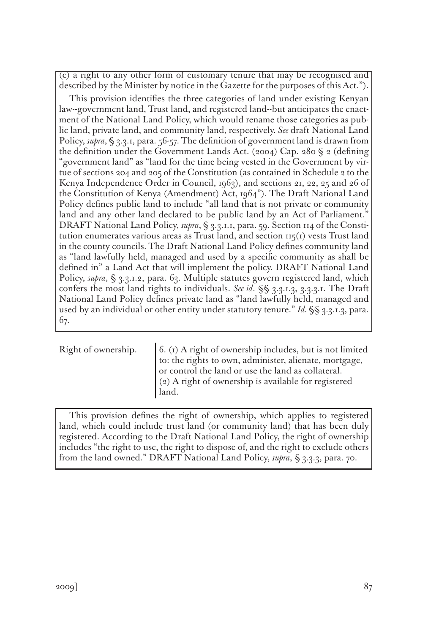(c) a right to any other form of customary tenure that may be recognised and described by the Minister by notice in the Gazette for the purposes of this Act.").

This provision identifies the three categories of land under existing Kenyan law--government land, Trust land, and registered land--but anticipates the enactment of the National Land Policy, which would rename those categories as public land, private land, and community land, respectively. *See* draft National Land Policy, *supra*, § 3.3.1, para. 56-57. The definition of government land is drawn from the definition under the Government Lands Act. (2004) Cap. 280 § 2 (defining "government land" as "land for the time being vested in the Government by virtue of sections 204 and 205 of the Constitution (as contained in Schedule 2 to the Kenya Independence Order in Council, 1963), and sections 21, 22, 25 and 26 of the Constitution of Kenya (Amendment) Act, 1964"). The Draft National Land Policy defines public land to include "all land that is not private or community land and any other land declared to be public land by an Act of Parliament." DRAFT National Land Policy, *supra*, § 3.3.1.1, para. 59. Section 114 of the Constitution enumerates various areas as Trust land, and section  $115(1)$  vests Trust land in the county councils. The Draft National Land Policy defines community land as "land lawfully held, managed and used by a specific community as shall be defined in" a Land Act that will implement the policy. DRAFT National Land Policy, *supra*, § 3.3.1.2, para. 63. Multiple statutes govern registered land, which confers the most land rights to individuals. *See id*. §§ 3.3.1.3, 3.3.3.1. The Draft National Land Policy defines private land as "land lawfully held, managed and used by an individual or other entity under statutory tenure." *Id.* §§ 3.3.1.3, para. 67.

Right of ownership.  $\begin{bmatrix} 6. \text{I} \end{bmatrix}$  A right of ownership includes, but is not limited to: the rights to own, administer, alienate, mortgage, or control the land or use the land as collateral. (2) A right of ownership is available for registered land.

This provision defines the right of ownership, which applies to registered land, which could include trust land (or community land) that has been duly registered. According to the Draft National Land Policy, the right of ownership includes "the right to use, the right to dispose of, and the right to exclude others from the land owned." DRAFT National Land Policy, *supra*, § 3.3.3, para. 70.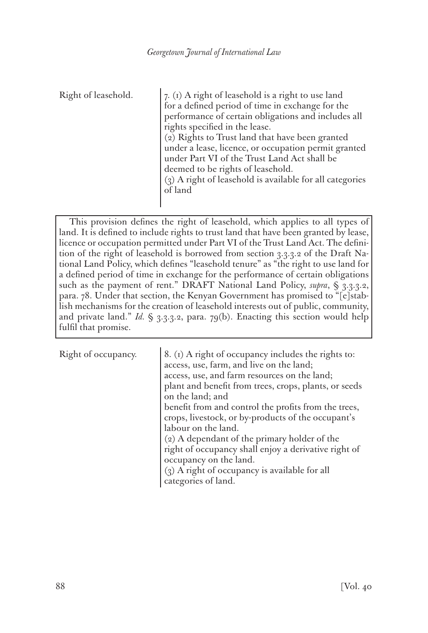Right of leasehold.  $\vert 7. (1)$  A right of leasehold is a right to use land for a defined period of time in exchange for the performance of certain obligations and includes all rights specified in the lease. (2) Rights to Trust land that have been granted under a lease, licence, or occupation permit granted under Part VI of the Trust Land Act shall be deemed to be rights of leasehold. (3) A right of leasehold is available for all categories of land

This provision defines the right of leasehold, which applies to all types of land. It is defined to include rights to trust land that have been granted by lease, licence or occupation permitted under Part VI of the Trust Land Act. The definition of the right of leasehold is borrowed from section 3.3.3.2 of the Draft National Land Policy, which defines "leasehold tenure" as "the right to use land for a defined period of time in exchange for the performance of certain obligations such as the payment of rent." DRAFT National Land Policy, *supra*, § 3.3.3.2, para. 78. Under that section, the Kenyan Government has promised to "[e]stablish mechanisms for the creation of leasehold interests out of public, community, and private land." *Id.*  $\S$  3.3.3.2, para. 79(b). Enacting this section would help fulfil that promise.

Right of occupancy.  $\left[ 8. (1)$  A right of occupancy includes the rights to: access, use, farm, and live on the land; access, use, and farm resources on the land; plant and benefit from trees, crops, plants, or seeds on the land; and benefit from and control the profits from the trees, crops, livestock, or by-products of the occupant's labour on the land. (2) A dependant of the primary holder of the right of occupancy shall enjoy a derivative right of occupancy on the land. (3) A right of occupancy is available for all

categories of land.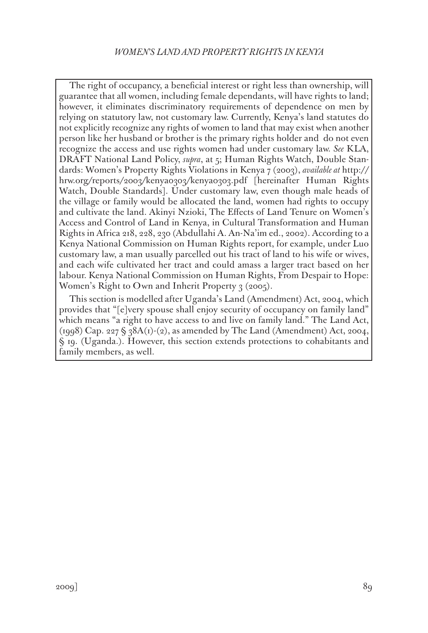The right of occupancy, a beneficial interest or right less than ownership, will guarantee that all women, including female dependants, will have rights to land; however, it eliminates discriminatory requirements of dependence on men by relying on statutory law, not customary law. Currently, Kenya's land statutes do not explicitly recognize any rights of women to land that may exist when another person like her husband or brother is the primary rights holder and do not even recognize the access and use rights women had under customary law. *See* KLA, DRAFT National Land Policy, *supra*, at 5; Human Rights Watch, Double Standards: Women's Property Rights Violations in Kenya 7 (2003), *available at* http:// hrw.org/reports/2003/kenya0303/kenya0303.pdf [hereinafter Human Rights Watch, Double Standards]. Under customary law, even though male heads of the village or family would be allocated the land, women had rights to occupy and cultivate the land. Akinyi Nzioki, The Effects of Land Tenure on Women's Access and Control of Land in Kenya, in Cultural Transformation and Human Rights in Africa 218, 228, 230 (Abdullahi A. An-Na'im ed., 2002). According to a Kenya National Commission on Human Rights report, for example, under Luo customary law, a man usually parcelled out his tract of land to his wife or wives, and each wife cultivated her tract and could amass a larger tract based on her labour. Kenya National Commission on Human Rights, From Despair to Hope: Women's Right to Own and Inherit Property  $\frac{1}{2}$  (2005).

This section is modelled after Uganda's Land (Amendment) Act, 2004, which provides that "[e]very spouse shall enjoy security of occupancy on family land" which means "a right to have access to and live on family land." The Land Act, (1998) Cap. 227  $\S$  38A(1)-(2), as amended by The Land (Amendment) Act, 2004, § 19. (Uganda.). However, this section extends protections to cohabitants and family members, as well.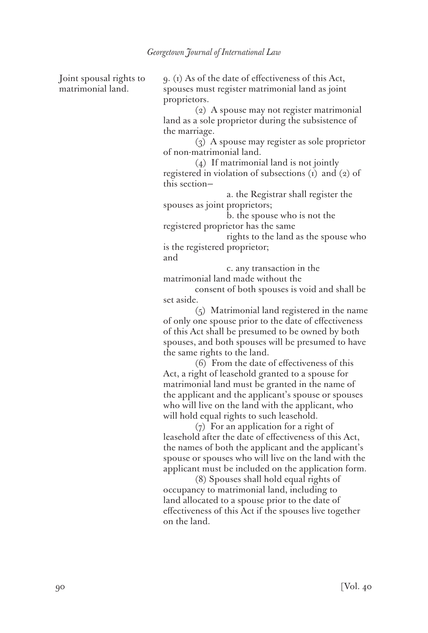Joint spousal rights to matrimonial land.

9. (1) As of the date of effectiveness of this Act, spouses must register matrimonial land as joint proprietors.

(2) A spouse may not register matrimonial land as a sole proprietor during the subsistence of the marriage.

(3) A spouse may register as sole proprietor of non-matrimonial land.

(4) If matrimonial land is not jointly registered in violation of subsections (1) and (2) of this section—

 a. the Registrar shall register the spouses as joint proprietors;

 b. the spouse who is not the registered proprietor has the same

 rights to the land as the spouse who is the registered proprietor; and

 c. any transaction in the matrimonial land made without the

consent of both spouses is void and shall be set aside.

(5) Matrimonial land registered in the name of only one spouse prior to the date of effectiveness of this Act shall be presumed to be owned by both spouses, and both spouses will be presumed to have the same rights to the land.

(6) From the date of effectiveness of this Act, a right of leasehold granted to a spouse for matrimonial land must be granted in the name of the applicant and the applicant's spouse or spouses who will live on the land with the applicant, who will hold equal rights to such leasehold.

(7) For an application for a right of leasehold after the date of effectiveness of this Act, the names of both the applicant and the applicant's spouse or spouses who will live on the land with the applicant must be included on the application form.

(8) Spouses shall hold equal rights of occupancy to matrimonial land, including to land allocated to a spouse prior to the date of effectiveness of this Act if the spouses live together on the land.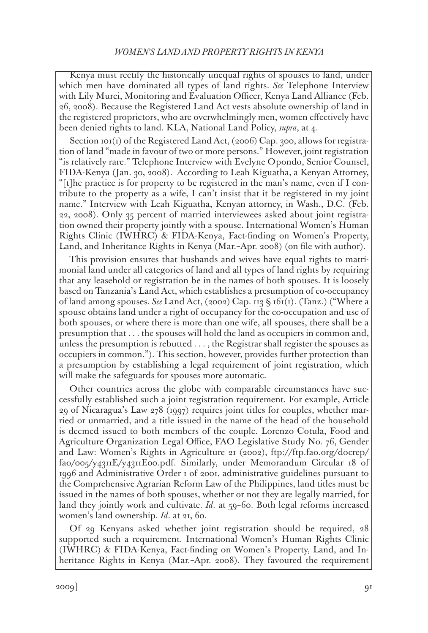Kenya must rectify the historically unequal rights of spouses to land, under which men have dominated all types of land rights. *See* Telephone Interview with Lily Murei, Monitoring and Evaluation Officer, Kenya Land Alliance (Feb. 26, 2008). Because the Registered Land Act vests absolute ownership of land in the registered proprietors, who are overwhelmingly men, women effectively have been denied rights to land. KLA, National Land Policy, *supra*, at 4.

Section 101(1) of the Registered Land Act, (2006) Cap. 300, allows for registration of land "made in favour of two or more persons." However, joint registration "is relatively rare." Telephone Interview with Evelyne Opondo, Senior Counsel, FIDA-Kenya (Jan. 30, 2008). According to Leah Kiguatha, a Kenyan Attorney, "[t]he practice is for property to be registered in the man's name, even if I contribute to the property as a wife, I can't insist that it be registered in my joint name." Interview with Leah Kiguatha, Kenyan attorney, in Wash., D.C. (Feb. 22, 2008). Only 35 percent of married interviewees asked about joint registration owned their property jointly with a spouse. International Women's Human Rights Clinic (IWHRC) & FIDA-Kenya, Fact-finding on Women's Property, Land, and Inheritance Rights in Kenya (Mar.–Apr. 2008) (on file with author).

This provision ensures that husbands and wives have equal rights to matrimonial land under all categories of land and all types of land rights by requiring that any leasehold or registration be in the names of both spouses. It is loosely based on Tanzania's Land Act, which establishes a presumption of co-occupancy of land among spouses. *See* Land Act, (2002) Cap. 113 § 161(1). (Tanz.) ("Where a spouse obtains land under a right of occupancy for the co-occupation and use of both spouses, or where there is more than one wife, all spouses, there shall be a presumption that . . . the spouses will hold the land as occupiers in common and, unless the presumption is rebutted . . . , the Registrar shall register the spouses as occupiers in common."). This section, however, provides further protection than a presumption by establishing a legal requirement of joint registration, which will make the safeguards for spouses more automatic.

Other countries across the globe with comparable circumstances have successfully established such a joint registration requirement. For example, Article 29 of Nicaragua's Law 278 (1997) requires joint titles for couples, whether married or unmarried, and a title issued in the name of the head of the household is deemed issued to both members of the couple. Lorenzo Cotula, Food and Agriculture Organization Legal Office, FAO Legislative Study No. 76, Gender and Law: Women's Rights in Agriculture 21 (2002), ftp://ftp.fao.org/docrep/ fao/005/y4311E/y4311E00.pdf. Similarly, under Memorandum Circular 18 of 1996 and Administrative Order 1 of 2001, administrative guidelines pursuant to the Comprehensive Agrarian Reform Law of the Philippines, land titles must be issued in the names of both spouses, whether or not they are legally married, for land they jointly work and cultivate. *Id*. at 59–60. Both legal reforms increased women's land ownership. *Id*. at 21, 60.

Of 29 Kenyans asked whether joint registration should be required, 28 supported such a requirement. International Women's Human Rights Clinic (IWHRC) & FIDA-Kenya, Fact-finding on Women's Property, Land, and Inheritance Rights in Kenya (Mar.–Apr. 2008). They favoured the requirement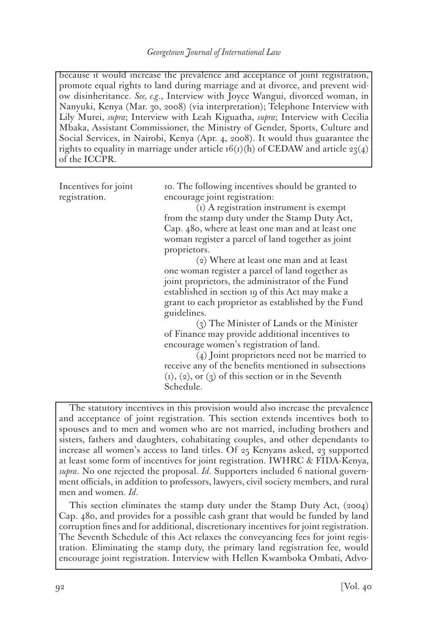because it would increase the prevalence and acceptance of joint registration, promote equal rights to land during marriage and at divorce, and prevent widow disinheritance. *See, e.g*., Interview with Joyce Wangui, divorced woman, in Nanyuki, Kenya (Mar. 30, 2008) (via interpretation); Telephone Interview with Lily Murei, *supra*; Interview with Leah Kiguatha, *supra*; Interview with Cecilia Mbaka, Assistant Commissioner, the Ministry of Gender, Sports, Culture and Social Services, in Nairobi, Kenya (Apr. 4, 2008). It would thus guarantee the rights to equality in marriage under article  $16(i)$ (h) of CEDAW and article 23(4) of the ICCPR.

Incentives for joint registration.

10. The following incentives should be granted to encourage joint registration:

(1) A registration instrument is exempt from the stamp duty under the Stamp Duty Act, Cap. 480, where at least one man and at least one woman register a parcel of land together as joint proprietors.

(2) Where at least one man and at least one woman register a parcel of land together as joint proprietors, the administrator of the Fund established in section 19 of this Act may make a grant to each proprietor as established by the Fund guidelines.

(3) The Minister of Lands or the Minister of Finance may provide additional incentives to encourage women's registration of land.

(4) Joint proprietors need not be married to receive any of the benefits mentioned in subsections  $(1)$ ,  $(2)$ , or  $(3)$  of this section or in the Seventh Schedule.

The statutory incentives in this provision would also increase the prevalence and acceptance of joint registration. This section extends incentives both to spouses and to men and women who are not married, including brothers and sisters, fathers and daughters, cohabitating couples, and other dependants to increase all women's access to land titles. Of 25 Kenyans asked, 23 supported at least some form of incentives for joint registration. IWHRC & FIDA-Kenya, *supra*. No one rejected the proposal. *Id*. Supporters included 6 national government officials, in addition to professors, lawyers, civil society members, and rural men and women. *Id*.

This section eliminates the stamp duty under the Stamp Duty Act, (2004) Cap. 480, and provides for a possible cash grant that would be funded by land corruption fines and for additional, discretionary incentives for joint registration. The Seventh Schedule of this Act relaxes the conveyancing fees for joint registration. Eliminating the stamp duty, the primary land registration fee, would encourage joint registration. Interview with Hellen Kwamboka Ombati, Advo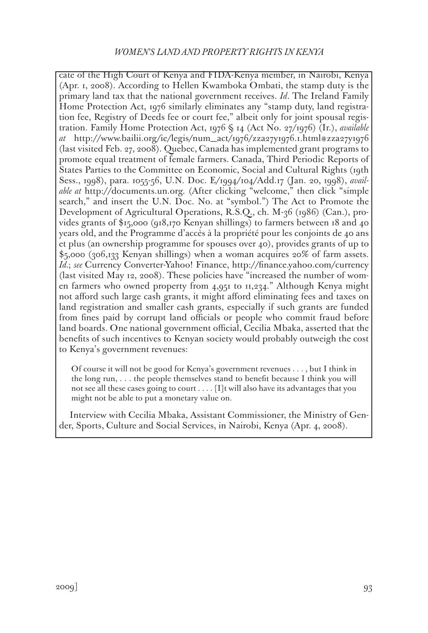cate of the High Court of Kenya and FIDA-Kenya member, in Nairobi, Kenya (Apr. 1, 2008). According to Hellen Kwamboka Ombati, the stamp duty is the primary land tax that the national government receives. *Id*. The Ireland Family Home Protection Act, 1976 similarly eliminates any "stamp duty, land registration fee, Registry of Deeds fee or court fee," albeit only for joint spousal registration. Family Home Protection Act, 1976 § 14 (Act No. 27/1976) (Ir.), *available at* http://www.bailii.org/ie/legis/num\_act/1976/zza27y1976.1.html#zza27y1976 (last visited Feb. 27, 2008). Quebec, Canada has implemented grant programs to promote equal treatment of female farmers. Canada, Third Periodic Reports of States Parties to the Committee on Economic, Social and Cultural Rights (19th Sess., 1998), para. 1055-56, U.N. Doc. E/1994/104/Add.17 (Jan. 20, 1998), *available at* http://documents.un.org. (After clicking "welcome," then click "simple search," and insert the U.N. Doc. No. at "symbol.") The Act to Promote the Development of Agricultural Operations, R.S.Q., ch. M-36 (1986) (Can.), provides grants of \$15,000 (918,170 Kenyan shillings) to farmers between 18 and 40 years old, and the Programme d'accès à la propriété pour les conjoints de 40 ans et plus (an ownership programme for spouses over 40), provides grants of up to \$5,000 (306,133 Kenyan shillings) when a woman acquires 20% of farm assets. *Id.*; *see* Currency Converter-Yahoo! Finance, http://finance.yahoo.com/currency (last visited May 12, 2008). These policies have "increased the number of women farmers who owned property from 4,951 to 11,234." Although Kenya might not afford such large cash grants, it might afford eliminating fees and taxes on land registration and smaller cash grants, especially if such grants are funded from fines paid by corrupt land officials or people who commit fraud before land boards. One national government official, Cecilia Mbaka, asserted that the benefits of such incentives to Kenyan society would probably outweigh the cost to Kenya's government revenues:

Of course it will not be good for Kenya's government revenues . . . , but I think in the long run, . . . the people themselves stand to benefit because I think you will not see all these cases going to court . . . . [I]t will also have its advantages that you might not be able to put a monetary value on.

Interview with Cecilia Mbaka, Assistant Commissioner, the Ministry of Gender, Sports, Culture and Social Services, in Nairobi, Kenya (Apr. 4, 2008).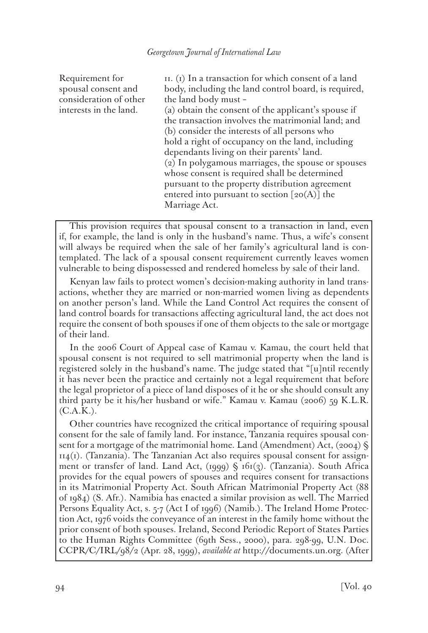Requirement for spousal consent and consideration of other interests in the land.

11. (1) In a transaction for which consent of a land body, including the land control board, is required, the land body must – (a) obtain the consent of the applicant's spouse if the transaction involves the matrimonial land; and (b) consider the interests of all persons who hold a right of occupancy on the land, including dependants living on their parents' land. (2) In polygamous marriages, the spouse or spouses whose consent is required shall be determined pursuant to the property distribution agreement entered into pursuant to section  $\lceil 20(A) \rceil$  the Marriage Act.

This provision requires that spousal consent to a transaction in land, even if, for example, the land is only in the husband's name. Thus, a wife's consent will always be required when the sale of her family's agricultural land is contemplated. The lack of a spousal consent requirement currently leaves women vulnerable to being dispossessed and rendered homeless by sale of their land.

Kenyan law fails to protect women's decision-making authority in land transactions, whether they are married or non-married women living as dependents on another person's land. While the Land Control Act requires the consent of land control boards for transactions affecting agricultural land, the act does not require the consent of both spouses if one of them objects to the sale or mortgage of their land.

In the 2006 Court of Appeal case of Kamau v. Kamau, the court held that spousal consent is not required to sell matrimonial property when the land is registered solely in the husband's name. The judge stated that "[u]ntil recently it has never been the practice and certainly not a legal requirement that before the legal proprietor of a piece of land disposes of it he or she should consult any third party be it his/her husband or wife." Kamau v. Kamau (2006) 59 K.L.R.  $(C.A.K.).$ 

Other countries have recognized the critical importance of requiring spousal consent for the sale of family land. For instance, Tanzania requires spousal consent for a mortgage of the matrimonial home. Land (Amendment) Act, (2004) §  $114(i)$ . (Tanzania). The Tanzanian Act also requires spousal consent for assignment or transfer of land. Land Act, (1999) § 161(3). (Tanzania). South Africa provides for the equal powers of spouses and requires consent for transactions in its Matrimonial Property Act. South African Matrimonial Property Act (88 of 1984) (S. Afr.). Namibia has enacted a similar provision as well. The Married Persons Equality Act, s. 5-7 (Act I of 1996) (Namib.). The Ireland Home Protection Act, 1976 voids the conveyance of an interest in the family home without the prior consent of both spouses. Ireland, Second Periodic Report of States Parties to the Human Rights Committee (69th Sess., 2000), para. 298-99, U.N. Doc. CCPR/C/IRL/98/2 (Apr. 28, 1999), *available at* http://documents.un.org. (After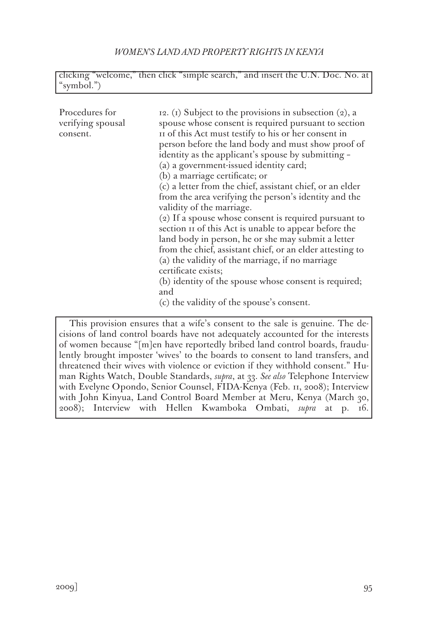| clicking "welcome," then click "simple search," and insert the U.N. Doc. No. at |  |  |  |
|---------------------------------------------------------------------------------|--|--|--|
| "symbol.")                                                                      |  |  |  |

| Procedures for<br>verifying spousal<br>consent. | 12. (1) Subject to the provisions in subsection (2), a<br>spouse whose consent is required pursuant to section<br>II of this Act must testify to his or her consent in<br>person before the land body and must show proof of<br>identity as the applicant's spouse by submitting -<br>(a) a government-issued identity card;<br>(b) a marriage certificate; or<br>(c) a letter from the chief, assistant chief, or an elder<br>from the area verifying the person's identity and the<br>validity of the marriage.<br>$(2)$ If a spouse whose consent is required pursuant to<br>section II of this Act is unable to appear before the<br>land body in person, he or she may submit a letter<br>from the chief, assistant chief, or an elder attesting to<br>(a) the validity of the marriage, if no marriage<br>certificate exists;<br>(b) identity of the spouse whose consent is required;<br>and |
|-------------------------------------------------|-----------------------------------------------------------------------------------------------------------------------------------------------------------------------------------------------------------------------------------------------------------------------------------------------------------------------------------------------------------------------------------------------------------------------------------------------------------------------------------------------------------------------------------------------------------------------------------------------------------------------------------------------------------------------------------------------------------------------------------------------------------------------------------------------------------------------------------------------------------------------------------------------------|
|                                                 | (c) the validity of the spouse's consent.                                                                                                                                                                                                                                                                                                                                                                                                                                                                                                                                                                                                                                                                                                                                                                                                                                                           |
|                                                 | This provision ensures that a wife's consent to the sale is genuine. The de-<br>cisions of land control boards have not adequately accounted for the interests<br>of women because "[m]en have reportedly bribed land control boards, fraudu-                                                                                                                                                                                                                                                                                                                                                                                                                                                                                                                                                                                                                                                       |

of women because "[m]en have reportedly bribed land control boards, fraudulently brought imposter 'wives' to the boards to consent to land transfers, and threatened their wives with violence or eviction if they withhold consent." Human Rights Watch, Double Standards, *supra*, at 33. *See also* Telephone Interview with Evelyne Opondo, Senior Counsel, FIDA-Kenya (Feb. 11, 2008); Interview with John Kinyua, Land Control Board Member at Meru, Kenya (March 30, 2008); Interview with Hellen Kwamboka Ombati, *supra* at p. 16.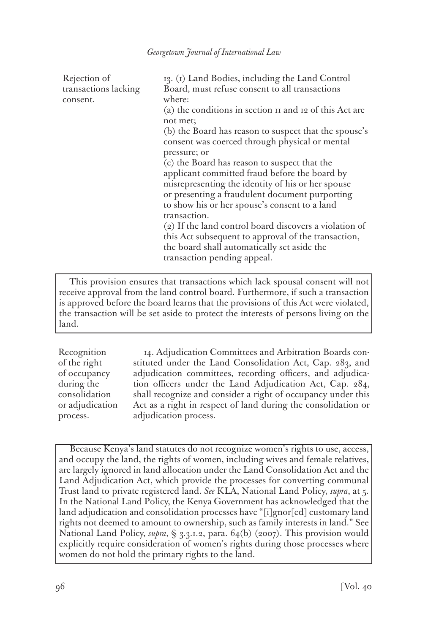| Rejection of         | 13. (1) Land Bodies, including the Land Control         |  |
|----------------------|---------------------------------------------------------|--|
| transactions lacking | Board, must refuse consent to all transactions          |  |
| consent.             | where:                                                  |  |
|                      | (a) the conditions in section II and 12 of this Act are |  |
|                      | not met;                                                |  |
|                      | (b) the Board has reason to suspect that the spouse's   |  |
|                      | consent was coerced through physical or mental          |  |
|                      | pressure; or                                            |  |
|                      | (c) the Board has reason to suspect that the            |  |
|                      | applicant committed fraud before the board by           |  |
|                      | misrepresenting the identity of his or her spouse       |  |
|                      | or presenting a fraudulent document purporting          |  |
|                      | to show his or her spouse's consent to a land           |  |
|                      | transaction.                                            |  |
|                      | (2) If the land control board discovers a violation of  |  |
|                      | this Act subsequent to approval of the transaction,     |  |
|                      | the board shall automatically set aside the             |  |
|                      | transaction pending appeal.                             |  |
|                      |                                                         |  |

This provision ensures that transactions which lack spousal consent will not receive approval from the land control board. Furthermore, if such a transaction is approved before the board learns that the provisions of this Act were violated, the transaction will be set aside to protect the interests of persons living on the land.

Recognition of the right of occupancy during the consolidation or adjudication process.

14. Adjudication Committees and Arbitration Boards constituted under the Land Consolidation Act, Cap. 283, and adjudication committees, recording officers, and adjudication officers under the Land Adjudication Act, Cap. 284, shall recognize and consider a right of occupancy under this Act as a right in respect of land during the consolidation or adjudication process.

Because Kenya's land statutes do not recognize women's rights to use, access, and occupy the land, the rights of women, including wives and female relatives, are largely ignored in land allocation under the Land Consolidation Act and the Land Adjudication Act, which provide the processes for converting communal Trust land to private registered land. *See* KLA, National Land Policy, *supra*, at 5. In the National Land Policy, the Kenya Government has acknowledged that the land adjudication and consolidation processes have "[i]gnor[ed] customary land rights not deemed to amount to ownership, such as family interests in land." See National Land Policy, *supra*, § 3.3.1.2, para. 64(b) (2007). This provision would explicitly require consideration of women's rights during those processes where women do not hold the primary rights to the land.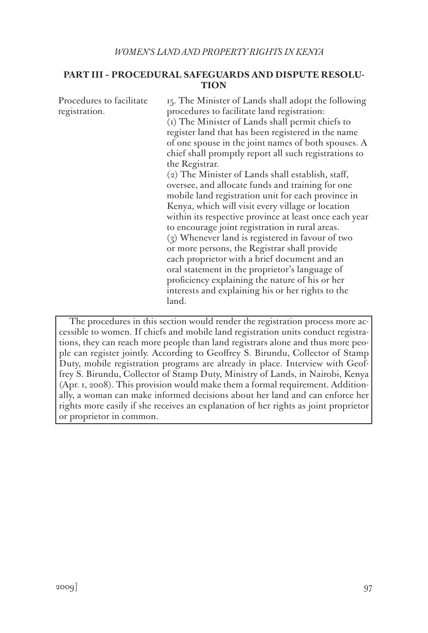## **PART III – PROCEDURAL SAFEGUARDS AND DISPUTE RESOLU-TION**

| Procedures to facilitate<br>registration. | 15. The Minister of Lands shall adopt the following<br>procedures to facilitate land registration:<br>(i) The Minister of Lands shall permit chiefs to<br>register land that has been registered in the name<br>of one spouse in the joint names of both spouses. A<br>chief shall promptly report all such registrations to<br>the Registrar.<br>(2) The Minister of Lands shall establish, staff,<br>oversee, and allocate funds and training for one<br>mobile land registration unit for each province in<br>Kenya, which will visit every village or location<br>within its respective province at least once each year<br>to encourage joint registration in rural areas.<br>$(3)$ Whenever land is registered in favour of two<br>or more persons, the Registrar shall provide<br>each proprietor with a brief document and an<br>oral statement in the proprietor's language of |
|-------------------------------------------|-----------------------------------------------------------------------------------------------------------------------------------------------------------------------------------------------------------------------------------------------------------------------------------------------------------------------------------------------------------------------------------------------------------------------------------------------------------------------------------------------------------------------------------------------------------------------------------------------------------------------------------------------------------------------------------------------------------------------------------------------------------------------------------------------------------------------------------------------------------------------------------------|
|                                           | proficiency explaining the nature of his or her<br>interests and explaining his or her rights to the<br>land.                                                                                                                                                                                                                                                                                                                                                                                                                                                                                                                                                                                                                                                                                                                                                                           |

The procedures in this section would render the registration process more accessible to women. If chiefs and mobile land registration units conduct registrations, they can reach more people than land registrars alone and thus more people can register jointly. According to Geoffrey S. Birundu, Collector of Stamp Duty, mobile registration programs are already in place. Interview with Geoffrey S. Birundu, Collector of Stamp Duty, Ministry of Lands, in Nairobi, Kenya (Apr. 1, 2008). This provision would make them a formal requirement. Additionally, a woman can make informed decisions about her land and can enforce her rights more easily if she receives an explanation of her rights as joint proprietor or proprietor in common.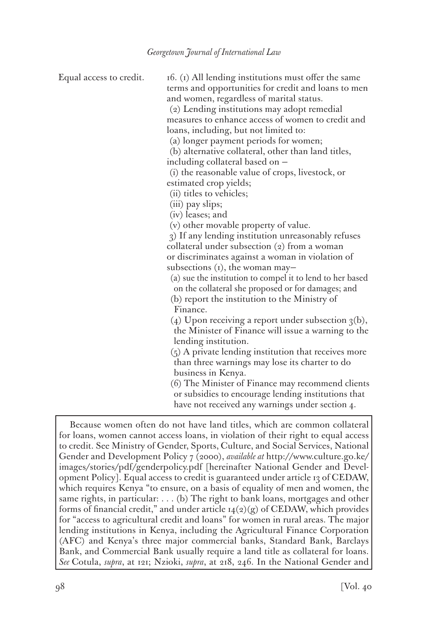Equal access to credit.  $16. (1)$  All lending institutions must offer the same terms and opportunities for credit and loans to men and women, regardless of marital status.

(2) Lending institutions may adopt remedial measures to enhance access of women to credit and loans, including, but not limited to:

(a) longer payment periods for women;

(b) alternative collateral, other than land titles,

including collateral based on —

(i) the reasonable value of crops, livestock, or estimated crop yields;

(ii) titles to vehicles;

(iii) pay slips;

(iv) leases; and

(v) other movable property of value.

3) If any lending institution unreasonably refuses collateral under subsection (2) from a woman or discriminates against a woman in violation of subsections (1), the woman may—

(a) sue the institution to compel it to lend to her based on the collateral she proposed or for damages; and

(b) report the institution to the Ministry of Finance.

(4) Upon receiving a report under subsection  $\alpha(b)$ , the Minister of Finance will issue a warning to the lending institution.

(5) A private lending institution that receives more than three warnings may lose its charter to do business in Kenya.

(6) The Minister of Finance may recommend clients or subsidies to encourage lending institutions that have not received any warnings under section 4.

Because women often do not have land titles, which are common collateral for loans, women cannot access loans, in violation of their right to equal access to credit. See Ministry of Gender, Sports, Culture, and Social Services, National Gender and Development Policy 7 (2000), *available at* http://www.culture.go.ke/ images/stories/pdf/genderpolicy.pdf [hereinafter National Gender and Development Policy]. Equal access to credit is guaranteed under article 13 of CEDAW, which requires Kenya "to ensure, on a basis of equality of men and women, the same rights, in particular: . . . (b) The right to bank loans, mortgages and other forms of financial credit," and under article  $14(2)(g)$  of CEDAW, which provides for "access to agricultural credit and loans" for women in rural areas. The major lending institutions in Kenya, including the Agricultural Finance Corporation (AFC) and Kenya's three major commercial banks, Standard Bank, Barclays Bank, and Commercial Bank usually require a land title as collateral for loans. *See* Cotula, *supra*, at 121; Nzioki, *supra*, at 218, 246. In the National Gender and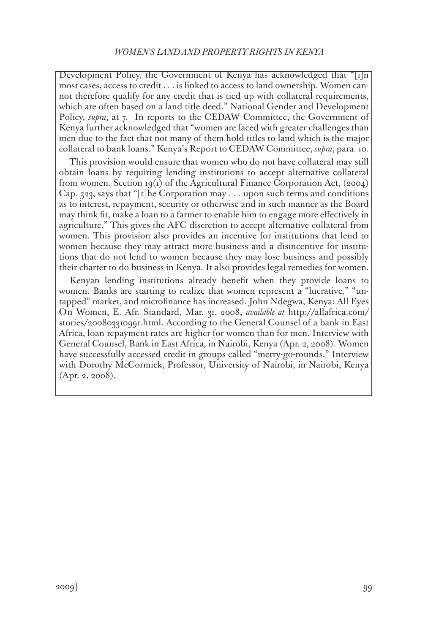Development Policy, the Government of Kenya has acknowledged that " $|i|n|$ most cases, access to credit . . . is linked to access to land ownership. Women cannot therefore qualify for any credit that is tied up with collateral requirements, which are often based on a land title deed." National Gender and Development Policy, *supra*, at 7. In reports to the CEDAW Committee, the Government of Kenya further acknowledged that "women are faced with greater challenges than men due to the fact that not many of them hold titles to land which is the major collateral to bank loans." Kenya's Report to CEDAW Committee, *supra*, para. 10.

This provision would ensure that women who do not have collateral may still obtain loans by requiring lending institutions to accept alternative collateral from women. Section 19(1) of the Agricultural Finance Corporation Act, (2004) Cap. 323, says that "[t]he Corporation may . . . upon such terms and conditions as to interest, repayment, security or otherwise and in such manner as the Board may think fit, make a loan to a farmer to enable him to engage more effectively in agriculture." This gives the AFC discretion to accept alternative collateral from women. This provision also provides an incentive for institutions that lend to women because they may attract more business and a disincentive for institutions that do not lend to women because they may lose business and possibly their charter to do business in Kenya. It also provides legal remedies for women.

Kenyan lending institutions already benefit when they provide loans to women. Banks are starting to realize that women represent a "lucrative," "untapped" market, and microfinance has increased. John Ndegwa, Kenya: All Eyes On Women, E. Afr. Standard, Mar. 31, 2008, *available at* http://allafrica.com/ stories/200803310991.html. According to the General Counsel of a bank in East Africa, loan repayment rates are higher for women than for men. Interview with General Counsel, Bank in East Africa, in Nairobi, Kenya (Apr. 2, 2008). Women have successfully accessed credit in groups called "merry-go-rounds." Interview with Dorothy McCormick, Professor, University of Nairobi, in Nairobi, Kenya (Apr. 2, 2008).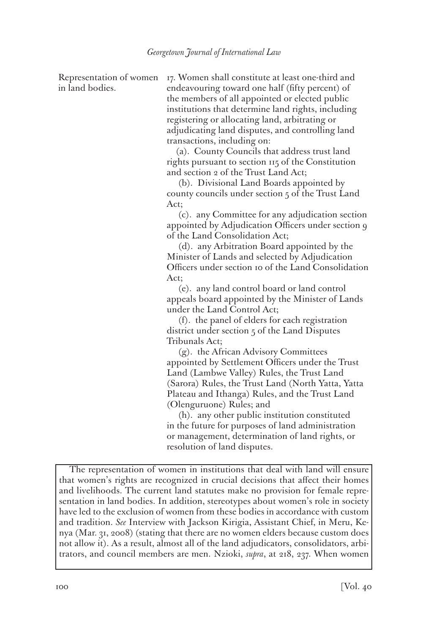in land bodies.

Representation of women 17. Women shall constitute at least one-third and endeavouring toward one half (fifty percent) of the members of all appointed or elected public institutions that determine land rights, including registering or allocating land, arbitrating or adjudicating land disputes, and controlling land transactions, including on:

 (a). County Councils that address trust land rights pursuant to section 115 of the Constitution and section 2 of the Trust Land Act;

 (b). Divisional Land Boards appointed by county councils under section 5 of the Trust Land Act;

 (c). any Committee for any adjudication section appointed by Adjudication Officers under section 9 of the Land Consolidation Act;

 (d). any Arbitration Board appointed by the Minister of Lands and selected by Adjudication Officers under section 10 of the Land Consolidation Act;

 (e). any land control board or land control appeals board appointed by the Minister of Lands under the Land Control Act;

 (f). the panel of elders for each registration district under section 5 of the Land Disputes Tribunals Act;

 (g). the African Advisory Committees appointed by Settlement Officers under the Trust Land (Lambwe Valley) Rules, the Trust Land (Sarora) Rules, the Trust Land (North Yatta, Yatta Plateau and Ithanga) Rules, and the Trust Land (Olenguruone) Rules; and

 (h). any other public institution constituted in the future for purposes of land administration or management, determination of land rights, or resolution of land disputes.

The representation of women in institutions that deal with land will ensure that women's rights are recognized in crucial decisions that affect their homes and livelihoods. The current land statutes make no provision for female representation in land bodies. In addition, stereotypes about women's role in society have led to the exclusion of women from these bodies in accordance with custom and tradition. *See* Interview with Jackson Kirigia, Assistant Chief, in Meru, Kenya (Mar. 31, 2008) (stating that there are no women elders because custom does not allow it). As a result, almost all of the land adjudicators, consolidators, arbitrators, and council members are men. Nzioki, *supra*, at 218, 237. When women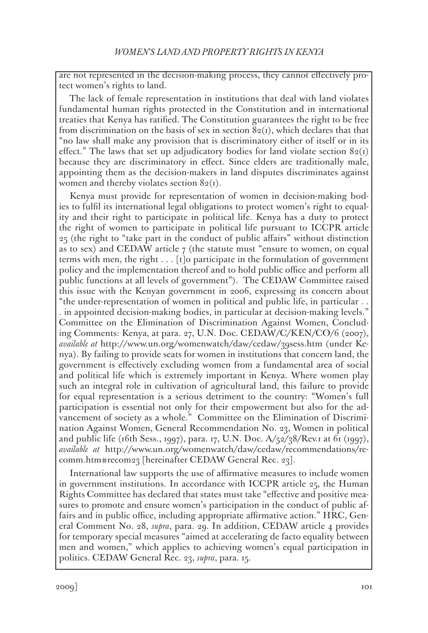are not represented in the decision-making process, they cannot effectively protect women's rights to land.

The lack of female representation in institutions that deal with land violates fundamental human rights protected in the Constitution and in international treaties that Kenya has ratified. The Constitution guarantees the right to be free from discrimination on the basis of sex in section  $82(i)$ , which declares that that "no law shall make any provision that is discriminatory either of itself or in its effect." The laws that set up adjudicatory bodies for land violate section  $82<sub>(1)</sub>$ because they are discriminatory in effect. Since elders are traditionally male, appointing them as the decision-makers in land disputes discriminates against women and thereby violates section  $82(1)$ .

Kenya must provide for representation of women in decision-making bodies to fulfil its international legal obligations to protect women's right to equality and their right to participate in political life. Kenya has a duty to protect the right of women to participate in political life pursuant to ICCPR article 25 (the right to "take part in the conduct of public affairs" without distinction as to sex) and CEDAW article  $\tau$  (the statute must "ensure to women, on equal terms with men, the right . . . [t]o participate in the formulation of government policy and the implementation thereof and to hold public office and perform all public functions at all levels of government"). The CEDAW Committee raised this issue with the Kenyan government in 2006, expressing its concern about "the under-representation of women in political and public life, in particular . . . in appointed decision-making bodies, in particular at decision-making levels." Committee on the Elimination of Discrimination Against Women, Concluding Comments: Kenya, at para. 27, U.N. Doc. CEDAW/C/KEN/CO/6 (2007), *available at* http://www.un.org/womenwatch/daw/cedaw/39sess.htm (under Kenya). By failing to provide seats for women in institutions that concern land, the government is effectively excluding women from a fundamental area of social and political life which is extremely important in Kenya. Where women play such an integral role in cultivation of agricultural land, this failure to provide for equal representation is a serious detriment to the country: "Women's full participation is essential not only for their empowerment but also for the advancement of society as a whole." Committee on the Elimination of Discrimination Against Women, General Recommendation No. 23, Women in political and public life (16th Sess., 1997), para. 17, U.N. Doc.  $A/52/38/$ Rev.1 at 61 (1997), *available at* http://www.un.org/womenwatch/daw/cedaw/recommendations/recomm.htm#recom23 [hereinafter CEDAW General Rec. 23].

International law supports the use of affirmative measures to include women in government institutions. In accordance with ICCPR article 25, the Human Rights Committee has declared that states must take "effective and positive measures to promote and ensure women's participation in the conduct of public affairs and in public office, including appropriate affirmative action." HRC, General Comment No. 28, *supra*, para. 29. In addition, CEDAW article 4 provides for temporary special measures "aimed at accelerating de facto equality between men and women," which applies to achieving women's equal participation in politics. CEDAW General Rec. 23, *supra*, para. 15.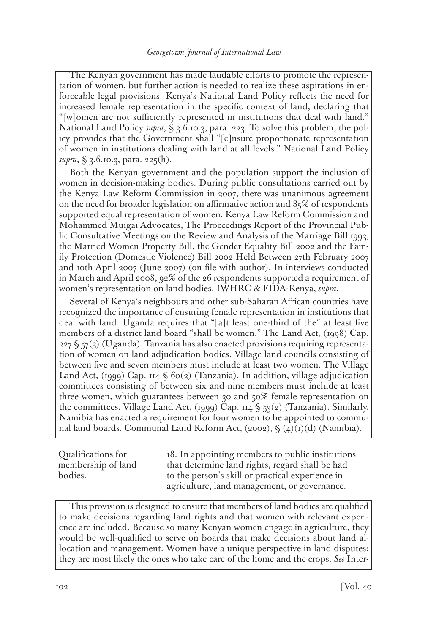The Kenyan government has made laudable efforts to promote the representation of women, but further action is needed to realize these aspirations in enforceable legal provisions. Kenya's National Land Policy reflects the need for increased female representation in the specific context of land, declaring that "[w]omen are not sufficiently represented in institutions that deal with land." National Land Policy *supra*, § 3.6.10.3, para. 223. To solve this problem, the policy provides that the Government shall "[e]nsure proportionate representation of women in institutions dealing with land at all levels." National Land Policy *supra*, § 3.6.10.3, para. 225(h).

Both the Kenyan government and the population support the inclusion of women in decision-making bodies. During public consultations carried out by the Kenya Law Reform Commission in 2007, there was unanimous agreement on the need for broader legislation on affirmative action and 85% of respondents supported equal representation of women. Kenya Law Reform Commission and Mohammed Muigai Advocates, The Proceedings Report of the Provincial Public Consultative Meetings on the Review and Analysis of the Marriage Bill 1993, the Married Women Property Bill, the Gender Equality Bill 2002 and the Family Protection (Domestic Violence) Bill 2002 Held Between 27th February 2007 and 10th April 2007 (June 2007) (on file with author). In interviews conducted in March and April 2008, 92% of the 26 respondents supported a requirement of women's representation on land bodies. IWHRC & FIDA-Kenya, *supra*.

Several of Kenya's neighbours and other sub-Saharan African countries have recognized the importance of ensuring female representation in institutions that deal with land. Uganda requires that "[a]t least one-third of the" at least five members of a district land board "shall be women." The Land Act, (1998) Cap.  $227 \text{ }\frac{1}{2}$  (57(3) (Uganda). Tanzania has also enacted provisions requiring representation of women on land adjudication bodies. Village land councils consisting of between five and seven members must include at least two women. The Village Land Act, (1999) Cap. 114  $\Im$  60(2) (Tanzania). In addition, village adjudication committees consisting of between six and nine members must include at least three women, which guarantees between 30 and 50% female representation on the committees. Village Land Act, (1999) Cap. 114  $\frac{6}{53}(2)$  (Tanzania). Similarly, Namibia has enacted a requirement for four women to be appointed to communal land boards. Communal Land Reform Act,  $(2002)$ ,  $\oint (4)(1)(d)$  (Namibia).

Qualifications for membership of land bodies.

18. In appointing members to public institutions that determine land rights, regard shall be had to the person's skill or practical experience in agriculture, land management, or governance.

This provision is designed to ensure that members of land bodies are qualified to make decisions regarding land rights and that women with relevant experience are included. Because so many Kenyan women engage in agriculture, they would be well-qualified to serve on boards that make decisions about land allocation and management. Women have a unique perspective in land disputes: they are most likely the ones who take care of the home and the crops. *See* Inter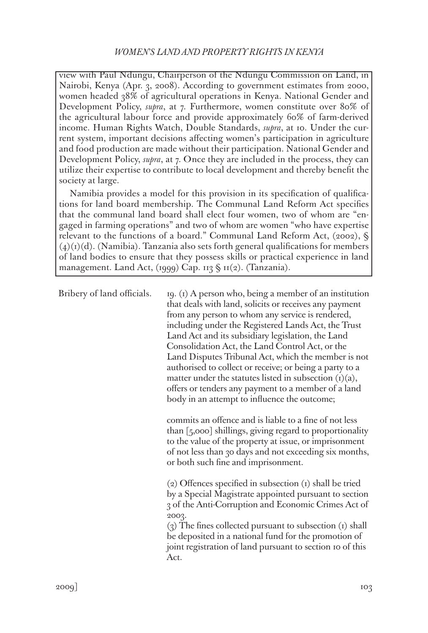view with Paul Ndungu, Chairperson of the Ndungu Commission on Land, in Nairobi, Kenya (Apr. 3, 2008). According to government estimates from 2000, women headed 38% of agricultural operations in Kenya. National Gender and Development Policy, *supra*, at 7. Furthermore, women constitute over 80% of the agricultural labour force and provide approximately 60% of farm-derived income. Human Rights Watch, Double Standards, *supra*, at 10. Under the current system, important decisions affecting women's participation in agriculture and food production are made without their participation. National Gender and Development Policy, *supra*, at 7. Once they are included in the process, they can utilize their expertise to contribute to local development and thereby benefit the society at large.

Namibia provides a model for this provision in its specification of qualifications for land board membership. The Communal Land Reform Act specifies that the communal land board shall elect four women, two of whom are "engaged in farming operations" and two of whom are women "who have expertise relevant to the functions of a board." Communal Land Reform Act, (2002),  $\S$  $(4)(r)(d)$ . (Namibia). Tanzania also sets forth general qualifications for members of land bodies to ensure that they possess skills or practical experience in land management. Land Act,  $(1999)$  Cap.  $113 \S 11(2)$ . (Tanzania).

Bribery of land officials. 19. (1) A person who, being a member of an institution that deals with land, solicits or receives any payment from any person to whom any service is rendered, including under the Registered Lands Act, the Trust Land Act and its subsidiary legislation, the Land Consolidation Act, the Land Control Act, or the Land Disputes Tribunal Act, which the member is not authorised to collect or receive; or being a party to a matter under the statutes listed in subsection  $(i)(a)$ , offers or tenders any payment to a member of a land body in an attempt to influence the outcome;

> commits an offence and is liable to a fine of not less than [5,000] shillings, giving regard to proportionality to the value of the property at issue, or imprisonment of not less than 30 days and not exceeding six months, or both such fine and imprisonment.

> (2) Offences specified in subsection (1) shall be tried by a Special Magistrate appointed pursuant to section 3 of the Anti-Corruption and Economic Crimes Act of 2003.

> (3) The fines collected pursuant to subsection (1) shall be deposited in a national fund for the promotion of joint registration of land pursuant to section 10 of this Act.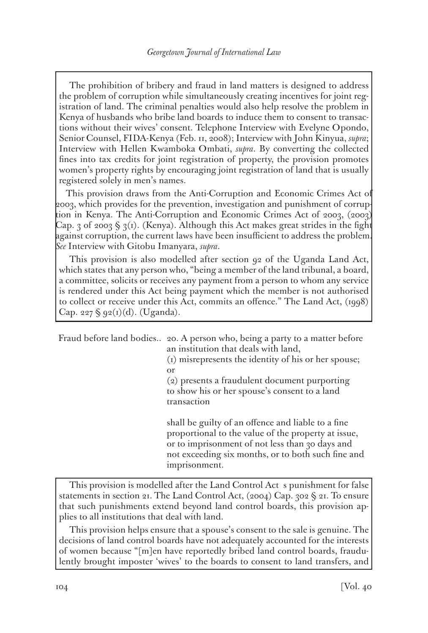The prohibition of bribery and fraud in land matters is designed to address the problem of corruption while simultaneously creating incentives for joint registration of land. The criminal penalties would also help resolve the problem in Kenya of husbands who bribe land boards to induce them to consent to transactions without their wives' consent. Telephone Interview with Evelyne Opondo, Senior Counsel, FIDA-Kenya (Feb. 11, 2008); Interview with John Kinyua, *supra*; Interview with Hellen Kwamboka Ombati, *supra*. By converting the collected fines into tax credits for joint registration of property, the provision promotes women's property rights by encouraging joint registration of land that is usually registered solely in men's names.

This provision draws from the Anti-Corruption and Economic Crimes Act of 2003, which provides for the prevention, investigation and punishment of corruption in Kenya. The Anti-Corruption and Economic Crimes Act of 2003, (2003) Cap. 3 of 2003 § 3(1). (Kenya). Although this Act makes great strides in the fight against corruption, the current laws have been insufficient to address the problem. *See* Interview with Gitobu Imanyara, *supra*.

This provision is also modelled after section 92 of the Uganda Land Act, which states that any person who, "being a member of the land tribunal, a board, a committee, solicits or receives any payment from a person to whom any service is rendered under this Act being payment which the member is not authorised to collect or receive under this Act, commits an offence." The Land Act, (1998) Cap. 227 § 92(1)(d). (Uganda).

Fraud before land bodies.. 20. A person who, being a party to a matter before an institution that deals with land, (1) misrepresents the identity of his or her spouse; or (2) presents a fraudulent document purporting to show his or her spouse's consent to a land transaction

shall be guilty of an offence and liable to a fine proportional to the value of the property at issue, or to imprisonment of not less than 30 days and not exceeding six months, or to both such fine and imprisonment.

This provision is modelled after the Land Control Act s punishment for false statements in section 21. The Land Control Act, (2004) Cap. 302 § 21. To ensure that such punishments extend beyond land control boards, this provision applies to all institutions that deal with land.

This provision helps ensure that a spouse's consent to the sale is genuine. The decisions of land control boards have not adequately accounted for the interests of women because "[m]en have reportedly bribed land control boards, fraudulently brought imposter 'wives' to the boards to consent to land transfers, and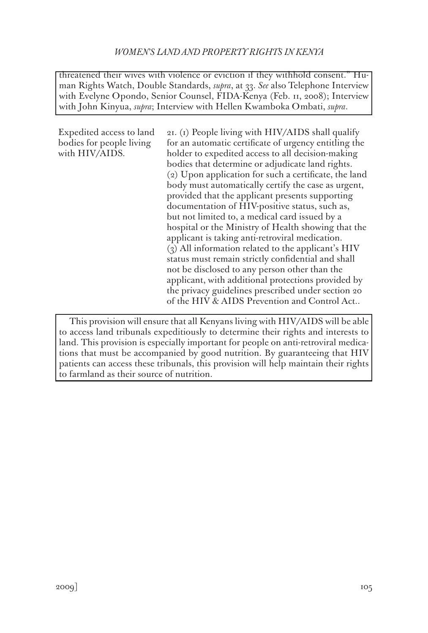threatened their wives with violence or eviction if they withhold consent." Human Rights Watch, Double Standards, *supra*, at 33. *See* also Telephone Interview with Evelyne Opondo, Senior Counsel, FIDA-Kenya (Feb. 11, 2008); Interview with John Kinyua, *supra*; Interview with Hellen Kwamboka Ombati, *supra*.

Expedited access to land bodies for people living with HIV/AIDS.

21. (1) People living with HIV/AIDS shall qualify for an automatic certificate of urgency entitling the holder to expedited access to all decision-making bodies that determine or adjudicate land rights. (2) Upon application for such a certificate, the land body must automatically certify the case as urgent, provided that the applicant presents supporting documentation of HIV-positive status, such as, but not limited to, a medical card issued by a hospital or the Ministry of Health showing that the applicant is taking anti-retroviral medication. (3) All information related to the applicant's HIV status must remain strictly confidential and shall not be disclosed to any person other than the applicant, with additional protections provided by the privacy guidelines prescribed under section 20 of the HIV & AIDS Prevention and Control Act..

This provision will ensure that all Kenyans living with HIV/AIDS will be able to access land tribunals expeditiously to determine their rights and interests to land. This provision is especially important for people on anti-retroviral medications that must be accompanied by good nutrition. By guaranteeing that HIV patients can access these tribunals, this provision will help maintain their rights to farmland as their source of nutrition.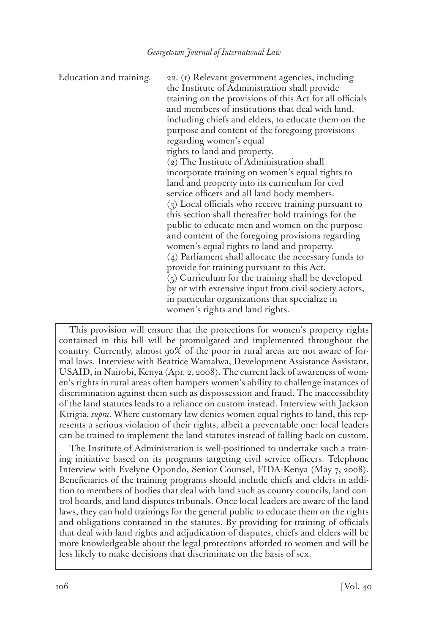Education and training. 22. (1) Relevant government agencies, including the Institute of Administration shall provide training on the provisions of this Act for all officials and members of institutions that deal with land, including chiefs and elders, to educate them on the purpose and content of the foregoing provisions regarding women's equal rights to land and property. (2) The Institute of Administration shall incorporate training on women's equal rights to land and property into its curriculum for civil service officers and all land body members. (3) Local officials who receive training pursuant to this section shall thereafter hold trainings for the public to educate men and women on the purpose and content of the foregoing provisions regarding women's equal rights to land and property. (4) Parliament shall allocate the necessary funds to provide for training pursuant to this Act. (5) Curriculum for the training shall be developed by or with extensive input from civil society actors, in particular organizations that specialize in women's rights and land rights.

This provision will ensure that the protections for women's property rights contained in this bill will be promulgated and implemented throughout the country. Currently, almost 90% of the poor in rural areas are not aware of formal laws. Interview with Beatrice Wamalwa, Development Assistance Assistant, USAID, in Nairobi, Kenya (Apr. 2, 2008). The current lack of awareness of women's rights in rural areas often hampers women's ability to challenge instances of discrimination against them such as dispossession and fraud. The inaccessibility of the land statutes leads to a reliance on custom instead. Interview with Jackson Kirigia, *supra*. Where customary law denies women equal rights to land, this represents a serious violation of their rights, albeit a preventable one: local leaders can be trained to implement the land statutes instead of falling back on custom.

The Institute of Administration is well-positioned to undertake such a training initiative based on its programs targeting civil service officers. Telephone Interview with Evelyne Opondo, Senior Counsel, FIDA-Kenya (May 7, 2008). Beneficiaries of the training programs should include chiefs and elders in addition to members of bodies that deal with land such as county councils, land control boards, and land disputes tribunals. Once local leaders are aware of the land laws, they can hold trainings for the general public to educate them on the rights and obligations contained in the statutes. By providing for training of officials that deal with land rights and adjudication of disputes, chiefs and elders will be more knowledgeable about the legal protections afforded to women and will be less likely to make decisions that discriminate on the basis of sex.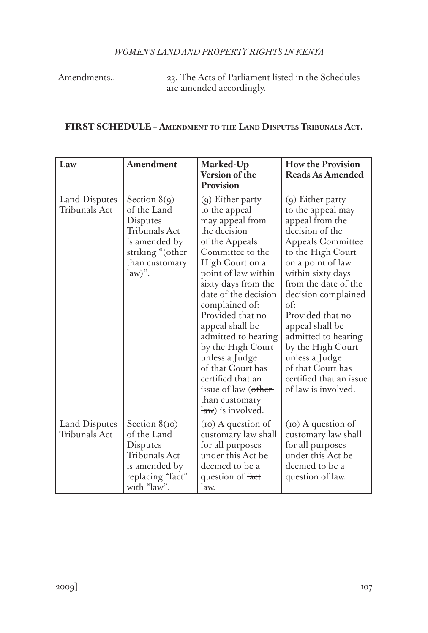Amendments.. 23. The Acts of Parliament listed in the Schedules are amended accordingly.

# **FIRST SCHEDULE – Amendment to the Land Disputes Tribunals Act.**

| Law                                   | Amendment                                                                                                                      | Marked-Up<br>Version of the<br>Provision                                                                                                                                                                                                                                                                                                                                                                                            | <b>How the Provision</b><br><b>Reads As Amended</b>                                                                                                                                                                                                                                                                                                                                                        |
|---------------------------------------|--------------------------------------------------------------------------------------------------------------------------------|-------------------------------------------------------------------------------------------------------------------------------------------------------------------------------------------------------------------------------------------------------------------------------------------------------------------------------------------------------------------------------------------------------------------------------------|------------------------------------------------------------------------------------------------------------------------------------------------------------------------------------------------------------------------------------------------------------------------------------------------------------------------------------------------------------------------------------------------------------|
| Land Disputes<br>Tribunals Act        | Section $8(q)$<br>of the Land<br>Disputes<br>Tribunals Act<br>is amended by<br>striking "(other<br>than customary<br>$law)$ ". | (9) Either party<br>to the appeal<br>may appeal from<br>the decision<br>of the Appeals<br>Committee to the<br>High Court on a<br>point of law within<br>sixty days from the<br>date of the decision<br>complained of:<br>Provided that no<br>appeal shall be<br>admitted to hearing<br>by the High Court<br>unless a Judge<br>of that Court has<br>certified that an<br>issue of law (other-<br>than customary<br>law) is involved. | $(q)$ Either party<br>to the appeal may<br>appeal from the<br>decision of the<br><b>Appeals Committee</b><br>to the High Court<br>on a point of law<br>within sixty days<br>from the date of the<br>decision complained<br>of:<br>Provided that no<br>appeal shall be<br>admitted to hearing<br>by the High Court<br>unless a Judge<br>of that Court has<br>certified that an issue<br>of law is involved. |
| Land Disputes<br><b>Tribunals Act</b> | Section $8(p)$<br>of the Land<br>Disputes<br><b>Tribunals Act</b><br>is amended by<br>replacing "fact"<br>with "law".          | (10) A question of<br>customary law shall<br>for all purposes<br>under this Act be<br>deemed to be a<br>question of fact<br>law.                                                                                                                                                                                                                                                                                                    | (10) A question of<br>customary law shall<br>for all purposes<br>under this Act be<br>deemed to be a<br>question of law.                                                                                                                                                                                                                                                                                   |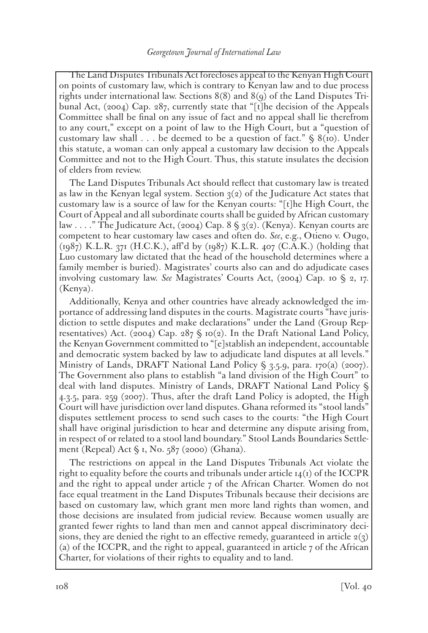The Land Disputes Tribunals Act forecloses appeal to the Kenyan High Court on points of customary law, which is contrary to Kenyan law and to due process rights under international law. Sections 8(8) and 8(9) of the Land Disputes Tribunal Act, (2004) Cap. 287, currently state that "[t]he decision of the Appeals Committee shall be final on any issue of fact and no appeal shall lie therefrom to any court," except on a point of law to the High Court, but a "question of customary law shall . . . be deemed to be a question of fact."  $\S$  8(10). Under this statute, a woman can only appeal a customary law decision to the Appeals Committee and not to the High Court. Thus, this statute insulates the decision of elders from review.

The Land Disputes Tribunals Act should reflect that customary law is treated as law in the Kenyan legal system. Section  $3(2)$  of the Judicature Act states that customary law is a source of law for the Kenyan courts: "[t]he High Court, the Court of Appeal and all subordinate courts shall be guided by African customary law . . . . " The Judicature Act, (2004) Cap.  $8 \leq \frac{2}{2}$ . (Kenya). Kenyan courts are competent to hear customary law cases and often do. *See*, e.g., Otieno v. Ougo, (1987) K.L.R. 371 (H.C.K.), aff'd by (1987) K.L.R. 407 (C.A.K.) (holding that Luo customary law dictated that the head of the household determines where a family member is buried). Magistrates' courts also can and do adjudicate cases involving customary law. *See* Magistrates' Courts Act, (2004) Cap. 10 § 2, 17. (Kenya).

Additionally, Kenya and other countries have already acknowledged the importance of addressing land disputes in the courts. Magistrate courts "have jurisdiction to settle disputes and make declarations" under the Land (Group Representatives) Act. (2004) Cap. 287  $\S$  10(2). In the Draft National Land Policy, the Kenyan Government committed to "[e]stablish an independent, accountable and democratic system backed by law to adjudicate land disputes at all levels." Ministry of Lands, DRAFT National Land Policy § 3.5.9, para. 170(a) (2007). The Government also plans to establish "a land division of the High Court" to deal with land disputes. Ministry of Lands, DRAFT National Land Policy § 4.3.5, para. 259 (2007). Thus, after the draft Land Policy is adopted, the High Court will have jurisdiction over land disputes. Ghana reformed its "stool lands" disputes settlement process to send such cases to the courts: "the High Court shall have original jurisdiction to hear and determine any dispute arising from, in respect of or related to a stool land boundary." Stool Lands Boundaries Settlement (Repeal) Act § 1, No. 587 (2000) (Ghana).

The restrictions on appeal in the Land Disputes Tribunals Act violate the right to equality before the courts and tribunals under article  $14<sub>(1)</sub>$  of the ICCPR and the right to appeal under article 7 of the African Charter. Women do not face equal treatment in the Land Disputes Tribunals because their decisions are based on customary law, which grant men more land rights than women, and those decisions are insulated from judicial review. Because women usually are granted fewer rights to land than men and cannot appeal discriminatory decisions, they are denied the right to an effective remedy, guaranteed in article  $2(3)$ (a) of the ICCPR, and the right to appeal, guaranteed in article  $7$  of the African Charter, for violations of their rights to equality and to land.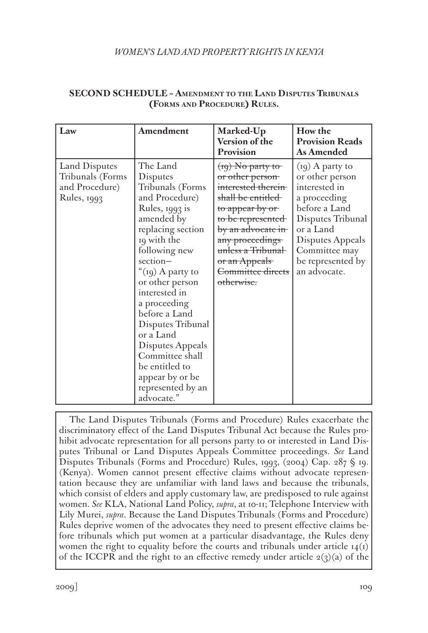# *WOMEN'S LAND AND PROPERTY RIGHTS IN KENYA*

| Law                                                                | Amendment                                                                                                                                                                                                                                                                                                                                                                                               | Marked-Up<br>Version of the<br>Provision                                                                                                                                                                                                   | How the<br><b>Provision Reads</b><br><b>As Amended</b>                                                                                                                                             |
|--------------------------------------------------------------------|---------------------------------------------------------------------------------------------------------------------------------------------------------------------------------------------------------------------------------------------------------------------------------------------------------------------------------------------------------------------------------------------------------|--------------------------------------------------------------------------------------------------------------------------------------------------------------------------------------------------------------------------------------------|----------------------------------------------------------------------------------------------------------------------------------------------------------------------------------------------------|
| Land Disputes<br>Tribunals (Forms<br>and Procedure)<br>Rules, 1993 | The Land<br>Disputes<br>Tribunals (Forms<br>and Procedure)<br>Rules, 1993 is<br>amended by<br>replacing section<br>19 with the<br>following new<br>$section-$<br>"(19) A party to<br>or other person<br>interested in<br>a proceeding<br>before a Land<br>Disputes Tribunal<br>or a Land<br>Disputes Appeals<br>Committee shall<br>be entitled to<br>appear by or be<br>represented by an<br>advocate." | $(19)$ No party to<br>or other person-<br>interested therein<br>shall be entitled<br>to appear by or<br>to be represented<br>by an advocate in<br>any proceedings<br>unless a Tribunal<br>or an Appeals<br>Committee directs<br>otherwise. | $(19)$ A party to<br>or other person<br>interested in<br>a proceeding<br>before a Land<br>Disputes Tribunal<br>or a Land<br>Disputes Appeals<br>Committee may<br>be represented by<br>an advocate. |

## **SECOND SCHEDULE – Amendment to the Land Disputes Tribunals (Forms and Procedure) Rules.**

The Land Disputes Tribunals (Forms and Procedure) Rules exacerbate the discriminatory effect of the Land Disputes Tribunal Act because the Rules prohibit advocate representation for all persons party to or interested in Land Disputes Tribunal or Land Disputes Appeals Committee proceedings. *See* Land Disputes Tribunals (Forms and Procedure) Rules, 1993, (2004) Cap. 287 § 19. (Kenya). Women cannot present effective claims without advocate representation because they are unfamiliar with land laws and because the tribunals, which consist of elders and apply customary law, are predisposed to rule against women. *See* KLA, National Land Policy, *supra*, at 10-11; Telephone Interview with Lily Murei, *supra*. Because the Land Disputes Tribunals (Forms and Procedure) Rules deprive women of the advocates they need to present effective claims before tribunals which put women at a particular disadvantage, the Rules deny women the right to equality before the courts and tribunals under article  $14(I)$ of the ICCPR and the right to an effective remedy under article  $2(3)(a)$  of the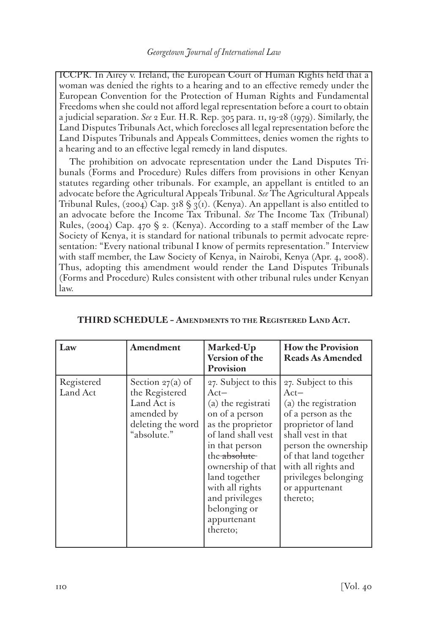ICCPR. In Airey v. Ireland, the European Court of Human Rights held that a woman was denied the rights to a hearing and to an effective remedy under the European Convention for the Protection of Human Rights and Fundamental Freedoms when she could not afford legal representation before a court to obtain a judicial separation. *See* 2 Eur. H.R. Rep. 305 para. 11, 19-28 (1979). Similarly, the Land Disputes Tribunals Act, which forecloses all legal representation before the Land Disputes Tribunals and Appeals Committees, denies women the rights to a hearing and to an effective legal remedy in land disputes.

The prohibition on advocate representation under the Land Disputes Tribunals (Forms and Procedure) Rules differs from provisions in other Kenyan statutes regarding other tribunals. For example, an appellant is entitled to an advocate before the Agricultural Appeals Tribunal. *See* The Agricultural Appeals Tribunal Rules, (2004) Cap. 318  $\S$  3(1). (Kenya). An appellant is also entitled to an advocate before the Income Tax Tribunal. *See* The Income Tax (Tribunal) Rules, (2004) Cap. 470  $\Diamond$  2. (Kenya). According to a staff member of the Law Society of Kenya, it is standard for national tribunals to permit advocate representation: "Every national tribunal I know of permits representation." Interview with staff member, the Law Society of Kenya, in Nairobi, Kenya (Apr. 4, 2008). Thus, adopting this amendment would render the Land Disputes Tribunals (Forms and Procedure) Rules consistent with other tribunal rules under Kenyan law.

| Law                    | Amendment                                                                                            | Marked-Up<br>Version of the<br>Provision                                                                                                                                                                                                                                 | <b>How the Provision</b><br>Reads As Amended                                                                                                                                                                                                          |
|------------------------|------------------------------------------------------------------------------------------------------|--------------------------------------------------------------------------------------------------------------------------------------------------------------------------------------------------------------------------------------------------------------------------|-------------------------------------------------------------------------------------------------------------------------------------------------------------------------------------------------------------------------------------------------------|
| Registered<br>Land Act | Section $27(a)$ of<br>the Registered<br>Land Act is<br>amended by<br>deleting the word<br>absolute." | 27. Subject to this<br>$Act-$<br>(a) the registrati<br>on of a person<br>as the proprietor<br>of land shall vest<br>in that person<br>the absolute<br>ownership of that<br>land together<br>with all rights<br>and privileges<br>belonging or<br>appurtenant<br>thereto; | 27. Subject to this<br>$Act-$<br>(a) the registration<br>of a person as the<br>proprietor of land<br>shall vest in that<br>person the ownership<br>of that land together<br>with all rights and<br>privileges belonging<br>or appurtenant<br>thereto; |

| THIRD SCHEDULE - AMENDMENTS TO THE REGISTERED LAND ACT. |  |  |  |
|---------------------------------------------------------|--|--|--|
|---------------------------------------------------------|--|--|--|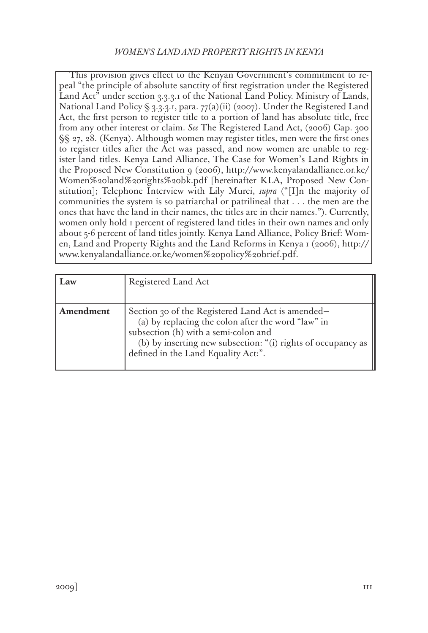This provision gives effect to the Kenyan Government's commitment to repeal "the principle of absolute sanctity of first registration under the Registered Land Act" under section 3.3.3.1 of the National Land Policy. Ministry of Lands, National Land Policy § 3.3.3.1, para.  $77(a)(ii)$  (2007). Under the Registered Land Act, the first person to register title to a portion of land has absolute title, free from any other interest or claim. *See* The Registered Land Act, (2006) Cap. 300 §§ 27, 28. (Kenya). Although women may register titles, men were the first ones to register titles after the Act was passed, and now women are unable to register land titles. Kenya Land Alliance, The Case for Women's Land Rights in the Proposed New Constitution 9 (2006), http://www.kenyalandalliance.or.ke/ Women%20land%20rights%20bk.pdf [hereinafter KLA, Proposed New Constitution]; Telephone Interview with Lily Murei, *supra* ("[I]n the majority of communities the system is so patriarchal or patrilineal that . . . the men are the ones that have the land in their names, the titles are in their names."). Currently, women only hold 1 percent of registered land titles in their own names and only about 5-6 percent of land titles jointly. Kenya Land Alliance, Policy Brief: Women, Land and Property Rights and the Land Reforms in Kenya 1 (2006), http:// www.kenyalandalliance.or.ke/women%20policy%20brief.pdf.

| Law       | Registered Land Act                                                                                                                                                                                                                                    |
|-----------|--------------------------------------------------------------------------------------------------------------------------------------------------------------------------------------------------------------------------------------------------------|
| Amendment | Section 30 of the Registered Land Act is amended–<br>(a) by replacing the colon after the word "law" in<br>subsection (h) with a semi-colon and<br>(b) by inserting new subsection: "(i) rights of occupancy as<br>defined in the Land Equality Act:". |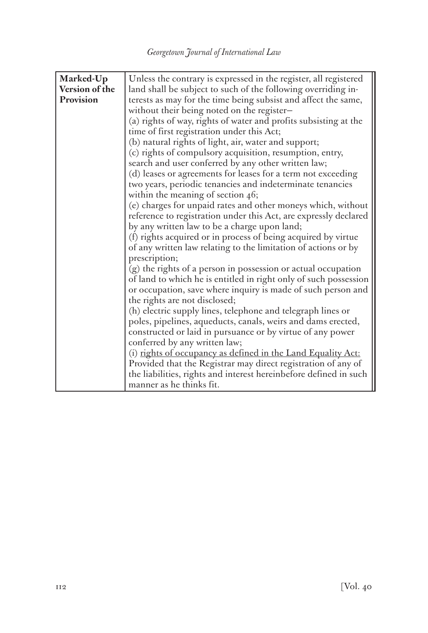| Marked-Up      | Unless the contrary is expressed in the register, all registered  |  |
|----------------|-------------------------------------------------------------------|--|
| Version of the | land shall be subject to such of the following overriding in-     |  |
| Provision      | terests as may for the time being subsist and affect the same,    |  |
|                | without their being noted on the register-                        |  |
|                | (a) rights of way, rights of water and profits subsisting at the  |  |
|                | time of first registration under this Act;                        |  |
|                | (b) natural rights of light, air, water and support;              |  |
|                | (c) rights of compulsory acquisition, resumption, entry,          |  |
|                | search and user conferred by any other written law;               |  |
|                | (d) leases or agreements for leases for a term not exceeding      |  |
|                | two years, periodic tenancies and indeterminate tenancies         |  |
|                | within the meaning of section $46$ ;                              |  |
|                | (e) charges for unpaid rates and other moneys which, without      |  |
|                |                                                                   |  |
|                | reference to registration under this Act, are expressly declared  |  |
|                | by any written law to be a charge upon land;                      |  |
|                | (f) rights acquired or in process of being acquired by virtue     |  |
|                | of any written law relating to the limitation of actions or by    |  |
|                | prescription;                                                     |  |
|                | (g) the rights of a person in possession or actual occupation     |  |
|                | of land to which he is entitled in right only of such possession  |  |
|                | or occupation, save where inquiry is made of such person and      |  |
|                | the rights are not disclosed;                                     |  |
|                | (h) electric supply lines, telephone and telegraph lines or       |  |
|                | poles, pipelines, aqueducts, canals, weirs and dams erected,      |  |
|                | constructed or laid in pursuance or by virtue of any power        |  |
|                | conferred by any written law;                                     |  |
|                | (i) rights of occupancy as defined in the Land Equality Act:      |  |
|                | Provided that the Registrar may direct registration of any of     |  |
|                | the liabilities, rights and interest hereinbefore defined in such |  |
|                | manner as he thinks fit.                                          |  |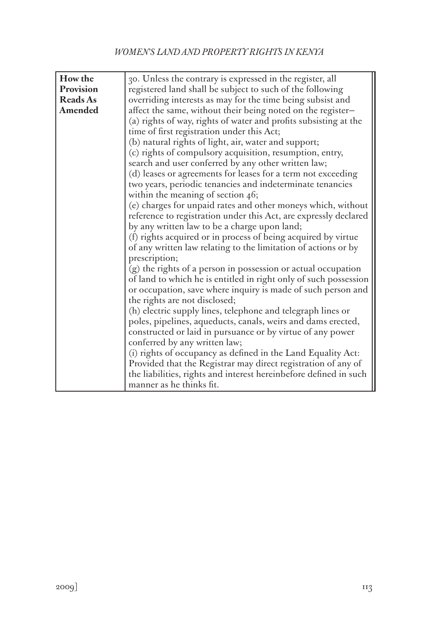| How the         | 30. Unless the contrary is expressed in the register, all                                                                                                                                                                           |
|-----------------|-------------------------------------------------------------------------------------------------------------------------------------------------------------------------------------------------------------------------------------|
| Provision       | registered land shall be subject to such of the following                                                                                                                                                                           |
| <b>Reads As</b> | overriding interests as may for the time being subsist and                                                                                                                                                                          |
| Amended         | affect the same, without their being noted on the register-                                                                                                                                                                         |
|                 | (a) rights of way, rights of water and profits subsisting at the                                                                                                                                                                    |
|                 | time of first registration under this Act;                                                                                                                                                                                          |
|                 | (b) natural rights of light, air, water and support;                                                                                                                                                                                |
|                 | (c) rights of compulsory acquisition, resumption, entry,                                                                                                                                                                            |
|                 | search and user conferred by any other written law;                                                                                                                                                                                 |
|                 | (d) leases or agreements for leases for a term not exceeding                                                                                                                                                                        |
|                 | two years, periodic tenancies and indeterminate tenancies                                                                                                                                                                           |
|                 | within the meaning of section 46;                                                                                                                                                                                                   |
|                 | (e) charges for unpaid rates and other moneys which, without                                                                                                                                                                        |
|                 | reference to registration under this Act, are expressly declared                                                                                                                                                                    |
|                 | by any written law to be a charge upon land;                                                                                                                                                                                        |
|                 | (f) rights acquired or in process of being acquired by virtue                                                                                                                                                                       |
|                 | of any written law relating to the limitation of actions or by                                                                                                                                                                      |
|                 | prescription;                                                                                                                                                                                                                       |
|                 | (g) the rights of a person in possession or actual occupation                                                                                                                                                                       |
|                 | of land to which he is entitled in right only of such possession                                                                                                                                                                    |
|                 | or occupation, save where inquiry is made of such person and                                                                                                                                                                        |
|                 | the rights are not disclosed;                                                                                                                                                                                                       |
|                 | (h) electric supply lines, telephone and telegraph lines or                                                                                                                                                                         |
|                 | poles, pipelines, aqueducts, canals, weirs and dams erected,                                                                                                                                                                        |
|                 | constructed or laid in pursuance or by virtue of any power                                                                                                                                                                          |
|                 |                                                                                                                                                                                                                                     |
|                 |                                                                                                                                                                                                                                     |
|                 |                                                                                                                                                                                                                                     |
|                 |                                                                                                                                                                                                                                     |
|                 | manner as he thinks fit.                                                                                                                                                                                                            |
|                 | conferred by any written law;<br>(i) rights of occupancy as defined in the Land Equality Act:<br>Provided that the Registrar may direct registration of any of<br>the liabilities, rights and interest hereinbefore defined in such |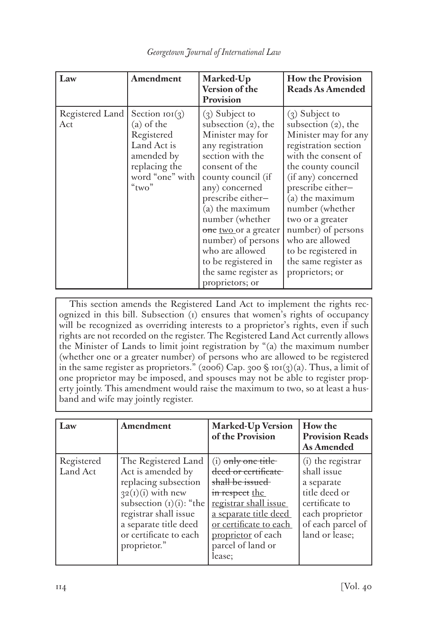| Law                    | Amendment                                                                                                                        | Marked-Up<br>Version of the<br>Provision                                                                                                                                                                                                                                                                                                                    | <b>How the Provision</b><br><b>Reads As Amended</b>                                                                                                                                                                                                                                                                                                     |
|------------------------|----------------------------------------------------------------------------------------------------------------------------------|-------------------------------------------------------------------------------------------------------------------------------------------------------------------------------------------------------------------------------------------------------------------------------------------------------------------------------------------------------------|---------------------------------------------------------------------------------------------------------------------------------------------------------------------------------------------------------------------------------------------------------------------------------------------------------------------------------------------------------|
| Registered Land<br>Act | Section $\text{IOI}(3)$<br>(a) of the<br>Registered<br>Land Act is<br>amended by<br>replacing the<br>word "one" with<br>" $two"$ | $(3)$ Subject to<br>subsection (2), the<br>Minister may for<br>any registration<br>section with the<br>consent of the<br>county council (if<br>any) concerned<br>prescribe either-<br>(a) the maximum<br>number (whether<br>one two or a greater<br>number) of persons<br>who are allowed<br>to be registered in<br>the same register as<br>proprietors; or | $(3)$ Subject to<br>subsection $(2)$ , the<br>Minister may for any<br>registration section<br>with the consent of<br>the county council<br>(if any) concerned<br>prescribe either-<br>(a) the maximum<br>number (whether<br>two or a greater<br>number) of persons<br>who are allowed<br>to be registered in<br>the same register as<br>proprietors; or |

*Georgetown Journal of International Law*

This section amends the Registered Land Act to implement the rights recognized in this bill. Subsection (1) ensures that women's rights of occupancy will be recognized as overriding interests to a proprietor's rights, even if such rights are not recorded on the register. The Registered Land Act currently allows the Minister of Lands to limit joint registration by "(a) the maximum number (whether one or a greater number) of persons who are allowed to be registered in the same register as proprietors." (2006) Cap. 300  $\sin(3)(a)$ . Thus, a limit of one proprietor may be imposed, and spouses may not be able to register property jointly. This amendment would raise the maximum to two, so at least a husband and wife may jointly register.

| Law                    | Amendment                                                                                                                                                                                                         | <b>Marked-Up Version</b><br>of the Provision                                                                                                                                                                      | How the<br><b>Provision Reads</b><br>As Amended                                                                                             |
|------------------------|-------------------------------------------------------------------------------------------------------------------------------------------------------------------------------------------------------------------|-------------------------------------------------------------------------------------------------------------------------------------------------------------------------------------------------------------------|---------------------------------------------------------------------------------------------------------------------------------------------|
| Registered<br>Land Act | The Registered Land<br>Act is amended by<br>replacing subsection<br>$32(i)(i)$ with new<br>subsection $(i)(i)$ : "the<br>registrar shall issue<br>a separate title deed<br>or certificate to each<br>proprietor." | $(i)$ only one title<br>deed or certificate<br>shall be issued<br>in respect the<br>registrar shall issue<br>a separate title deed<br>or certificate to each<br>proprietor of each<br>parcel of land or<br>lease; | (i) the registrar<br>shall issue<br>a separate<br>title deed or<br>certificate to<br>each proprietor<br>of each parcel of<br>land or lease; |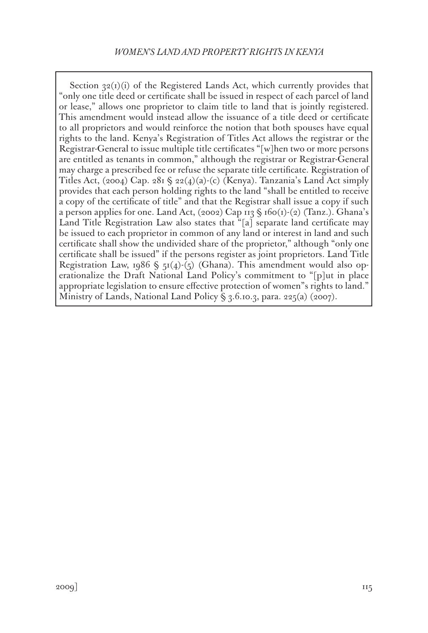Section  $32(i)(i)$  of the Registered Lands Act, which currently provides that "only one title deed or certificate shall be issued in respect of each parcel of land or lease," allows one proprietor to claim title to land that is jointly registered. This amendment would instead allow the issuance of a title deed or certificate to all proprietors and would reinforce the notion that both spouses have equal rights to the land. Kenya's Registration of Titles Act allows the registrar or the Registrar-General to issue multiple title certificates "[w]hen two or more persons are entitled as tenants in common," although the registrar or Registrar-General may charge a prescribed fee or refuse the separate title certificate. Registration of Titles Act, (2004) Cap. 281  $\S$  22(4)(a)-(c) (Kenya). Tanzania's Land Act simply provides that each person holding rights to the land "shall be entitled to receive a copy of the certificate of title" and that the Registrar shall issue a copy if such a person applies for one. Land Act, (2002) Cap  $\text{II3} \text{ }\$\text{ }160(\text{I})\text{-}(2)$  (Tanz.). Ghana's Land Title Registration Law also states that "[a] separate land certificate may be issued to each proprietor in common of any land or interest in land and such certificate shall show the undivided share of the proprietor," although "only one certificate shall be issued" if the persons register as joint proprietors. Land Title Registration Law, 1986  $\frac{1}{2}$  51(4)-(5) (Ghana). This amendment would also operationalize the Draft National Land Policy's commitment to "[p]ut in place appropriate legislation to ensure effective protection of women"s rights to land." Ministry of Lands, National Land Policy § 3.6.10.3, para. 225(a) (2007).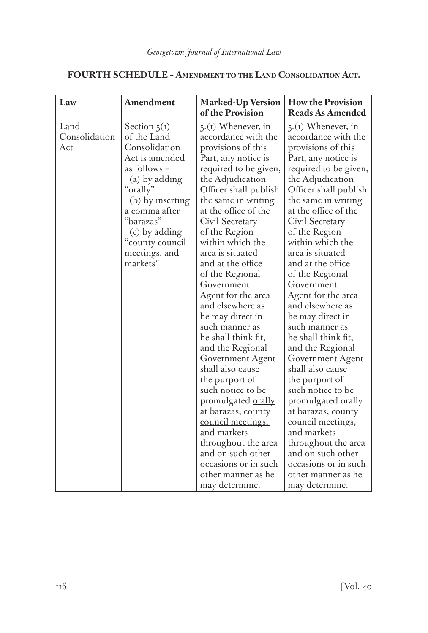| Law                          | Amendment                                                                                                                                                                                                                        | <b>Marked-Up Version</b><br>of the Provision                                                                                                                                                                                                                                                                                                                                                                                                                                                                                                                                                                                                                                                                                                                | <b>How the Provision</b><br>Reads As Amended                                                                                                                                                                                                                                                                                                                                                                                                                                                                                                                                                                                                                                                                                                         |
|------------------------------|----------------------------------------------------------------------------------------------------------------------------------------------------------------------------------------------------------------------------------|-------------------------------------------------------------------------------------------------------------------------------------------------------------------------------------------------------------------------------------------------------------------------------------------------------------------------------------------------------------------------------------------------------------------------------------------------------------------------------------------------------------------------------------------------------------------------------------------------------------------------------------------------------------------------------------------------------------------------------------------------------------|------------------------------------------------------------------------------------------------------------------------------------------------------------------------------------------------------------------------------------------------------------------------------------------------------------------------------------------------------------------------------------------------------------------------------------------------------------------------------------------------------------------------------------------------------------------------------------------------------------------------------------------------------------------------------------------------------------------------------------------------------|
| Land<br>Consolidation<br>Act | Section $5(1)$<br>of the Land<br>Consolidation<br>Act is amended<br>as follows -<br>(a) by adding<br>"orally"<br>(b) by inserting<br>a comma after<br>"barazas"<br>(c) by adding<br>"county council<br>meetings, and<br>markets" | $5(1)$ Whenever, in<br>accordance with the<br>provisions of this<br>Part, any notice is<br>required to be given,<br>the Adjudication<br>Officer shall publish<br>the same in writing<br>at the office of the<br>Civil Secretary<br>of the Region<br>within which the<br>area is situated<br>and at the office<br>of the Regional<br>Government<br>Agent for the area<br>and elsewhere as<br>he may direct in<br>such manner as<br>he shall think fit,<br>and the Regional<br>Government Agent<br>shall also cause<br>the purport of<br>such notice to be<br>promulgated orally<br>at barazas, county<br>council meetings,<br><u>and markets</u><br>throughout the area<br>and on such other<br>occasions or in such<br>other manner as he<br>may determine. | $5(1)$ Whenever, in<br>accordance with the<br>provisions of this<br>Part, any notice is<br>required to be given,<br>the Adjudication<br>Officer shall publish<br>the same in writing<br>at the office of the<br>Civil Secretary<br>of the Region<br>within which the<br>area is situated<br>and at the office<br>of the Regional<br>Government<br>Agent for the area<br>and elsewhere as<br>he may direct in<br>such manner as<br>he shall think fit,<br>and the Regional<br>Government Agent<br>shall also cause<br>the purport of<br>such notice to be<br>promulgated orally<br>at barazas, county<br>council meetings,<br>and markets<br>throughout the area<br>and on such other<br>occasions or in such<br>other manner as he<br>may determine. |

# **FOURTH SCHEDULE – Amendment to the Land Consolidation Act.**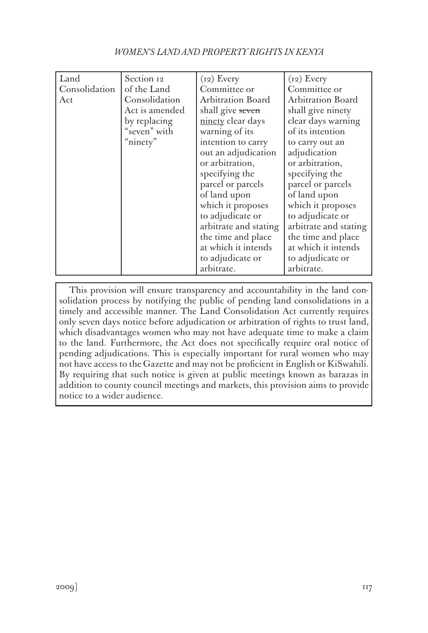| WOMEN'S LAND AND PROPERTY RIGHTS IN KENYA |  |  |
|-------------------------------------------|--|--|
|-------------------------------------------|--|--|

| Land          | Section 12     | $(i2)$ Every             | $(i2)$ Every          |
|---------------|----------------|--------------------------|-----------------------|
| Consolidation | of the Land    | Committee or             | Committee or          |
| Act           | Consolidation  | <b>Arbitration Board</b> | Arbitration Board     |
|               | Act is amended | shall give seven         | shall give ninety     |
|               | by replacing   | ninety clear days        | clear days warning    |
|               | "seven" with   | warning of its           | of its intention      |
|               | "ninety"       | intention to carry       | to carry out an       |
|               |                | out an adjudication      | adjudication          |
|               |                | or arbitration,          | or arbitration,       |
|               |                | specifying the           | specifying the        |
|               |                | parcel or parcels        | parcel or parcels     |
|               |                | of land upon             | of land upon          |
|               |                | which it proposes        | which it proposes     |
|               |                | to adjudicate or         | to adjudicate or      |
|               |                | arbitrate and stating    | arbitrate and stating |
|               |                | the time and place       | the time and place    |
|               |                | at which it intends      | at which it intends   |
|               |                | to adjudicate or         | to adjudicate or      |
|               |                | arbitrate.               | arbitrate.            |

This provision will ensure transparency and accountability in the land consolidation process by notifying the public of pending land consolidations in a timely and accessible manner. The Land Consolidation Act currently requires only seven days notice before adjudication or arbitration of rights to trust land, which disadvantages women who may not have adequate time to make a claim to the land. Furthermore, the Act does not specifically require oral notice of pending adjudications. This is especially important for rural women who may not have access to the Gazette and may not be proficient in English or KiSwahili. By requiring that such notice is given at public meetings known as barazas in addition to county council meetings and markets, this provision aims to provide notice to a wider audience.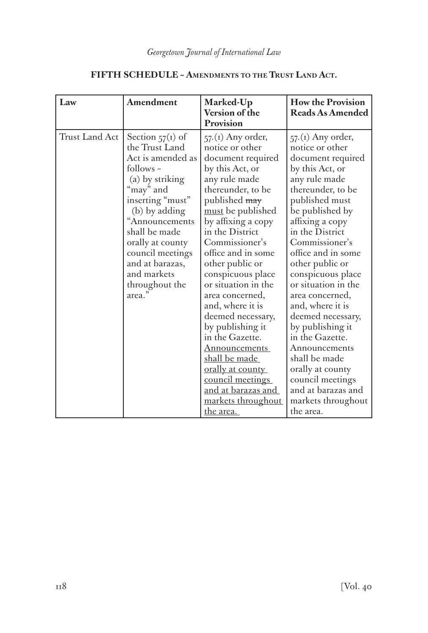| Provision                                                                                                                                                                                                                                                                                                                                                                                                                                                                                                                                                                                                                                                                                                                                                                                                                                                        | Version of the<br>Reads As Amended                                                                                                                                                                                                                                                                                                                                                                                                                                                                                                          |
|------------------------------------------------------------------------------------------------------------------------------------------------------------------------------------------------------------------------------------------------------------------------------------------------------------------------------------------------------------------------------------------------------------------------------------------------------------------------------------------------------------------------------------------------------------------------------------------------------------------------------------------------------------------------------------------------------------------------------------------------------------------------------------------------------------------------------------------------------------------|---------------------------------------------------------------------------------------------------------------------------------------------------------------------------------------------------------------------------------------------------------------------------------------------------------------------------------------------------------------------------------------------------------------------------------------------------------------------------------------------------------------------------------------------|
| Trust Land Act<br>Section $57(i)$ of<br>$57(1)$ Any order,<br>the Trust Land<br>notice or other<br>Act is amended as<br>document required<br>follows -<br>by this Act, or<br>any rule made<br>(a) by striking<br>"may" and<br>thereunder, to be<br>inserting "must"<br>published may<br>must be published<br>(b) by adding<br>"Announcements<br>by affixing a copy<br>shall be made<br>in the District<br>Commissioner's<br>orally at county<br>office and in some<br>council meetings<br>and at barazas,<br>other public or<br>and markets<br>conspicuous place<br>or situation in the<br>throughout the<br>area."<br>area concerned,<br>and, where it is<br>deemed necessary,<br>by publishing it<br>in the Gazette.<br>Announcements<br>shall be made<br><u>orally at county</u><br>council meetings<br>and at barazas and<br>markets throughout<br>the area. | $57(1)$ Any order,<br>notice or other<br>document required<br>by this Act, or<br>any rule made<br>thereunder, to be<br>published must<br>be published by<br>affixing a copy<br>in the District<br>Commissioner's<br>office and in some<br>other public or<br>conspicuous place<br>or situation in the<br>area concerned,<br>and, where it is<br>deemed necessary,<br>by publishing it<br>in the Gazette.<br>Announcements<br>shall be made<br>orally at county<br>council meetings<br>and at barazas and<br>markets throughout<br>the area. |

# **FIFTH SCHEDULE – Amendments to the Trust Land Act.**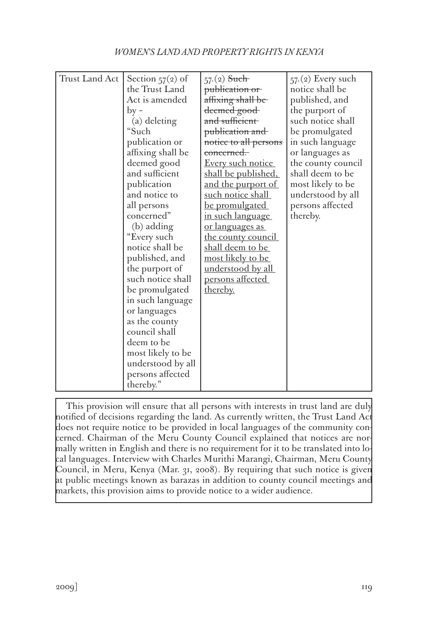# *WOMEN'S LAND AND PROPERTY RIGHTS IN KENYA*

| Trust Land Act | Section $57(2)$ of<br>the Trust Land<br>Act is amended<br>$by -$<br>(a) deleting<br>"Such<br>publication or<br>affixing shall be<br>deemed good<br>and sufficient<br>publication<br>and notice to<br>all persons<br>concerned"<br>(b) adding<br>"Every such<br>notice shall be<br>published, and | $57(2)$ Such<br>publication or<br>affixing shall be<br>deemed good<br>and sufficient<br>publication and<br>notice to all persons<br><del>concerned.</del><br>Every such notice<br><u>shall be published,</u><br><u>and the purport of</u><br>such notice shall<br>be promulgated<br>in such language<br><u>or languages as </u><br><u>the county council</u><br>shall deem to be<br><u>most likely to be</u> | $57(2)$ Every such<br>notice shall be<br>published, and<br>the purport of<br>such notice shall<br>be promulgated<br>in such language<br>or languages as<br>the county council<br>shall deem to be<br>most likely to be<br>understood by all<br>persons affected<br>thereby. |
|----------------|--------------------------------------------------------------------------------------------------------------------------------------------------------------------------------------------------------------------------------------------------------------------------------------------------|--------------------------------------------------------------------------------------------------------------------------------------------------------------------------------------------------------------------------------------------------------------------------------------------------------------------------------------------------------------------------------------------------------------|-----------------------------------------------------------------------------------------------------------------------------------------------------------------------------------------------------------------------------------------------------------------------------|
|                |                                                                                                                                                                                                                                                                                                  |                                                                                                                                                                                                                                                                                                                                                                                                              |                                                                                                                                                                                                                                                                             |
|                |                                                                                                                                                                                                                                                                                                  |                                                                                                                                                                                                                                                                                                                                                                                                              |                                                                                                                                                                                                                                                                             |
|                |                                                                                                                                                                                                                                                                                                  |                                                                                                                                                                                                                                                                                                                                                                                                              |                                                                                                                                                                                                                                                                             |
|                |                                                                                                                                                                                                                                                                                                  |                                                                                                                                                                                                                                                                                                                                                                                                              |                                                                                                                                                                                                                                                                             |
|                |                                                                                                                                                                                                                                                                                                  |                                                                                                                                                                                                                                                                                                                                                                                                              |                                                                                                                                                                                                                                                                             |
|                |                                                                                                                                                                                                                                                                                                  |                                                                                                                                                                                                                                                                                                                                                                                                              |                                                                                                                                                                                                                                                                             |
|                |                                                                                                                                                                                                                                                                                                  |                                                                                                                                                                                                                                                                                                                                                                                                              |                                                                                                                                                                                                                                                                             |
|                |                                                                                                                                                                                                                                                                                                  |                                                                                                                                                                                                                                                                                                                                                                                                              |                                                                                                                                                                                                                                                                             |
|                |                                                                                                                                                                                                                                                                                                  |                                                                                                                                                                                                                                                                                                                                                                                                              |                                                                                                                                                                                                                                                                             |
|                | the purport of                                                                                                                                                                                                                                                                                   | understood by all                                                                                                                                                                                                                                                                                                                                                                                            |                                                                                                                                                                                                                                                                             |
|                | such notice shall                                                                                                                                                                                                                                                                                | persons affected                                                                                                                                                                                                                                                                                                                                                                                             |                                                                                                                                                                                                                                                                             |
|                | be promulgated                                                                                                                                                                                                                                                                                   | thereby.                                                                                                                                                                                                                                                                                                                                                                                                     |                                                                                                                                                                                                                                                                             |
|                | in such language<br>or languages                                                                                                                                                                                                                                                                 |                                                                                                                                                                                                                                                                                                                                                                                                              |                                                                                                                                                                                                                                                                             |
|                | as the county                                                                                                                                                                                                                                                                                    |                                                                                                                                                                                                                                                                                                                                                                                                              |                                                                                                                                                                                                                                                                             |
|                | council shall                                                                                                                                                                                                                                                                                    |                                                                                                                                                                                                                                                                                                                                                                                                              |                                                                                                                                                                                                                                                                             |
|                | deem to be                                                                                                                                                                                                                                                                                       |                                                                                                                                                                                                                                                                                                                                                                                                              |                                                                                                                                                                                                                                                                             |
|                | most likely to be                                                                                                                                                                                                                                                                                |                                                                                                                                                                                                                                                                                                                                                                                                              |                                                                                                                                                                                                                                                                             |
|                | understood by all                                                                                                                                                                                                                                                                                |                                                                                                                                                                                                                                                                                                                                                                                                              |                                                                                                                                                                                                                                                                             |
|                | persons affected                                                                                                                                                                                                                                                                                 |                                                                                                                                                                                                                                                                                                                                                                                                              |                                                                                                                                                                                                                                                                             |
|                | thereby."                                                                                                                                                                                                                                                                                        |                                                                                                                                                                                                                                                                                                                                                                                                              |                                                                                                                                                                                                                                                                             |

This provision will ensure that all persons with interests in trust land are duly notified of decisions regarding the land. As currently written, the Trust Land Act does not require notice to be provided in local languages of the community concerned. Chairman of the Meru County Council explained that notices are normally written in English and there is no requirement for it to be translated into local languages. Interview with Charles Murithi Marangi, Chairman, Meru County Council, in Meru, Kenya (Mar. 31, 2008). By requiring that such notice is given at public meetings known as barazas in addition to county council meetings and markets, this provision aims to provide notice to a wider audience.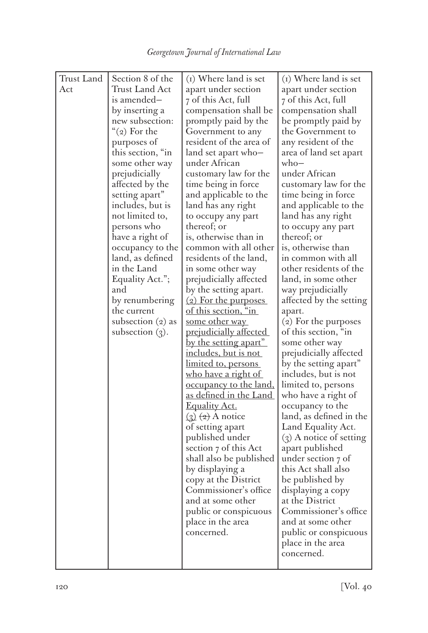| Trust Land | Section 8 of the       | (i) Where land is set                                                  | (i) Where land is set                        |
|------------|------------------------|------------------------------------------------------------------------|----------------------------------------------|
| Act        | <b>Trust Land Act</b>  | apart under section                                                    | apart under section                          |
|            | is amended-            | 7 of this Act, full                                                    | 7 of this Act, full                          |
|            | by inserting a         | compensation shall be                                                  | compensation shall                           |
|            | new subsection:        | promptly paid by the                                                   | be promptly paid by                          |
|            | " $(2)$ For the        | Government to any                                                      | the Government to                            |
|            | purposes of            | resident of the area of                                                | any resident of the                          |
|            | this section, "in      | land set apart who-                                                    | area of land set apart                       |
|            | some other way         | under African                                                          | $who-$                                       |
|            | prejudicially          | customary law for the                                                  | under African                                |
|            | affected by the        | time being in force                                                    | customary law for the                        |
|            | setting apart"         | and applicable to the                                                  | time being in force                          |
|            | includes, but is       | land has any right                                                     | and applicable to the                        |
|            | not limited to,        | to occupy any part                                                     | land has any right                           |
|            | persons who            | thereof; or                                                            | to occupy any part                           |
|            | have a right of        | is, otherwise than in                                                  | thereof; or                                  |
|            | occupancy to the       | common with all other                                                  | is, otherwise than                           |
|            | land, as defined       | residents of the land,                                                 | in common with all                           |
|            | in the Land            | in some other way                                                      | other residents of the                       |
|            | Equality Act.";<br>and | prejudicially affected                                                 | land, in some other                          |
|            | by renumbering         | by the setting apart.<br>(2) For the purposes                          | way prejudicially<br>affected by the setting |
|            | the current            | of this section, "in                                                   |                                              |
|            | subsection $(2)$ as    | <u>some other way</u>                                                  | apart.<br>(2) For the purposes               |
|            | subsection $(3)$ .     | prejudicially affected                                                 | of this section, "in                         |
|            |                        | <u>by the setting apart"</u>                                           | some other way                               |
|            |                        | <u>includes, but is not</u>                                            | prejudicially affected                       |
|            |                        | <u>limited to, persons</u>                                             | by the setting apart"                        |
|            |                        | <u>who have a right of</u>                                             | includes, but is not                         |
|            |                        | <u>occupancy to the land,</u>                                          | limited to, persons                          |
|            |                        | as defined in the Land                                                 | who have a right of                          |
|            |                        | <b>Equality Act.</b>                                                   | occupancy to the                             |
|            |                        | $\left( \underline{3} \right)$ $\left( \underline{4} \right)$ A notice | land, as defined in the                      |
|            |                        | of setting apart                                                       | Land Equality Act.                           |
|            |                        | published under                                                        | $(3)$ A notice of setting                    |
|            |                        | section 7 of this Act                                                  | apart published                              |
|            |                        | shall also be published                                                | under section 7 of                           |
|            |                        | by displaying a                                                        | this Act shall also                          |
|            |                        | copy at the District                                                   | be published by                              |
|            |                        | Commissioner's office                                                  | displaying a copy                            |
|            |                        | and at some other                                                      | at the District                              |
|            |                        | public or conspicuous                                                  | Commissioner's office                        |
|            |                        | place in the area                                                      | and at some other                            |
|            |                        | concerned.                                                             | public or conspicuous                        |
|            |                        |                                                                        | place in the area                            |
|            |                        |                                                                        | concerned.                                   |
|            |                        |                                                                        |                                              |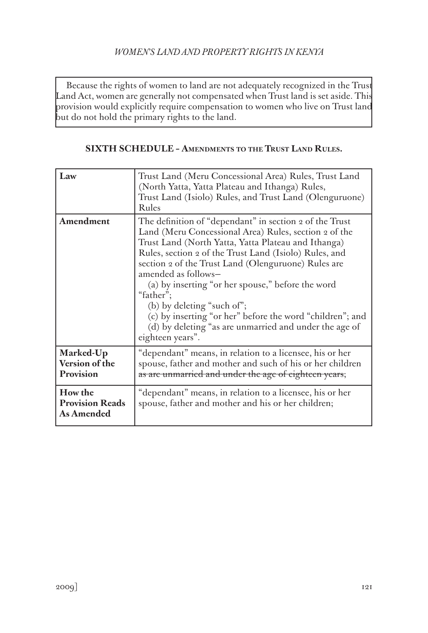## *WOMEN'S LAND AND PROPERTY RIGHTS IN KENYA*

Because the rights of women to land are not adequately recognized in the Trust Land Act, women are generally not compensated when Trust land is set aside. This provision would explicitly require compensation to women who live on Trust land but do not hold the primary rights to the land.

#### **SIXTH SCHEDULE – Amendments to the Trust Land Rules.**

| Law                                             | Trust Land (Meru Concessional Area) Rules, Trust Land<br>(North Yatta, Yatta Plateau and Ithanga) Rules,<br>Trust Land (Isiolo) Rules, and Trust Land (Olenguruone)<br>Rules                                                                                                                                                                                                                                                                                                                                                                               |
|-------------------------------------------------|------------------------------------------------------------------------------------------------------------------------------------------------------------------------------------------------------------------------------------------------------------------------------------------------------------------------------------------------------------------------------------------------------------------------------------------------------------------------------------------------------------------------------------------------------------|
| Amendment                                       | The definition of "dependant" in section 2 of the Trust<br>Land (Meru Concessional Area) Rules, section 2 of the<br>Trust Land (North Yatta, Yatta Plateau and Ithanga)<br>Rules, section 2 of the Trust Land (Isiolo) Rules, and<br>section 2 of the Trust Land (Olenguruone) Rules are<br>amended as follows-<br>(a) by inserting "or her spouse," before the word<br>"father";<br>(b) by deleting "such of";<br>(c) by inserting "or her" before the word "children"; and<br>(d) by deleting "as are unmarried and under the age of<br>eighteen years". |
| Marked-Up<br>Version of the<br>Provision        | "dependant" means, in relation to a licensee, his or her<br>spouse, father and mother and such of his or her children<br>as are unmarried and under the age of eighteen years;                                                                                                                                                                                                                                                                                                                                                                             |
| How the<br><b>Provision Reads</b><br>As Amended | "dependant" means, in relation to a licensee, his or her<br>spouse, father and mother and his or her children;                                                                                                                                                                                                                                                                                                                                                                                                                                             |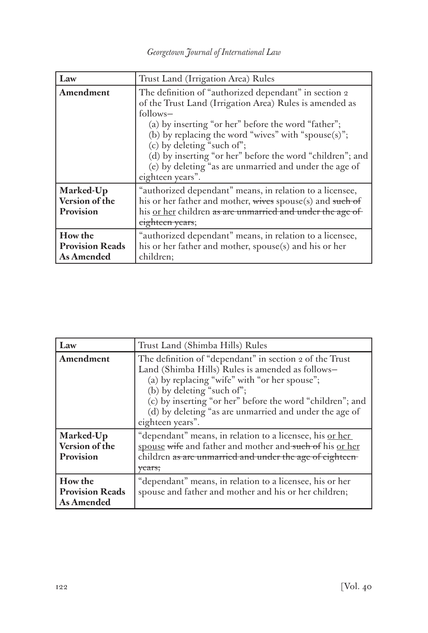| Law                                             | Trust Land (Irrigation Area) Rules                                                                                                                                                                                                                                                                                                                                                                                        |
|-------------------------------------------------|---------------------------------------------------------------------------------------------------------------------------------------------------------------------------------------------------------------------------------------------------------------------------------------------------------------------------------------------------------------------------------------------------------------------------|
| Amendment                                       | The definition of "authorized dependant" in section 2<br>of the Trust Land (Irrigation Area) Rules is amended as<br>$follows-$<br>(a) by inserting "or her" before the word "father";<br>(b) by replacing the word "wives" with "spouse $(s)$ ";<br>(c) by deleting "such of";<br>(d) by inserting "or her" before the word "children"; and<br>(e) by deleting "as are unmarried and under the age of<br>eighteen years". |
| Marked-Up<br>Version of the<br>Provision        | "authorized dependant" means, in relation to a licensee,<br>his or her father and mother, wives spouse(s) and such of<br>his or her children as are unmarried and under the age of<br>eighteen years;                                                                                                                                                                                                                     |
| How the<br><b>Provision Reads</b><br>As Amended | "authorized dependant" means, in relation to a licensee,<br>his or her father and mother, spouse(s) and his or her<br>children;                                                                                                                                                                                                                                                                                           |

| Law                                             | Trust Land (Shimba Hills) Rules                                                                                                                                                                                                                                                                                                       |
|-------------------------------------------------|---------------------------------------------------------------------------------------------------------------------------------------------------------------------------------------------------------------------------------------------------------------------------------------------------------------------------------------|
| Amendment                                       | The definition of "dependant" in section 2 of the Trust<br>Land (Shimba Hills) Rules is amended as follows-<br>(a) by replacing "wife" with "or her spouse";<br>(b) by deleting "such of";<br>(c) by inserting "or her" before the word "children"; and<br>(d) by deleting "as are unmarried and under the age of<br>eighteen years". |
| Marked-Up<br>Version of the<br>Provision        | "dependant" means, in relation to a licensee, his <u>or her</u><br>spouse wife and father and mother and such of his or her<br>children as are unmarried and under the age of eighteen-<br>vears;                                                                                                                                     |
| How the<br><b>Provision Reads</b><br>As Amended | "dependant" means, in relation to a licensee, his or her<br>spouse and father and mother and his or her children;                                                                                                                                                                                                                     |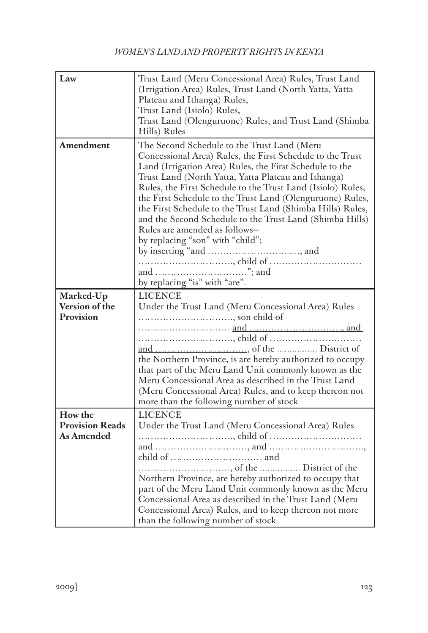| Law                                                    | Trust Land (Meru Concessional Area) Rules, Trust Land<br>(Irrigation Area) Rules, Trust Land (North Yatta, Yatta<br>Plateau and Ithanga) Rules,<br>Trust Land (Isiolo) Rules,<br>Trust Land (Olenguruone) Rules, and Trust Land (Shimba<br>Hills) Rules                                                                                                                                                                                                                                                                                                                                |
|--------------------------------------------------------|----------------------------------------------------------------------------------------------------------------------------------------------------------------------------------------------------------------------------------------------------------------------------------------------------------------------------------------------------------------------------------------------------------------------------------------------------------------------------------------------------------------------------------------------------------------------------------------|
| Amendment                                              | The Second Schedule to the Trust Land (Meru<br>Concessional Area) Rules, the First Schedule to the Trust<br>Land (Irrigation Area) Rules, the First Schedule to the<br>Trust Land (North Yatta, Yatta Plateau and Ithanga)<br>Rules, the First Schedule to the Trust Land (Isiolo) Rules,<br>the First Schedule to the Trust Land (Olenguruone) Rules,<br>the First Schedule to the Trust Land (Shimba Hills) Rules,<br>and the Second Schedule to the Trust Land (Shimba Hills)<br>Rules are amended as follows-<br>by replacing "son" with "child";<br>by replacing "is" with "are". |
| Marked-Up<br>Version of the<br>Provision               | <b>LICENCE</b><br>Under the Trust Land (Meru Concessional Area) Rules<br>, <u>son</u> child of<br>the Northern Province, is are hereby authorized to occupy<br>that part of the Meru Land Unit commonly known as the<br>Meru Concessional Area as described in the Trust Land<br>(Meru Concessional Area) Rules, and to keep thereon not<br>more than the following number of stock                                                                                                                                                                                                    |
| How the<br><b>Provision Reads</b><br><b>As Amended</b> | <b>LICENCE</b><br>Under the Trust Land (Meru Concessional Area) Rules<br>Northern Province, are hereby authorized to occupy that<br>part of the Meru Land Unit commonly known as the Meru<br>Concessional Area as described in the Trust Land (Meru<br>Concessional Area) Rules, and to keep thereon not more<br>than the following number of stock                                                                                                                                                                                                                                    |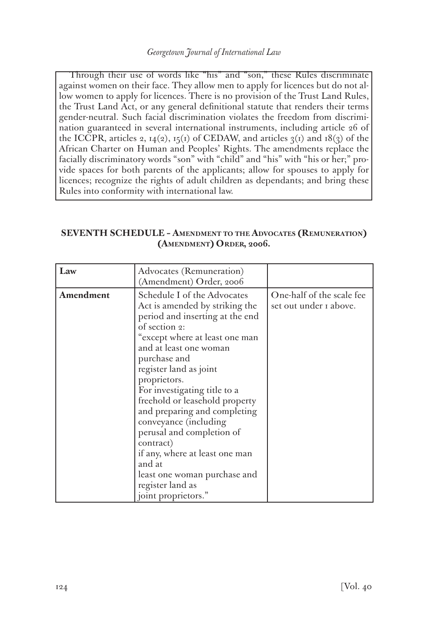Through their use of words like "his" and "son," these Rules discriminate against women on their face. They allow men to apply for licences but do not allow women to apply for licences. There is no provision of the Trust Land Rules, the Trust Land Act, or any general definitional statute that renders their terms gender-neutral. Such facial discrimination violates the freedom from discrimination guaranteed in several international instruments, including article 26 of the ICCPR, articles 2,  $14(2)$ ,  $15(1)$  of CEDAW, and articles  $3(1)$  and  $18(3)$  of the African Charter on Human and Peoples' Rights. The amendments replace the facially discriminatory words "son" with "child" and "his" with "his or her;" provide spaces for both parents of the applicants; allow for spouses to apply for licences; recognize the rights of adult children as dependants; and bring these Rules into conformity with international law.

### **SEVENTH SCHEDULE – Amendment to the Advocates (Remuneration) (Amendment) Order, 2006.**

| Law       | Advocates (Remuneration)<br>(Amendment) Order, 2006                                                                                                                                                                                                                                                                                                                                                                                                                                                                                 |                                                            |
|-----------|-------------------------------------------------------------------------------------------------------------------------------------------------------------------------------------------------------------------------------------------------------------------------------------------------------------------------------------------------------------------------------------------------------------------------------------------------------------------------------------------------------------------------------------|------------------------------------------------------------|
| Amendment | Schedule I of the Advocates<br>Act is amended by striking the<br>period and inserting at the end<br>of section 2:<br>except where at least one man"<br>and at least one woman<br>purchase and<br>register land as joint<br>proprietors.<br>For investigating title to a<br>freehold or leasehold property<br>and preparing and completing<br>conveyance (including<br>perusal and completion of<br>contract)<br>if any, where at least one man<br>and at<br>least one woman purchase and<br>register land as<br>joint proprietors." | One-half of the scale fee<br>set out under <i>I</i> above. |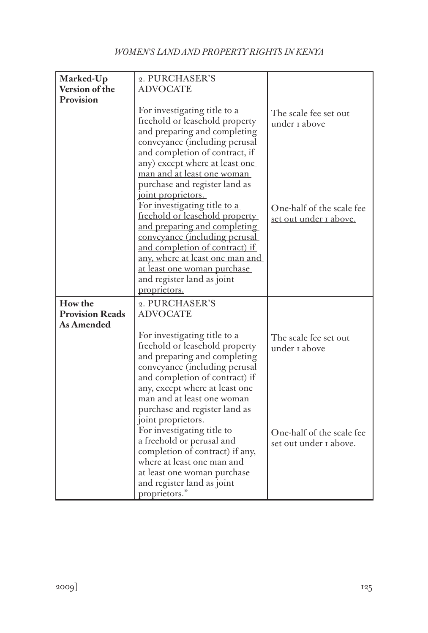| Marked-Up              | 2. PURCHASER'S                       |                           |
|------------------------|--------------------------------------|---------------------------|
| Version of the         | <b>ADVOCATE</b>                      |                           |
| Provision              |                                      |                           |
|                        | For investigating title to a         | The scale fee set out     |
|                        | freehold or leasehold property       | under I above             |
|                        | and preparing and completing         |                           |
|                        | conveyance (including perusal        |                           |
|                        | and completion of contract, if       |                           |
|                        |                                      |                           |
|                        | any) except where at least one       |                           |
|                        | man and at least one woman           |                           |
|                        | purchase and register land as        |                           |
|                        | joint proprietors.                   |                           |
|                        | For investigating title to a         | One-half of the scale fee |
|                        | freehold or leasehold property       | set out under I above.    |
|                        | and preparing and completing         |                           |
|                        | <u>conveyance (including perusal</u> |                           |
|                        | and completion of contract) if       |                           |
|                        | any, where at least one man and      |                           |
|                        | <u>at least one woman purchase</u>   |                           |
|                        | and register land as joint           |                           |
|                        | proprietors.                         |                           |
|                        |                                      |                           |
| How the                | 2. PURCHASER'S                       |                           |
| <b>Provision Reads</b> | <b>ADVOCATE</b>                      |                           |
| As Amended             |                                      |                           |
|                        | For investigating title to a         | The scale fee set out     |
|                        | freehold or leasehold property       | under 1 above             |
|                        | and preparing and completing         |                           |
|                        | conveyance (including perusal        |                           |
|                        | and completion of contract) if       |                           |
|                        | any, except where at least one       |                           |
|                        | man and at least one woman           |                           |
|                        | purchase and register land as        |                           |
|                        | joint proprietors.                   |                           |
|                        | For investigating title to           |                           |
|                        | a freehold or perusal and            | One-half of the scale fee |
|                        |                                      | set out under I above.    |
|                        | completion of contract) if any,      |                           |
|                        | where at least one man and           |                           |
|                        | at least one woman purchase          |                           |
|                        | and register land as joint           |                           |
|                        | proprietors."                        |                           |